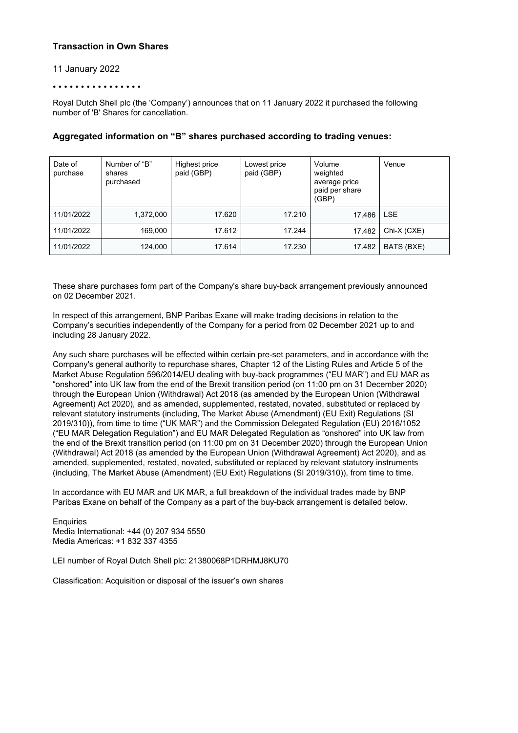# **Transaction in Own Shares**

### 11 January 2022

#### • • • • • • • • • • • • • • • •

Royal Dutch Shell plc (the 'Company') announces that on 11 January 2022 it purchased the following number of 'B' Shares for cancellation.

| Date of<br>purchase | Number of "B"<br>shares<br>purchased | Highest price<br>paid (GBP) | Lowest price<br>paid (GBP) | Volume<br>weighted<br>average price<br>paid per share<br>(GBP) | Venue       |
|---------------------|--------------------------------------|-----------------------------|----------------------------|----------------------------------------------------------------|-------------|
| 11/01/2022          | 1,372,000                            | 17.620                      | 17.210                     | 17.486                                                         | <b>LSE</b>  |
| 11/01/2022          | 169,000                              | 17.612                      | 17.244                     | 17.482                                                         | Chi-X (CXE) |
| 11/01/2022          | 124,000                              | 17.614                      | 17.230                     | 17.482                                                         | BATS (BXE)  |

## **Aggregated information on "B" shares purchased according to trading venues:**

These share purchases form part of the Company's share buy-back arrangement previously announced on 02 December 2021.

In respect of this arrangement, BNP Paribas Exane will make trading decisions in relation to the Company's securities independently of the Company for a period from 02 December 2021 up to and including 28 January 2022.

Any such share purchases will be effected within certain pre-set parameters, and in accordance with the Company's general authority to repurchase shares, Chapter 12 of the Listing Rules and Article 5 of the Market Abuse Regulation 596/2014/EU dealing with buy-back programmes ("EU MAR") and EU MAR as "onshored" into UK law from the end of the Brexit transition period (on 11:00 pm on 31 December 2020) through the European Union (Withdrawal) Act 2018 (as amended by the European Union (Withdrawal Agreement) Act 2020), and as amended, supplemented, restated, novated, substituted or replaced by relevant statutory instruments (including, The Market Abuse (Amendment) (EU Exit) Regulations (SI 2019/310)), from time to time ("UK MAR") and the Commission Delegated Regulation (EU) 2016/1052 ("EU MAR Delegation Regulation") and EU MAR Delegated Regulation as "onshored" into UK law from the end of the Brexit transition period (on 11:00 pm on 31 December 2020) through the European Union (Withdrawal) Act 2018 (as amended by the European Union (Withdrawal Agreement) Act 2020), and as amended, supplemented, restated, novated, substituted or replaced by relevant statutory instruments (including, The Market Abuse (Amendment) (EU Exit) Regulations (SI 2019/310)), from time to time.

In accordance with EU MAR and UK MAR, a full breakdown of the individual trades made by BNP Paribas Exane on behalf of the Company as a part of the buy-back arrangement is detailed below.

**Enquiries** Media International: +44 (0) 207 934 5550 Media Americas: +1 832 337 4355

LEI number of Royal Dutch Shell plc: 21380068P1DRHMJ8KU70

Classification: Acquisition or disposal of the issuer's own shares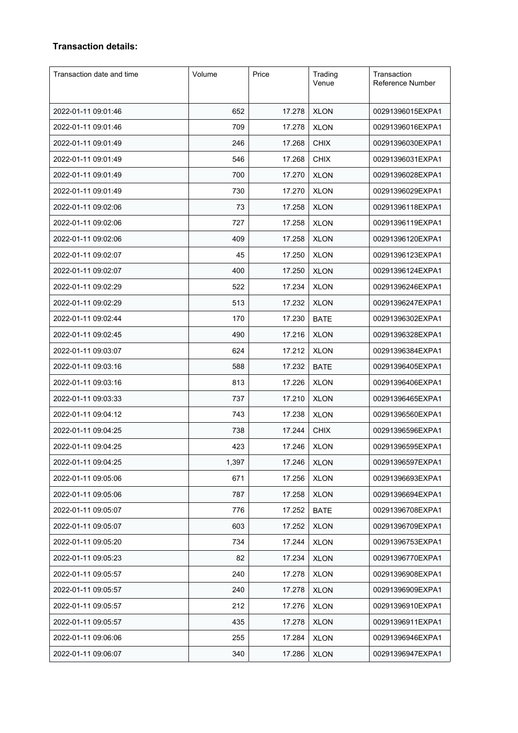# **Transaction details:**

| Transaction date and time | Volume | Price  | Trading<br>Venue | Transaction<br><b>Reference Number</b> |
|---------------------------|--------|--------|------------------|----------------------------------------|
| 2022-01-11 09:01:46       | 652    | 17.278 | <b>XLON</b>      | 00291396015EXPA1                       |
| 2022-01-11 09:01:46       | 709    | 17.278 | <b>XLON</b>      | 00291396016EXPA1                       |
| 2022-01-11 09:01:49       | 246    | 17.268 | <b>CHIX</b>      | 00291396030EXPA1                       |
| 2022-01-11 09:01:49       | 546    | 17.268 | <b>CHIX</b>      | 00291396031EXPA1                       |
| 2022-01-11 09:01:49       | 700    | 17.270 | <b>XLON</b>      | 00291396028EXPA1                       |
| 2022-01-11 09:01:49       | 730    | 17.270 | <b>XLON</b>      | 00291396029EXPA1                       |
| 2022-01-11 09:02:06       | 73     | 17.258 | <b>XLON</b>      | 00291396118EXPA1                       |
| 2022-01-11 09:02:06       | 727    | 17.258 | <b>XLON</b>      | 00291396119EXPA1                       |
| 2022-01-11 09:02:06       | 409    | 17.258 | <b>XLON</b>      | 00291396120EXPA1                       |
| 2022-01-11 09:02:07       | 45     | 17.250 | <b>XLON</b>      | 00291396123EXPA1                       |
| 2022-01-11 09:02:07       | 400    | 17.250 | <b>XLON</b>      | 00291396124EXPA1                       |
| 2022-01-11 09:02:29       | 522    | 17.234 | <b>XLON</b>      | 00291396246EXPA1                       |
| 2022-01-11 09:02:29       | 513    | 17.232 | <b>XLON</b>      | 00291396247EXPA1                       |
| 2022-01-11 09:02:44       | 170    | 17.230 | <b>BATE</b>      | 00291396302EXPA1                       |
| 2022-01-11 09:02:45       | 490    | 17.216 | <b>XLON</b>      | 00291396328EXPA1                       |
| 2022-01-11 09:03:07       | 624    | 17.212 | <b>XLON</b>      | 00291396384EXPA1                       |
| 2022-01-11 09:03:16       | 588    | 17.232 | <b>BATE</b>      | 00291396405EXPA1                       |
| 2022-01-11 09:03:16       | 813    | 17.226 | <b>XLON</b>      | 00291396406EXPA1                       |
| 2022-01-11 09:03:33       | 737    | 17.210 | <b>XLON</b>      | 00291396465EXPA1                       |
| 2022-01-11 09:04:12       | 743    | 17.238 | <b>XLON</b>      | 00291396560EXPA1                       |
| 2022-01-11 09:04:25       | 738    | 17.244 | <b>CHIX</b>      | 00291396596EXPA1                       |
| 2022-01-11 09:04:25       | 423    | 17.246 | <b>XLON</b>      | 00291396595EXPA1                       |
| 2022-01-11 09:04:25       | 1,397  | 17.246 | <b>XLON</b>      | 00291396597EXPA1                       |
| 2022-01-11 09:05:06       | 671    | 17.256 | <b>XLON</b>      | 00291396693EXPA1                       |
| 2022-01-11 09:05:06       | 787    | 17.258 | <b>XLON</b>      | 00291396694EXPA1                       |
| 2022-01-11 09:05:07       | 776    | 17.252 | <b>BATE</b>      | 00291396708EXPA1                       |
| 2022-01-11 09:05:07       | 603    | 17.252 | <b>XLON</b>      | 00291396709EXPA1                       |
| 2022-01-11 09:05:20       | 734    | 17.244 | <b>XLON</b>      | 00291396753EXPA1                       |
| 2022-01-11 09:05:23       | 82     | 17.234 | <b>XLON</b>      | 00291396770EXPA1                       |
| 2022-01-11 09:05:57       | 240    | 17.278 | <b>XLON</b>      | 00291396908EXPA1                       |
| 2022-01-11 09:05:57       | 240    | 17.278 | <b>XLON</b>      | 00291396909EXPA1                       |
| 2022-01-11 09:05:57       | 212    | 17.276 | <b>XLON</b>      | 00291396910EXPA1                       |
| 2022-01-11 09:05:57       | 435    | 17.278 | <b>XLON</b>      | 00291396911EXPA1                       |
| 2022-01-11 09:06:06       | 255    | 17.284 | <b>XLON</b>      | 00291396946EXPA1                       |
| 2022-01-11 09:06:07       | 340    | 17.286 | <b>XLON</b>      | 00291396947EXPA1                       |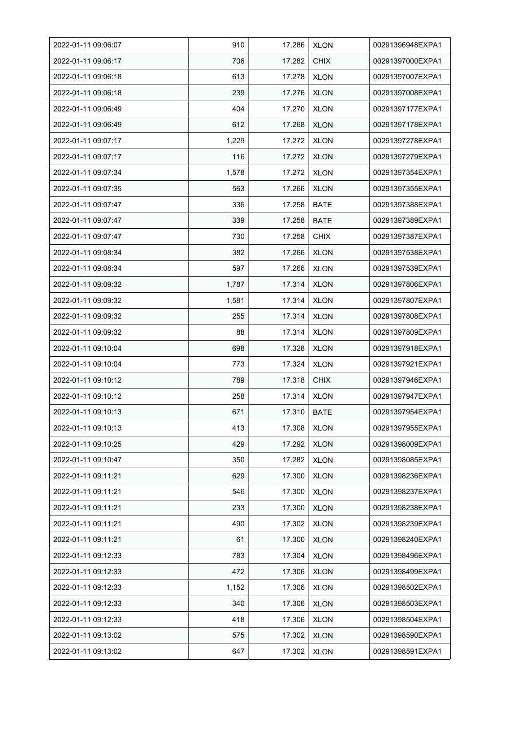| 2022-01-11 09:06:07 | 910   | 17.286 | <b>XLON</b> | 00291396948EXPA1 |
|---------------------|-------|--------|-------------|------------------|
| 2022-01-11 09:06:17 | 706   | 17.282 | <b>CHIX</b> | 00291397000EXPA1 |
| 2022-01-11 09:06:18 | 613   | 17.278 | <b>XLON</b> | 00291397007EXPA1 |
| 2022-01-11 09:06:18 | 239   | 17.276 | <b>XLON</b> | 00291397008EXPA1 |
| 2022-01-11 09:06:49 | 404   | 17.270 | <b>XLON</b> | 00291397177EXPA1 |
| 2022-01-11 09:06:49 | 612   | 17.268 | <b>XLON</b> | 00291397178EXPA1 |
| 2022-01-11 09:07:17 | 1,229 | 17.272 | <b>XLON</b> | 00291397278EXPA1 |
| 2022-01-11 09:07:17 | 116   | 17.272 | <b>XLON</b> | 00291397279EXPA1 |
| 2022-01-11 09:07:34 | 1,578 | 17.272 | <b>XLON</b> | 00291397354EXPA1 |
| 2022-01-11 09:07:35 | 563   | 17.266 | <b>XLON</b> | 00291397355EXPA1 |
| 2022-01-11 09:07:47 | 336   | 17.258 | <b>BATE</b> | 00291397388EXPA1 |
| 2022-01-11 09:07:47 | 339   | 17.258 | <b>BATE</b> | 00291397389EXPA1 |
| 2022-01-11 09:07:47 | 730   | 17.258 | <b>CHIX</b> | 00291397387EXPA1 |
| 2022-01-11 09:08:34 | 382   | 17.266 | <b>XLON</b> | 00291397538EXPA1 |
| 2022-01-11 09:08:34 | 597   | 17.266 | <b>XLON</b> | 00291397539EXPA1 |
| 2022-01-11 09:09:32 | 1,787 | 17.314 | <b>XLON</b> | 00291397806EXPA1 |
| 2022-01-11 09:09:32 | 1,581 | 17.314 | <b>XLON</b> | 00291397807EXPA1 |
| 2022-01-11 09:09:32 | 255   | 17.314 | <b>XLON</b> | 00291397808EXPA1 |
| 2022-01-11 09:09:32 | 88    | 17.314 | <b>XLON</b> | 00291397809EXPA1 |
| 2022-01-11 09:10:04 | 698   | 17.328 | <b>XLON</b> | 00291397918EXPA1 |
| 2022-01-11 09:10:04 | 773   | 17.324 | <b>XLON</b> | 00291397921EXPA1 |
| 2022-01-11 09:10:12 | 789   | 17.318 | <b>CHIX</b> | 00291397946EXPA1 |
| 2022-01-11 09:10:12 | 258   | 17.314 | <b>XLON</b> | 00291397947EXPA1 |
| 2022-01-11 09:10:13 | 671   | 17.310 | <b>BATE</b> | 00291397954EXPA1 |
| 2022-01-11 09:10:13 | 413   | 17.308 | <b>XLON</b> | 00291397955EXPA1 |
| 2022-01-11 09:10:25 | 429   | 17.292 | <b>XLON</b> | 00291398009EXPA1 |
| 2022-01-11 09:10:47 | 350   | 17.282 | <b>XLON</b> | 00291398085EXPA1 |
| 2022-01-11 09:11:21 | 629   | 17.300 | <b>XLON</b> | 00291398236EXPA1 |
| 2022-01-11 09:11:21 | 546   | 17.300 | <b>XLON</b> | 00291398237EXPA1 |
| 2022-01-11 09:11:21 | 233   | 17.300 | <b>XLON</b> | 00291398238EXPA1 |
| 2022-01-11 09:11:21 | 490   | 17.302 | <b>XLON</b> | 00291398239EXPA1 |
| 2022-01-11 09:11:21 | 61    | 17.300 | <b>XLON</b> | 00291398240EXPA1 |
| 2022-01-11 09:12:33 | 783   | 17.304 | <b>XLON</b> | 00291398496EXPA1 |
| 2022-01-11 09:12:33 | 472   | 17.306 | <b>XLON</b> | 00291398499EXPA1 |
| 2022-01-11 09:12:33 | 1,152 | 17.306 | <b>XLON</b> | 00291398502EXPA1 |
| 2022-01-11 09:12:33 | 340   | 17.306 | XLON        | 00291398503EXPA1 |
| 2022-01-11 09:12:33 | 418   | 17.306 | <b>XLON</b> | 00291398504EXPA1 |
| 2022-01-11 09:13:02 | 575   | 17.302 | <b>XLON</b> | 00291398590EXPA1 |
| 2022-01-11 09:13:02 | 647   | 17.302 | <b>XLON</b> | 00291398591EXPA1 |
|                     |       |        |             |                  |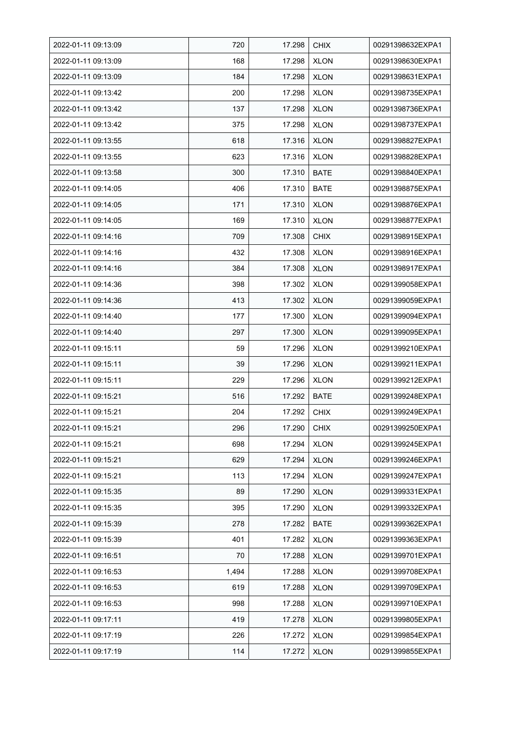| 2022-01-11 09:13:09 | 720   | 17.298 | <b>CHIX</b> | 00291398632EXPA1 |
|---------------------|-------|--------|-------------|------------------|
| 2022-01-11 09:13:09 | 168   | 17.298 | <b>XLON</b> | 00291398630EXPA1 |
| 2022-01-11 09:13:09 | 184   | 17.298 | <b>XLON</b> | 00291398631EXPA1 |
| 2022-01-11 09:13:42 | 200   | 17.298 | <b>XLON</b> | 00291398735EXPA1 |
| 2022-01-11 09:13:42 | 137   | 17.298 | <b>XLON</b> | 00291398736EXPA1 |
| 2022-01-11 09:13:42 | 375   | 17.298 | <b>XLON</b> | 00291398737EXPA1 |
| 2022-01-11 09:13:55 | 618   | 17.316 | <b>XLON</b> | 00291398827EXPA1 |
| 2022-01-11 09:13:55 | 623   | 17.316 | <b>XLON</b> | 00291398828EXPA1 |
| 2022-01-11 09:13:58 | 300   | 17.310 | <b>BATE</b> | 00291398840EXPA1 |
| 2022-01-11 09:14:05 | 406   | 17.310 | <b>BATE</b> | 00291398875EXPA1 |
| 2022-01-11 09:14:05 | 171   | 17.310 | <b>XLON</b> | 00291398876EXPA1 |
| 2022-01-11 09:14:05 | 169   | 17.310 | <b>XLON</b> | 00291398877EXPA1 |
| 2022-01-11 09:14:16 | 709   | 17.308 | <b>CHIX</b> | 00291398915EXPA1 |
| 2022-01-11 09:14:16 | 432   | 17.308 | <b>XLON</b> | 00291398916EXPA1 |
| 2022-01-11 09:14:16 | 384   | 17.308 | <b>XLON</b> | 00291398917EXPA1 |
| 2022-01-11 09:14:36 | 398   | 17.302 | <b>XLON</b> | 00291399058EXPA1 |
| 2022-01-11 09:14:36 | 413   | 17.302 | <b>XLON</b> | 00291399059EXPA1 |
| 2022-01-11 09:14:40 | 177   | 17.300 | <b>XLON</b> | 00291399094EXPA1 |
| 2022-01-11 09:14:40 | 297   | 17.300 | <b>XLON</b> | 00291399095EXPA1 |
| 2022-01-11 09:15:11 | 59    | 17.296 | <b>XLON</b> | 00291399210EXPA1 |
| 2022-01-11 09:15:11 | 39    | 17.296 | <b>XLON</b> | 00291399211EXPA1 |
| 2022-01-11 09:15:11 | 229   | 17.296 | <b>XLON</b> | 00291399212EXPA1 |
| 2022-01-11 09:15:21 | 516   | 17.292 | <b>BATE</b> | 00291399248EXPA1 |
| 2022-01-11 09:15:21 | 204   | 17.292 | <b>CHIX</b> | 00291399249EXPA1 |
| 2022-01-11 09:15:21 | 296   | 17.290 | <b>CHIX</b> | 00291399250EXPA1 |
| 2022-01-11 09:15:21 | 698   | 17.294 | <b>XLON</b> | 00291399245EXPA1 |
| 2022-01-11 09:15:21 | 629   | 17.294 | <b>XLON</b> | 00291399246EXPA1 |
| 2022-01-11 09:15:21 | 113   | 17.294 | <b>XLON</b> | 00291399247EXPA1 |
| 2022-01-11 09:15:35 | 89    | 17.290 | <b>XLON</b> | 00291399331EXPA1 |
| 2022-01-11 09:15:35 | 395   | 17.290 | <b>XLON</b> | 00291399332EXPA1 |
| 2022-01-11 09:15:39 | 278   | 17.282 | <b>BATE</b> | 00291399362EXPA1 |
| 2022-01-11 09:15:39 | 401   | 17.282 | <b>XLON</b> | 00291399363EXPA1 |
| 2022-01-11 09:16:51 | 70    | 17.288 | <b>XLON</b> | 00291399701EXPA1 |
| 2022-01-11 09:16:53 | 1,494 | 17.288 | <b>XLON</b> | 00291399708EXPA1 |
| 2022-01-11 09:16:53 | 619   | 17.288 | <b>XLON</b> | 00291399709EXPA1 |
| 2022-01-11 09:16:53 | 998   | 17.288 | <b>XLON</b> | 00291399710EXPA1 |
| 2022-01-11 09:17:11 | 419   | 17.278 | <b>XLON</b> | 00291399805EXPA1 |
| 2022-01-11 09:17:19 | 226   | 17.272 | <b>XLON</b> | 00291399854EXPA1 |
| 2022-01-11 09:17:19 | 114   | 17.272 | <b>XLON</b> | 00291399855EXPA1 |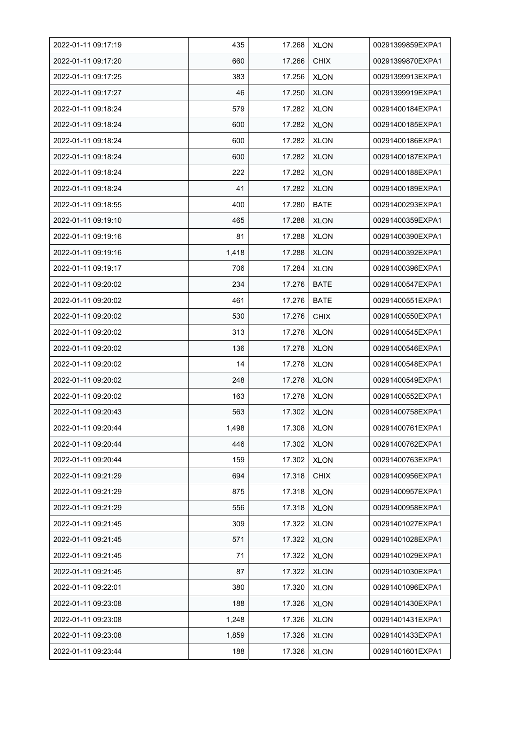| 2022-01-11 09:17:19 | 435   | 17.268 | <b>XLON</b> | 00291399859EXPA1 |
|---------------------|-------|--------|-------------|------------------|
| 2022-01-11 09:17:20 | 660   | 17.266 | <b>CHIX</b> | 00291399870EXPA1 |
| 2022-01-11 09:17:25 | 383   | 17.256 | <b>XLON</b> | 00291399913EXPA1 |
| 2022-01-11 09:17:27 | 46    | 17.250 | <b>XLON</b> | 00291399919EXPA1 |
| 2022-01-11 09:18:24 | 579   | 17.282 | <b>XLON</b> | 00291400184EXPA1 |
| 2022-01-11 09:18:24 | 600   | 17.282 | <b>XLON</b> | 00291400185EXPA1 |
| 2022-01-11 09:18:24 | 600   | 17.282 | <b>XLON</b> | 00291400186EXPA1 |
| 2022-01-11 09:18:24 | 600   | 17.282 | <b>XLON</b> | 00291400187EXPA1 |
| 2022-01-11 09:18:24 | 222   | 17.282 | <b>XLON</b> | 00291400188EXPA1 |
| 2022-01-11 09:18:24 | 41    | 17.282 | <b>XLON</b> | 00291400189EXPA1 |
| 2022-01-11 09:18:55 | 400   | 17.280 | <b>BATE</b> | 00291400293EXPA1 |
| 2022-01-11 09:19:10 | 465   | 17.288 | <b>XLON</b> | 00291400359EXPA1 |
| 2022-01-11 09:19:16 | 81    | 17.288 | <b>XLON</b> | 00291400390EXPA1 |
| 2022-01-11 09:19:16 | 1,418 | 17.288 | <b>XLON</b> | 00291400392EXPA1 |
| 2022-01-11 09:19:17 | 706   | 17.284 | <b>XLON</b> | 00291400396EXPA1 |
| 2022-01-11 09:20:02 | 234   | 17.276 | <b>BATE</b> | 00291400547EXPA1 |
| 2022-01-11 09:20:02 | 461   | 17.276 | <b>BATE</b> | 00291400551EXPA1 |
| 2022-01-11 09:20:02 | 530   | 17.276 | <b>CHIX</b> | 00291400550EXPA1 |
| 2022-01-11 09:20:02 | 313   | 17.278 | <b>XLON</b> | 00291400545EXPA1 |
| 2022-01-11 09:20:02 | 136   | 17.278 | <b>XLON</b> | 00291400546EXPA1 |
| 2022-01-11 09:20:02 | 14    | 17.278 | <b>XLON</b> | 00291400548EXPA1 |
| 2022-01-11 09:20:02 | 248   | 17.278 | <b>XLON</b> | 00291400549EXPA1 |
| 2022-01-11 09:20:02 | 163   | 17.278 | <b>XLON</b> | 00291400552EXPA1 |
| 2022-01-11 09:20:43 | 563   | 17.302 | <b>XLON</b> | 00291400758EXPA1 |
| 2022-01-11 09:20:44 | 1,498 | 17.308 | <b>XLON</b> | 00291400761EXPA1 |
| 2022-01-11 09:20:44 | 446   | 17.302 | <b>XLON</b> | 00291400762EXPA1 |
| 2022-01-11 09:20:44 | 159   | 17.302 | <b>XLON</b> | 00291400763EXPA1 |
| 2022-01-11 09:21:29 | 694   | 17.318 | <b>CHIX</b> | 00291400956EXPA1 |
| 2022-01-11 09:21:29 | 875   | 17.318 | <b>XLON</b> | 00291400957EXPA1 |
| 2022-01-11 09:21:29 | 556   | 17.318 | <b>XLON</b> | 00291400958EXPA1 |
| 2022-01-11 09:21:45 | 309   | 17.322 | <b>XLON</b> | 00291401027EXPA1 |
| 2022-01-11 09:21:45 | 571   | 17.322 | <b>XLON</b> | 00291401028EXPA1 |
| 2022-01-11 09:21:45 | 71    | 17.322 | <b>XLON</b> | 00291401029EXPA1 |
| 2022-01-11 09:21:45 | 87    | 17.322 | <b>XLON</b> | 00291401030EXPA1 |
| 2022-01-11 09:22:01 | 380   | 17.320 | <b>XLON</b> | 00291401096EXPA1 |
| 2022-01-11 09:23:08 | 188   | 17.326 | <b>XLON</b> | 00291401430EXPA1 |
| 2022-01-11 09:23:08 | 1,248 | 17.326 | <b>XLON</b> | 00291401431EXPA1 |
| 2022-01-11 09:23:08 | 1,859 | 17.326 | <b>XLON</b> | 00291401433EXPA1 |
| 2022-01-11 09:23:44 | 188   | 17.326 | <b>XLON</b> | 00291401601EXPA1 |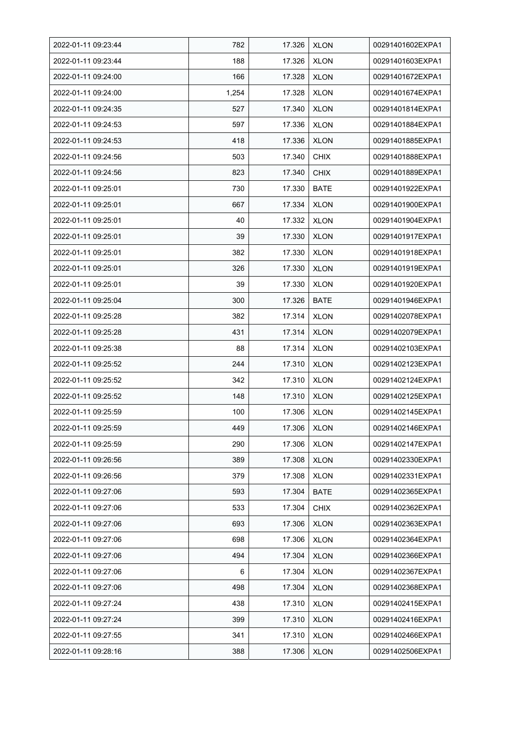| 2022-01-11 09:23:44 | 782   | 17.326 | <b>XLON</b> | 00291401602EXPA1 |
|---------------------|-------|--------|-------------|------------------|
| 2022-01-11 09:23:44 | 188   | 17.326 | <b>XLON</b> | 00291401603EXPA1 |
| 2022-01-11 09:24:00 | 166   | 17.328 | <b>XLON</b> | 00291401672EXPA1 |
| 2022-01-11 09:24:00 | 1,254 | 17.328 | <b>XLON</b> | 00291401674EXPA1 |
| 2022-01-11 09:24:35 | 527   | 17.340 | <b>XLON</b> | 00291401814EXPA1 |
| 2022-01-11 09:24:53 | 597   | 17.336 | <b>XLON</b> | 00291401884EXPA1 |
| 2022-01-11 09:24:53 | 418   | 17.336 | <b>XLON</b> | 00291401885EXPA1 |
| 2022-01-11 09:24:56 | 503   | 17.340 | <b>CHIX</b> | 00291401888EXPA1 |
| 2022-01-11 09:24:56 | 823   | 17.340 | <b>CHIX</b> | 00291401889EXPA1 |
| 2022-01-11 09:25:01 | 730   | 17.330 | <b>BATE</b> | 00291401922EXPA1 |
| 2022-01-11 09:25:01 | 667   | 17.334 | <b>XLON</b> | 00291401900EXPA1 |
| 2022-01-11 09:25:01 | 40    | 17.332 | <b>XLON</b> | 00291401904EXPA1 |
| 2022-01-11 09:25:01 | 39    | 17.330 | <b>XLON</b> | 00291401917EXPA1 |
| 2022-01-11 09:25:01 | 382   | 17.330 | <b>XLON</b> | 00291401918EXPA1 |
| 2022-01-11 09:25:01 | 326   | 17.330 | <b>XLON</b> | 00291401919EXPA1 |
| 2022-01-11 09:25:01 | 39    | 17.330 | <b>XLON</b> | 00291401920EXPA1 |
| 2022-01-11 09:25:04 | 300   | 17.326 | <b>BATE</b> | 00291401946EXPA1 |
| 2022-01-11 09:25:28 | 382   | 17.314 | <b>XLON</b> | 00291402078EXPA1 |
| 2022-01-11 09:25:28 | 431   | 17.314 | <b>XLON</b> | 00291402079EXPA1 |
| 2022-01-11 09:25:38 | 88    | 17.314 | <b>XLON</b> | 00291402103EXPA1 |
| 2022-01-11 09:25:52 | 244   | 17.310 | <b>XLON</b> | 00291402123EXPA1 |
| 2022-01-11 09:25:52 | 342   | 17.310 | <b>XLON</b> | 00291402124EXPA1 |
| 2022-01-11 09:25:52 | 148   | 17.310 | <b>XLON</b> | 00291402125EXPA1 |
| 2022-01-11 09:25:59 | 100   | 17.306 | <b>XLON</b> | 00291402145EXPA1 |
| 2022-01-11 09:25:59 | 449   | 17.306 | <b>XLON</b> | 00291402146EXPA1 |
| 2022-01-11 09:25:59 | 290   | 17.306 | <b>XLON</b> | 00291402147EXPA1 |
| 2022-01-11 09:26:56 | 389   | 17.308 | <b>XLON</b> | 00291402330EXPA1 |
| 2022-01-11 09:26:56 | 379   | 17.308 | <b>XLON</b> | 00291402331EXPA1 |
| 2022-01-11 09:27:06 | 593   | 17.304 | <b>BATE</b> | 00291402365EXPA1 |
| 2022-01-11 09:27:06 | 533   | 17.304 | <b>CHIX</b> | 00291402362EXPA1 |
| 2022-01-11 09:27:06 | 693   | 17.306 | <b>XLON</b> | 00291402363EXPA1 |
| 2022-01-11 09:27:06 | 698   | 17.306 | <b>XLON</b> | 00291402364EXPA1 |
| 2022-01-11 09:27:06 | 494   | 17.304 | <b>XLON</b> | 00291402366EXPA1 |
| 2022-01-11 09:27:06 | 6     | 17.304 | <b>XLON</b> | 00291402367EXPA1 |
| 2022-01-11 09:27:06 | 498   | 17.304 | <b>XLON</b> | 00291402368EXPA1 |
| 2022-01-11 09:27:24 | 438   | 17.310 | <b>XLON</b> | 00291402415EXPA1 |
| 2022-01-11 09:27:24 | 399   | 17.310 | <b>XLON</b> | 00291402416EXPA1 |
| 2022-01-11 09:27:55 | 341   | 17.310 | <b>XLON</b> | 00291402466EXPA1 |
| 2022-01-11 09:28:16 | 388   | 17.306 | <b>XLON</b> | 00291402506EXPA1 |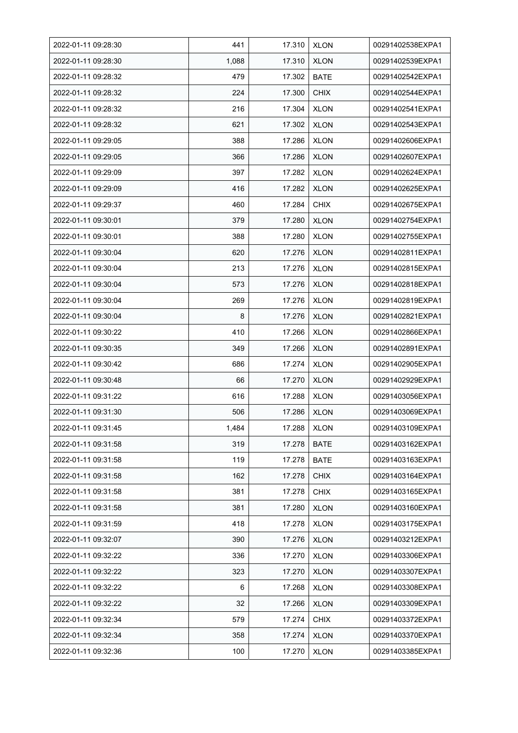| 2022-01-11 09:28:30 | 441   | 17.310 | <b>XLON</b> | 00291402538EXPA1 |
|---------------------|-------|--------|-------------|------------------|
| 2022-01-11 09:28:30 | 1,088 | 17.310 | <b>XLON</b> | 00291402539EXPA1 |
| 2022-01-11 09:28:32 | 479   | 17.302 | <b>BATE</b> | 00291402542EXPA1 |
| 2022-01-11 09:28:32 | 224   | 17.300 | <b>CHIX</b> | 00291402544EXPA1 |
| 2022-01-11 09:28:32 | 216   | 17.304 | <b>XLON</b> | 00291402541EXPA1 |
| 2022-01-11 09:28:32 | 621   | 17.302 | <b>XLON</b> | 00291402543EXPA1 |
| 2022-01-11 09:29:05 | 388   | 17.286 | <b>XLON</b> | 00291402606EXPA1 |
| 2022-01-11 09:29:05 | 366   | 17.286 | <b>XLON</b> | 00291402607EXPA1 |
| 2022-01-11 09:29:09 | 397   | 17.282 | <b>XLON</b> | 00291402624EXPA1 |
| 2022-01-11 09:29:09 | 416   | 17.282 | <b>XLON</b> | 00291402625EXPA1 |
| 2022-01-11 09:29:37 | 460   | 17.284 | <b>CHIX</b> | 00291402675EXPA1 |
| 2022-01-11 09:30:01 | 379   | 17.280 | <b>XLON</b> | 00291402754EXPA1 |
| 2022-01-11 09:30:01 | 388   | 17.280 | <b>XLON</b> | 00291402755EXPA1 |
| 2022-01-11 09:30:04 | 620   | 17.276 | <b>XLON</b> | 00291402811EXPA1 |
| 2022-01-11 09:30:04 | 213   | 17.276 | <b>XLON</b> | 00291402815EXPA1 |
| 2022-01-11 09:30:04 | 573   | 17.276 | <b>XLON</b> | 00291402818EXPA1 |
| 2022-01-11 09:30:04 | 269   | 17.276 | <b>XLON</b> | 00291402819EXPA1 |
| 2022-01-11 09:30:04 | 8     | 17.276 | <b>XLON</b> | 00291402821EXPA1 |
| 2022-01-11 09:30:22 | 410   | 17.266 | <b>XLON</b> | 00291402866EXPA1 |
| 2022-01-11 09:30:35 | 349   | 17.266 | <b>XLON</b> | 00291402891EXPA1 |
| 2022-01-11 09:30:42 | 686   | 17.274 | <b>XLON</b> | 00291402905EXPA1 |
| 2022-01-11 09:30:48 | 66    | 17.270 | <b>XLON</b> | 00291402929EXPA1 |
| 2022-01-11 09:31:22 | 616   | 17.288 | <b>XLON</b> | 00291403056EXPA1 |
| 2022-01-11 09:31:30 | 506   | 17.286 | <b>XLON</b> | 00291403069EXPA1 |
| 2022-01-11 09:31:45 | 1,484 | 17.288 | <b>XLON</b> | 00291403109EXPA1 |
| 2022-01-11 09:31:58 | 319   | 17.278 | BATE        | 00291403162EXPA1 |
| 2022-01-11 09:31:58 | 119   | 17.278 | <b>BATE</b> | 00291403163EXPA1 |
| 2022-01-11 09:31:58 | 162   | 17.278 | <b>CHIX</b> | 00291403164EXPA1 |
| 2022-01-11 09:31:58 | 381   | 17.278 | <b>CHIX</b> | 00291403165EXPA1 |
| 2022-01-11 09:31:58 | 381   | 17.280 | <b>XLON</b> | 00291403160EXPA1 |
| 2022-01-11 09:31:59 | 418   | 17.278 | <b>XLON</b> | 00291403175EXPA1 |
| 2022-01-11 09:32:07 | 390   | 17.276 | <b>XLON</b> | 00291403212EXPA1 |
| 2022-01-11 09:32:22 | 336   | 17.270 | <b>XLON</b> | 00291403306EXPA1 |
| 2022-01-11 09:32:22 | 323   | 17.270 | <b>XLON</b> | 00291403307EXPA1 |
| 2022-01-11 09:32:22 | 6     | 17.268 | <b>XLON</b> | 00291403308EXPA1 |
| 2022-01-11 09:32:22 | 32    | 17.266 | <b>XLON</b> | 00291403309EXPA1 |
| 2022-01-11 09:32:34 | 579   | 17.274 | <b>CHIX</b> | 00291403372EXPA1 |
| 2022-01-11 09:32:34 | 358   | 17.274 | <b>XLON</b> | 00291403370EXPA1 |
| 2022-01-11 09:32:36 | 100   | 17.270 | <b>XLON</b> | 00291403385EXPA1 |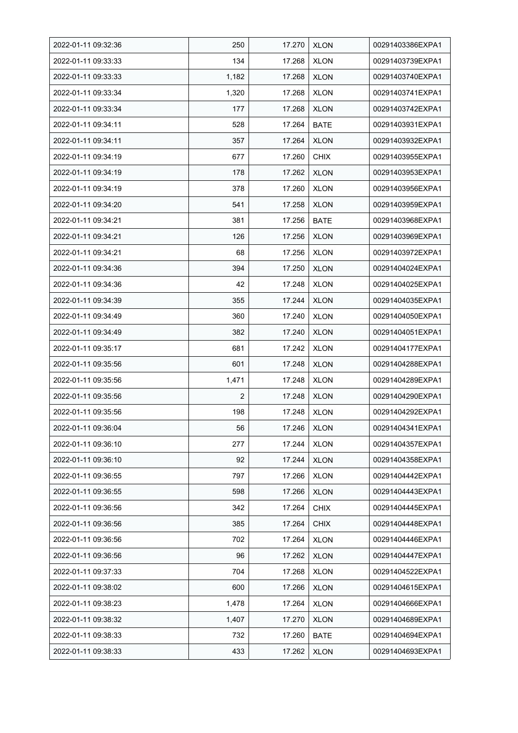| 2022-01-11 09:32:36 | 250            | 17.270 | <b>XLON</b> | 00291403386EXPA1 |
|---------------------|----------------|--------|-------------|------------------|
| 2022-01-11 09:33:33 | 134            | 17.268 | <b>XLON</b> | 00291403739EXPA1 |
| 2022-01-11 09:33:33 | 1,182          | 17.268 | <b>XLON</b> | 00291403740EXPA1 |
| 2022-01-11 09:33:34 | 1,320          | 17.268 | <b>XLON</b> | 00291403741EXPA1 |
| 2022-01-11 09:33:34 | 177            | 17.268 | <b>XLON</b> | 00291403742EXPA1 |
| 2022-01-11 09:34:11 | 528            | 17.264 | <b>BATE</b> | 00291403931EXPA1 |
| 2022-01-11 09:34:11 | 357            | 17.264 | <b>XLON</b> | 00291403932EXPA1 |
| 2022-01-11 09:34:19 | 677            | 17.260 | <b>CHIX</b> | 00291403955EXPA1 |
| 2022-01-11 09:34:19 | 178            | 17.262 | <b>XLON</b> | 00291403953EXPA1 |
| 2022-01-11 09:34:19 | 378            | 17.260 | <b>XLON</b> | 00291403956EXPA1 |
| 2022-01-11 09:34:20 | 541            | 17.258 | <b>XLON</b> | 00291403959EXPA1 |
| 2022-01-11 09:34:21 | 381            | 17.256 | <b>BATE</b> | 00291403968EXPA1 |
| 2022-01-11 09:34:21 | 126            | 17.256 | <b>XLON</b> | 00291403969EXPA1 |
| 2022-01-11 09:34:21 | 68             | 17.256 | <b>XLON</b> | 00291403972EXPA1 |
| 2022-01-11 09:34:36 | 394            | 17.250 | <b>XLON</b> | 00291404024EXPA1 |
| 2022-01-11 09:34:36 | 42             | 17.248 | <b>XLON</b> | 00291404025EXPA1 |
| 2022-01-11 09:34:39 | 355            | 17.244 | <b>XLON</b> | 00291404035EXPA1 |
| 2022-01-11 09:34:49 | 360            | 17.240 | <b>XLON</b> | 00291404050EXPA1 |
| 2022-01-11 09:34:49 | 382            | 17.240 | <b>XLON</b> | 00291404051EXPA1 |
| 2022-01-11 09:35:17 | 681            | 17.242 | <b>XLON</b> | 00291404177EXPA1 |
| 2022-01-11 09:35:56 | 601            | 17.248 | <b>XLON</b> | 00291404288EXPA1 |
| 2022-01-11 09:35:56 | 1,471          | 17.248 | <b>XLON</b> | 00291404289EXPA1 |
| 2022-01-11 09:35:56 | $\overline{2}$ | 17.248 | <b>XLON</b> | 00291404290EXPA1 |
| 2022-01-11 09:35:56 | 198            | 17.248 | <b>XLON</b> | 00291404292EXPA1 |
| 2022-01-11 09:36:04 | 56             | 17.246 | <b>XLON</b> | 00291404341EXPA1 |
| 2022-01-11 09:36:10 | 277            | 17.244 | <b>XLON</b> | 00291404357EXPA1 |
| 2022-01-11 09:36:10 | 92             | 17.244 | <b>XLON</b> | 00291404358EXPA1 |
| 2022-01-11 09:36:55 | 797            | 17.266 | <b>XLON</b> | 00291404442EXPA1 |
| 2022-01-11 09:36:55 | 598            | 17.266 | <b>XLON</b> | 00291404443EXPA1 |
| 2022-01-11 09:36:56 | 342            | 17.264 | <b>CHIX</b> | 00291404445EXPA1 |
| 2022-01-11 09:36:56 | 385            | 17.264 | <b>CHIX</b> | 00291404448EXPA1 |
| 2022-01-11 09:36:56 | 702            | 17.264 | <b>XLON</b> | 00291404446EXPA1 |
| 2022-01-11 09:36:56 | 96             | 17.262 | <b>XLON</b> | 00291404447EXPA1 |
| 2022-01-11 09:37:33 | 704            | 17.268 | <b>XLON</b> | 00291404522EXPA1 |
| 2022-01-11 09:38:02 | 600            | 17.266 | <b>XLON</b> | 00291404615EXPA1 |
| 2022-01-11 09:38:23 | 1,478          | 17.264 | <b>XLON</b> | 00291404666EXPA1 |
| 2022-01-11 09:38:32 | 1,407          | 17.270 | <b>XLON</b> | 00291404689EXPA1 |
| 2022-01-11 09:38:33 | 732            | 17.260 | <b>BATE</b> | 00291404694EXPA1 |
| 2022-01-11 09:38:33 | 433            | 17.262 | <b>XLON</b> | 00291404693EXPA1 |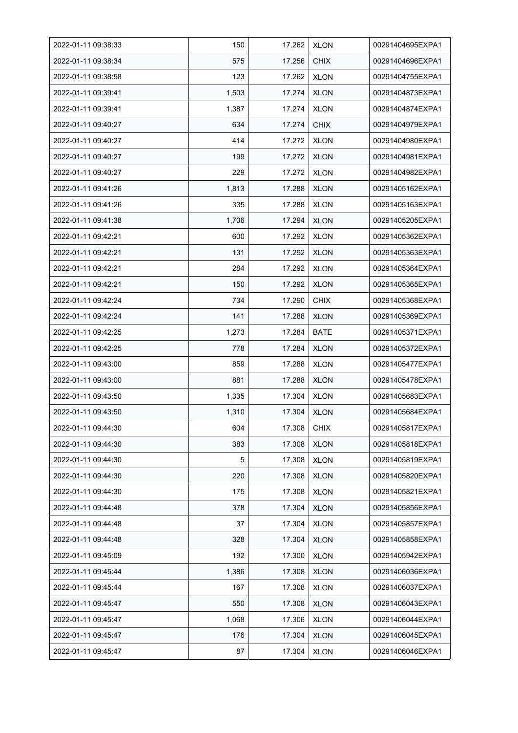| 2022-01-11 09:38:33 | 150   | 17.262 | <b>XLON</b> | 00291404695EXPA1 |
|---------------------|-------|--------|-------------|------------------|
| 2022-01-11 09:38:34 | 575   | 17.256 | <b>CHIX</b> | 00291404696EXPA1 |
| 2022-01-11 09:38:58 | 123   | 17.262 | <b>XLON</b> | 00291404755EXPA1 |
| 2022-01-11 09:39:41 | 1,503 | 17.274 | <b>XLON</b> | 00291404873EXPA1 |
| 2022-01-11 09:39:41 | 1,387 | 17.274 | <b>XLON</b> | 00291404874EXPA1 |
| 2022-01-11 09:40:27 | 634   | 17.274 | <b>CHIX</b> | 00291404979EXPA1 |
| 2022-01-11 09:40:27 | 414   | 17.272 | <b>XLON</b> | 00291404980EXPA1 |
| 2022-01-11 09:40:27 | 199   | 17.272 | <b>XLON</b> | 00291404981EXPA1 |
| 2022-01-11 09:40:27 | 229   | 17.272 | <b>XLON</b> | 00291404982EXPA1 |
| 2022-01-11 09:41:26 | 1,813 | 17.288 | <b>XLON</b> | 00291405162EXPA1 |
| 2022-01-11 09:41:26 | 335   | 17.288 | <b>XLON</b> | 00291405163EXPA1 |
| 2022-01-11 09:41:38 | 1,706 | 17.294 | <b>XLON</b> | 00291405205EXPA1 |
| 2022-01-11 09:42:21 | 600   | 17.292 | <b>XLON</b> | 00291405362EXPA1 |
| 2022-01-11 09:42:21 | 131   | 17.292 | <b>XLON</b> | 00291405363EXPA1 |
| 2022-01-11 09:42:21 | 284   | 17.292 | <b>XLON</b> | 00291405364EXPA1 |
| 2022-01-11 09:42:21 | 150   | 17.292 | <b>XLON</b> | 00291405365EXPA1 |
| 2022-01-11 09:42:24 | 734   | 17.290 | <b>CHIX</b> | 00291405368EXPA1 |
| 2022-01-11 09:42:24 | 141   | 17.288 | <b>XLON</b> | 00291405369EXPA1 |
| 2022-01-11 09:42:25 | 1,273 | 17.284 | <b>BATE</b> | 00291405371EXPA1 |
| 2022-01-11 09:42:25 | 778   | 17.284 | <b>XLON</b> | 00291405372EXPA1 |
| 2022-01-11 09:43:00 | 859   | 17.288 | <b>XLON</b> | 00291405477EXPA1 |
| 2022-01-11 09:43:00 | 881   | 17.288 | <b>XLON</b> | 00291405478EXPA1 |
| 2022-01-11 09:43:50 | 1,335 | 17.304 | <b>XLON</b> | 00291405683EXPA1 |
| 2022-01-11 09:43:50 | 1,310 | 17.304 | <b>XLON</b> | 00291405684EXPA1 |
| 2022-01-11 09:44:30 | 604   | 17.308 | <b>CHIX</b> | 00291405817EXPA1 |
| 2022-01-11 09:44:30 | 383   | 17.308 | <b>XLON</b> | 00291405818EXPA1 |
| 2022-01-11 09:44:30 | 5     | 17.308 | <b>XLON</b> | 00291405819EXPA1 |
| 2022-01-11 09:44:30 | 220   | 17.308 | <b>XLON</b> | 00291405820EXPA1 |
| 2022-01-11 09:44:30 | 175   | 17.308 | <b>XLON</b> | 00291405821EXPA1 |
| 2022-01-11 09:44:48 | 378   | 17.304 | <b>XLON</b> | 00291405856EXPA1 |
| 2022-01-11 09:44:48 | 37    | 17.304 | <b>XLON</b> | 00291405857EXPA1 |
| 2022-01-11 09:44:48 | 328   | 17.304 | <b>XLON</b> | 00291405858EXPA1 |
| 2022-01-11 09:45:09 | 192   | 17.300 | <b>XLON</b> | 00291405942EXPA1 |
| 2022-01-11 09:45:44 | 1,386 | 17.308 | <b>XLON</b> | 00291406036EXPA1 |
| 2022-01-11 09:45:44 | 167   | 17.308 | <b>XLON</b> | 00291406037EXPA1 |
| 2022-01-11 09:45:47 | 550   | 17.308 | <b>XLON</b> | 00291406043EXPA1 |
| 2022-01-11 09:45:47 | 1,068 | 17.306 | <b>XLON</b> | 00291406044EXPA1 |
| 2022-01-11 09:45:47 | 176   | 17.304 | <b>XLON</b> | 00291406045EXPA1 |
| 2022-01-11 09:45:47 | 87    | 17.304 | <b>XLON</b> | 00291406046EXPA1 |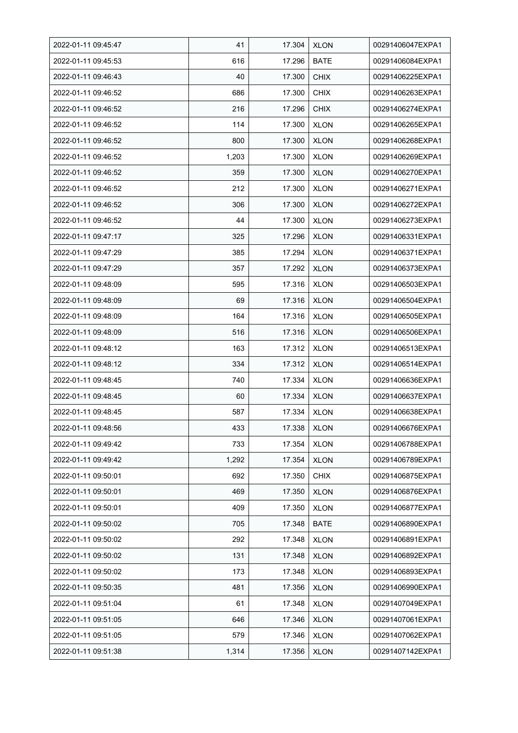| 2022-01-11 09:45:47 | 41    | 17.304 | <b>XLON</b> | 00291406047EXPA1 |
|---------------------|-------|--------|-------------|------------------|
| 2022-01-11 09:45:53 | 616   | 17.296 | <b>BATE</b> | 00291406084EXPA1 |
| 2022-01-11 09:46:43 | 40    | 17.300 | <b>CHIX</b> | 00291406225EXPA1 |
| 2022-01-11 09:46:52 | 686   | 17.300 | <b>CHIX</b> | 00291406263EXPA1 |
| 2022-01-11 09:46:52 | 216   | 17.296 | <b>CHIX</b> | 00291406274EXPA1 |
| 2022-01-11 09:46:52 | 114   | 17.300 | <b>XLON</b> | 00291406265EXPA1 |
| 2022-01-11 09:46:52 | 800   | 17.300 | <b>XLON</b> | 00291406268EXPA1 |
| 2022-01-11 09:46:52 | 1,203 | 17.300 | <b>XLON</b> | 00291406269EXPA1 |
| 2022-01-11 09:46:52 | 359   | 17.300 | <b>XLON</b> | 00291406270EXPA1 |
| 2022-01-11 09:46:52 | 212   | 17.300 | <b>XLON</b> | 00291406271EXPA1 |
| 2022-01-11 09:46:52 | 306   | 17.300 | <b>XLON</b> | 00291406272EXPA1 |
| 2022-01-11 09:46:52 | 44    | 17.300 | <b>XLON</b> | 00291406273EXPA1 |
| 2022-01-11 09:47:17 | 325   | 17.296 | <b>XLON</b> | 00291406331EXPA1 |
| 2022-01-11 09:47:29 | 385   | 17.294 | <b>XLON</b> | 00291406371EXPA1 |
| 2022-01-11 09:47:29 | 357   | 17.292 | <b>XLON</b> | 00291406373EXPA1 |
| 2022-01-11 09:48:09 | 595   | 17.316 | <b>XLON</b> | 00291406503EXPA1 |
| 2022-01-11 09:48:09 | 69    | 17.316 | <b>XLON</b> | 00291406504EXPA1 |
| 2022-01-11 09:48:09 | 164   | 17.316 | <b>XLON</b> | 00291406505EXPA1 |
| 2022-01-11 09:48:09 | 516   | 17.316 | <b>XLON</b> | 00291406506EXPA1 |
| 2022-01-11 09:48:12 | 163   | 17.312 | <b>XLON</b> | 00291406513EXPA1 |
| 2022-01-11 09:48:12 | 334   | 17.312 | <b>XLON</b> | 00291406514EXPA1 |
| 2022-01-11 09:48:45 | 740   | 17.334 | <b>XLON</b> | 00291406636EXPA1 |
| 2022-01-11 09:48:45 | 60    | 17.334 | <b>XLON</b> | 00291406637EXPA1 |
| 2022-01-11 09:48:45 | 587   | 17.334 | <b>XLON</b> | 00291406638EXPA1 |
| 2022-01-11 09:48:56 | 433   | 17.338 | <b>XLON</b> | 00291406676EXPA1 |
| 2022-01-11 09:49:42 | 733   | 17.354 | <b>XLON</b> | 00291406788EXPA1 |
| 2022-01-11 09:49:42 | 1,292 | 17.354 | <b>XLON</b> | 00291406789EXPA1 |
| 2022-01-11 09:50:01 | 692   | 17.350 | <b>CHIX</b> | 00291406875EXPA1 |
| 2022-01-11 09:50:01 | 469   | 17.350 | <b>XLON</b> | 00291406876EXPA1 |
| 2022-01-11 09:50:01 | 409   | 17.350 | <b>XLON</b> | 00291406877EXPA1 |
| 2022-01-11 09:50:02 | 705   | 17.348 | <b>BATE</b> | 00291406890EXPA1 |
| 2022-01-11 09:50:02 | 292   | 17.348 | <b>XLON</b> | 00291406891EXPA1 |
| 2022-01-11 09:50:02 | 131   | 17.348 | <b>XLON</b> | 00291406892EXPA1 |
| 2022-01-11 09:50:02 | 173   | 17.348 | <b>XLON</b> | 00291406893EXPA1 |
| 2022-01-11 09:50:35 | 481   | 17.356 | <b>XLON</b> | 00291406990EXPA1 |
| 2022-01-11 09:51:04 | 61    | 17.348 | <b>XLON</b> | 00291407049EXPA1 |
| 2022-01-11 09:51:05 | 646   | 17.346 | <b>XLON</b> | 00291407061EXPA1 |
| 2022-01-11 09:51:05 | 579   | 17.346 | <b>XLON</b> | 00291407062EXPA1 |
| 2022-01-11 09:51:38 | 1,314 | 17.356 | <b>XLON</b> | 00291407142EXPA1 |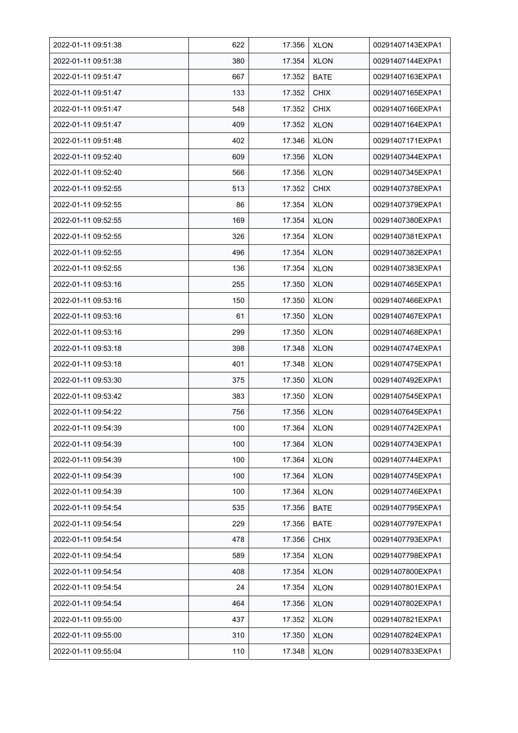| 2022-01-11 09:51:38 | 622 | 17.356 | <b>XLON</b> | 00291407143EXPA1 |
|---------------------|-----|--------|-------------|------------------|
| 2022-01-11 09:51:38 | 380 | 17.354 | <b>XLON</b> | 00291407144EXPA1 |
| 2022-01-11 09:51:47 | 667 | 17.352 | <b>BATE</b> | 00291407163EXPA1 |
| 2022-01-11 09:51:47 | 133 | 17.352 | <b>CHIX</b> | 00291407165EXPA1 |
| 2022-01-11 09:51:47 | 548 | 17.352 | <b>CHIX</b> | 00291407166EXPA1 |
| 2022-01-11 09:51:47 | 409 | 17.352 | <b>XLON</b> | 00291407164EXPA1 |
| 2022-01-11 09:51:48 | 402 | 17.346 | <b>XLON</b> | 00291407171EXPA1 |
| 2022-01-11 09:52:40 | 609 | 17.356 | <b>XLON</b> | 00291407344EXPA1 |
| 2022-01-11 09:52:40 | 566 | 17.356 | <b>XLON</b> | 00291407345EXPA1 |
| 2022-01-11 09:52:55 | 513 | 17.352 | <b>CHIX</b> | 00291407378EXPA1 |
| 2022-01-11 09:52:55 | 86  | 17.354 | <b>XLON</b> | 00291407379EXPA1 |
| 2022-01-11 09:52:55 | 169 | 17.354 | <b>XLON</b> | 00291407380EXPA1 |
| 2022-01-11 09:52:55 | 326 | 17.354 | <b>XLON</b> | 00291407381EXPA1 |
| 2022-01-11 09:52:55 | 496 | 17.354 | <b>XLON</b> | 00291407382EXPA1 |
| 2022-01-11 09:52:55 | 136 | 17.354 | <b>XLON</b> | 00291407383EXPA1 |
| 2022-01-11 09:53:16 | 255 | 17.350 | <b>XLON</b> | 00291407465EXPA1 |
| 2022-01-11 09:53:16 | 150 | 17.350 | <b>XLON</b> | 00291407466EXPA1 |
| 2022-01-11 09:53:16 | 61  | 17.350 | <b>XLON</b> | 00291407467EXPA1 |
| 2022-01-11 09:53:16 | 299 | 17.350 | <b>XLON</b> | 00291407468EXPA1 |
| 2022-01-11 09:53:18 | 398 | 17.348 | <b>XLON</b> | 00291407474EXPA1 |
| 2022-01-11 09:53:18 | 401 | 17.348 | <b>XLON</b> | 00291407475EXPA1 |
| 2022-01-11 09:53:30 | 375 | 17.350 | <b>XLON</b> | 00291407492EXPA1 |
| 2022-01-11 09:53:42 | 383 | 17.350 | <b>XLON</b> | 00291407545EXPA1 |
| 2022-01-11 09:54:22 | 756 | 17.356 | <b>XLON</b> | 00291407645EXPA1 |
| 2022-01-11 09:54:39 | 100 | 17.364 | <b>XLON</b> | 00291407742EXPA1 |
| 2022-01-11 09:54:39 | 100 | 17.364 | <b>XLON</b> | 00291407743EXPA1 |
| 2022-01-11 09:54:39 | 100 | 17.364 | <b>XLON</b> | 00291407744EXPA1 |
| 2022-01-11 09:54:39 | 100 | 17.364 | <b>XLON</b> | 00291407745EXPA1 |
| 2022-01-11 09:54:39 | 100 | 17.364 | <b>XLON</b> | 00291407746EXPA1 |
| 2022-01-11 09:54:54 | 535 | 17.356 | <b>BATE</b> | 00291407795EXPA1 |
| 2022-01-11 09:54:54 | 229 | 17.356 | <b>BATE</b> | 00291407797EXPA1 |
| 2022-01-11 09:54:54 | 478 | 17.356 | <b>CHIX</b> | 00291407793EXPA1 |
| 2022-01-11 09:54:54 | 589 | 17.354 | <b>XLON</b> | 00291407798EXPA1 |
| 2022-01-11 09:54:54 | 408 | 17.354 | <b>XLON</b> | 00291407800EXPA1 |
| 2022-01-11 09:54:54 | 24  | 17.354 | <b>XLON</b> | 00291407801EXPA1 |
| 2022-01-11 09:54:54 | 464 | 17.356 | <b>XLON</b> | 00291407802EXPA1 |
| 2022-01-11 09:55:00 | 437 | 17.352 | <b>XLON</b> | 00291407821EXPA1 |
| 2022-01-11 09:55:00 | 310 | 17.350 | <b>XLON</b> | 00291407824EXPA1 |
| 2022-01-11 09:55:04 | 110 | 17.348 | <b>XLON</b> | 00291407833EXPA1 |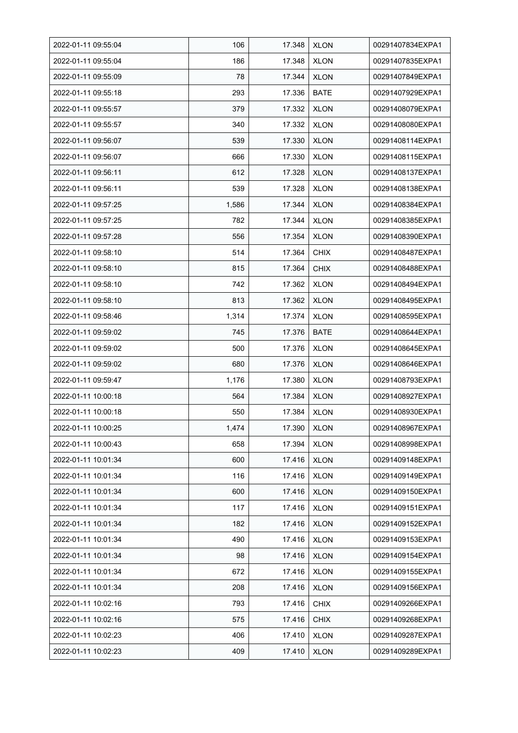| 2022-01-11 09:55:04 | 106   | 17.348 | <b>XLON</b> | 00291407834EXPA1 |
|---------------------|-------|--------|-------------|------------------|
| 2022-01-11 09:55:04 | 186   | 17.348 | <b>XLON</b> | 00291407835EXPA1 |
| 2022-01-11 09:55:09 | 78    | 17.344 | <b>XLON</b> | 00291407849EXPA1 |
| 2022-01-11 09:55:18 | 293   | 17.336 | <b>BATE</b> | 00291407929EXPA1 |
| 2022-01-11 09:55:57 | 379   | 17.332 | <b>XLON</b> | 00291408079EXPA1 |
| 2022-01-11 09:55:57 | 340   | 17.332 | <b>XLON</b> | 00291408080EXPA1 |
| 2022-01-11 09:56:07 | 539   | 17.330 | <b>XLON</b> | 00291408114EXPA1 |
| 2022-01-11 09:56:07 | 666   | 17.330 | <b>XLON</b> | 00291408115EXPA1 |
| 2022-01-11 09:56:11 | 612   | 17.328 | <b>XLON</b> | 00291408137EXPA1 |
| 2022-01-11 09:56:11 | 539   | 17.328 | <b>XLON</b> | 00291408138EXPA1 |
| 2022-01-11 09:57:25 | 1,586 | 17.344 | <b>XLON</b> | 00291408384EXPA1 |
| 2022-01-11 09:57:25 | 782   | 17.344 | <b>XLON</b> | 00291408385EXPA1 |
| 2022-01-11 09:57:28 | 556   | 17.354 | <b>XLON</b> | 00291408390EXPA1 |
| 2022-01-11 09:58:10 | 514   | 17.364 | <b>CHIX</b> | 00291408487EXPA1 |
| 2022-01-11 09:58:10 | 815   | 17.364 | <b>CHIX</b> | 00291408488EXPA1 |
| 2022-01-11 09:58:10 | 742   | 17.362 | <b>XLON</b> | 00291408494EXPA1 |
| 2022-01-11 09:58:10 | 813   | 17.362 | <b>XLON</b> | 00291408495EXPA1 |
| 2022-01-11 09:58:46 | 1,314 | 17.374 | <b>XLON</b> | 00291408595EXPA1 |
| 2022-01-11 09:59:02 | 745   | 17.376 | <b>BATE</b> | 00291408644EXPA1 |
| 2022-01-11 09:59:02 | 500   | 17.376 | <b>XLON</b> | 00291408645EXPA1 |
| 2022-01-11 09:59:02 | 680   | 17.376 | <b>XLON</b> | 00291408646EXPA1 |
| 2022-01-11 09:59:47 | 1,176 | 17.380 | <b>XLON</b> | 00291408793EXPA1 |
| 2022-01-11 10:00:18 | 564   | 17.384 | <b>XLON</b> | 00291408927EXPA1 |
| 2022-01-11 10:00:18 | 550   | 17.384 | <b>XLON</b> | 00291408930EXPA1 |
| 2022-01-11 10:00:25 | 1,474 | 17.390 | <b>XLON</b> | 00291408967EXPA1 |
| 2022-01-11 10:00:43 | 658   | 17.394 | <b>XLON</b> | 00291408998EXPA1 |
| 2022-01-11 10:01:34 | 600   | 17.416 | <b>XLON</b> | 00291409148EXPA1 |
| 2022-01-11 10:01:34 | 116   | 17.416 | <b>XLON</b> | 00291409149EXPA1 |
| 2022-01-11 10:01:34 | 600   | 17.416 | <b>XLON</b> | 00291409150EXPA1 |
| 2022-01-11 10:01:34 | 117   | 17.416 | <b>XLON</b> | 00291409151EXPA1 |
| 2022-01-11 10:01:34 | 182   | 17.416 | <b>XLON</b> | 00291409152EXPA1 |
| 2022-01-11 10:01:34 | 490   | 17.416 | <b>XLON</b> | 00291409153EXPA1 |
| 2022-01-11 10:01:34 | 98    | 17.416 | <b>XLON</b> | 00291409154EXPA1 |
| 2022-01-11 10:01:34 | 672   | 17.416 | <b>XLON</b> | 00291409155EXPA1 |
| 2022-01-11 10:01:34 | 208   | 17.416 | <b>XLON</b> | 00291409156EXPA1 |
| 2022-01-11 10:02:16 | 793   | 17.416 | <b>CHIX</b> | 00291409266EXPA1 |
| 2022-01-11 10:02:16 | 575   | 17.416 | <b>CHIX</b> | 00291409268EXPA1 |
| 2022-01-11 10:02:23 | 406   | 17.410 | <b>XLON</b> | 00291409287EXPA1 |
| 2022-01-11 10:02:23 | 409   | 17.410 | <b>XLON</b> | 00291409289EXPA1 |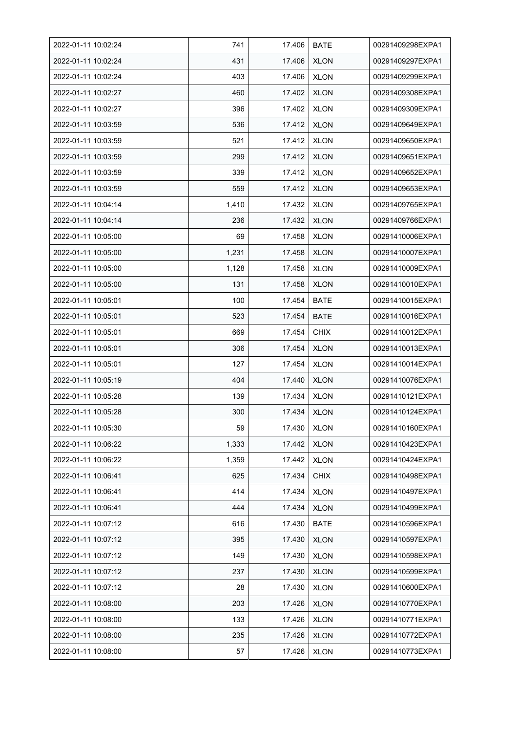| 2022-01-11 10:02:24 | 741   | 17.406 | <b>BATE</b> | 00291409298EXPA1 |
|---------------------|-------|--------|-------------|------------------|
| 2022-01-11 10:02:24 | 431   | 17.406 | <b>XLON</b> | 00291409297EXPA1 |
| 2022-01-11 10:02:24 | 403   | 17.406 | <b>XLON</b> | 00291409299EXPA1 |
| 2022-01-11 10:02:27 | 460   | 17.402 | <b>XLON</b> | 00291409308EXPA1 |
| 2022-01-11 10:02:27 | 396   | 17.402 | <b>XLON</b> | 00291409309EXPA1 |
| 2022-01-11 10:03:59 | 536   | 17.412 | <b>XLON</b> | 00291409649EXPA1 |
| 2022-01-11 10:03:59 | 521   | 17.412 | <b>XLON</b> | 00291409650EXPA1 |
| 2022-01-11 10:03:59 | 299   | 17.412 | <b>XLON</b> | 00291409651EXPA1 |
| 2022-01-11 10:03:59 | 339   | 17.412 | <b>XLON</b> | 00291409652EXPA1 |
| 2022-01-11 10:03:59 | 559   | 17.412 | <b>XLON</b> | 00291409653EXPA1 |
| 2022-01-11 10:04:14 | 1,410 | 17.432 | <b>XLON</b> | 00291409765EXPA1 |
| 2022-01-11 10:04:14 | 236   | 17.432 | <b>XLON</b> | 00291409766EXPA1 |
| 2022-01-11 10:05:00 | 69    | 17.458 | <b>XLON</b> | 00291410006EXPA1 |
| 2022-01-11 10:05:00 | 1,231 | 17.458 | <b>XLON</b> | 00291410007EXPA1 |
| 2022-01-11 10:05:00 | 1,128 | 17.458 | <b>XLON</b> | 00291410009EXPA1 |
| 2022-01-11 10:05:00 | 131   | 17.458 | <b>XLON</b> | 00291410010EXPA1 |
| 2022-01-11 10:05:01 | 100   | 17.454 | <b>BATE</b> | 00291410015EXPA1 |
| 2022-01-11 10:05:01 | 523   | 17.454 | <b>BATE</b> | 00291410016EXPA1 |
| 2022-01-11 10:05:01 | 669   | 17.454 | <b>CHIX</b> | 00291410012EXPA1 |
| 2022-01-11 10:05:01 | 306   | 17.454 | <b>XLON</b> | 00291410013EXPA1 |
| 2022-01-11 10:05:01 | 127   | 17.454 | <b>XLON</b> | 00291410014EXPA1 |
| 2022-01-11 10:05:19 | 404   | 17.440 | <b>XLON</b> | 00291410076EXPA1 |
| 2022-01-11 10:05:28 | 139   | 17.434 | <b>XLON</b> | 00291410121EXPA1 |
| 2022-01-11 10:05:28 | 300   | 17.434 | <b>XLON</b> | 00291410124EXPA1 |
| 2022-01-11 10:05:30 | 59    | 17.430 | <b>XLON</b> | 00291410160EXPA1 |
| 2022-01-11 10:06:22 | 1,333 | 17.442 | <b>XLON</b> | 00291410423EXPA1 |
| 2022-01-11 10:06:22 | 1,359 | 17.442 | <b>XLON</b> | 00291410424EXPA1 |
| 2022-01-11 10:06:41 | 625   | 17.434 | <b>CHIX</b> | 00291410498EXPA1 |
| 2022-01-11 10:06:41 | 414   | 17.434 | <b>XLON</b> | 00291410497EXPA1 |
| 2022-01-11 10:06:41 | 444   | 17.434 | <b>XLON</b> | 00291410499EXPA1 |
| 2022-01-11 10:07:12 | 616   | 17.430 | <b>BATE</b> | 00291410596EXPA1 |
| 2022-01-11 10:07:12 | 395   | 17.430 | <b>XLON</b> | 00291410597EXPA1 |
| 2022-01-11 10:07:12 | 149   | 17.430 | <b>XLON</b> | 00291410598EXPA1 |
| 2022-01-11 10:07:12 | 237   | 17.430 | <b>XLON</b> | 00291410599EXPA1 |
| 2022-01-11 10:07:12 | 28    | 17.430 | <b>XLON</b> | 00291410600EXPA1 |
| 2022-01-11 10:08:00 | 203   | 17.426 | <b>XLON</b> | 00291410770EXPA1 |
| 2022-01-11 10:08:00 | 133   | 17.426 | <b>XLON</b> | 00291410771EXPA1 |
| 2022-01-11 10:08:00 | 235   | 17.426 | <b>XLON</b> | 00291410772EXPA1 |
| 2022-01-11 10:08:00 | 57    | 17.426 | <b>XLON</b> | 00291410773EXPA1 |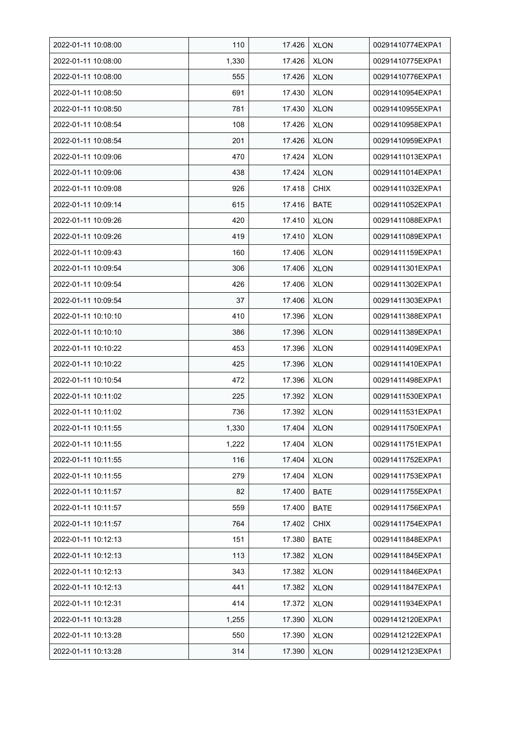| 2022-01-11 10:08:00 | 110   | 17.426 | <b>XLON</b> | 00291410774EXPA1 |
|---------------------|-------|--------|-------------|------------------|
| 2022-01-11 10:08:00 | 1,330 | 17.426 | <b>XLON</b> | 00291410775EXPA1 |
| 2022-01-11 10:08:00 | 555   | 17.426 | <b>XLON</b> | 00291410776EXPA1 |
| 2022-01-11 10:08:50 | 691   | 17.430 | <b>XLON</b> | 00291410954EXPA1 |
| 2022-01-11 10:08:50 | 781   | 17.430 | <b>XLON</b> | 00291410955EXPA1 |
| 2022-01-11 10:08:54 | 108   | 17.426 | <b>XLON</b> | 00291410958EXPA1 |
| 2022-01-11 10:08:54 | 201   | 17.426 | <b>XLON</b> | 00291410959EXPA1 |
| 2022-01-11 10:09:06 | 470   | 17.424 | <b>XLON</b> | 00291411013EXPA1 |
| 2022-01-11 10:09:06 | 438   | 17.424 | <b>XLON</b> | 00291411014EXPA1 |
| 2022-01-11 10:09:08 | 926   | 17.418 | <b>CHIX</b> | 00291411032EXPA1 |
| 2022-01-11 10:09:14 | 615   | 17.416 | <b>BATE</b> | 00291411052EXPA1 |
| 2022-01-11 10:09:26 | 420   | 17.410 | <b>XLON</b> | 00291411088EXPA1 |
| 2022-01-11 10:09:26 | 419   | 17.410 | <b>XLON</b> | 00291411089EXPA1 |
| 2022-01-11 10:09:43 | 160   | 17.406 | <b>XLON</b> | 00291411159EXPA1 |
| 2022-01-11 10:09:54 | 306   | 17.406 | <b>XLON</b> | 00291411301EXPA1 |
| 2022-01-11 10:09:54 | 426   | 17.406 | <b>XLON</b> | 00291411302EXPA1 |
| 2022-01-11 10:09:54 | 37    | 17.406 | <b>XLON</b> | 00291411303EXPA1 |
| 2022-01-11 10:10:10 | 410   | 17.396 | <b>XLON</b> | 00291411388EXPA1 |
| 2022-01-11 10:10:10 | 386   | 17.396 | <b>XLON</b> | 00291411389EXPA1 |
| 2022-01-11 10:10:22 | 453   | 17.396 | <b>XLON</b> | 00291411409EXPA1 |
| 2022-01-11 10:10:22 | 425   | 17.396 | <b>XLON</b> | 00291411410EXPA1 |
| 2022-01-11 10:10:54 | 472   | 17.396 | <b>XLON</b> | 00291411498EXPA1 |
| 2022-01-11 10:11:02 | 225   | 17.392 | <b>XLON</b> | 00291411530EXPA1 |
| 2022-01-11 10:11:02 | 736   | 17.392 | <b>XLON</b> | 00291411531EXPA1 |
| 2022-01-11 10:11:55 | 1,330 | 17.404 | <b>XLON</b> | 00291411750EXPA1 |
| 2022-01-11 10:11:55 | 1,222 | 17.404 | <b>XLON</b> | 00291411751EXPA1 |
| 2022-01-11 10:11:55 | 116   | 17.404 | <b>XLON</b> | 00291411752EXPA1 |
| 2022-01-11 10:11:55 | 279   | 17.404 | <b>XLON</b> | 00291411753EXPA1 |
| 2022-01-11 10:11:57 | 82    | 17.400 | <b>BATE</b> | 00291411755EXPA1 |
| 2022-01-11 10:11:57 | 559   | 17.400 | <b>BATE</b> | 00291411756EXPA1 |
| 2022-01-11 10:11:57 | 764   | 17.402 | <b>CHIX</b> | 00291411754EXPA1 |
| 2022-01-11 10:12:13 | 151   | 17.380 | <b>BATE</b> | 00291411848EXPA1 |
| 2022-01-11 10:12:13 | 113   | 17.382 | <b>XLON</b> | 00291411845EXPA1 |
| 2022-01-11 10:12:13 | 343   | 17.382 | <b>XLON</b> | 00291411846EXPA1 |
| 2022-01-11 10:12:13 | 441   | 17.382 | <b>XLON</b> | 00291411847EXPA1 |
| 2022-01-11 10:12:31 | 414   | 17.372 | XLON        | 00291411934EXPA1 |
| 2022-01-11 10:13:28 | 1,255 | 17.390 | <b>XLON</b> | 00291412120EXPA1 |
| 2022-01-11 10:13:28 | 550   | 17.390 | <b>XLON</b> | 00291412122EXPA1 |
| 2022-01-11 10:13:28 | 314   | 17.390 | <b>XLON</b> | 00291412123EXPA1 |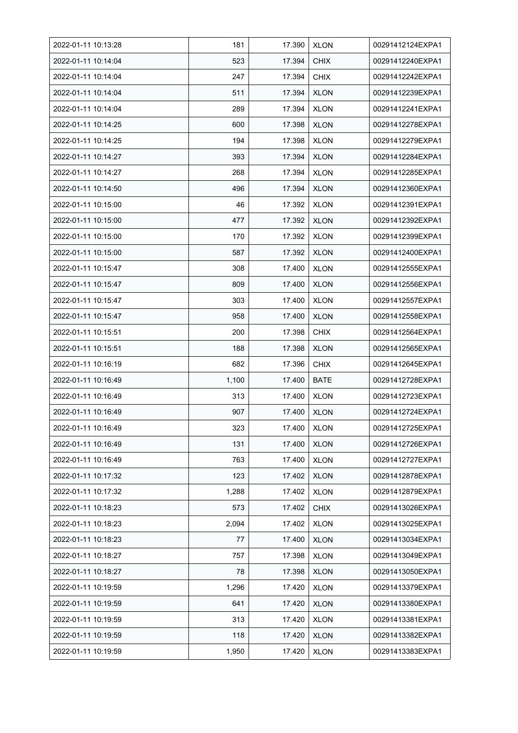| 2022-01-11 10:13:28 | 181   | 17.390 | <b>XLON</b> | 00291412124EXPA1 |
|---------------------|-------|--------|-------------|------------------|
| 2022-01-11 10:14:04 | 523   | 17.394 | <b>CHIX</b> | 00291412240EXPA1 |
| 2022-01-11 10:14:04 | 247   | 17.394 | <b>CHIX</b> | 00291412242EXPA1 |
| 2022-01-11 10:14:04 | 511   | 17.394 | <b>XLON</b> | 00291412239EXPA1 |
| 2022-01-11 10:14:04 | 289   | 17.394 | <b>XLON</b> | 00291412241EXPA1 |
| 2022-01-11 10:14:25 | 600   | 17.398 | <b>XLON</b> | 00291412278EXPA1 |
| 2022-01-11 10:14:25 | 194   | 17.398 | <b>XLON</b> | 00291412279EXPA1 |
| 2022-01-11 10:14:27 | 393   | 17.394 | <b>XLON</b> | 00291412284EXPA1 |
| 2022-01-11 10:14:27 | 268   | 17.394 | <b>XLON</b> | 00291412285EXPA1 |
| 2022-01-11 10:14:50 | 496   | 17.394 | <b>XLON</b> | 00291412360EXPA1 |
| 2022-01-11 10:15:00 | 46    | 17.392 | <b>XLON</b> | 00291412391EXPA1 |
| 2022-01-11 10:15:00 | 477   | 17.392 | <b>XLON</b> | 00291412392EXPA1 |
| 2022-01-11 10:15:00 | 170   | 17.392 | <b>XLON</b> | 00291412399EXPA1 |
| 2022-01-11 10:15:00 | 587   | 17.392 | <b>XLON</b> | 00291412400EXPA1 |
| 2022-01-11 10:15:47 | 308   | 17.400 | <b>XLON</b> | 00291412555EXPA1 |
| 2022-01-11 10:15:47 | 809   | 17.400 | <b>XLON</b> | 00291412556EXPA1 |
| 2022-01-11 10:15:47 | 303   | 17.400 | <b>XLON</b> | 00291412557EXPA1 |
| 2022-01-11 10:15:47 | 958   | 17.400 | <b>XLON</b> | 00291412558EXPA1 |
| 2022-01-11 10:15:51 | 200   | 17.398 | <b>CHIX</b> | 00291412564EXPA1 |
| 2022-01-11 10:15:51 | 188   | 17.398 | <b>XLON</b> | 00291412565EXPA1 |
| 2022-01-11 10:16:19 | 682   | 17.396 | <b>CHIX</b> | 00291412645EXPA1 |
| 2022-01-11 10:16:49 | 1,100 | 17.400 | <b>BATE</b> | 00291412728EXPA1 |
| 2022-01-11 10:16:49 | 313   | 17.400 | <b>XLON</b> | 00291412723EXPA1 |
| 2022-01-11 10:16:49 | 907   | 17.400 | <b>XLON</b> | 00291412724EXPA1 |
| 2022-01-11 10:16:49 | 323   | 17.400 | <b>XLON</b> | 00291412725EXPA1 |
| 2022-01-11 10:16:49 | 131   | 17.400 | <b>XLON</b> | 00291412726EXPA1 |
| 2022-01-11 10:16:49 | 763   | 17.400 | <b>XLON</b> | 00291412727EXPA1 |
| 2022-01-11 10:17:32 | 123   | 17.402 | <b>XLON</b> | 00291412878EXPA1 |
| 2022-01-11 10:17:32 | 1,288 | 17.402 | <b>XLON</b> | 00291412879EXPA1 |
| 2022-01-11 10:18:23 | 573   | 17.402 | <b>CHIX</b> | 00291413026EXPA1 |
| 2022-01-11 10:18:23 | 2,094 | 17.402 | <b>XLON</b> | 00291413025EXPA1 |
| 2022-01-11 10:18:23 | 77    | 17.400 | <b>XLON</b> | 00291413034EXPA1 |
| 2022-01-11 10:18:27 | 757   | 17.398 | <b>XLON</b> | 00291413049EXPA1 |
| 2022-01-11 10:18:27 | 78    | 17.398 | <b>XLON</b> | 00291413050EXPA1 |
| 2022-01-11 10:19:59 | 1,296 | 17.420 | <b>XLON</b> | 00291413379EXPA1 |
| 2022-01-11 10:19:59 | 641   | 17.420 | <b>XLON</b> | 00291413380EXPA1 |
| 2022-01-11 10:19:59 | 313   | 17.420 | <b>XLON</b> | 00291413381EXPA1 |
| 2022-01-11 10:19:59 | 118   | 17.420 | <b>XLON</b> | 00291413382EXPA1 |
| 2022-01-11 10:19:59 | 1,950 | 17.420 | <b>XLON</b> | 00291413383EXPA1 |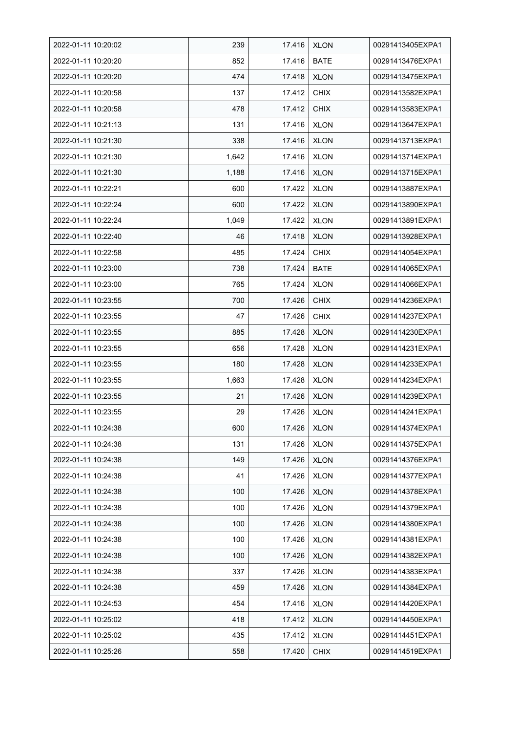| 2022-01-11 10:20:02 | 239   | 17.416 | <b>XLON</b> | 00291413405EXPA1 |
|---------------------|-------|--------|-------------|------------------|
| 2022-01-11 10:20:20 | 852   | 17.416 | <b>BATE</b> | 00291413476EXPA1 |
| 2022-01-11 10:20:20 | 474   | 17.418 | <b>XLON</b> | 00291413475EXPA1 |
| 2022-01-11 10:20:58 | 137   | 17.412 | <b>CHIX</b> | 00291413582EXPA1 |
| 2022-01-11 10:20:58 | 478   | 17.412 | <b>CHIX</b> | 00291413583EXPA1 |
| 2022-01-11 10:21:13 | 131   | 17.416 | <b>XLON</b> | 00291413647EXPA1 |
| 2022-01-11 10:21:30 | 338   | 17.416 | <b>XLON</b> | 00291413713EXPA1 |
| 2022-01-11 10:21:30 | 1,642 | 17.416 | <b>XLON</b> | 00291413714EXPA1 |
| 2022-01-11 10:21:30 | 1,188 | 17.416 | <b>XLON</b> | 00291413715EXPA1 |
| 2022-01-11 10:22:21 | 600   | 17.422 | <b>XLON</b> | 00291413887EXPA1 |
| 2022-01-11 10:22:24 | 600   | 17.422 | <b>XLON</b> | 00291413890EXPA1 |
| 2022-01-11 10:22:24 | 1,049 | 17.422 | <b>XLON</b> | 00291413891EXPA1 |
| 2022-01-11 10:22:40 | 46    | 17.418 | <b>XLON</b> | 00291413928EXPA1 |
| 2022-01-11 10:22:58 | 485   | 17.424 | <b>CHIX</b> | 00291414054EXPA1 |
| 2022-01-11 10:23:00 | 738   | 17.424 | <b>BATE</b> | 00291414065EXPA1 |
| 2022-01-11 10:23:00 | 765   | 17.424 | <b>XLON</b> | 00291414066EXPA1 |
| 2022-01-11 10:23:55 | 700   | 17.426 | <b>CHIX</b> | 00291414236EXPA1 |
| 2022-01-11 10:23:55 | 47    | 17.426 | <b>CHIX</b> | 00291414237EXPA1 |
| 2022-01-11 10:23:55 | 885   | 17.428 | <b>XLON</b> | 00291414230EXPA1 |
| 2022-01-11 10:23:55 | 656   | 17.428 | <b>XLON</b> | 00291414231EXPA1 |
| 2022-01-11 10:23:55 | 180   | 17.428 | <b>XLON</b> | 00291414233EXPA1 |
| 2022-01-11 10:23:55 | 1,663 | 17.428 | <b>XLON</b> | 00291414234EXPA1 |
| 2022-01-11 10:23:55 | 21    | 17.426 | <b>XLON</b> | 00291414239EXPA1 |
| 2022-01-11 10:23:55 | 29    | 17.426 | <b>XLON</b> | 00291414241EXPA1 |
| 2022-01-11 10:24:38 | 600   | 17.426 | <b>XLON</b> | 00291414374EXPA1 |
| 2022-01-11 10:24:38 | 131   | 17.426 | <b>XLON</b> | 00291414375EXPA1 |
| 2022-01-11 10:24:38 | 149   | 17.426 | <b>XLON</b> | 00291414376EXPA1 |
| 2022-01-11 10:24:38 | 41    | 17.426 | <b>XLON</b> | 00291414377EXPA1 |
| 2022-01-11 10:24:38 | 100   | 17.426 | <b>XLON</b> | 00291414378EXPA1 |
| 2022-01-11 10:24:38 | 100   | 17.426 | <b>XLON</b> | 00291414379EXPA1 |
| 2022-01-11 10:24:38 | 100   | 17.426 | <b>XLON</b> | 00291414380EXPA1 |
| 2022-01-11 10:24:38 | 100   | 17.426 | <b>XLON</b> | 00291414381EXPA1 |
| 2022-01-11 10:24:38 | 100   | 17.426 | <b>XLON</b> | 00291414382EXPA1 |
| 2022-01-11 10:24:38 | 337   | 17.426 | <b>XLON</b> | 00291414383EXPA1 |
| 2022-01-11 10:24:38 | 459   | 17.426 | <b>XLON</b> | 00291414384EXPA1 |
| 2022-01-11 10:24:53 | 454   | 17.416 | <b>XLON</b> | 00291414420EXPA1 |
| 2022-01-11 10:25:02 | 418   | 17.412 | <b>XLON</b> | 00291414450EXPA1 |
| 2022-01-11 10:25:02 | 435   | 17.412 | <b>XLON</b> | 00291414451EXPA1 |
| 2022-01-11 10:25:26 | 558   | 17.420 | <b>CHIX</b> | 00291414519EXPA1 |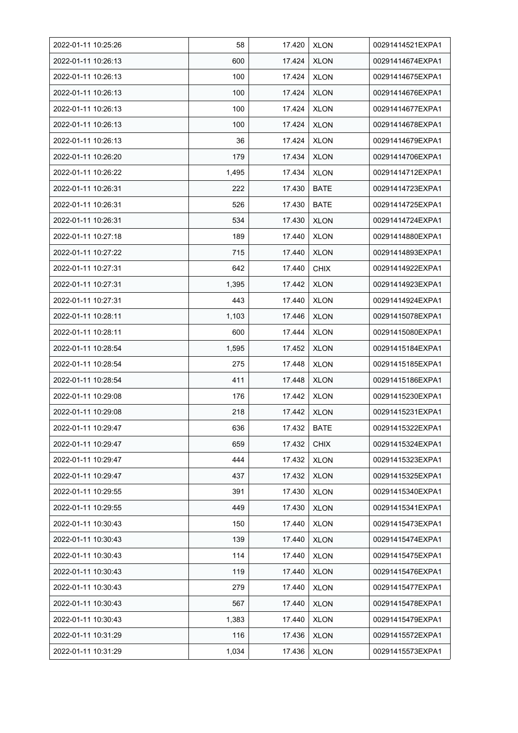| 2022-01-11 10:25:26 | 58    | 17.420 | <b>XLON</b> | 00291414521EXPA1 |
|---------------------|-------|--------|-------------|------------------|
| 2022-01-11 10:26:13 | 600   | 17.424 | <b>XLON</b> | 00291414674EXPA1 |
| 2022-01-11 10:26:13 | 100   | 17.424 | <b>XLON</b> | 00291414675EXPA1 |
| 2022-01-11 10:26:13 | 100   | 17.424 | <b>XLON</b> | 00291414676EXPA1 |
| 2022-01-11 10:26:13 | 100   | 17.424 | <b>XLON</b> | 00291414677EXPA1 |
| 2022-01-11 10:26:13 | 100   | 17.424 | <b>XLON</b> | 00291414678EXPA1 |
| 2022-01-11 10:26:13 | 36    | 17.424 | <b>XLON</b> | 00291414679EXPA1 |
| 2022-01-11 10:26:20 | 179   | 17.434 | <b>XLON</b> | 00291414706EXPA1 |
| 2022-01-11 10:26:22 | 1,495 | 17.434 | <b>XLON</b> | 00291414712EXPA1 |
| 2022-01-11 10:26:31 | 222   | 17.430 | <b>BATE</b> | 00291414723EXPA1 |
| 2022-01-11 10:26:31 | 526   | 17.430 | <b>BATE</b> | 00291414725EXPA1 |
| 2022-01-11 10:26:31 | 534   | 17.430 | <b>XLON</b> | 00291414724EXPA1 |
| 2022-01-11 10:27:18 | 189   | 17.440 | <b>XLON</b> | 00291414880EXPA1 |
| 2022-01-11 10:27:22 | 715   | 17.440 | <b>XLON</b> | 00291414893EXPA1 |
| 2022-01-11 10:27:31 | 642   | 17.440 | <b>CHIX</b> | 00291414922EXPA1 |
| 2022-01-11 10:27:31 | 1,395 | 17.442 | <b>XLON</b> | 00291414923EXPA1 |
| 2022-01-11 10:27:31 | 443   | 17.440 | <b>XLON</b> | 00291414924EXPA1 |
| 2022-01-11 10:28:11 | 1,103 | 17.446 | <b>XLON</b> | 00291415078EXPA1 |
| 2022-01-11 10:28:11 | 600   | 17.444 | <b>XLON</b> | 00291415080EXPA1 |
| 2022-01-11 10:28:54 | 1,595 | 17.452 | <b>XLON</b> | 00291415184EXPA1 |
| 2022-01-11 10:28:54 | 275   | 17.448 | <b>XLON</b> | 00291415185EXPA1 |
| 2022-01-11 10:28:54 | 411   | 17.448 | <b>XLON</b> | 00291415186EXPA1 |
| 2022-01-11 10:29:08 | 176   | 17.442 | <b>XLON</b> | 00291415230EXPA1 |
| 2022-01-11 10:29:08 | 218   | 17.442 | <b>XLON</b> | 00291415231EXPA1 |
| 2022-01-11 10:29:47 | 636   | 17.432 | <b>BATE</b> | 00291415322EXPA1 |
| 2022-01-11 10:29:47 | 659   | 17.432 | <b>CHIX</b> | 00291415324EXPA1 |
| 2022-01-11 10:29:47 | 444   | 17.432 | <b>XLON</b> | 00291415323EXPA1 |
| 2022-01-11 10:29:47 | 437   | 17.432 | <b>XLON</b> | 00291415325EXPA1 |
| 2022-01-11 10:29:55 | 391   | 17.430 | <b>XLON</b> | 00291415340EXPA1 |
| 2022-01-11 10:29:55 | 449   | 17.430 | <b>XLON</b> | 00291415341EXPA1 |
| 2022-01-11 10:30:43 | 150   | 17.440 | <b>XLON</b> | 00291415473EXPA1 |
| 2022-01-11 10:30:43 | 139   | 17.440 | <b>XLON</b> | 00291415474EXPA1 |
| 2022-01-11 10:30:43 | 114   | 17.440 | <b>XLON</b> | 00291415475EXPA1 |
| 2022-01-11 10:30:43 | 119   | 17.440 | <b>XLON</b> | 00291415476EXPA1 |
| 2022-01-11 10:30:43 | 279   | 17.440 | <b>XLON</b> | 00291415477EXPA1 |
| 2022-01-11 10:30:43 | 567   | 17.440 | <b>XLON</b> | 00291415478EXPA1 |
| 2022-01-11 10:30:43 | 1,383 | 17.440 | <b>XLON</b> | 00291415479EXPA1 |
| 2022-01-11 10:31:29 | 116   | 17.436 | <b>XLON</b> | 00291415572EXPA1 |
| 2022-01-11 10:31:29 | 1,034 | 17.436 | <b>XLON</b> | 00291415573EXPA1 |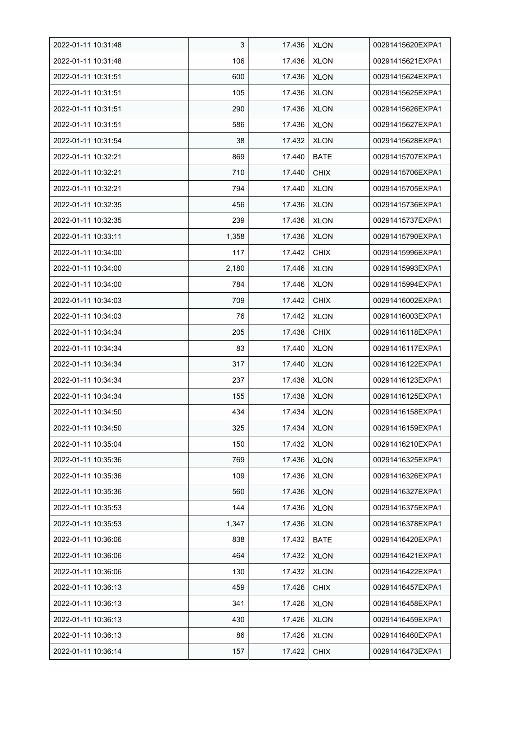| 2022-01-11 10:31:48 | 3     | 17.436 | <b>XLON</b> | 00291415620EXPA1 |
|---------------------|-------|--------|-------------|------------------|
| 2022-01-11 10:31:48 | 106   | 17.436 | <b>XLON</b> | 00291415621EXPA1 |
| 2022-01-11 10:31:51 | 600   | 17.436 | <b>XLON</b> | 00291415624EXPA1 |
| 2022-01-11 10:31:51 | 105   | 17.436 | <b>XLON</b> | 00291415625EXPA1 |
| 2022-01-11 10:31:51 | 290   | 17.436 | <b>XLON</b> | 00291415626EXPA1 |
| 2022-01-11 10:31:51 | 586   | 17.436 | <b>XLON</b> | 00291415627EXPA1 |
| 2022-01-11 10:31:54 | 38    | 17.432 | <b>XLON</b> | 00291415628EXPA1 |
| 2022-01-11 10:32:21 | 869   | 17.440 | BATE        | 00291415707EXPA1 |
| 2022-01-11 10:32:21 | 710   | 17.440 | <b>CHIX</b> | 00291415706EXPA1 |
| 2022-01-11 10:32:21 | 794   | 17.440 | <b>XLON</b> | 00291415705EXPA1 |
| 2022-01-11 10:32:35 | 456   | 17.436 | <b>XLON</b> | 00291415736EXPA1 |
| 2022-01-11 10:32:35 | 239   | 17.436 | <b>XLON</b> | 00291415737EXPA1 |
| 2022-01-11 10:33:11 | 1,358 | 17.436 | <b>XLON</b> | 00291415790EXPA1 |
| 2022-01-11 10:34:00 | 117   | 17.442 | <b>CHIX</b> | 00291415996EXPA1 |
| 2022-01-11 10:34:00 | 2,180 | 17.446 | <b>XLON</b> | 00291415993EXPA1 |
| 2022-01-11 10:34:00 | 784   | 17.446 | <b>XLON</b> | 00291415994EXPA1 |
| 2022-01-11 10:34:03 | 709   | 17.442 | <b>CHIX</b> | 00291416002EXPA1 |
| 2022-01-11 10:34:03 | 76    | 17.442 | <b>XLON</b> | 00291416003EXPA1 |
| 2022-01-11 10:34:34 | 205   | 17.438 | <b>CHIX</b> | 00291416118EXPA1 |
| 2022-01-11 10:34:34 | 83    | 17.440 | <b>XLON</b> | 00291416117EXPA1 |
| 2022-01-11 10:34:34 | 317   | 17.440 | <b>XLON</b> | 00291416122EXPA1 |
| 2022-01-11 10:34:34 | 237   | 17.438 | <b>XLON</b> | 00291416123EXPA1 |
| 2022-01-11 10:34:34 | 155   | 17.438 | <b>XLON</b> | 00291416125EXPA1 |
| 2022-01-11 10:34:50 | 434   | 17.434 | <b>XLON</b> | 00291416158EXPA1 |
| 2022-01-11 10:34:50 | 325   | 17.434 | <b>XLON</b> | 00291416159EXPA1 |
| 2022-01-11 10:35:04 | 150   | 17.432 | <b>XLON</b> | 00291416210EXPA1 |
| 2022-01-11 10:35:36 | 769   | 17.436 | <b>XLON</b> | 00291416325EXPA1 |
| 2022-01-11 10:35:36 | 109   | 17.436 | <b>XLON</b> | 00291416326EXPA1 |
| 2022-01-11 10:35:36 | 560   | 17.436 | <b>XLON</b> | 00291416327EXPA1 |
| 2022-01-11 10:35:53 | 144   | 17.436 | <b>XLON</b> | 00291416375EXPA1 |
| 2022-01-11 10:35:53 | 1,347 | 17.436 | <b>XLON</b> | 00291416378EXPA1 |
| 2022-01-11 10:36:06 | 838   | 17.432 | <b>BATE</b> | 00291416420EXPA1 |
| 2022-01-11 10:36:06 | 464   | 17.432 | <b>XLON</b> | 00291416421EXPA1 |
| 2022-01-11 10:36:06 | 130   | 17.432 | <b>XLON</b> | 00291416422EXPA1 |
| 2022-01-11 10:36:13 | 459   | 17.426 | <b>CHIX</b> | 00291416457EXPA1 |
| 2022-01-11 10:36:13 | 341   | 17.426 | <b>XLON</b> | 00291416458EXPA1 |
| 2022-01-11 10:36:13 | 430   | 17.426 | <b>XLON</b> | 00291416459EXPA1 |
| 2022-01-11 10:36:13 | 86    | 17.426 | <b>XLON</b> | 00291416460EXPA1 |
| 2022-01-11 10:36:14 | 157   | 17.422 | <b>CHIX</b> | 00291416473EXPA1 |
|                     |       |        |             |                  |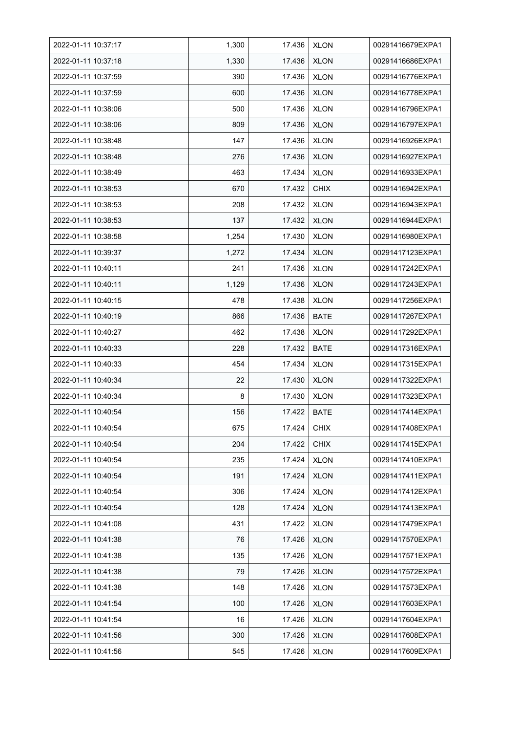| 2022-01-11 10:37:17 | 1,300 | 17.436 | <b>XLON</b> | 00291416679EXPA1 |
|---------------------|-------|--------|-------------|------------------|
| 2022-01-11 10:37:18 | 1,330 | 17.436 | <b>XLON</b> | 00291416686EXPA1 |
| 2022-01-11 10:37:59 | 390   | 17.436 | <b>XLON</b> | 00291416776EXPA1 |
| 2022-01-11 10:37:59 | 600   | 17.436 | <b>XLON</b> | 00291416778EXPA1 |
| 2022-01-11 10:38:06 | 500   | 17.436 | <b>XLON</b> | 00291416796EXPA1 |
| 2022-01-11 10:38:06 | 809   | 17.436 | <b>XLON</b> | 00291416797EXPA1 |
| 2022-01-11 10:38:48 | 147   | 17.436 | <b>XLON</b> | 00291416926EXPA1 |
| 2022-01-11 10:38:48 | 276   | 17.436 | <b>XLON</b> | 00291416927EXPA1 |
| 2022-01-11 10:38:49 | 463   | 17.434 | <b>XLON</b> | 00291416933EXPA1 |
| 2022-01-11 10:38:53 | 670   | 17.432 | <b>CHIX</b> | 00291416942EXPA1 |
| 2022-01-11 10:38:53 | 208   | 17.432 | <b>XLON</b> | 00291416943EXPA1 |
| 2022-01-11 10:38:53 | 137   | 17.432 | <b>XLON</b> | 00291416944EXPA1 |
| 2022-01-11 10:38:58 | 1,254 | 17.430 | <b>XLON</b> | 00291416980EXPA1 |
| 2022-01-11 10:39:37 | 1,272 | 17.434 | <b>XLON</b> | 00291417123EXPA1 |
| 2022-01-11 10:40:11 | 241   | 17.436 | <b>XLON</b> | 00291417242EXPA1 |
| 2022-01-11 10:40:11 | 1,129 | 17.436 | <b>XLON</b> | 00291417243EXPA1 |
| 2022-01-11 10:40:15 | 478   | 17.438 | <b>XLON</b> | 00291417256EXPA1 |
| 2022-01-11 10:40:19 | 866   | 17.436 | <b>BATE</b> | 00291417267EXPA1 |
| 2022-01-11 10:40:27 | 462   | 17.438 | <b>XLON</b> | 00291417292EXPA1 |
| 2022-01-11 10:40:33 | 228   | 17.432 | <b>BATE</b> | 00291417316EXPA1 |
| 2022-01-11 10:40:33 | 454   | 17.434 | <b>XLON</b> | 00291417315EXPA1 |
| 2022-01-11 10:40:34 | 22    | 17.430 | <b>XLON</b> | 00291417322EXPA1 |
| 2022-01-11 10:40:34 | 8     | 17.430 | <b>XLON</b> | 00291417323EXPA1 |
| 2022-01-11 10:40:54 | 156   | 17.422 | <b>BATE</b> | 00291417414EXPA1 |
| 2022-01-11 10:40:54 | 675   | 17.424 | <b>CHIX</b> | 00291417408EXPA1 |
| 2022-01-11 10:40:54 | 204   | 17.422 | <b>CHIX</b> | 00291417415EXPA1 |
| 2022-01-11 10:40:54 | 235   | 17.424 | <b>XLON</b> | 00291417410EXPA1 |
| 2022-01-11 10:40:54 | 191   | 17.424 | <b>XLON</b> | 00291417411EXPA1 |
| 2022-01-11 10:40:54 | 306   | 17.424 | <b>XLON</b> | 00291417412EXPA1 |
| 2022-01-11 10:40:54 | 128   | 17.424 | <b>XLON</b> | 00291417413EXPA1 |
| 2022-01-11 10:41:08 | 431   | 17.422 | <b>XLON</b> | 00291417479EXPA1 |
| 2022-01-11 10:41:38 | 76    | 17.426 | <b>XLON</b> | 00291417570EXPA1 |
| 2022-01-11 10:41:38 | 135   | 17.426 | <b>XLON</b> | 00291417571EXPA1 |
| 2022-01-11 10:41:38 | 79    | 17.426 | <b>XLON</b> | 00291417572EXPA1 |
| 2022-01-11 10:41:38 | 148   | 17.426 | <b>XLON</b> | 00291417573EXPA1 |
| 2022-01-11 10:41:54 | 100   | 17.426 | <b>XLON</b> | 00291417603EXPA1 |
| 2022-01-11 10:41:54 | 16    | 17.426 | <b>XLON</b> | 00291417604EXPA1 |
| 2022-01-11 10:41:56 | 300   | 17.426 | <b>XLON</b> | 00291417608EXPA1 |
| 2022-01-11 10:41:56 | 545   | 17.426 | <b>XLON</b> | 00291417609EXPA1 |
|                     |       |        |             |                  |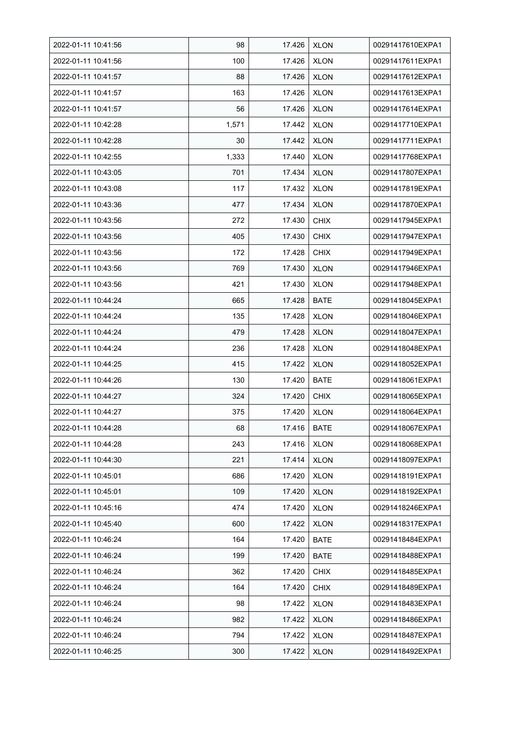| 2022-01-11 10:41:56 | 98    | 17.426 | <b>XLON</b> | 00291417610EXPA1 |
|---------------------|-------|--------|-------------|------------------|
| 2022-01-11 10:41:56 | 100   | 17.426 | <b>XLON</b> | 00291417611EXPA1 |
| 2022-01-11 10:41:57 | 88    | 17.426 | <b>XLON</b> | 00291417612EXPA1 |
| 2022-01-11 10:41:57 | 163   | 17.426 | <b>XLON</b> | 00291417613EXPA1 |
| 2022-01-11 10:41:57 | 56    | 17.426 | <b>XLON</b> | 00291417614EXPA1 |
| 2022-01-11 10:42:28 | 1,571 | 17.442 | <b>XLON</b> | 00291417710EXPA1 |
| 2022-01-11 10:42:28 | 30    | 17.442 | <b>XLON</b> | 00291417711EXPA1 |
| 2022-01-11 10:42:55 | 1,333 | 17.440 | <b>XLON</b> | 00291417768EXPA1 |
| 2022-01-11 10:43:05 | 701   | 17.434 | <b>XLON</b> | 00291417807EXPA1 |
| 2022-01-11 10:43:08 | 117   | 17.432 | <b>XLON</b> | 00291417819EXPA1 |
| 2022-01-11 10:43:36 | 477   | 17.434 | <b>XLON</b> | 00291417870EXPA1 |
| 2022-01-11 10:43:56 | 272   | 17.430 | <b>CHIX</b> | 00291417945EXPA1 |
| 2022-01-11 10:43:56 | 405   | 17.430 | <b>CHIX</b> | 00291417947EXPA1 |
| 2022-01-11 10:43:56 | 172   | 17.428 | <b>CHIX</b> | 00291417949EXPA1 |
| 2022-01-11 10:43:56 | 769   | 17.430 | <b>XLON</b> | 00291417946EXPA1 |
| 2022-01-11 10:43:56 | 421   | 17.430 | <b>XLON</b> | 00291417948EXPA1 |
| 2022-01-11 10:44:24 | 665   | 17.428 | <b>BATE</b> | 00291418045EXPA1 |
| 2022-01-11 10:44:24 | 135   | 17.428 | <b>XLON</b> | 00291418046EXPA1 |
| 2022-01-11 10:44:24 | 479   | 17.428 | <b>XLON</b> | 00291418047EXPA1 |
| 2022-01-11 10:44:24 | 236   | 17.428 | <b>XLON</b> | 00291418048EXPA1 |
| 2022-01-11 10:44:25 | 415   | 17.422 | <b>XLON</b> | 00291418052EXPA1 |
| 2022-01-11 10:44:26 | 130   | 17.420 | <b>BATE</b> | 00291418061EXPA1 |
| 2022-01-11 10:44:27 | 324   | 17.420 | <b>CHIX</b> | 00291418065EXPA1 |
| 2022-01-11 10:44:27 | 375   | 17.420 | <b>XLON</b> | 00291418064EXPA1 |
| 2022-01-11 10:44:28 | 68    | 17.416 | <b>BATE</b> | 00291418067EXPA1 |
| 2022-01-11 10:44:28 | 243   | 17.416 | <b>XLON</b> | 00291418068EXPA1 |
| 2022-01-11 10:44:30 | 221   | 17.414 | <b>XLON</b> | 00291418097EXPA1 |
| 2022-01-11 10:45:01 | 686   | 17.420 | <b>XLON</b> | 00291418191EXPA1 |
| 2022-01-11 10:45:01 | 109   | 17.420 | <b>XLON</b> | 00291418192EXPA1 |
| 2022-01-11 10:45:16 | 474   | 17.420 | <b>XLON</b> | 00291418246EXPA1 |
| 2022-01-11 10:45:40 | 600   | 17.422 | <b>XLON</b> | 00291418317EXPA1 |
| 2022-01-11 10:46:24 | 164   | 17.420 | <b>BATE</b> | 00291418484EXPA1 |
| 2022-01-11 10:46:24 | 199   | 17.420 | <b>BATE</b> | 00291418488EXPA1 |
| 2022-01-11 10:46:24 | 362   | 17.420 | <b>CHIX</b> | 00291418485EXPA1 |
| 2022-01-11 10:46:24 | 164   | 17.420 | <b>CHIX</b> | 00291418489EXPA1 |
| 2022-01-11 10:46:24 | 98    | 17.422 | <b>XLON</b> | 00291418483EXPA1 |
| 2022-01-11 10:46:24 | 982   | 17.422 | <b>XLON</b> | 00291418486EXPA1 |
| 2022-01-11 10:46:24 | 794   | 17.422 | <b>XLON</b> | 00291418487EXPA1 |
| 2022-01-11 10:46:25 | 300   | 17.422 | <b>XLON</b> | 00291418492EXPA1 |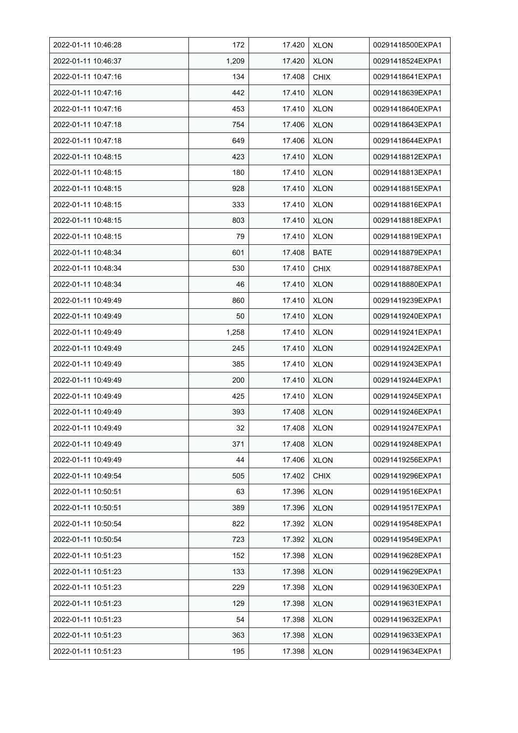| 2022-01-11 10:46:28 | 172   | 17.420 | <b>XLON</b> | 00291418500EXPA1 |
|---------------------|-------|--------|-------------|------------------|
| 2022-01-11 10:46:37 | 1,209 | 17.420 | <b>XLON</b> | 00291418524EXPA1 |
| 2022-01-11 10:47:16 | 134   | 17.408 | <b>CHIX</b> | 00291418641EXPA1 |
| 2022-01-11 10:47:16 | 442   | 17.410 | <b>XLON</b> | 00291418639EXPA1 |
| 2022-01-11 10:47:16 | 453   | 17.410 | <b>XLON</b> | 00291418640EXPA1 |
| 2022-01-11 10:47:18 | 754   | 17.406 | <b>XLON</b> | 00291418643EXPA1 |
| 2022-01-11 10:47:18 | 649   | 17.406 | <b>XLON</b> | 00291418644EXPA1 |
| 2022-01-11 10:48:15 | 423   | 17.410 | <b>XLON</b> | 00291418812EXPA1 |
| 2022-01-11 10:48:15 | 180   | 17.410 | <b>XLON</b> | 00291418813EXPA1 |
| 2022-01-11 10:48:15 | 928   | 17.410 | <b>XLON</b> | 00291418815EXPA1 |
| 2022-01-11 10:48:15 | 333   | 17.410 | <b>XLON</b> | 00291418816EXPA1 |
| 2022-01-11 10:48:15 | 803   | 17.410 | <b>XLON</b> | 00291418818EXPA1 |
| 2022-01-11 10:48:15 | 79    | 17.410 | <b>XLON</b> | 00291418819EXPA1 |
| 2022-01-11 10:48:34 | 601   | 17.408 | <b>BATE</b> | 00291418879EXPA1 |
| 2022-01-11 10:48:34 | 530   | 17.410 | <b>CHIX</b> | 00291418878EXPA1 |
| 2022-01-11 10:48:34 | 46    | 17.410 | <b>XLON</b> | 00291418880EXPA1 |
| 2022-01-11 10:49:49 | 860   | 17.410 | <b>XLON</b> | 00291419239EXPA1 |
| 2022-01-11 10:49:49 | 50    | 17.410 | <b>XLON</b> | 00291419240EXPA1 |
| 2022-01-11 10:49:49 | 1,258 | 17.410 | <b>XLON</b> | 00291419241EXPA1 |
| 2022-01-11 10:49:49 | 245   | 17.410 | <b>XLON</b> | 00291419242EXPA1 |
| 2022-01-11 10:49:49 | 385   | 17.410 | <b>XLON</b> | 00291419243EXPA1 |
| 2022-01-11 10:49:49 | 200   | 17.410 | <b>XLON</b> | 00291419244EXPA1 |
| 2022-01-11 10:49:49 | 425   | 17.410 | <b>XLON</b> | 00291419245EXPA1 |
| 2022-01-11 10:49:49 | 393   | 17.408 | <b>XLON</b> | 00291419246EXPA1 |
| 2022-01-11 10:49:49 | 32    | 17.408 | <b>XLON</b> | 00291419247EXPA1 |
| 2022-01-11 10:49:49 | 371   | 17.408 | <b>XLON</b> | 00291419248EXPA1 |
| 2022-01-11 10:49:49 | 44    | 17.406 | <b>XLON</b> | 00291419256EXPA1 |
| 2022-01-11 10:49:54 | 505   | 17.402 | <b>CHIX</b> | 00291419296EXPA1 |
| 2022-01-11 10:50:51 | 63    | 17.396 | <b>XLON</b> | 00291419516EXPA1 |
| 2022-01-11 10:50:51 | 389   | 17.396 | <b>XLON</b> | 00291419517EXPA1 |
| 2022-01-11 10:50:54 | 822   | 17.392 | XLON        | 00291419548EXPA1 |
| 2022-01-11 10:50:54 | 723   | 17.392 | <b>XLON</b> | 00291419549EXPA1 |
| 2022-01-11 10:51:23 | 152   | 17.398 | <b>XLON</b> | 00291419628EXPA1 |
| 2022-01-11 10:51:23 | 133   | 17.398 | <b>XLON</b> | 00291419629EXPA1 |
| 2022-01-11 10:51:23 | 229   | 17.398 | <b>XLON</b> | 00291419630EXPA1 |
| 2022-01-11 10:51:23 | 129   | 17.398 | <b>XLON</b> | 00291419631EXPA1 |
| 2022-01-11 10:51:23 | 54    | 17.398 | <b>XLON</b> | 00291419632EXPA1 |
| 2022-01-11 10:51:23 | 363   | 17.398 | <b>XLON</b> | 00291419633EXPA1 |
| 2022-01-11 10:51:23 | 195   | 17.398 | <b>XLON</b> | 00291419634EXPA1 |
|                     |       |        |             |                  |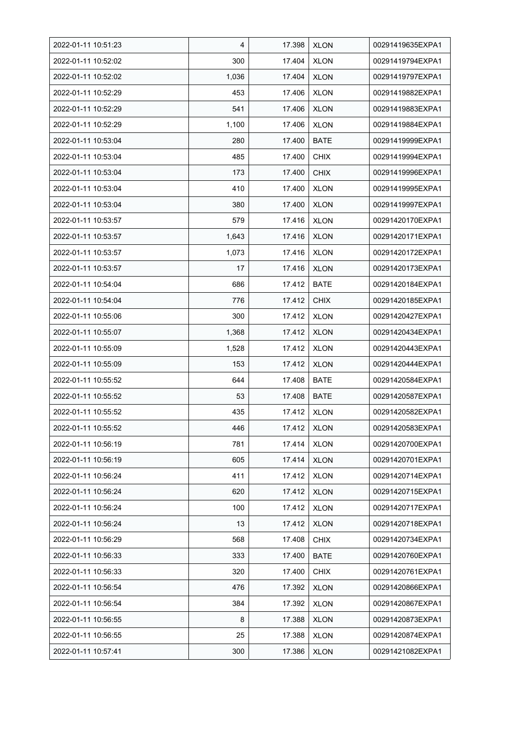| 2022-01-11 10:51:23 | 4     | 17.398 | <b>XLON</b> | 00291419635EXPA1 |
|---------------------|-------|--------|-------------|------------------|
| 2022-01-11 10:52:02 | 300   | 17.404 | <b>XLON</b> | 00291419794EXPA1 |
| 2022-01-11 10:52:02 | 1,036 | 17.404 | <b>XLON</b> | 00291419797EXPA1 |
| 2022-01-11 10:52:29 | 453   | 17.406 | <b>XLON</b> | 00291419882EXPA1 |
| 2022-01-11 10:52:29 | 541   | 17.406 | <b>XLON</b> | 00291419883EXPA1 |
| 2022-01-11 10:52:29 | 1,100 | 17.406 | <b>XLON</b> | 00291419884EXPA1 |
| 2022-01-11 10:53:04 | 280   | 17.400 | <b>BATE</b> | 00291419999EXPA1 |
| 2022-01-11 10:53:04 | 485   | 17.400 | <b>CHIX</b> | 00291419994EXPA1 |
| 2022-01-11 10:53:04 | 173   | 17.400 | <b>CHIX</b> | 00291419996EXPA1 |
| 2022-01-11 10:53:04 | 410   | 17.400 | <b>XLON</b> | 00291419995EXPA1 |
| 2022-01-11 10:53:04 | 380   | 17.400 | <b>XLON</b> | 00291419997EXPA1 |
| 2022-01-11 10:53:57 | 579   | 17.416 | <b>XLON</b> | 00291420170EXPA1 |
| 2022-01-11 10:53:57 | 1,643 | 17.416 | <b>XLON</b> | 00291420171EXPA1 |
| 2022-01-11 10:53:57 | 1,073 | 17.416 | <b>XLON</b> | 00291420172EXPA1 |
| 2022-01-11 10:53:57 | 17    | 17.416 | <b>XLON</b> | 00291420173EXPA1 |
| 2022-01-11 10:54:04 | 686   | 17.412 | <b>BATE</b> | 00291420184EXPA1 |
| 2022-01-11 10:54:04 | 776   | 17.412 | <b>CHIX</b> | 00291420185EXPA1 |
| 2022-01-11 10:55:06 | 300   | 17.412 | <b>XLON</b> | 00291420427EXPA1 |
| 2022-01-11 10:55:07 | 1,368 | 17.412 | <b>XLON</b> | 00291420434EXPA1 |
| 2022-01-11 10:55:09 | 1,528 | 17.412 | <b>XLON</b> | 00291420443EXPA1 |
| 2022-01-11 10:55:09 | 153   | 17.412 | <b>XLON</b> | 00291420444EXPA1 |
| 2022-01-11 10:55:52 | 644   | 17.408 | <b>BATE</b> | 00291420584EXPA1 |
| 2022-01-11 10:55:52 | 53    | 17.408 | <b>BATE</b> | 00291420587EXPA1 |
| 2022-01-11 10:55:52 | 435   | 17.412 | <b>XLON</b> | 00291420582EXPA1 |
| 2022-01-11 10:55:52 | 446   | 17.412 | <b>XLON</b> | 00291420583EXPA1 |
| 2022-01-11 10:56:19 | 781   | 17.414 | <b>XLON</b> | 00291420700EXPA1 |
| 2022-01-11 10:56:19 | 605   | 17.414 | <b>XLON</b> | 00291420701EXPA1 |
| 2022-01-11 10:56:24 | 411   | 17.412 | <b>XLON</b> | 00291420714EXPA1 |
| 2022-01-11 10:56:24 | 620   | 17.412 | <b>XLON</b> | 00291420715EXPA1 |
| 2022-01-11 10:56:24 | 100   | 17.412 | <b>XLON</b> | 00291420717EXPA1 |
| 2022-01-11 10:56:24 | 13    | 17.412 | <b>XLON</b> | 00291420718EXPA1 |
| 2022-01-11 10:56:29 | 568   | 17.408 | <b>CHIX</b> | 00291420734EXPA1 |
| 2022-01-11 10:56:33 | 333   | 17.400 | <b>BATE</b> | 00291420760EXPA1 |
| 2022-01-11 10:56:33 | 320   | 17.400 | <b>CHIX</b> | 00291420761EXPA1 |
| 2022-01-11 10:56:54 | 476   | 17.392 | <b>XLON</b> | 00291420866EXPA1 |
| 2022-01-11 10:56:54 | 384   | 17.392 | <b>XLON</b> | 00291420867EXPA1 |
| 2022-01-11 10:56:55 | 8     | 17.388 | <b>XLON</b> | 00291420873EXPA1 |
| 2022-01-11 10:56:55 | 25    | 17.388 | <b>XLON</b> | 00291420874EXPA1 |
| 2022-01-11 10:57:41 | 300   | 17.386 | <b>XLON</b> | 00291421082EXPA1 |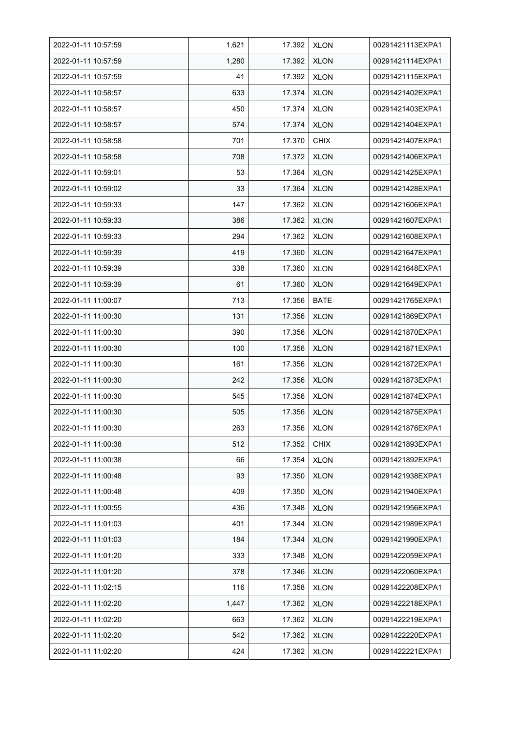| 2022-01-11 10:57:59 | 1,621 | 17.392 | <b>XLON</b> | 00291421113EXPA1 |
|---------------------|-------|--------|-------------|------------------|
| 2022-01-11 10:57:59 | 1,280 | 17.392 | <b>XLON</b> | 00291421114EXPA1 |
| 2022-01-11 10:57:59 | 41    | 17.392 | <b>XLON</b> | 00291421115EXPA1 |
| 2022-01-11 10:58:57 | 633   | 17.374 | <b>XLON</b> | 00291421402EXPA1 |
| 2022-01-11 10:58:57 | 450   | 17.374 | <b>XLON</b> | 00291421403EXPA1 |
| 2022-01-11 10:58:57 | 574   | 17.374 | <b>XLON</b> | 00291421404EXPA1 |
| 2022-01-11 10:58:58 | 701   | 17.370 | <b>CHIX</b> | 00291421407EXPA1 |
| 2022-01-11 10:58:58 | 708   | 17.372 | <b>XLON</b> | 00291421406EXPA1 |
| 2022-01-11 10:59:01 | 53    | 17.364 | <b>XLON</b> | 00291421425EXPA1 |
| 2022-01-11 10:59:02 | 33    | 17.364 | <b>XLON</b> | 00291421428EXPA1 |
| 2022-01-11 10:59:33 | 147   | 17.362 | <b>XLON</b> | 00291421606EXPA1 |
| 2022-01-11 10:59:33 | 386   | 17.362 | <b>XLON</b> | 00291421607EXPA1 |
| 2022-01-11 10:59:33 | 294   | 17.362 | <b>XLON</b> | 00291421608EXPA1 |
| 2022-01-11 10:59:39 | 419   | 17.360 | <b>XLON</b> | 00291421647EXPA1 |
| 2022-01-11 10:59:39 | 338   | 17.360 | <b>XLON</b> | 00291421648EXPA1 |
| 2022-01-11 10:59:39 | 61    | 17.360 | <b>XLON</b> | 00291421649EXPA1 |
| 2022-01-11 11:00:07 | 713   | 17.356 | <b>BATE</b> | 00291421765EXPA1 |
| 2022-01-11 11:00:30 | 131   | 17.356 | <b>XLON</b> | 00291421869EXPA1 |
| 2022-01-11 11:00:30 | 390   | 17.356 | <b>XLON</b> | 00291421870EXPA1 |
| 2022-01-11 11:00:30 | 100   | 17.356 | <b>XLON</b> | 00291421871EXPA1 |
| 2022-01-11 11:00:30 | 161   | 17.356 | <b>XLON</b> | 00291421872EXPA1 |
| 2022-01-11 11:00:30 | 242   | 17.356 | <b>XLON</b> | 00291421873EXPA1 |
| 2022-01-11 11:00:30 | 545   | 17.356 | <b>XLON</b> | 00291421874EXPA1 |
| 2022-01-11 11:00:30 | 505   | 17.356 | <b>XLON</b> | 00291421875EXPA1 |
| 2022-01-11 11:00:30 | 263   | 17.356 | <b>XLON</b> | 00291421876EXPA1 |
| 2022-01-11 11:00:38 | 512   | 17.352 | <b>CHIX</b> | 00291421893EXPA1 |
| 2022-01-11 11:00:38 | 66    | 17.354 | <b>XLON</b> | 00291421892EXPA1 |
| 2022-01-11 11:00:48 | 93    | 17.350 | <b>XLON</b> | 00291421938EXPA1 |
| 2022-01-11 11:00:48 | 409   | 17.350 | <b>XLON</b> | 00291421940EXPA1 |
| 2022-01-11 11:00:55 | 436   | 17.348 | <b>XLON</b> | 00291421956EXPA1 |
| 2022-01-11 11:01:03 | 401   | 17.344 | <b>XLON</b> | 00291421989EXPA1 |
| 2022-01-11 11:01:03 | 184   | 17.344 | <b>XLON</b> | 00291421990EXPA1 |
| 2022-01-11 11:01:20 | 333   | 17.348 | <b>XLON</b> | 00291422059EXPA1 |
| 2022-01-11 11:01:20 | 378   | 17.346 | <b>XLON</b> | 00291422060EXPA1 |
| 2022-01-11 11:02:15 | 116   | 17.358 | <b>XLON</b> | 00291422208EXPA1 |
| 2022-01-11 11:02:20 | 1,447 | 17.362 | <b>XLON</b> | 00291422218EXPA1 |
| 2022-01-11 11:02:20 | 663   | 17.362 | <b>XLON</b> | 00291422219EXPA1 |
| 2022-01-11 11:02:20 | 542   | 17.362 | <b>XLON</b> | 00291422220EXPA1 |
| 2022-01-11 11:02:20 | 424   | 17.362 | <b>XLON</b> | 00291422221EXPA1 |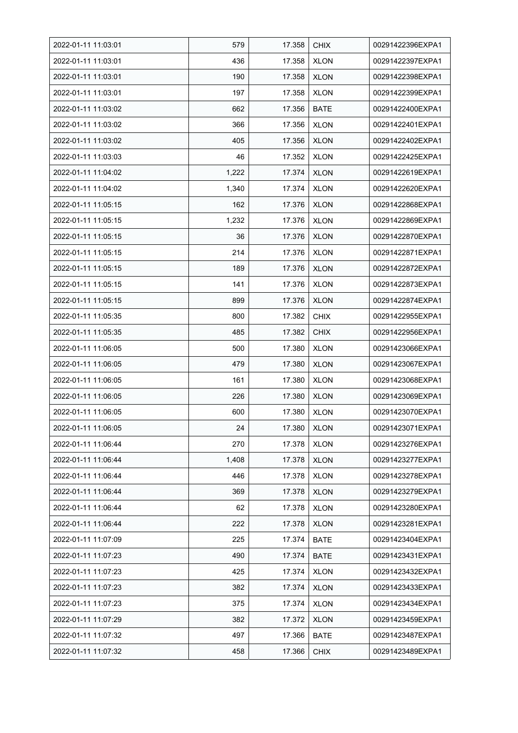| 2022-01-11 11:03:01 | 579   | 17.358 | <b>CHIX</b> | 00291422396EXPA1 |
|---------------------|-------|--------|-------------|------------------|
| 2022-01-11 11:03:01 | 436   | 17.358 | <b>XLON</b> | 00291422397EXPA1 |
| 2022-01-11 11:03:01 | 190   | 17.358 | <b>XLON</b> | 00291422398EXPA1 |
| 2022-01-11 11:03:01 | 197   | 17.358 | <b>XLON</b> | 00291422399EXPA1 |
| 2022-01-11 11:03:02 | 662   | 17.356 | <b>BATE</b> | 00291422400EXPA1 |
| 2022-01-11 11:03:02 | 366   | 17.356 | <b>XLON</b> | 00291422401EXPA1 |
| 2022-01-11 11:03:02 | 405   | 17.356 | <b>XLON</b> | 00291422402EXPA1 |
| 2022-01-11 11:03:03 | 46    | 17.352 | <b>XLON</b> | 00291422425EXPA1 |
| 2022-01-11 11:04:02 | 1,222 | 17.374 | <b>XLON</b> | 00291422619EXPA1 |
| 2022-01-11 11:04:02 | 1,340 | 17.374 | <b>XLON</b> | 00291422620EXPA1 |
| 2022-01-11 11:05:15 | 162   | 17.376 | <b>XLON</b> | 00291422868EXPA1 |
| 2022-01-11 11:05:15 | 1,232 | 17.376 | <b>XLON</b> | 00291422869EXPA1 |
| 2022-01-11 11:05:15 | 36    | 17.376 | <b>XLON</b> | 00291422870EXPA1 |
| 2022-01-11 11:05:15 | 214   | 17.376 | <b>XLON</b> | 00291422871EXPA1 |
| 2022-01-11 11:05:15 | 189   | 17.376 | <b>XLON</b> | 00291422872EXPA1 |
| 2022-01-11 11:05:15 | 141   | 17.376 | <b>XLON</b> | 00291422873EXPA1 |
| 2022-01-11 11:05:15 | 899   | 17.376 | <b>XLON</b> | 00291422874EXPA1 |
| 2022-01-11 11:05:35 | 800   | 17.382 | <b>CHIX</b> | 00291422955EXPA1 |
| 2022-01-11 11:05:35 | 485   | 17.382 | <b>CHIX</b> | 00291422956EXPA1 |
| 2022-01-11 11:06:05 | 500   | 17.380 | <b>XLON</b> | 00291423066EXPA1 |
| 2022-01-11 11:06:05 | 479   | 17.380 | <b>XLON</b> | 00291423067EXPA1 |
| 2022-01-11 11:06:05 | 161   | 17.380 | <b>XLON</b> | 00291423068EXPA1 |
| 2022-01-11 11:06:05 | 226   | 17.380 | <b>XLON</b> | 00291423069EXPA1 |
| 2022-01-11 11:06:05 | 600   | 17.380 | <b>XLON</b> | 00291423070EXPA1 |
| 2022-01-11 11:06:05 | 24    | 17.380 | <b>XLON</b> | 00291423071EXPA1 |
| 2022-01-11 11:06:44 | 270   | 17.378 | <b>XLON</b> | 00291423276EXPA1 |
| 2022-01-11 11:06:44 | 1,408 | 17.378 | <b>XLON</b> | 00291423277EXPA1 |
| 2022-01-11 11:06:44 | 446   | 17.378 | <b>XLON</b> | 00291423278EXPA1 |
| 2022-01-11 11:06:44 | 369   | 17.378 | <b>XLON</b> | 00291423279EXPA1 |
| 2022-01-11 11:06:44 | 62    | 17.378 | <b>XLON</b> | 00291423280EXPA1 |
| 2022-01-11 11:06:44 | 222   | 17.378 | <b>XLON</b> | 00291423281EXPA1 |
| 2022-01-11 11:07:09 | 225   | 17.374 | <b>BATE</b> | 00291423404EXPA1 |
| 2022-01-11 11:07:23 | 490   | 17.374 | <b>BATE</b> | 00291423431EXPA1 |
| 2022-01-11 11:07:23 | 425   | 17.374 | <b>XLON</b> | 00291423432EXPA1 |
| 2022-01-11 11:07:23 | 382   | 17.374 | <b>XLON</b> | 00291423433EXPA1 |
| 2022-01-11 11:07:23 | 375   | 17.374 | XLON        | 00291423434EXPA1 |
| 2022-01-11 11:07:29 | 382   | 17.372 | <b>XLON</b> | 00291423459EXPA1 |
| 2022-01-11 11:07:32 | 497   | 17.366 | <b>BATE</b> | 00291423487EXPA1 |
| 2022-01-11 11:07:32 | 458   | 17.366 | <b>CHIX</b> | 00291423489EXPA1 |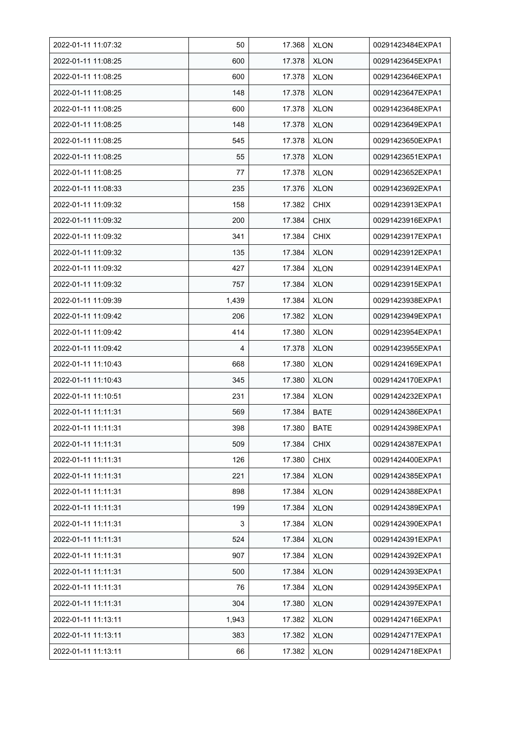| 2022-01-11 11:07:32 | 50    | 17.368 | <b>XLON</b> | 00291423484EXPA1 |
|---------------------|-------|--------|-------------|------------------|
| 2022-01-11 11:08:25 | 600   | 17.378 | <b>XLON</b> | 00291423645EXPA1 |
| 2022-01-11 11:08:25 | 600   | 17.378 | <b>XLON</b> | 00291423646EXPA1 |
| 2022-01-11 11:08:25 | 148   | 17.378 | <b>XLON</b> | 00291423647EXPA1 |
| 2022-01-11 11:08:25 | 600   | 17.378 | <b>XLON</b> | 00291423648EXPA1 |
| 2022-01-11 11:08:25 | 148   | 17.378 | <b>XLON</b> | 00291423649EXPA1 |
| 2022-01-11 11:08:25 | 545   | 17.378 | <b>XLON</b> | 00291423650EXPA1 |
| 2022-01-11 11:08:25 | 55    | 17.378 | <b>XLON</b> | 00291423651EXPA1 |
| 2022-01-11 11:08:25 | 77    | 17.378 | <b>XLON</b> | 00291423652EXPA1 |
| 2022-01-11 11:08:33 | 235   | 17.376 | <b>XLON</b> | 00291423692EXPA1 |
| 2022-01-11 11:09:32 | 158   | 17.382 | <b>CHIX</b> | 00291423913EXPA1 |
| 2022-01-11 11:09:32 | 200   | 17.384 | <b>CHIX</b> | 00291423916EXPA1 |
| 2022-01-11 11:09:32 | 341   | 17.384 | <b>CHIX</b> | 00291423917EXPA1 |
| 2022-01-11 11:09:32 | 135   | 17.384 | <b>XLON</b> | 00291423912EXPA1 |
| 2022-01-11 11:09:32 | 427   | 17.384 | <b>XLON</b> | 00291423914EXPA1 |
| 2022-01-11 11:09:32 | 757   | 17.384 | <b>XLON</b> | 00291423915EXPA1 |
| 2022-01-11 11:09:39 | 1,439 | 17.384 | <b>XLON</b> | 00291423938EXPA1 |
| 2022-01-11 11:09:42 | 206   | 17.382 | <b>XLON</b> | 00291423949EXPA1 |
| 2022-01-11 11:09:42 | 414   | 17.380 | <b>XLON</b> | 00291423954EXPA1 |
| 2022-01-11 11:09:42 | 4     | 17.378 | <b>XLON</b> | 00291423955EXPA1 |
| 2022-01-11 11:10:43 | 668   | 17.380 | <b>XLON</b> | 00291424169EXPA1 |
| 2022-01-11 11:10:43 | 345   | 17.380 | <b>XLON</b> | 00291424170EXPA1 |
| 2022-01-11 11:10.51 | 231   | 17.384 | <b>XLON</b> | 00291424232EXPA1 |
| 2022-01-11 11:11:31 | 569   | 17.384 | <b>BATE</b> | 00291424386EXPA1 |
| 2022-01-11 11:11:31 | 398   | 17.380 | <b>BATE</b> | 00291424398EXPA1 |
| 2022-01-11 11:11:31 | 509   | 17.384 | <b>CHIX</b> | 00291424387EXPA1 |
| 2022-01-11 11:11:31 | 126   | 17.380 | <b>CHIX</b> | 00291424400EXPA1 |
| 2022-01-11 11:11:31 | 221   | 17.384 | <b>XLON</b> | 00291424385EXPA1 |
| 2022-01-11 11:11:31 | 898   | 17.384 | <b>XLON</b> | 00291424388EXPA1 |
| 2022-01-11 11:11:31 | 199   | 17.384 | <b>XLON</b> | 00291424389EXPA1 |
| 2022-01-11 11:11:31 | 3     | 17.384 | <b>XLON</b> | 00291424390EXPA1 |
| 2022-01-11 11:11:31 | 524   | 17.384 | <b>XLON</b> | 00291424391EXPA1 |
| 2022-01-11 11:11:31 | 907   | 17.384 | <b>XLON</b> | 00291424392EXPA1 |
| 2022-01-11 11:11:31 | 500   | 17.384 | <b>XLON</b> | 00291424393EXPA1 |
| 2022-01-11 11:11:31 | 76    | 17.384 | <b>XLON</b> | 00291424395EXPA1 |
| 2022-01-11 11:11:31 | 304   | 17.380 | XLON        | 00291424397EXPA1 |
| 2022-01-11 11:13:11 | 1,943 | 17.382 | <b>XLON</b> | 00291424716EXPA1 |
| 2022-01-11 11:13:11 | 383   | 17.382 | <b>XLON</b> | 00291424717EXPA1 |
| 2022-01-11 11:13:11 | 66    | 17.382 | <b>XLON</b> | 00291424718EXPA1 |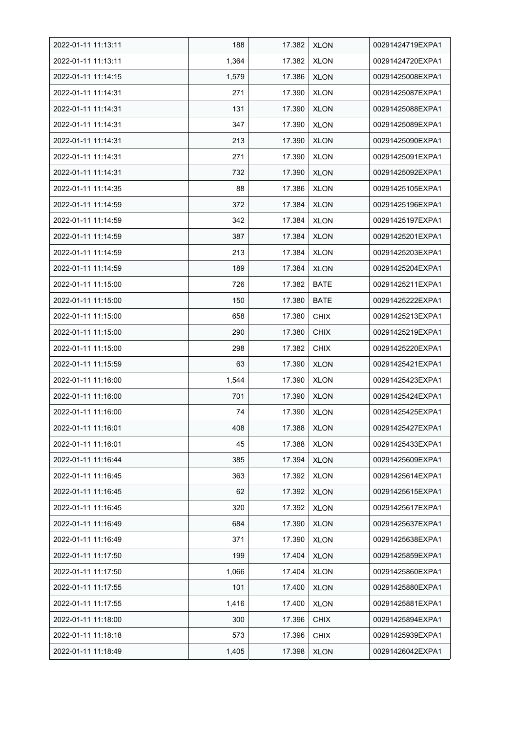| 2022-01-11 11:13:11 | 188   | 17.382 | <b>XLON</b> | 00291424719EXPA1 |
|---------------------|-------|--------|-------------|------------------|
| 2022-01-11 11:13:11 | 1,364 | 17.382 | <b>XLON</b> | 00291424720EXPA1 |
| 2022-01-11 11:14:15 | 1,579 | 17.386 | <b>XLON</b> | 00291425008EXPA1 |
| 2022-01-11 11:14:31 | 271   | 17.390 | <b>XLON</b> | 00291425087EXPA1 |
| 2022-01-11 11:14:31 | 131   | 17.390 | <b>XLON</b> | 00291425088EXPA1 |
| 2022-01-11 11:14:31 | 347   | 17.390 | <b>XLON</b> | 00291425089EXPA1 |
| 2022-01-11 11:14:31 | 213   | 17.390 | <b>XLON</b> | 00291425090EXPA1 |
| 2022-01-11 11:14:31 | 271   | 17.390 | <b>XLON</b> | 00291425091EXPA1 |
| 2022-01-11 11:14:31 | 732   | 17.390 | <b>XLON</b> | 00291425092EXPA1 |
| 2022-01-11 11:14:35 | 88    | 17.386 | <b>XLON</b> | 00291425105EXPA1 |
| 2022-01-11 11:14:59 | 372   | 17.384 | <b>XLON</b> | 00291425196EXPA1 |
| 2022-01-11 11:14:59 | 342   | 17.384 | <b>XLON</b> | 00291425197EXPA1 |
| 2022-01-11 11:14:59 | 387   | 17.384 | <b>XLON</b> | 00291425201EXPA1 |
| 2022-01-11 11:14:59 | 213   | 17.384 | <b>XLON</b> | 00291425203EXPA1 |
| 2022-01-11 11:14:59 | 189   | 17.384 | <b>XLON</b> | 00291425204EXPA1 |
| 2022-01-11 11:15:00 | 726   | 17.382 | <b>BATE</b> | 00291425211EXPA1 |
| 2022-01-11 11:15:00 | 150   | 17.380 | <b>BATE</b> | 00291425222EXPA1 |
| 2022-01-11 11:15:00 | 658   | 17.380 | <b>CHIX</b> | 00291425213EXPA1 |
| 2022-01-11 11:15:00 | 290   | 17.380 | <b>CHIX</b> | 00291425219EXPA1 |
| 2022-01-11 11:15:00 | 298   | 17.382 | <b>CHIX</b> | 00291425220EXPA1 |
| 2022-01-11 11:15:59 | 63    | 17.390 | <b>XLON</b> | 00291425421EXPA1 |
| 2022-01-11 11:16:00 | 1,544 | 17.390 | <b>XLON</b> | 00291425423EXPA1 |
| 2022-01-11 11:16:00 | 701   | 17.390 | <b>XLON</b> | 00291425424EXPA1 |
| 2022-01-11 11:16:00 | 74    | 17.390 | <b>XLON</b> | 00291425425EXPA1 |
| 2022-01-11 11:16:01 | 408   | 17.388 | <b>XLON</b> | 00291425427EXPA1 |
| 2022-01-11 11:16:01 | 45    | 17.388 | <b>XLON</b> | 00291425433EXPA1 |
| 2022-01-11 11:16:44 | 385   | 17.394 | <b>XLON</b> | 00291425609EXPA1 |
| 2022-01-11 11:16:45 | 363   | 17.392 | <b>XLON</b> | 00291425614EXPA1 |
| 2022-01-11 11:16:45 | 62    | 17.392 | <b>XLON</b> | 00291425615EXPA1 |
| 2022-01-11 11:16:45 | 320   | 17.392 | <b>XLON</b> | 00291425617EXPA1 |
| 2022-01-11 11:16:49 | 684   | 17.390 | <b>XLON</b> | 00291425637EXPA1 |
| 2022-01-11 11:16:49 | 371   | 17.390 | <b>XLON</b> | 00291425638EXPA1 |
| 2022-01-11 11:17:50 | 199   | 17.404 | <b>XLON</b> | 00291425859EXPA1 |
| 2022-01-11 11:17:50 | 1,066 | 17.404 | <b>XLON</b> | 00291425860EXPA1 |
| 2022-01-11 11:17:55 | 101   | 17.400 | <b>XLON</b> | 00291425880EXPA1 |
| 2022-01-11 11:17:55 | 1,416 | 17.400 | <b>XLON</b> | 00291425881EXPA1 |
| 2022-01-11 11:18:00 | 300   | 17.396 | <b>CHIX</b> | 00291425894EXPA1 |
| 2022-01-11 11:18:18 | 573   | 17.396 | <b>CHIX</b> | 00291425939EXPA1 |
| 2022-01-11 11:18:49 | 1,405 | 17.398 | <b>XLON</b> | 00291426042EXPA1 |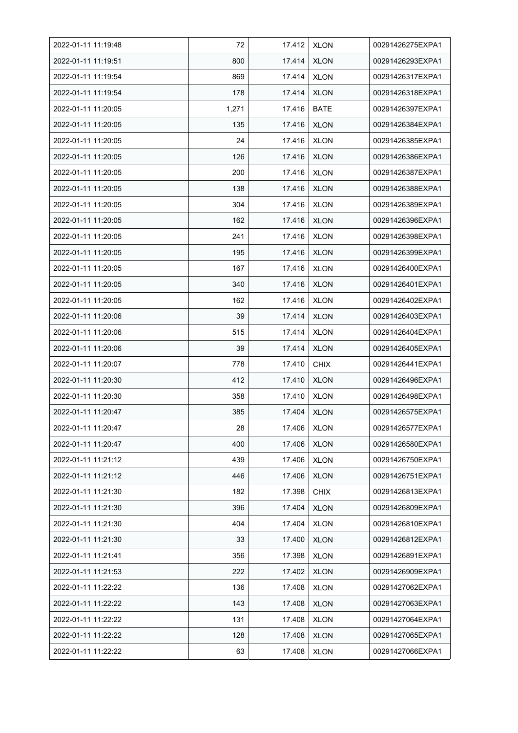| 2022-01-11 11:19:48 | 72    | 17.412 | <b>XLON</b> | 00291426275EXPA1 |
|---------------------|-------|--------|-------------|------------------|
| 2022-01-11 11:19:51 | 800   | 17.414 | <b>XLON</b> | 00291426293EXPA1 |
| 2022-01-11 11:19:54 | 869   | 17.414 | <b>XLON</b> | 00291426317EXPA1 |
| 2022-01-11 11:19:54 | 178   | 17.414 | <b>XLON</b> | 00291426318EXPA1 |
| 2022-01-11 11:20:05 | 1,271 | 17.416 | <b>BATE</b> | 00291426397EXPA1 |
| 2022-01-11 11:20:05 | 135   | 17.416 | <b>XLON</b> | 00291426384EXPA1 |
| 2022-01-11 11:20:05 | 24    | 17.416 | <b>XLON</b> | 00291426385EXPA1 |
| 2022-01-11 11:20:05 | 126   | 17.416 | <b>XLON</b> | 00291426386EXPA1 |
| 2022-01-11 11:20:05 | 200   | 17.416 | <b>XLON</b> | 00291426387EXPA1 |
| 2022-01-11 11:20:05 | 138   | 17.416 | <b>XLON</b> | 00291426388EXPA1 |
| 2022-01-11 11:20:05 | 304   | 17.416 | <b>XLON</b> | 00291426389EXPA1 |
| 2022-01-11 11:20:05 | 162   | 17.416 | <b>XLON</b> | 00291426396EXPA1 |
| 2022-01-11 11:20:05 | 241   | 17.416 | <b>XLON</b> | 00291426398EXPA1 |
| 2022-01-11 11:20:05 | 195   | 17.416 | <b>XLON</b> | 00291426399EXPA1 |
| 2022-01-11 11:20:05 | 167   | 17.416 | <b>XLON</b> | 00291426400EXPA1 |
| 2022-01-11 11:20:05 | 340   | 17.416 | <b>XLON</b> | 00291426401EXPA1 |
| 2022-01-11 11:20:05 | 162   | 17.416 | <b>XLON</b> | 00291426402EXPA1 |
| 2022-01-11 11:20:06 | 39    | 17.414 | <b>XLON</b> | 00291426403EXPA1 |
| 2022-01-11 11:20:06 | 515   | 17.414 | <b>XLON</b> | 00291426404EXPA1 |
| 2022-01-11 11:20:06 | 39    | 17.414 | <b>XLON</b> | 00291426405EXPA1 |
| 2022-01-11 11:20:07 | 778   | 17.410 | <b>CHIX</b> | 00291426441EXPA1 |
| 2022-01-11 11:20:30 | 412   | 17.410 | <b>XLON</b> | 00291426496EXPA1 |
| 2022-01-11 11:20:30 | 358   | 17.410 | <b>XLON</b> | 00291426498EXPA1 |
| 2022-01-11 11:20:47 | 385   | 17.404 | <b>XLON</b> | 00291426575EXPA1 |
| 2022-01-11 11:20:47 | 28    | 17.406 | <b>XLON</b> | 00291426577EXPA1 |
| 2022-01-11 11:20:47 | 400   | 17.406 | <b>XLON</b> | 00291426580EXPA1 |
| 2022-01-11 11:21:12 | 439   | 17.406 | <b>XLON</b> | 00291426750EXPA1 |
| 2022-01-11 11:21:12 | 446   | 17.406 | <b>XLON</b> | 00291426751EXPA1 |
| 2022-01-11 11:21:30 | 182   | 17.398 | <b>CHIX</b> | 00291426813EXPA1 |
| 2022-01-11 11:21:30 | 396   | 17.404 | <b>XLON</b> | 00291426809EXPA1 |
| 2022-01-11 11:21:30 | 404   | 17.404 | <b>XLON</b> | 00291426810EXPA1 |
| 2022-01-11 11:21:30 | 33    | 17.400 | <b>XLON</b> | 00291426812EXPA1 |
| 2022-01-11 11:21:41 | 356   | 17.398 | <b>XLON</b> | 00291426891EXPA1 |
| 2022-01-11 11:21:53 | 222   | 17.402 | <b>XLON</b> | 00291426909EXPA1 |
| 2022-01-11 11:22:22 | 136   | 17.408 | <b>XLON</b> | 00291427062EXPA1 |
| 2022-01-11 11:22:22 | 143   | 17.408 | <b>XLON</b> | 00291427063EXPA1 |
| 2022-01-11 11:22:22 | 131   | 17.408 | <b>XLON</b> | 00291427064EXPA1 |
| 2022-01-11 11:22:22 | 128   | 17.408 | <b>XLON</b> | 00291427065EXPA1 |
| 2022-01-11 11:22:22 | 63    | 17.408 | <b>XLON</b> | 00291427066EXPA1 |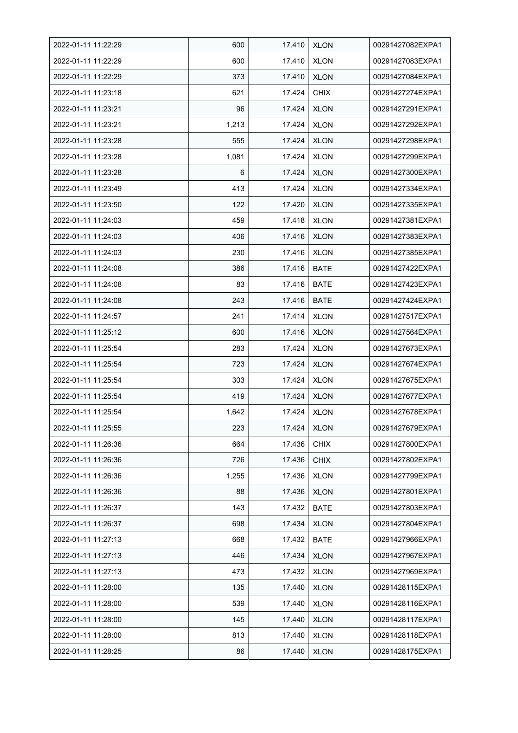| 2022-01-11 11:22:29 | 600   | 17.410 | <b>XLON</b> | 00291427082EXPA1 |
|---------------------|-------|--------|-------------|------------------|
| 2022-01-11 11:22:29 | 600   | 17.410 | <b>XLON</b> | 00291427083EXPA1 |
| 2022-01-11 11:22:29 | 373   | 17.410 | <b>XLON</b> | 00291427084EXPA1 |
| 2022-01-11 11:23:18 | 621   | 17.424 | <b>CHIX</b> | 00291427274EXPA1 |
| 2022-01-11 11:23:21 | 96    | 17.424 | <b>XLON</b> | 00291427291EXPA1 |
| 2022-01-11 11:23:21 | 1,213 | 17.424 | <b>XLON</b> | 00291427292EXPA1 |
| 2022-01-11 11:23:28 | 555   | 17.424 | <b>XLON</b> | 00291427298EXPA1 |
| 2022-01-11 11:23:28 | 1,081 | 17.424 | XLON        | 00291427299EXPA1 |
| 2022-01-11 11:23:28 | 6     | 17.424 | <b>XLON</b> | 00291427300EXPA1 |
| 2022-01-11 11:23:49 | 413   | 17.424 | <b>XLON</b> | 00291427334EXPA1 |
| 2022-01-11 11:23:50 | 122   | 17.420 | <b>XLON</b> | 00291427335EXPA1 |
| 2022-01-11 11:24:03 | 459   | 17.418 | <b>XLON</b> | 00291427381EXPA1 |
| 2022-01-11 11:24:03 | 406   | 17.416 | <b>XLON</b> | 00291427383EXPA1 |
| 2022-01-11 11:24:03 | 230   | 17.416 | <b>XLON</b> | 00291427385EXPA1 |
| 2022-01-11 11:24:08 | 386   | 17.416 | <b>BATE</b> | 00291427422EXPA1 |
| 2022-01-11 11:24:08 | 83    | 17.416 | <b>BATE</b> | 00291427423EXPA1 |
| 2022-01-11 11:24:08 | 243   | 17.416 | <b>BATE</b> | 00291427424EXPA1 |
| 2022-01-11 11:24:57 | 241   | 17.414 | <b>XLON</b> | 00291427517EXPA1 |
| 2022-01-11 11:25:12 | 600   | 17.416 | <b>XLON</b> | 00291427564EXPA1 |
| 2022-01-11 11:25:54 | 283   | 17.424 | <b>XLON</b> | 00291427673EXPA1 |
| 2022-01-11 11:25:54 | 723   | 17.424 | <b>XLON</b> | 00291427674EXPA1 |
| 2022-01-11 11:25:54 | 303   | 17.424 | <b>XLON</b> | 00291427675EXPA1 |
| 2022-01-11 11:25:54 | 419   | 17.424 | <b>XLON</b> | 00291427677EXPA1 |
| 2022-01-11 11:25:54 | 1,642 | 17.424 | <b>XLON</b> | 00291427678EXPA1 |
| 2022-01-11 11:25:55 | 223   | 17.424 | <b>XLON</b> | 00291427679EXPA1 |
| 2022-01-11 11:26:36 | 664   | 17.436 | <b>CHIX</b> | 00291427800EXPA1 |
| 2022-01-11 11:26:36 | 726   | 17.436 | <b>CHIX</b> | 00291427802EXPA1 |
| 2022-01-11 11:26:36 | 1,255 | 17.436 | <b>XLON</b> | 00291427799EXPA1 |
| 2022-01-11 11:26:36 | 88    | 17.436 | <b>XLON</b> | 00291427801EXPA1 |
| 2022-01-11 11:26:37 | 143   | 17.432 | <b>BATE</b> | 00291427803EXPA1 |
| 2022-01-11 11:26:37 | 698   | 17.434 | <b>XLON</b> | 00291427804EXPA1 |
| 2022-01-11 11:27:13 | 668   | 17.432 | <b>BATE</b> | 00291427966EXPA1 |
| 2022-01-11 11:27:13 | 446   | 17.434 | <b>XLON</b> | 00291427967EXPA1 |
| 2022-01-11 11:27:13 | 473   | 17.432 | <b>XLON</b> | 00291427969EXPA1 |
| 2022-01-11 11:28:00 | 135   | 17.440 | <b>XLON</b> | 00291428115EXPA1 |
| 2022-01-11 11:28:00 | 539   | 17.440 | XLON        | 00291428116EXPA1 |
| 2022-01-11 11:28:00 | 145   | 17.440 | <b>XLON</b> | 00291428117EXPA1 |
| 2022-01-11 11:28:00 | 813   | 17.440 | <b>XLON</b> | 00291428118EXPA1 |
| 2022-01-11 11:28:25 | 86    | 17.440 | <b>XLON</b> | 00291428175EXPA1 |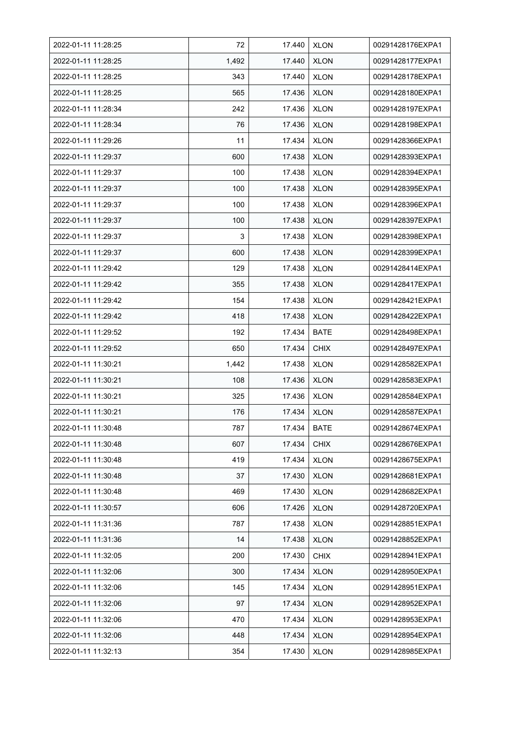| 2022-01-11 11:28:25 | 72    | 17.440 | <b>XLON</b> | 00291428176EXPA1 |
|---------------------|-------|--------|-------------|------------------|
| 2022-01-11 11:28:25 | 1,492 | 17.440 | <b>XLON</b> | 00291428177EXPA1 |
| 2022-01-11 11:28:25 | 343   | 17.440 | <b>XLON</b> | 00291428178EXPA1 |
| 2022-01-11 11:28:25 | 565   | 17.436 | <b>XLON</b> | 00291428180EXPA1 |
| 2022-01-11 11:28:34 | 242   | 17.436 | <b>XLON</b> | 00291428197EXPA1 |
| 2022-01-11 11:28:34 | 76    | 17.436 | <b>XLON</b> | 00291428198EXPA1 |
| 2022-01-11 11:29:26 | 11    | 17.434 | <b>XLON</b> | 00291428366EXPA1 |
| 2022-01-11 11:29:37 | 600   | 17.438 | <b>XLON</b> | 00291428393EXPA1 |
| 2022-01-11 11:29:37 | 100   | 17.438 | <b>XLON</b> | 00291428394EXPA1 |
| 2022-01-11 11:29:37 | 100   | 17.438 | <b>XLON</b> | 00291428395EXPA1 |
| 2022-01-11 11:29:37 | 100   | 17.438 | <b>XLON</b> | 00291428396EXPA1 |
| 2022-01-11 11:29:37 | 100   | 17.438 | <b>XLON</b> | 00291428397EXPA1 |
| 2022-01-11 11:29:37 | 3     | 17.438 | <b>XLON</b> | 00291428398EXPA1 |
| 2022-01-11 11:29:37 | 600   | 17.438 | <b>XLON</b> | 00291428399EXPA1 |
| 2022-01-11 11:29:42 | 129   | 17.438 | <b>XLON</b> | 00291428414EXPA1 |
| 2022-01-11 11:29:42 | 355   | 17.438 | <b>XLON</b> | 00291428417EXPA1 |
| 2022-01-11 11:29:42 | 154   | 17.438 | <b>XLON</b> | 00291428421EXPA1 |
| 2022-01-11 11:29:42 | 418   | 17.438 | <b>XLON</b> | 00291428422EXPA1 |
| 2022-01-11 11:29:52 | 192   | 17.434 | <b>BATE</b> | 00291428498EXPA1 |
| 2022-01-11 11:29:52 | 650   | 17.434 | <b>CHIX</b> | 00291428497EXPA1 |
| 2022-01-11 11:30:21 | 1,442 | 17.438 | <b>XLON</b> | 00291428582EXPA1 |
| 2022-01-11 11:30:21 | 108   | 17.436 | <b>XLON</b> | 00291428583EXPA1 |
| 2022-01-11 11:30:21 | 325   | 17.436 | <b>XLON</b> | 00291428584EXPA1 |
| 2022-01-11 11:30:21 | 176   | 17.434 | <b>XLON</b> | 00291428587EXPA1 |
| 2022-01-11 11:30:48 | 787   | 17.434 | <b>BATE</b> | 00291428674EXPA1 |
| 2022-01-11 11:30:48 | 607   | 17.434 | <b>CHIX</b> | 00291428676EXPA1 |
| 2022-01-11 11:30:48 | 419   | 17.434 | <b>XLON</b> | 00291428675EXPA1 |
| 2022-01-11 11:30:48 | 37    | 17.430 | <b>XLON</b> | 00291428681EXPA1 |
| 2022-01-11 11:30:48 | 469   | 17.430 | <b>XLON</b> | 00291428682EXPA1 |
| 2022-01-11 11:30:57 | 606   | 17.426 | <b>XLON</b> | 00291428720EXPA1 |
| 2022-01-11 11:31:36 | 787   | 17.438 | <b>XLON</b> | 00291428851EXPA1 |
| 2022-01-11 11:31:36 | 14    | 17.438 | <b>XLON</b> | 00291428852EXPA1 |
| 2022-01-11 11:32:05 | 200   | 17.430 | <b>CHIX</b> | 00291428941EXPA1 |
| 2022-01-11 11:32:06 | 300   | 17.434 | <b>XLON</b> | 00291428950EXPA1 |
| 2022-01-11 11:32:06 | 145   | 17.434 | <b>XLON</b> | 00291428951EXPA1 |
| 2022-01-11 11:32:06 | 97    | 17.434 | <b>XLON</b> | 00291428952EXPA1 |
| 2022-01-11 11:32:06 | 470   | 17.434 | <b>XLON</b> | 00291428953EXPA1 |
| 2022-01-11 11:32:06 | 448   | 17.434 | <b>XLON</b> | 00291428954EXPA1 |
| 2022-01-11 11:32:13 | 354   | 17.430 | <b>XLON</b> | 00291428985EXPA1 |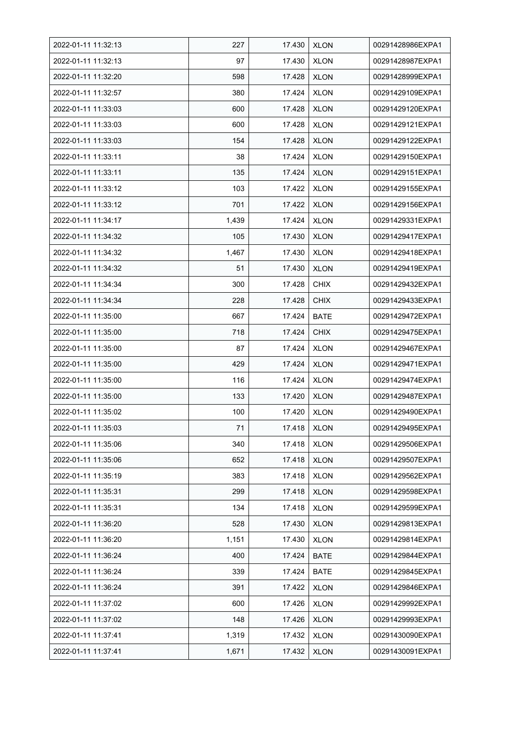| 2022-01-11 11:32:13 | 227   | 17.430 | <b>XLON</b> | 00291428986EXPA1 |
|---------------------|-------|--------|-------------|------------------|
| 2022-01-11 11:32:13 | 97    | 17.430 | <b>XLON</b> | 00291428987EXPA1 |
| 2022-01-11 11:32:20 | 598   | 17.428 | <b>XLON</b> | 00291428999EXPA1 |
| 2022-01-11 11:32:57 | 380   | 17.424 | <b>XLON</b> | 00291429109EXPA1 |
| 2022-01-11 11:33:03 | 600   | 17.428 | <b>XLON</b> | 00291429120EXPA1 |
| 2022-01-11 11:33:03 | 600   | 17.428 | <b>XLON</b> | 00291429121EXPA1 |
| 2022-01-11 11:33:03 | 154   | 17.428 | <b>XLON</b> | 00291429122EXPA1 |
| 2022-01-11 11:33:11 | 38    | 17.424 | <b>XLON</b> | 00291429150EXPA1 |
| 2022-01-11 11:33:11 | 135   | 17.424 | <b>XLON</b> | 00291429151EXPA1 |
| 2022-01-11 11:33:12 | 103   | 17.422 | <b>XLON</b> | 00291429155EXPA1 |
| 2022-01-11 11:33:12 | 701   | 17.422 | <b>XLON</b> | 00291429156EXPA1 |
| 2022-01-11 11:34:17 | 1,439 | 17.424 | <b>XLON</b> | 00291429331EXPA1 |
| 2022-01-11 11:34:32 | 105   | 17.430 | <b>XLON</b> | 00291429417EXPA1 |
| 2022-01-11 11:34:32 | 1,467 | 17.430 | <b>XLON</b> | 00291429418EXPA1 |
| 2022-01-11 11:34:32 | 51    | 17.430 | <b>XLON</b> | 00291429419EXPA1 |
| 2022-01-11 11:34:34 | 300   | 17.428 | <b>CHIX</b> | 00291429432EXPA1 |
| 2022-01-11 11:34:34 | 228   | 17.428 | <b>CHIX</b> | 00291429433EXPA1 |
| 2022-01-11 11:35:00 | 667   | 17.424 | <b>BATE</b> | 00291429472EXPA1 |
| 2022-01-11 11:35:00 | 718   | 17.424 | <b>CHIX</b> | 00291429475EXPA1 |
| 2022-01-11 11:35:00 | 87    | 17.424 | <b>XLON</b> | 00291429467EXPA1 |
| 2022-01-11 11:35:00 | 429   | 17.424 | <b>XLON</b> | 00291429471EXPA1 |
| 2022-01-11 11:35:00 | 116   | 17.424 | <b>XLON</b> | 00291429474EXPA1 |
| 2022-01-11 11:35:00 | 133   | 17.420 | <b>XLON</b> | 00291429487EXPA1 |
| 2022-01-11 11:35:02 | 100   | 17.420 | <b>XLON</b> | 00291429490EXPA1 |
| 2022-01-11 11:35:03 | 71    | 17.418 | <b>XLON</b> | 00291429495EXPA1 |
| 2022-01-11 11:35:06 | 340   | 17.418 | <b>XLON</b> | 00291429506EXPA1 |
| 2022-01-11 11:35:06 | 652   | 17.418 | <b>XLON</b> | 00291429507EXPA1 |
| 2022-01-11 11:35:19 | 383   | 17.418 | <b>XLON</b> | 00291429562EXPA1 |
| 2022-01-11 11:35:31 | 299   | 17.418 | <b>XLON</b> | 00291429598EXPA1 |
| 2022-01-11 11:35:31 | 134   | 17.418 | <b>XLON</b> | 00291429599EXPA1 |
| 2022-01-11 11:36:20 | 528   | 17.430 | <b>XLON</b> | 00291429813EXPA1 |
| 2022-01-11 11:36:20 | 1,151 | 17.430 | <b>XLON</b> | 00291429814EXPA1 |
| 2022-01-11 11:36:24 | 400   | 17.424 | <b>BATE</b> | 00291429844EXPA1 |
| 2022-01-11 11:36:24 | 339   | 17.424 | <b>BATE</b> | 00291429845EXPA1 |
| 2022-01-11 11:36:24 | 391   | 17.422 | <b>XLON</b> | 00291429846EXPA1 |
| 2022-01-11 11:37:02 | 600   | 17.426 | <b>XLON</b> | 00291429992EXPA1 |
| 2022-01-11 11:37:02 | 148   | 17.426 | <b>XLON</b> | 00291429993EXPA1 |
| 2022-01-11 11:37:41 | 1,319 | 17.432 | <b>XLON</b> | 00291430090EXPA1 |
| 2022-01-11 11:37:41 | 1,671 | 17.432 | <b>XLON</b> | 00291430091EXPA1 |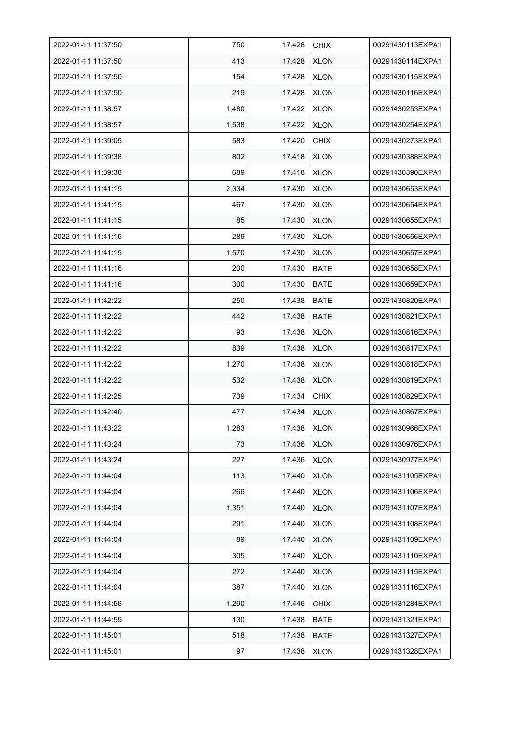| 2022-01-11 11:37:50 | 750   | 17.428 | <b>CHIX</b> | 00291430113EXPA1 |
|---------------------|-------|--------|-------------|------------------|
| 2022-01-11 11:37:50 | 413   | 17.428 | <b>XLON</b> | 00291430114EXPA1 |
| 2022-01-11 11:37:50 | 154   | 17.428 | <b>XLON</b> | 00291430115EXPA1 |
| 2022-01-11 11:37:50 | 219   | 17.428 | <b>XLON</b> | 00291430116EXPA1 |
| 2022-01-11 11:38:57 | 1,480 | 17.422 | <b>XLON</b> | 00291430253EXPA1 |
| 2022-01-11 11:38:57 | 1,538 | 17.422 | <b>XLON</b> | 00291430254EXPA1 |
| 2022-01-11 11:39:05 | 583   | 17.420 | <b>CHIX</b> | 00291430273EXPA1 |
| 2022-01-11 11:39:38 | 802   | 17.418 | <b>XLON</b> | 00291430388EXPA1 |
| 2022-01-11 11:39:38 | 689   | 17.418 | <b>XLON</b> | 00291430390EXPA1 |
| 2022-01-11 11:41:15 | 2,334 | 17.430 | <b>XLON</b> | 00291430653EXPA1 |
| 2022-01-11 11:41:15 | 467   | 17.430 | <b>XLON</b> | 00291430654EXPA1 |
| 2022-01-11 11:41:15 | 85    | 17.430 | <b>XLON</b> | 00291430655EXPA1 |
| 2022-01-11 11:41:15 | 289   | 17.430 | <b>XLON</b> | 00291430656EXPA1 |
| 2022-01-11 11:41:15 | 1,570 | 17.430 | <b>XLON</b> | 00291430657EXPA1 |
| 2022-01-11 11:41:16 | 200   | 17.430 | <b>BATE</b> | 00291430658EXPA1 |
| 2022-01-11 11:41:16 | 300   | 17.430 | <b>BATE</b> | 00291430659EXPA1 |
| 2022-01-11 11:42:22 | 250   | 17.438 | <b>BATE</b> | 00291430820EXPA1 |
| 2022-01-11 11:42:22 | 442   | 17.438 | <b>BATE</b> | 00291430821EXPA1 |
| 2022-01-11 11:42:22 | 93    | 17.438 | <b>XLON</b> | 00291430816EXPA1 |
| 2022-01-11 11:42:22 | 839   | 17.438 | <b>XLON</b> | 00291430817EXPA1 |
| 2022-01-11 11:42:22 | 1,270 | 17.438 | <b>XLON</b> | 00291430818EXPA1 |
| 2022-01-11 11:42:22 | 532   | 17.438 | <b>XLON</b> | 00291430819EXPA1 |
| 2022-01-11 11:42:25 | 739   | 17.434 | <b>CHIX</b> | 00291430829EXPA1 |
| 2022-01-11 11:42:40 | 477   | 17.434 | <b>XLON</b> | 00291430867EXPA1 |
| 2022-01-11 11:43:22 | 1,283 | 17.438 | <b>XLON</b> | 00291430966EXPA1 |
| 2022-01-11 11:43:24 | 73    | 17.436 | <b>XLON</b> | 00291430976EXPA1 |
| 2022-01-11 11:43:24 | 227   | 17.436 | <b>XLON</b> | 00291430977EXPA1 |
| 2022-01-11 11:44:04 | 113   | 17.440 | <b>XLON</b> | 00291431105EXPA1 |
| 2022-01-11 11:44:04 | 266   | 17.440 | <b>XLON</b> | 00291431106EXPA1 |
| 2022-01-11 11:44:04 | 1,351 | 17.440 | <b>XLON</b> | 00291431107EXPA1 |
| 2022-01-11 11:44:04 | 291   | 17.440 | <b>XLON</b> | 00291431108EXPA1 |
| 2022-01-11 11:44:04 | 89    | 17.440 | <b>XLON</b> | 00291431109EXPA1 |
| 2022-01-11 11:44:04 | 305   | 17.440 | <b>XLON</b> | 00291431110EXPA1 |
| 2022-01-11 11:44:04 | 272   | 17.440 | <b>XLON</b> | 00291431115EXPA1 |
| 2022-01-11 11:44:04 | 387   | 17.440 | <b>XLON</b> | 00291431116EXPA1 |
| 2022-01-11 11:44:56 | 1,290 | 17.446 | <b>CHIX</b> | 00291431284EXPA1 |
| 2022-01-11 11:44:59 | 130   | 17.438 | <b>BATE</b> | 00291431321EXPA1 |
| 2022-01-11 11:45:01 | 518   | 17.438 | BATE        | 00291431327EXPA1 |
| 2022-01-11 11:45:01 | 97    | 17.438 | <b>XLON</b> | 00291431328EXPA1 |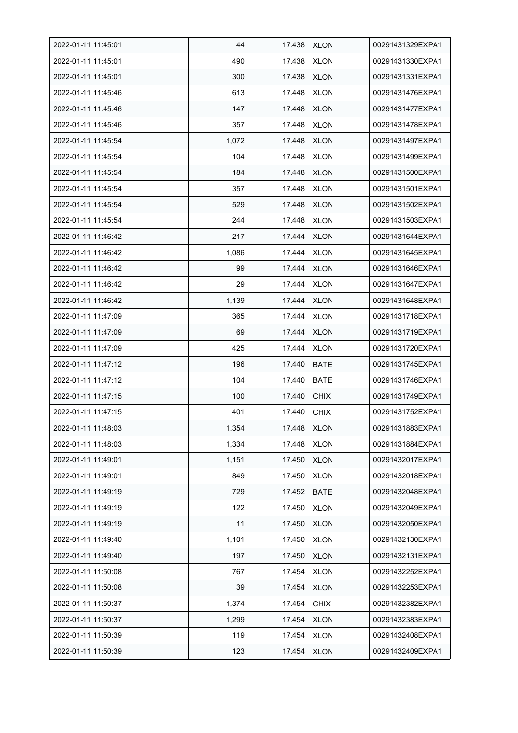| 2022-01-11 11:45:01 | 44    | 17.438 | <b>XLON</b> | 00291431329EXPA1 |
|---------------------|-------|--------|-------------|------------------|
| 2022-01-11 11:45:01 | 490   | 17.438 | <b>XLON</b> | 00291431330EXPA1 |
| 2022-01-11 11:45:01 | 300   | 17.438 | <b>XLON</b> | 00291431331EXPA1 |
| 2022-01-11 11:45:46 | 613   | 17.448 | <b>XLON</b> | 00291431476EXPA1 |
| 2022-01-11 11:45:46 | 147   | 17.448 | <b>XLON</b> | 00291431477EXPA1 |
| 2022-01-11 11:45:46 | 357   | 17.448 | <b>XLON</b> | 00291431478EXPA1 |
| 2022-01-11 11:45:54 | 1,072 | 17.448 | <b>XLON</b> | 00291431497EXPA1 |
| 2022-01-11 11:45:54 | 104   | 17.448 | XLON        | 00291431499EXPA1 |
| 2022-01-11 11:45:54 | 184   | 17.448 | <b>XLON</b> | 00291431500EXPA1 |
| 2022-01-11 11:45:54 | 357   | 17.448 | <b>XLON</b> | 00291431501EXPA1 |
| 2022-01-11 11:45:54 | 529   | 17.448 | <b>XLON</b> | 00291431502EXPA1 |
| 2022-01-11 11:45:54 | 244   | 17.448 | <b>XLON</b> | 00291431503EXPA1 |
| 2022-01-11 11:46:42 | 217   | 17.444 | <b>XLON</b> | 00291431644EXPA1 |
| 2022-01-11 11:46:42 | 1,086 | 17.444 | <b>XLON</b> | 00291431645EXPA1 |
| 2022-01-11 11:46:42 | 99    | 17.444 | <b>XLON</b> | 00291431646EXPA1 |
| 2022-01-11 11:46:42 | 29    | 17.444 | <b>XLON</b> | 00291431647EXPA1 |
| 2022-01-11 11:46:42 | 1,139 | 17.444 | <b>XLON</b> | 00291431648EXPA1 |
| 2022-01-11 11:47:09 | 365   | 17.444 | <b>XLON</b> | 00291431718EXPA1 |
| 2022-01-11 11:47:09 | 69    | 17.444 | <b>XLON</b> | 00291431719EXPA1 |
| 2022-01-11 11:47:09 | 425   | 17.444 | <b>XLON</b> | 00291431720EXPA1 |
| 2022-01-11 11:47:12 | 196   | 17.440 | <b>BATE</b> | 00291431745EXPA1 |
| 2022-01-11 11:47:12 | 104   | 17.440 | <b>BATE</b> | 00291431746EXPA1 |
| 2022-01-11 11:47:15 | 100   | 17.440 | <b>CHIX</b> | 00291431749EXPA1 |
| 2022-01-11 11:47:15 | 401   | 17.440 | <b>CHIX</b> | 00291431752EXPA1 |
| 2022-01-11 11:48:03 | 1,354 | 17.448 | <b>XLON</b> | 00291431883EXPA1 |
| 2022-01-11 11:48:03 | 1,334 | 17.448 | <b>XLON</b> | 00291431884EXPA1 |
| 2022-01-11 11:49:01 | 1,151 | 17.450 | <b>XLON</b> | 00291432017EXPA1 |
| 2022-01-11 11:49:01 | 849   | 17.450 | <b>XLON</b> | 00291432018EXPA1 |
| 2022-01-11 11:49:19 | 729   | 17.452 | <b>BATE</b> | 00291432048EXPA1 |
| 2022-01-11 11:49:19 | 122   | 17.450 | <b>XLON</b> | 00291432049EXPA1 |
| 2022-01-11 11:49:19 | 11    | 17.450 | <b>XLON</b> | 00291432050EXPA1 |
| 2022-01-11 11:49:40 | 1,101 | 17.450 | <b>XLON</b> | 00291432130EXPA1 |
| 2022-01-11 11:49:40 | 197   | 17.450 | <b>XLON</b> | 00291432131EXPA1 |
| 2022-01-11 11:50:08 | 767   | 17.454 | <b>XLON</b> | 00291432252EXPA1 |
| 2022-01-11 11:50:08 | 39    | 17.454 | <b>XLON</b> | 00291432253EXPA1 |
| 2022-01-11 11:50:37 | 1,374 | 17.454 | <b>CHIX</b> | 00291432382EXPA1 |
| 2022-01-11 11:50:37 | 1,299 | 17.454 | <b>XLON</b> | 00291432383EXPA1 |
| 2022-01-11 11:50:39 | 119   | 17.454 | <b>XLON</b> | 00291432408EXPA1 |
| 2022-01-11 11:50:39 | 123   | 17.454 | <b>XLON</b> | 00291432409EXPA1 |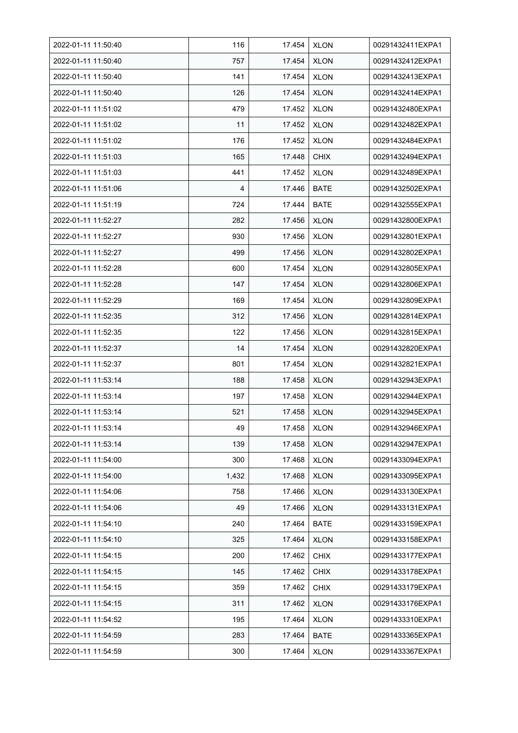| 2022-01-11 11:50:40 | 116   | 17.454 | <b>XLON</b> | 00291432411EXPA1 |
|---------------------|-------|--------|-------------|------------------|
| 2022-01-11 11:50:40 | 757   | 17.454 | <b>XLON</b> | 00291432412EXPA1 |
| 2022-01-11 11:50:40 | 141   | 17.454 | <b>XLON</b> | 00291432413EXPA1 |
| 2022-01-11 11:50:40 | 126   | 17.454 | <b>XLON</b> | 00291432414EXPA1 |
| 2022-01-11 11:51:02 | 479   | 17.452 | <b>XLON</b> | 00291432480EXPA1 |
| 2022-01-11 11:51:02 | 11    | 17.452 | <b>XLON</b> | 00291432482EXPA1 |
| 2022-01-11 11:51:02 | 176   | 17.452 | <b>XLON</b> | 00291432484EXPA1 |
| 2022-01-11 11:51:03 | 165   | 17.448 | <b>CHIX</b> | 00291432494EXPA1 |
| 2022-01-11 11:51:03 | 441   | 17.452 | <b>XLON</b> | 00291432489EXPA1 |
| 2022-01-11 11:51:06 | 4     | 17.446 | <b>BATE</b> | 00291432502EXPA1 |
| 2022-01-11 11:51:19 | 724   | 17.444 | <b>BATE</b> | 00291432555EXPA1 |
| 2022-01-11 11:52:27 | 282   | 17.456 | <b>XLON</b> | 00291432800EXPA1 |
| 2022-01-11 11:52:27 | 930   | 17.456 | <b>XLON</b> | 00291432801EXPA1 |
| 2022-01-11 11:52:27 | 499   | 17.456 | <b>XLON</b> | 00291432802EXPA1 |
| 2022-01-11 11:52:28 | 600   | 17.454 | <b>XLON</b> | 00291432805EXPA1 |
| 2022-01-11 11:52:28 | 147   | 17.454 | <b>XLON</b> | 00291432806EXPA1 |
| 2022-01-11 11:52:29 | 169   | 17.454 | <b>XLON</b> | 00291432809EXPA1 |
| 2022-01-11 11:52:35 | 312   | 17.456 | <b>XLON</b> | 00291432814EXPA1 |
| 2022-01-11 11:52:35 | 122   | 17.456 | <b>XLON</b> | 00291432815EXPA1 |
| 2022-01-11 11:52:37 | 14    | 17.454 | <b>XLON</b> | 00291432820EXPA1 |
| 2022-01-11 11:52:37 | 801   | 17.454 | <b>XLON</b> | 00291432821EXPA1 |
| 2022-01-11 11:53:14 | 188   | 17.458 | <b>XLON</b> | 00291432943EXPA1 |
| 2022-01-11 11:53:14 | 197   | 17.458 | <b>XLON</b> | 00291432944EXPA1 |
| 2022-01-11 11:53:14 | 521   | 17.458 | <b>XLON</b> | 00291432945EXPA1 |
| 2022-01-11 11:53:14 | 49    | 17.458 | <b>XLON</b> | 00291432946EXPA1 |
| 2022-01-11 11:53:14 | 139   | 17.458 | <b>XLON</b> | 00291432947EXPA1 |
| 2022-01-11 11:54:00 | 300   | 17.468 | <b>XLON</b> | 00291433094EXPA1 |
| 2022-01-11 11:54:00 | 1,432 | 17.468 | <b>XLON</b> | 00291433095EXPA1 |
| 2022-01-11 11:54:06 | 758   | 17.466 | <b>XLON</b> | 00291433130EXPA1 |
| 2022-01-11 11:54:06 | 49    | 17.466 | <b>XLON</b> | 00291433131EXPA1 |
| 2022-01-11 11:54:10 | 240   | 17.464 | <b>BATE</b> | 00291433159EXPA1 |
| 2022-01-11 11:54:10 | 325   | 17.464 | <b>XLON</b> | 00291433158EXPA1 |
| 2022-01-11 11:54:15 | 200   | 17.462 | <b>CHIX</b> | 00291433177EXPA1 |
| 2022-01-11 11:54:15 | 145   | 17.462 | <b>CHIX</b> | 00291433178EXPA1 |
| 2022-01-11 11:54:15 | 359   | 17.462 | <b>CHIX</b> | 00291433179EXPA1 |
| 2022-01-11 11:54:15 | 311   | 17.462 | <b>XLON</b> | 00291433176EXPA1 |
| 2022-01-11 11:54:52 | 195   | 17.464 | <b>XLON</b> | 00291433310EXPA1 |
| 2022-01-11 11:54:59 | 283   | 17.464 | <b>BATE</b> | 00291433365EXPA1 |
| 2022-01-11 11:54:59 | 300   | 17.464 | <b>XLON</b> | 00291433367EXPA1 |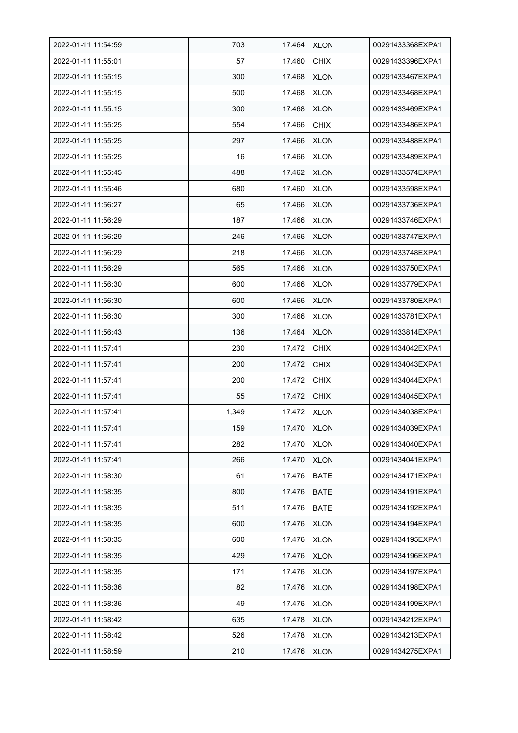| 2022-01-11 11:54:59 | 703   | 17.464 | <b>XLON</b> | 00291433368EXPA1 |
|---------------------|-------|--------|-------------|------------------|
| 2022-01-11 11:55:01 | 57    | 17.460 | <b>CHIX</b> | 00291433396EXPA1 |
| 2022-01-11 11:55:15 | 300   | 17.468 | <b>XLON</b> | 00291433467EXPA1 |
| 2022-01-11 11:55:15 | 500   | 17.468 | <b>XLON</b> | 00291433468EXPA1 |
| 2022-01-11 11:55:15 | 300   | 17.468 | <b>XLON</b> | 00291433469EXPA1 |
| 2022-01-11 11:55:25 | 554   | 17.466 | <b>CHIX</b> | 00291433486EXPA1 |
| 2022-01-11 11:55:25 | 297   | 17.466 | <b>XLON</b> | 00291433488EXPA1 |
| 2022-01-11 11:55:25 | 16    | 17.466 | <b>XLON</b> | 00291433489EXPA1 |
| 2022-01-11 11:55:45 | 488   | 17.462 | <b>XLON</b> | 00291433574EXPA1 |
| 2022-01-11 11:55:46 | 680   | 17.460 | <b>XLON</b> | 00291433598EXPA1 |
| 2022-01-11 11:56:27 | 65    | 17.466 | <b>XLON</b> | 00291433736EXPA1 |
| 2022-01-11 11:56:29 | 187   | 17.466 | <b>XLON</b> | 00291433746EXPA1 |
| 2022-01-11 11:56:29 | 246   | 17.466 | <b>XLON</b> | 00291433747EXPA1 |
| 2022-01-11 11:56:29 | 218   | 17.466 | <b>XLON</b> | 00291433748EXPA1 |
| 2022-01-11 11:56:29 | 565   | 17.466 | <b>XLON</b> | 00291433750EXPA1 |
| 2022-01-11 11:56:30 | 600   | 17.466 | <b>XLON</b> | 00291433779EXPA1 |
| 2022-01-11 11:56:30 | 600   | 17.466 | <b>XLON</b> | 00291433780EXPA1 |
| 2022-01-11 11:56:30 | 300   | 17.466 | <b>XLON</b> | 00291433781EXPA1 |
| 2022-01-11 11:56:43 | 136   | 17.464 | <b>XLON</b> | 00291433814EXPA1 |
| 2022-01-11 11:57:41 | 230   | 17.472 | <b>CHIX</b> | 00291434042EXPA1 |
| 2022-01-11 11:57:41 | 200   | 17.472 | <b>CHIX</b> | 00291434043EXPA1 |
| 2022-01-11 11:57:41 | 200   | 17.472 | <b>CHIX</b> | 00291434044EXPA1 |
| 2022-01-11 11:57:41 | 55    | 17.472 | <b>CHIX</b> | 00291434045EXPA1 |
| 2022-01-11 11:57:41 | 1,349 | 17.472 | <b>XLON</b> | 00291434038EXPA1 |
| 2022-01-11 11:57:41 | 159   | 17.470 | <b>XLON</b> | 00291434039EXPA1 |
| 2022-01-11 11:57:41 | 282   | 17.470 | <b>XLON</b> | 00291434040EXPA1 |
| 2022-01-11 11:57:41 | 266   | 17.470 | XLON        | 00291434041EXPA1 |
| 2022-01-11 11:58:30 | 61    | 17.476 | <b>BATE</b> | 00291434171EXPA1 |
| 2022-01-11 11:58:35 | 800   | 17.476 | <b>BATE</b> | 00291434191EXPA1 |
| 2022-01-11 11:58:35 | 511   | 17.476 | <b>BATE</b> | 00291434192EXPA1 |
| 2022-01-11 11:58:35 | 600   | 17.476 | <b>XLON</b> | 00291434194EXPA1 |
| 2022-01-11 11:58:35 | 600   | 17.476 | <b>XLON</b> | 00291434195EXPA1 |
| 2022-01-11 11:58:35 | 429   | 17.476 | <b>XLON</b> | 00291434196EXPA1 |
| 2022-01-11 11:58:35 | 171   | 17.476 | <b>XLON</b> | 00291434197EXPA1 |
| 2022-01-11 11:58:36 | 82    | 17.476 | XLON        | 00291434198EXPA1 |
| 2022-01-11 11:58:36 | 49    | 17.476 | XLON        | 00291434199EXPA1 |
| 2022-01-11 11:58:42 | 635   | 17.478 | <b>XLON</b> | 00291434212EXPA1 |
| 2022-01-11 11:58:42 | 526   | 17.478 | <b>XLON</b> | 00291434213EXPA1 |
| 2022-01-11 11:58:59 | 210   | 17.476 | <b>XLON</b> | 00291434275EXPA1 |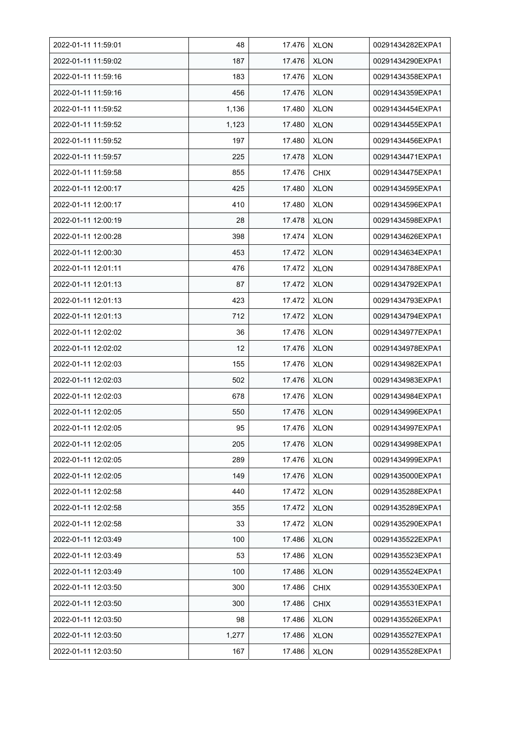| 2022-01-11 11:59:01 | 48    | 17.476 | <b>XLON</b> | 00291434282EXPA1 |
|---------------------|-------|--------|-------------|------------------|
| 2022-01-11 11:59:02 | 187   | 17.476 | <b>XLON</b> | 00291434290EXPA1 |
| 2022-01-11 11:59:16 | 183   | 17.476 | <b>XLON</b> | 00291434358EXPA1 |
| 2022-01-11 11:59:16 | 456   | 17.476 | <b>XLON</b> | 00291434359EXPA1 |
| 2022-01-11 11:59:52 | 1,136 | 17.480 | <b>XLON</b> | 00291434454EXPA1 |
| 2022-01-11 11:59:52 | 1,123 | 17.480 | <b>XLON</b> | 00291434455EXPA1 |
| 2022-01-11 11:59:52 | 197   | 17.480 | <b>XLON</b> | 00291434456EXPA1 |
| 2022-01-11 11:59:57 | 225   | 17.478 | <b>XLON</b> | 00291434471EXPA1 |
| 2022-01-11 11:59:58 | 855   | 17.476 | <b>CHIX</b> | 00291434475EXPA1 |
| 2022-01-11 12:00:17 | 425   | 17.480 | <b>XLON</b> | 00291434595EXPA1 |
| 2022-01-11 12:00:17 | 410   | 17.480 | <b>XLON</b> | 00291434596EXPA1 |
| 2022-01-11 12:00:19 | 28    | 17.478 | <b>XLON</b> | 00291434598EXPA1 |
| 2022-01-11 12:00:28 | 398   | 17.474 | <b>XLON</b> | 00291434626EXPA1 |
| 2022-01-11 12:00:30 | 453   | 17.472 | <b>XLON</b> | 00291434634EXPA1 |
| 2022-01-11 12:01:11 | 476   | 17.472 | <b>XLON</b> | 00291434788EXPA1 |
| 2022-01-11 12:01:13 | 87    | 17.472 | <b>XLON</b> | 00291434792EXPA1 |
| 2022-01-11 12:01:13 | 423   | 17.472 | <b>XLON</b> | 00291434793EXPA1 |
| 2022-01-11 12:01:13 | 712   | 17.472 | <b>XLON</b> | 00291434794EXPA1 |
| 2022-01-11 12:02:02 | 36    | 17.476 | <b>XLON</b> | 00291434977EXPA1 |
| 2022-01-11 12:02:02 | 12    | 17.476 | <b>XLON</b> | 00291434978EXPA1 |
| 2022-01-11 12:02:03 | 155   | 17.476 | <b>XLON</b> | 00291434982EXPA1 |
| 2022-01-11 12:02:03 | 502   | 17.476 | <b>XLON</b> | 00291434983EXPA1 |
| 2022-01-11 12:02:03 | 678   | 17.476 | <b>XLON</b> | 00291434984EXPA1 |
| 2022-01-11 12:02:05 | 550   | 17.476 | <b>XLON</b> | 00291434996EXPA1 |
| 2022-01-11 12:02:05 | 95    | 17.476 | <b>XLON</b> | 00291434997EXPA1 |
| 2022-01-11 12:02:05 | 205   | 17.476 | <b>XLON</b> | 00291434998EXPA1 |
| 2022-01-11 12:02:05 | 289   | 17.476 | <b>XLON</b> | 00291434999EXPA1 |
| 2022-01-11 12:02:05 | 149   | 17.476 | <b>XLON</b> | 00291435000EXPA1 |
| 2022-01-11 12:02:58 | 440   | 17.472 | <b>XLON</b> | 00291435288EXPA1 |
| 2022-01-11 12:02:58 | 355   | 17.472 | <b>XLON</b> | 00291435289EXPA1 |
| 2022-01-11 12:02:58 | 33    | 17.472 | XLON        | 00291435290EXPA1 |
| 2022-01-11 12:03:49 | 100   | 17.486 | <b>XLON</b> | 00291435522EXPA1 |
| 2022-01-11 12:03:49 | 53    | 17.486 | <b>XLON</b> | 00291435523EXPA1 |
| 2022-01-11 12:03:49 | 100   | 17.486 | <b>XLON</b> | 00291435524EXPA1 |
| 2022-01-11 12:03:50 | 300   | 17.486 | <b>CHIX</b> | 00291435530EXPA1 |
| 2022-01-11 12:03:50 | 300   | 17.486 | <b>CHIX</b> | 00291435531EXPA1 |
| 2022-01-11 12:03:50 | 98    | 17.486 | <b>XLON</b> | 00291435526EXPA1 |
| 2022-01-11 12:03:50 | 1,277 | 17.486 | <b>XLON</b> | 00291435527EXPA1 |
| 2022-01-11 12:03:50 | 167   | 17.486 | <b>XLON</b> | 00291435528EXPA1 |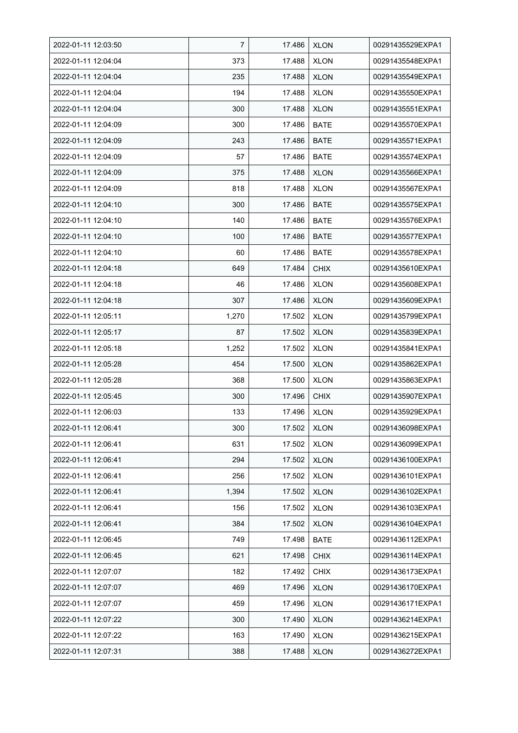| 2022-01-11 12:03:50 | 7     | 17.486 | <b>XLON</b> | 00291435529EXPA1 |
|---------------------|-------|--------|-------------|------------------|
| 2022-01-11 12:04:04 | 373   | 17.488 | <b>XLON</b> | 00291435548EXPA1 |
| 2022-01-11 12:04:04 | 235   | 17.488 | <b>XLON</b> | 00291435549EXPA1 |
| 2022-01-11 12:04:04 | 194   | 17.488 | <b>XLON</b> | 00291435550EXPA1 |
| 2022-01-11 12:04:04 | 300   | 17.488 | <b>XLON</b> | 00291435551EXPA1 |
| 2022-01-11 12:04:09 | 300   | 17.486 | <b>BATE</b> | 00291435570EXPA1 |
| 2022-01-11 12:04:09 | 243   | 17.486 | <b>BATE</b> | 00291435571EXPA1 |
| 2022-01-11 12:04:09 | 57    | 17.486 | <b>BATE</b> | 00291435574EXPA1 |
| 2022-01-11 12:04:09 | 375   | 17.488 | <b>XLON</b> | 00291435566EXPA1 |
| 2022-01-11 12:04:09 | 818   | 17.488 | <b>XLON</b> | 00291435567EXPA1 |
| 2022-01-11 12:04:10 | 300   | 17.486 | <b>BATE</b> | 00291435575EXPA1 |
| 2022-01-11 12:04:10 | 140   | 17.486 | <b>BATE</b> | 00291435576EXPA1 |
| 2022-01-11 12:04:10 | 100   | 17.486 | <b>BATE</b> | 00291435577EXPA1 |
| 2022-01-11 12:04:10 | 60    | 17.486 | <b>BATE</b> | 00291435578EXPA1 |
| 2022-01-11 12:04:18 | 649   | 17.484 | <b>CHIX</b> | 00291435610EXPA1 |
| 2022-01-11 12:04:18 | 46    | 17.486 | <b>XLON</b> | 00291435608EXPA1 |
| 2022-01-11 12:04:18 | 307   | 17.486 | <b>XLON</b> | 00291435609EXPA1 |
| 2022-01-11 12:05:11 | 1,270 | 17.502 | <b>XLON</b> | 00291435799EXPA1 |
| 2022-01-11 12:05:17 | 87    | 17.502 | <b>XLON</b> | 00291435839EXPA1 |
| 2022-01-11 12:05:18 | 1,252 | 17.502 | <b>XLON</b> | 00291435841EXPA1 |
| 2022-01-11 12:05:28 | 454   | 17.500 | <b>XLON</b> | 00291435862EXPA1 |
| 2022-01-11 12:05:28 | 368   | 17.500 | <b>XLON</b> | 00291435863EXPA1 |
| 2022-01-11 12:05:45 | 300   | 17.496 | <b>CHIX</b> | 00291435907EXPA1 |
| 2022-01-11 12:06:03 | 133   | 17.496 | <b>XLON</b> | 00291435929EXPA1 |
| 2022-01-11 12:06:41 | 300   | 17.502 | <b>XLON</b> | 00291436098EXPA1 |
| 2022-01-11 12:06:41 | 631   | 17.502 | <b>XLON</b> | 00291436099EXPA1 |
| 2022-01-11 12:06:41 | 294   | 17.502 | <b>XLON</b> | 00291436100EXPA1 |
| 2022-01-11 12:06:41 | 256   | 17.502 | <b>XLON</b> | 00291436101EXPA1 |
| 2022-01-11 12:06:41 | 1,394 | 17.502 | <b>XLON</b> | 00291436102EXPA1 |
| 2022-01-11 12:06:41 | 156   | 17.502 | <b>XLON</b> | 00291436103EXPA1 |
| 2022-01-11 12:06:41 | 384   | 17.502 | <b>XLON</b> | 00291436104EXPA1 |
| 2022-01-11 12:06:45 | 749   | 17.498 | <b>BATE</b> | 00291436112EXPA1 |
| 2022-01-11 12:06:45 | 621   | 17.498 | <b>CHIX</b> | 00291436114EXPA1 |
| 2022-01-11 12:07:07 | 182   | 17.492 | <b>CHIX</b> | 00291436173EXPA1 |
| 2022-01-11 12:07:07 | 469   | 17.496 | <b>XLON</b> | 00291436170EXPA1 |
| 2022-01-11 12:07:07 | 459   | 17.496 | XLON        | 00291436171EXPA1 |
| 2022-01-11 12:07:22 | 300   | 17.490 | <b>XLON</b> | 00291436214EXPA1 |
| 2022-01-11 12:07:22 | 163   | 17.490 | <b>XLON</b> | 00291436215EXPA1 |
| 2022-01-11 12:07:31 | 388   | 17.488 | <b>XLON</b> | 00291436272EXPA1 |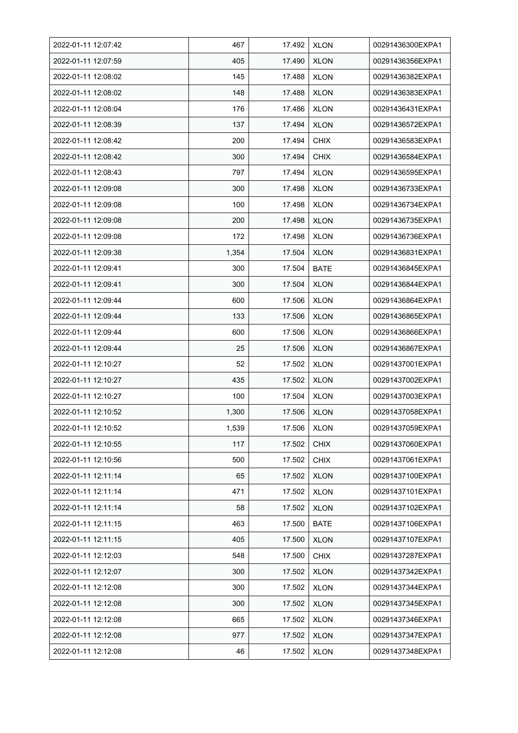| 2022-01-11 12:07:42 | 467   | 17.492 | <b>XLON</b> | 00291436300EXPA1 |
|---------------------|-------|--------|-------------|------------------|
| 2022-01-11 12:07:59 | 405   | 17.490 | <b>XLON</b> | 00291436356EXPA1 |
| 2022-01-11 12:08:02 | 145   | 17.488 | <b>XLON</b> | 00291436382EXPA1 |
| 2022-01-11 12:08:02 | 148   | 17.488 | <b>XLON</b> | 00291436383EXPA1 |
| 2022-01-11 12:08:04 | 176   | 17.486 | <b>XLON</b> | 00291436431EXPA1 |
| 2022-01-11 12:08:39 | 137   | 17.494 | <b>XLON</b> | 00291436572EXPA1 |
| 2022-01-11 12:08:42 | 200   | 17.494 | <b>CHIX</b> | 00291436583EXPA1 |
| 2022-01-11 12:08:42 | 300   | 17.494 | <b>CHIX</b> | 00291436584EXPA1 |
| 2022-01-11 12:08:43 | 797   | 17.494 | <b>XLON</b> | 00291436595EXPA1 |
| 2022-01-11 12:09:08 | 300   | 17.498 | <b>XLON</b> | 00291436733EXPA1 |
| 2022-01-11 12:09:08 | 100   | 17.498 | <b>XLON</b> | 00291436734EXPA1 |
| 2022-01-11 12:09:08 | 200   | 17.498 | <b>XLON</b> | 00291436735EXPA1 |
| 2022-01-11 12:09:08 | 172   | 17.498 | <b>XLON</b> | 00291436736EXPA1 |
| 2022-01-11 12:09:38 | 1,354 | 17.504 | <b>XLON</b> | 00291436831EXPA1 |
| 2022-01-11 12:09:41 | 300   | 17.504 | <b>BATE</b> | 00291436845EXPA1 |
| 2022-01-11 12:09:41 | 300   | 17.504 | <b>XLON</b> | 00291436844EXPA1 |
| 2022-01-11 12:09:44 | 600   | 17.506 | <b>XLON</b> | 00291436864EXPA1 |
| 2022-01-11 12:09:44 | 133   | 17.506 | <b>XLON</b> | 00291436865EXPA1 |
| 2022-01-11 12:09:44 | 600   | 17.506 | <b>XLON</b> | 00291436866EXPA1 |
| 2022-01-11 12:09:44 | 25    | 17.506 | <b>XLON</b> | 00291436867EXPA1 |
| 2022-01-11 12:10:27 | 52    | 17.502 | <b>XLON</b> | 00291437001EXPA1 |
| 2022-01-11 12:10:27 | 435   | 17.502 | <b>XLON</b> | 00291437002EXPA1 |
| 2022-01-11 12:10:27 | 100   | 17.504 | <b>XLON</b> | 00291437003EXPA1 |
| 2022-01-11 12:10:52 | 1,300 | 17.506 | <b>XLON</b> | 00291437058EXPA1 |
| 2022-01-11 12:10:52 | 1,539 | 17.506 | <b>XLON</b> | 00291437059EXPA1 |
| 2022-01-11 12:10:55 | 117   | 17.502 | <b>CHIX</b> | 00291437060EXPA1 |
| 2022-01-11 12:10:56 | 500   | 17.502 | <b>CHIX</b> | 00291437061EXPA1 |
| 2022-01-11 12:11:14 | 65    | 17.502 | <b>XLON</b> | 00291437100EXPA1 |
| 2022-01-11 12:11:14 | 471   | 17.502 | <b>XLON</b> | 00291437101EXPA1 |
| 2022-01-11 12:11:14 | 58    | 17.502 | <b>XLON</b> | 00291437102EXPA1 |
| 2022-01-11 12:11:15 | 463   | 17.500 | <b>BATE</b> | 00291437106EXPA1 |
| 2022-01-11 12:11:15 | 405   | 17.500 | <b>XLON</b> | 00291437107EXPA1 |
| 2022-01-11 12:12:03 | 548   | 17.500 | <b>CHIX</b> | 00291437287EXPA1 |
| 2022-01-11 12:12:07 | 300   | 17.502 | <b>XLON</b> | 00291437342EXPA1 |
| 2022-01-11 12:12:08 | 300   | 17.502 | <b>XLON</b> | 00291437344EXPA1 |
| 2022-01-11 12:12:08 | 300   | 17.502 | <b>XLON</b> | 00291437345EXPA1 |
| 2022-01-11 12:12:08 | 665   | 17.502 | <b>XLON</b> | 00291437346EXPA1 |
| 2022-01-11 12:12:08 | 977   | 17.502 | <b>XLON</b> | 00291437347EXPA1 |
| 2022-01-11 12:12:08 | 46    | 17.502 | <b>XLON</b> | 00291437348EXPA1 |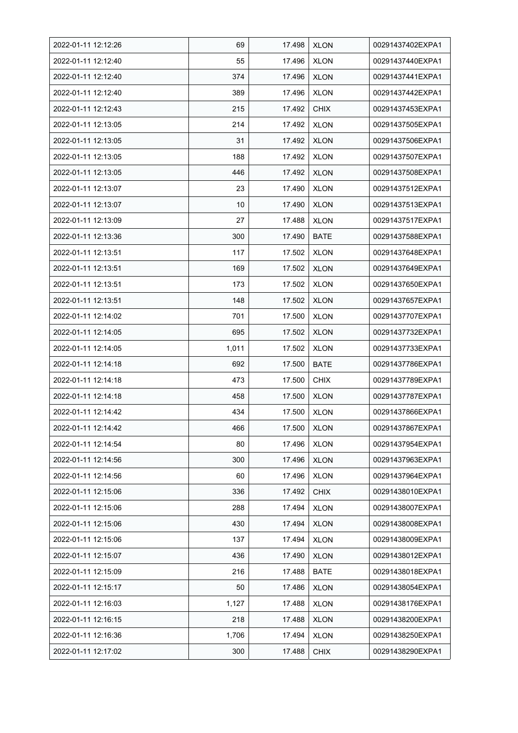| 2022-01-11 12:12:26 | 69    | 17.498 | <b>XLON</b> | 00291437402EXPA1 |
|---------------------|-------|--------|-------------|------------------|
| 2022-01-11 12:12:40 | 55    | 17.496 | <b>XLON</b> | 00291437440EXPA1 |
| 2022-01-11 12:12:40 | 374   | 17.496 | <b>XLON</b> | 00291437441EXPA1 |
| 2022-01-11 12:12:40 | 389   | 17.496 | <b>XLON</b> | 00291437442EXPA1 |
| 2022-01-11 12:12:43 | 215   | 17.492 | <b>CHIX</b> | 00291437453EXPA1 |
| 2022-01-11 12:13:05 | 214   | 17.492 | <b>XLON</b> | 00291437505EXPA1 |
| 2022-01-11 12:13:05 | 31    | 17.492 | <b>XLON</b> | 00291437506EXPA1 |
| 2022-01-11 12:13:05 | 188   | 17.492 | <b>XLON</b> | 00291437507EXPA1 |
| 2022-01-11 12:13:05 | 446   | 17.492 | <b>XLON</b> | 00291437508EXPA1 |
| 2022-01-11 12:13:07 | 23    | 17.490 | <b>XLON</b> | 00291437512EXPA1 |
| 2022-01-11 12:13:07 | 10    | 17.490 | <b>XLON</b> | 00291437513EXPA1 |
| 2022-01-11 12:13:09 | 27    | 17.488 | <b>XLON</b> | 00291437517EXPA1 |
| 2022-01-11 12:13:36 | 300   | 17.490 | <b>BATE</b> | 00291437588EXPA1 |
| 2022-01-11 12:13:51 | 117   | 17.502 | XLON        | 00291437648EXPA1 |
| 2022-01-11 12:13:51 | 169   | 17.502 | <b>XLON</b> | 00291437649EXPA1 |
| 2022-01-11 12:13:51 | 173   | 17.502 | <b>XLON</b> | 00291437650EXPA1 |
| 2022-01-11 12:13:51 | 148   | 17.502 | <b>XLON</b> | 00291437657EXPA1 |
| 2022-01-11 12:14:02 | 701   | 17.500 | <b>XLON</b> | 00291437707EXPA1 |
| 2022-01-11 12:14:05 | 695   | 17.502 | <b>XLON</b> | 00291437732EXPA1 |
| 2022-01-11 12:14:05 | 1,011 | 17.502 | <b>XLON</b> | 00291437733EXPA1 |
| 2022-01-11 12:14:18 | 692   | 17.500 | <b>BATE</b> | 00291437786EXPA1 |
| 2022-01-11 12:14:18 | 473   | 17.500 | <b>CHIX</b> | 00291437789EXPA1 |
| 2022-01-11 12:14:18 | 458   | 17.500 | <b>XLON</b> | 00291437787EXPA1 |
| 2022-01-11 12:14:42 | 434   | 17.500 | <b>XLON</b> | 00291437866EXPA1 |
| 2022-01-11 12:14:42 | 466   | 17.500 | <b>XLON</b> | 00291437867EXPA1 |
| 2022-01-11 12:14:54 | 80    | 17.496 | <b>XLON</b> | 00291437954EXPA1 |
| 2022-01-11 12:14:56 | 300   | 17.496 | <b>XLON</b> | 00291437963EXPA1 |
| 2022-01-11 12:14:56 | 60    | 17.496 | <b>XLON</b> | 00291437964EXPA1 |
| 2022-01-11 12:15:06 | 336   | 17.492 | <b>CHIX</b> | 00291438010EXPA1 |
| 2022-01-11 12:15:06 | 288   | 17.494 | <b>XLON</b> | 00291438007EXPA1 |
| 2022-01-11 12:15:06 | 430   | 17.494 | <b>XLON</b> | 00291438008EXPA1 |
| 2022-01-11 12:15:06 | 137   | 17.494 | <b>XLON</b> | 00291438009EXPA1 |
| 2022-01-11 12:15:07 | 436   | 17.490 | <b>XLON</b> | 00291438012EXPA1 |
| 2022-01-11 12:15:09 | 216   | 17.488 | <b>BATE</b> | 00291438018EXPA1 |
| 2022-01-11 12:15:17 | 50    | 17.486 | <b>XLON</b> | 00291438054EXPA1 |
| 2022-01-11 12:16:03 | 1,127 | 17.488 | <b>XLON</b> | 00291438176EXPA1 |
| 2022-01-11 12:16:15 | 218   | 17.488 | <b>XLON</b> | 00291438200EXPA1 |
| 2022-01-11 12:16:36 | 1,706 | 17.494 | <b>XLON</b> | 00291438250EXPA1 |
| 2022-01-11 12:17:02 | 300   | 17.488 | <b>CHIX</b> | 00291438290EXPA1 |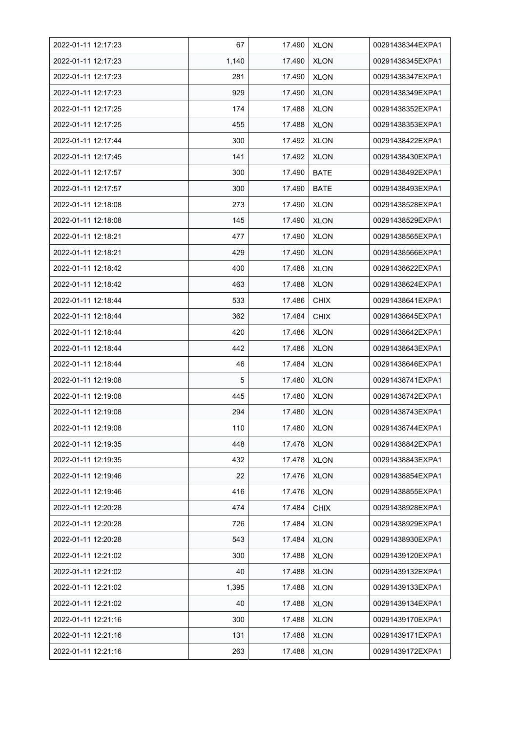| 2022-01-11 12:17:23 | 67    | 17.490 | <b>XLON</b> | 00291438344EXPA1 |
|---------------------|-------|--------|-------------|------------------|
| 2022-01-11 12:17:23 | 1,140 | 17.490 | <b>XLON</b> | 00291438345EXPA1 |
| 2022-01-11 12:17:23 | 281   | 17.490 | <b>XLON</b> | 00291438347EXPA1 |
| 2022-01-11 12:17:23 | 929   | 17.490 | <b>XLON</b> | 00291438349EXPA1 |
| 2022-01-11 12:17:25 | 174   | 17.488 | <b>XLON</b> | 00291438352EXPA1 |
| 2022-01-11 12:17:25 | 455   | 17.488 | <b>XLON</b> | 00291438353EXPA1 |
| 2022-01-11 12:17:44 | 300   | 17.492 | <b>XLON</b> | 00291438422EXPA1 |
| 2022-01-11 12:17:45 | 141   | 17.492 | <b>XLON</b> | 00291438430EXPA1 |
| 2022-01-11 12:17:57 | 300   | 17.490 | <b>BATE</b> | 00291438492EXPA1 |
| 2022-01-11 12:17:57 | 300   | 17.490 | <b>BATE</b> | 00291438493EXPA1 |
| 2022-01-11 12:18:08 | 273   | 17.490 | <b>XLON</b> | 00291438528EXPA1 |
| 2022-01-11 12:18:08 | 145   | 17.490 | <b>XLON</b> | 00291438529EXPA1 |
| 2022-01-11 12:18:21 | 477   | 17.490 | <b>XLON</b> | 00291438565EXPA1 |
| 2022-01-11 12:18:21 | 429   | 17.490 | <b>XLON</b> | 00291438566EXPA1 |
| 2022-01-11 12:18:42 | 400   | 17.488 | <b>XLON</b> | 00291438622EXPA1 |
| 2022-01-11 12:18:42 | 463   | 17.488 | <b>XLON</b> | 00291438624EXPA1 |
| 2022-01-11 12:18:44 | 533   | 17.486 | <b>CHIX</b> | 00291438641EXPA1 |
| 2022-01-11 12:18:44 | 362   | 17.484 | <b>CHIX</b> | 00291438645EXPA1 |
| 2022-01-11 12:18:44 | 420   | 17.486 | <b>XLON</b> | 00291438642EXPA1 |
| 2022-01-11 12:18:44 | 442   | 17.486 | <b>XLON</b> | 00291438643EXPA1 |
| 2022-01-11 12:18:44 | 46    | 17.484 | <b>XLON</b> | 00291438646EXPA1 |
| 2022-01-11 12:19:08 | 5     | 17.480 | <b>XLON</b> | 00291438741EXPA1 |
| 2022-01-11 12:19:08 | 445   | 17.480 | <b>XLON</b> | 00291438742EXPA1 |
| 2022-01-11 12:19:08 | 294   | 17.480 | <b>XLON</b> | 00291438743EXPA1 |
| 2022-01-11 12:19:08 | 110   | 17.480 | <b>XLON</b> | 00291438744EXPA1 |
| 2022-01-11 12:19:35 | 448   | 17.478 | <b>XLON</b> | 00291438842EXPA1 |
| 2022-01-11 12:19:35 | 432   | 17.478 | <b>XLON</b> | 00291438843EXPA1 |
| 2022-01-11 12:19:46 | 22    | 17.476 | <b>XLON</b> | 00291438854EXPA1 |
| 2022-01-11 12:19:46 | 416   | 17.476 | <b>XLON</b> | 00291438855EXPA1 |
| 2022-01-11 12:20:28 | 474   | 17.484 | <b>CHIX</b> | 00291438928EXPA1 |
| 2022-01-11 12:20:28 | 726   | 17.484 | <b>XLON</b> | 00291438929EXPA1 |
| 2022-01-11 12:20:28 | 543   | 17.484 | <b>XLON</b> | 00291438930EXPA1 |
| 2022-01-11 12:21:02 | 300   | 17.488 | <b>XLON</b> | 00291439120EXPA1 |
| 2022-01-11 12:21:02 | 40    | 17.488 | <b>XLON</b> | 00291439132EXPA1 |
| 2022-01-11 12:21:02 | 1,395 | 17.488 | <b>XLON</b> | 00291439133EXPA1 |
| 2022-01-11 12:21:02 | 40    | 17.488 | <b>XLON</b> | 00291439134EXPA1 |
| 2022-01-11 12:21:16 | 300   | 17.488 | <b>XLON</b> | 00291439170EXPA1 |
| 2022-01-11 12:21:16 | 131   | 17.488 | <b>XLON</b> | 00291439171EXPA1 |
| 2022-01-11 12:21:16 | 263   | 17.488 | <b>XLON</b> | 00291439172EXPA1 |
|                     |       |        |             |                  |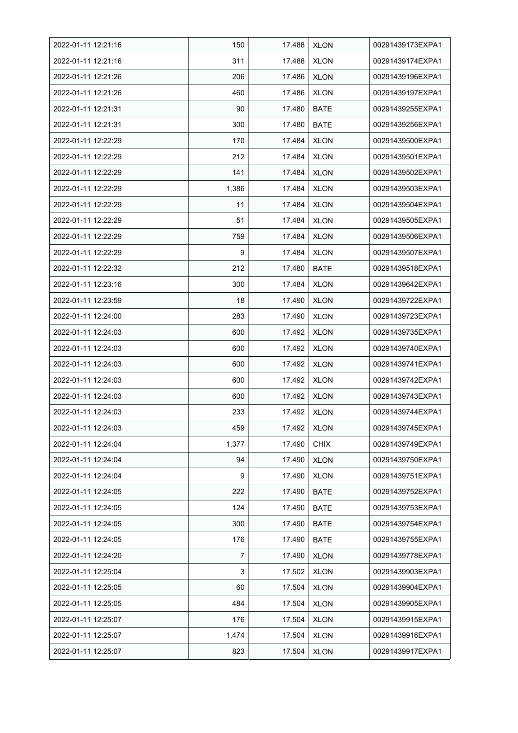| 2022-01-11 12:21:16 | 150   | 17.488 | <b>XLON</b> | 00291439173EXPA1 |
|---------------------|-------|--------|-------------|------------------|
| 2022-01-11 12:21:16 | 311   | 17.488 | <b>XLON</b> | 00291439174EXPA1 |
| 2022-01-11 12:21:26 | 206   | 17.486 | <b>XLON</b> | 00291439196EXPA1 |
| 2022-01-11 12:21:26 | 460   | 17.486 | <b>XLON</b> | 00291439197EXPA1 |
| 2022-01-11 12:21:31 | 90    | 17.480 | <b>BATE</b> | 00291439255EXPA1 |
| 2022-01-11 12:21:31 | 300   | 17.480 | <b>BATE</b> | 00291439256EXPA1 |
| 2022-01-11 12:22:29 | 170   | 17.484 | <b>XLON</b> | 00291439500EXPA1 |
| 2022-01-11 12:22:29 | 212   | 17.484 | <b>XLON</b> | 00291439501EXPA1 |
| 2022-01-11 12:22:29 | 141   | 17.484 | <b>XLON</b> | 00291439502EXPA1 |
| 2022-01-11 12:22:29 | 1,386 | 17.484 | <b>XLON</b> | 00291439503EXPA1 |
| 2022-01-11 12:22:29 | 11    | 17.484 | <b>XLON</b> | 00291439504EXPA1 |
| 2022-01-11 12:22:29 | 51    | 17.484 | <b>XLON</b> | 00291439505EXPA1 |
| 2022-01-11 12:22:29 | 759   | 17.484 | <b>XLON</b> | 00291439506EXPA1 |
| 2022-01-11 12:22:29 | 9     | 17.484 | <b>XLON</b> | 00291439507EXPA1 |
| 2022-01-11 12:22:32 | 212   | 17.480 | <b>BATE</b> | 00291439518EXPA1 |
| 2022-01-11 12:23:16 | 300   | 17.484 | <b>XLON</b> | 00291439642EXPA1 |
| 2022-01-11 12:23:59 | 18    | 17.490 | <b>XLON</b> | 00291439722EXPA1 |
| 2022-01-11 12:24:00 | 283   | 17.490 | <b>XLON</b> | 00291439723EXPA1 |
| 2022-01-11 12:24:03 | 600   | 17.492 | <b>XLON</b> | 00291439735EXPA1 |
| 2022-01-11 12:24:03 | 600   | 17.492 | <b>XLON</b> | 00291439740EXPA1 |
| 2022-01-11 12:24:03 | 600   | 17.492 | <b>XLON</b> | 00291439741EXPA1 |
| 2022-01-11 12:24:03 | 600   | 17.492 | <b>XLON</b> | 00291439742EXPA1 |
| 2022-01-11 12:24:03 | 600   | 17.492 | <b>XLON</b> | 00291439743EXPA1 |
| 2022-01-11 12:24:03 | 233   | 17.492 | <b>XLON</b> | 00291439744EXPA1 |
| 2022-01-11 12:24:03 | 459   | 17.492 | <b>XLON</b> | 00291439745EXPA1 |
| 2022-01-11 12:24:04 | 1,377 | 17.490 | <b>CHIX</b> | 00291439749EXPA1 |
| 2022-01-11 12:24:04 | 94    | 17.490 | <b>XLON</b> | 00291439750EXPA1 |
| 2022-01-11 12:24:04 | 9     | 17.490 | <b>XLON</b> | 00291439751EXPA1 |
| 2022-01-11 12:24:05 | 222   | 17.490 | <b>BATE</b> | 00291439752EXPA1 |
| 2022-01-11 12:24:05 | 124   | 17.490 | <b>BATE</b> | 00291439753EXPA1 |
| 2022-01-11 12:24:05 | 300   | 17.490 | <b>BATE</b> | 00291439754EXPA1 |
| 2022-01-11 12:24:05 | 176   | 17.490 | <b>BATE</b> | 00291439755EXPA1 |
| 2022-01-11 12:24:20 | 7     | 17.490 | <b>XLON</b> | 00291439778EXPA1 |
| 2022-01-11 12:25:04 | 3     | 17.502 | <b>XLON</b> | 00291439903EXPA1 |
| 2022-01-11 12:25:05 | 60    | 17.504 | <b>XLON</b> | 00291439904EXPA1 |
| 2022-01-11 12:25:05 | 484   | 17.504 | XLON        | 00291439905EXPA1 |
| 2022-01-11 12:25:07 | 176   | 17.504 | <b>XLON</b> | 00291439915EXPA1 |
| 2022-01-11 12:25:07 | 1,474 | 17.504 | <b>XLON</b> | 00291439916EXPA1 |
| 2022-01-11 12:25:07 | 823   | 17.504 | <b>XLON</b> | 00291439917EXPA1 |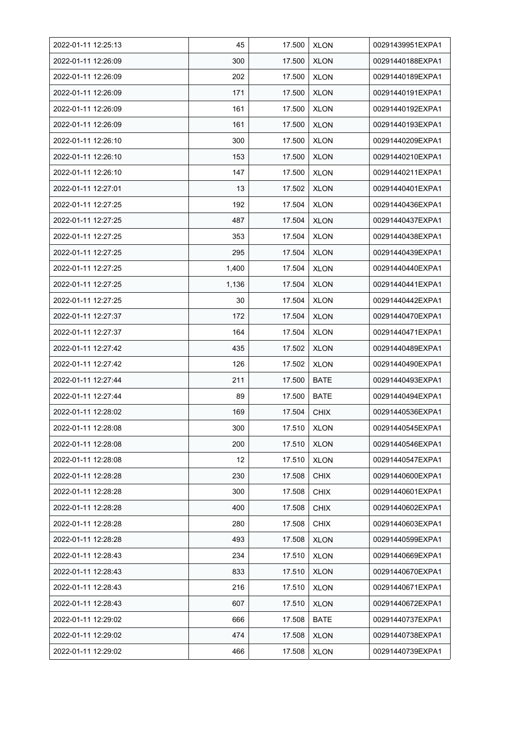| 2022-01-11 12:25:13 | 45    | 17.500 | <b>XLON</b> | 00291439951EXPA1 |
|---------------------|-------|--------|-------------|------------------|
| 2022-01-11 12:26:09 | 300   | 17.500 | <b>XLON</b> | 00291440188EXPA1 |
| 2022-01-11 12:26:09 | 202   | 17.500 | <b>XLON</b> | 00291440189EXPA1 |
| 2022-01-11 12:26:09 | 171   | 17.500 | <b>XLON</b> | 00291440191EXPA1 |
| 2022-01-11 12:26:09 | 161   | 17.500 | <b>XLON</b> | 00291440192EXPA1 |
| 2022-01-11 12:26:09 | 161   | 17.500 | <b>XLON</b> | 00291440193EXPA1 |
| 2022-01-11 12:26:10 | 300   | 17.500 | <b>XLON</b> | 00291440209EXPA1 |
| 2022-01-11 12:26:10 | 153   | 17.500 | <b>XLON</b> | 00291440210EXPA1 |
| 2022-01-11 12:26:10 | 147   | 17.500 | <b>XLON</b> | 00291440211EXPA1 |
| 2022-01-11 12:27:01 | 13    | 17.502 | <b>XLON</b> | 00291440401EXPA1 |
| 2022-01-11 12:27:25 | 192   | 17.504 | <b>XLON</b> | 00291440436EXPA1 |
| 2022-01-11 12:27:25 | 487   | 17.504 | <b>XLON</b> | 00291440437EXPA1 |
| 2022-01-11 12:27:25 | 353   | 17.504 | <b>XLON</b> | 00291440438EXPA1 |
| 2022-01-11 12:27:25 | 295   | 17.504 | <b>XLON</b> | 00291440439EXPA1 |
| 2022-01-11 12:27:25 | 1,400 | 17.504 | <b>XLON</b> | 00291440440EXPA1 |
| 2022-01-11 12:27:25 | 1,136 | 17.504 | <b>XLON</b> | 00291440441EXPA1 |
| 2022-01-11 12:27:25 | 30    | 17.504 | <b>XLON</b> | 00291440442EXPA1 |
| 2022-01-11 12:27:37 | 172   | 17.504 | <b>XLON</b> | 00291440470EXPA1 |
| 2022-01-11 12:27:37 | 164   | 17.504 | <b>XLON</b> | 00291440471EXPA1 |
| 2022-01-11 12:27:42 | 435   | 17.502 | <b>XLON</b> | 00291440489EXPA1 |
| 2022-01-11 12:27:42 | 126   | 17.502 | <b>XLON</b> | 00291440490EXPA1 |
| 2022-01-11 12:27:44 | 211   | 17.500 | <b>BATE</b> | 00291440493EXPA1 |
| 2022-01-11 12:27:44 | 89    | 17.500 | <b>BATE</b> | 00291440494EXPA1 |
| 2022-01-11 12:28:02 | 169   | 17.504 | <b>CHIX</b> | 00291440536EXPA1 |
| 2022-01-11 12:28:08 | 300   | 17.510 | <b>XLON</b> | 00291440545EXPA1 |
| 2022-01-11 12:28:08 | 200   | 17.510 | <b>XLON</b> | 00291440546EXPA1 |
| 2022-01-11 12:28:08 | 12    | 17.510 | <b>XLON</b> | 00291440547EXPA1 |
| 2022-01-11 12:28:28 | 230   | 17.508 | <b>CHIX</b> | 00291440600EXPA1 |
| 2022-01-11 12:28:28 | 300   | 17.508 | <b>CHIX</b> | 00291440601EXPA1 |
| 2022-01-11 12:28:28 | 400   | 17.508 | <b>CHIX</b> | 00291440602EXPA1 |
| 2022-01-11 12:28:28 | 280   | 17.508 | <b>CHIX</b> | 00291440603EXPA1 |
| 2022-01-11 12:28:28 | 493   | 17.508 | <b>XLON</b> | 00291440599EXPA1 |
| 2022-01-11 12:28:43 | 234   | 17.510 | <b>XLON</b> | 00291440669EXPA1 |
| 2022-01-11 12:28:43 | 833   | 17.510 | <b>XLON</b> | 00291440670EXPA1 |
| 2022-01-11 12:28:43 | 216   | 17.510 | <b>XLON</b> | 00291440671EXPA1 |
| 2022-01-11 12:28:43 | 607   | 17.510 | <b>XLON</b> | 00291440672EXPA1 |
| 2022-01-11 12:29:02 | 666   | 17.508 | <b>BATE</b> | 00291440737EXPA1 |
| 2022-01-11 12:29:02 | 474   | 17.508 | <b>XLON</b> | 00291440738EXPA1 |
| 2022-01-11 12:29:02 | 466   | 17.508 | <b>XLON</b> | 00291440739EXPA1 |
|                     |       |        |             |                  |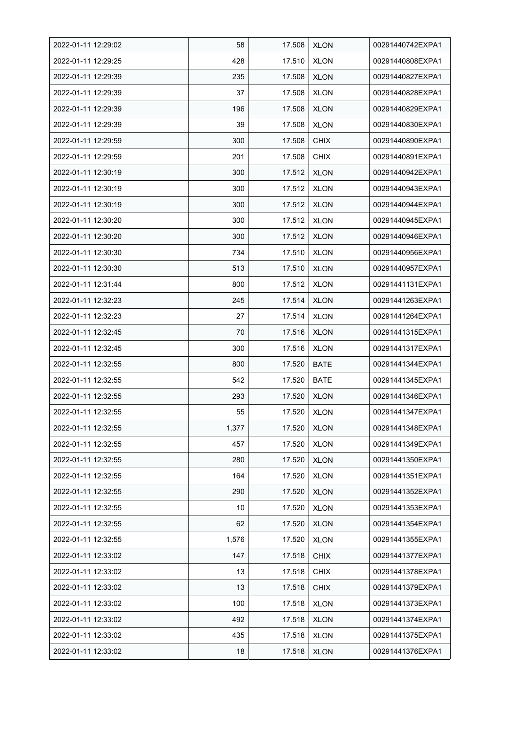| 2022-01-11 12:29:02 | 58    | 17.508 | <b>XLON</b> | 00291440742EXPA1 |
|---------------------|-------|--------|-------------|------------------|
| 2022-01-11 12:29:25 | 428   | 17.510 | <b>XLON</b> | 00291440808EXPA1 |
| 2022-01-11 12:29:39 | 235   | 17.508 | <b>XLON</b> | 00291440827EXPA1 |
| 2022-01-11 12:29:39 | 37    | 17.508 | <b>XLON</b> | 00291440828EXPA1 |
| 2022-01-11 12:29:39 | 196   | 17.508 | <b>XLON</b> | 00291440829EXPA1 |
| 2022-01-11 12:29:39 | 39    | 17.508 | <b>XLON</b> | 00291440830EXPA1 |
| 2022-01-11 12:29:59 | 300   | 17.508 | <b>CHIX</b> | 00291440890EXPA1 |
| 2022-01-11 12:29:59 | 201   | 17.508 | <b>CHIX</b> | 00291440891EXPA1 |
| 2022-01-11 12:30:19 | 300   | 17.512 | <b>XLON</b> | 00291440942EXPA1 |
| 2022-01-11 12:30:19 | 300   | 17.512 | <b>XLON</b> | 00291440943EXPA1 |
| 2022-01-11 12:30:19 | 300   | 17.512 | <b>XLON</b> | 00291440944EXPA1 |
| 2022-01-11 12:30:20 | 300   | 17.512 | XLON        | 00291440945EXPA1 |
| 2022-01-11 12:30:20 | 300   | 17.512 | <b>XLON</b> | 00291440946EXPA1 |
| 2022-01-11 12:30:30 | 734   | 17.510 | <b>XLON</b> | 00291440956EXPA1 |
| 2022-01-11 12:30:30 | 513   | 17.510 | <b>XLON</b> | 00291440957EXPA1 |
| 2022-01-11 12:31:44 | 800   | 17.512 | <b>XLON</b> | 00291441131EXPA1 |
| 2022-01-11 12:32:23 | 245   | 17.514 | <b>XLON</b> | 00291441263EXPA1 |
| 2022-01-11 12:32:23 | 27    | 17.514 | <b>XLON</b> | 00291441264EXPA1 |
| 2022-01-11 12:32:45 | 70    | 17.516 | <b>XLON</b> | 00291441315EXPA1 |
| 2022-01-11 12:32:45 | 300   | 17.516 | <b>XLON</b> | 00291441317EXPA1 |
| 2022-01-11 12:32:55 | 800   | 17.520 | <b>BATE</b> | 00291441344EXPA1 |
| 2022-01-11 12:32:55 | 542   | 17.520 | <b>BATE</b> | 00291441345EXPA1 |
| 2022-01-11 12:32:55 | 293   | 17.520 | <b>XLON</b> | 00291441346EXPA1 |
| 2022-01-11 12:32:55 | 55    | 17.520 | <b>XLON</b> | 00291441347EXPA1 |
| 2022-01-11 12:32:55 | 1,377 | 17.520 | <b>XLON</b> | 00291441348EXPA1 |
| 2022-01-11 12:32:55 | 457   | 17.520 | <b>XLON</b> | 00291441349EXPA1 |
| 2022-01-11 12:32:55 | 280   | 17.520 | <b>XLON</b> | 00291441350EXPA1 |
| 2022-01-11 12:32:55 | 164   | 17.520 | <b>XLON</b> | 00291441351EXPA1 |
| 2022-01-11 12:32:55 | 290   | 17.520 | <b>XLON</b> | 00291441352EXPA1 |
| 2022-01-11 12:32:55 | 10    | 17.520 | <b>XLON</b> | 00291441353EXPA1 |
| 2022-01-11 12:32:55 | 62    | 17.520 | <b>XLON</b> | 00291441354EXPA1 |
| 2022-01-11 12:32:55 | 1,576 | 17.520 | <b>XLON</b> | 00291441355EXPA1 |
| 2022-01-11 12:33:02 | 147   | 17.518 | <b>CHIX</b> | 00291441377EXPA1 |
| 2022-01-11 12:33:02 | 13    | 17.518 | <b>CHIX</b> | 00291441378EXPA1 |
| 2022-01-11 12:33:02 | 13    | 17.518 | <b>CHIX</b> | 00291441379EXPA1 |
| 2022-01-11 12:33:02 | 100   | 17.518 | XLON        | 00291441373EXPA1 |
| 2022-01-11 12:33:02 | 492   | 17.518 | <b>XLON</b> | 00291441374EXPA1 |
| 2022-01-11 12:33:02 | 435   | 17.518 | <b>XLON</b> | 00291441375EXPA1 |
| 2022-01-11 12:33:02 | 18    | 17.518 | <b>XLON</b> | 00291441376EXPA1 |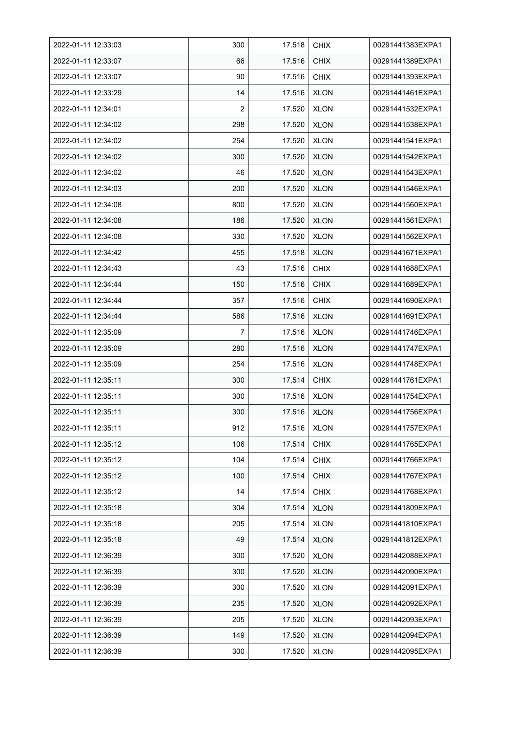| 2022-01-11 12:33:03 | 300            | 17.518 | <b>CHIX</b> | 00291441383EXPA1 |
|---------------------|----------------|--------|-------------|------------------|
| 2022-01-11 12:33:07 | 66             | 17.516 | <b>CHIX</b> | 00291441389EXPA1 |
| 2022-01-11 12:33:07 | 90             | 17.516 | <b>CHIX</b> | 00291441393EXPA1 |
| 2022-01-11 12:33:29 | 14             | 17.516 | <b>XLON</b> | 00291441461EXPA1 |
| 2022-01-11 12:34:01 | $\overline{2}$ | 17.520 | <b>XLON</b> | 00291441532EXPA1 |
| 2022-01-11 12:34:02 | 298            | 17.520 | <b>XLON</b> | 00291441538EXPA1 |
| 2022-01-11 12:34:02 | 254            | 17.520 | <b>XLON</b> | 00291441541EXPA1 |
| 2022-01-11 12:34:02 | 300            | 17.520 | XLON        | 00291441542EXPA1 |
| 2022-01-11 12:34:02 | 46             | 17.520 | <b>XLON</b> | 00291441543EXPA1 |
| 2022-01-11 12:34:03 | 200            | 17.520 | <b>XLON</b> | 00291441546EXPA1 |
| 2022-01-11 12:34:08 | 800            | 17.520 | <b>XLON</b> | 00291441560EXPA1 |
| 2022-01-11 12:34:08 | 186            | 17.520 | <b>XLON</b> | 00291441561EXPA1 |
| 2022-01-11 12:34:08 | 330            | 17.520 | <b>XLON</b> | 00291441562EXPA1 |
| 2022-01-11 12:34:42 | 455            | 17.518 | <b>XLON</b> | 00291441671EXPA1 |
| 2022-01-11 12:34:43 | 43             | 17.516 | <b>CHIX</b> | 00291441688EXPA1 |
| 2022-01-11 12:34:44 | 150            | 17.516 | <b>CHIX</b> | 00291441689EXPA1 |
| 2022-01-11 12:34:44 | 357            | 17.516 | <b>CHIX</b> | 00291441690EXPA1 |
| 2022-01-11 12:34:44 | 586            | 17.516 | <b>XLON</b> | 00291441691EXPA1 |
| 2022-01-11 12:35:09 | 7              | 17.516 | <b>XLON</b> | 00291441746EXPA1 |
| 2022-01-11 12:35:09 | 280            | 17.516 | <b>XLON</b> | 00291441747EXPA1 |
| 2022-01-11 12:35:09 | 254            | 17.516 | <b>XLON</b> | 00291441748EXPA1 |
| 2022-01-11 12:35:11 | 300            | 17.514 | <b>CHIX</b> | 00291441761EXPA1 |
| 2022-01-11 12:35:11 | 300            | 17.516 | <b>XLON</b> | 00291441754EXPA1 |
| 2022-01-11 12:35:11 | 300            | 17.516 | <b>XLON</b> | 00291441756EXPA1 |
| 2022-01-11 12:35:11 | 912            | 17.516 | <b>XLON</b> | 00291441757EXPA1 |
| 2022-01-11 12:35:12 | 106            | 17.514 | <b>CHIX</b> | 00291441765EXPA1 |
| 2022-01-11 12:35:12 | 104            | 17.514 | <b>CHIX</b> | 00291441766EXPA1 |
| 2022-01-11 12:35:12 | 100            | 17.514 | <b>CHIX</b> | 00291441767EXPA1 |
| 2022-01-11 12:35:12 | 14             | 17.514 | <b>CHIX</b> | 00291441768EXPA1 |
| 2022-01-11 12:35:18 | 304            | 17.514 | <b>XLON</b> | 00291441809EXPA1 |
| 2022-01-11 12:35:18 | 205            | 17.514 | XLON        | 00291441810EXPA1 |
| 2022-01-11 12:35:18 | 49             | 17.514 | <b>XLON</b> | 00291441812EXPA1 |
| 2022-01-11 12:36:39 | 300            | 17.520 | <b>XLON</b> | 00291442088EXPA1 |
| 2022-01-11 12:36:39 | 300            | 17.520 | <b>XLON</b> | 00291442090EXPA1 |
| 2022-01-11 12:36:39 | 300            | 17.520 | <b>XLON</b> | 00291442091EXPA1 |
| 2022-01-11 12:36:39 | 235            | 17.520 | <b>XLON</b> | 00291442092EXPA1 |
| 2022-01-11 12:36:39 | 205            | 17.520 | <b>XLON</b> | 00291442093EXPA1 |
| 2022-01-11 12:36:39 | 149            | 17.520 | <b>XLON</b> | 00291442094EXPA1 |
| 2022-01-11 12:36:39 | 300            | 17.520 | <b>XLON</b> | 00291442095EXPA1 |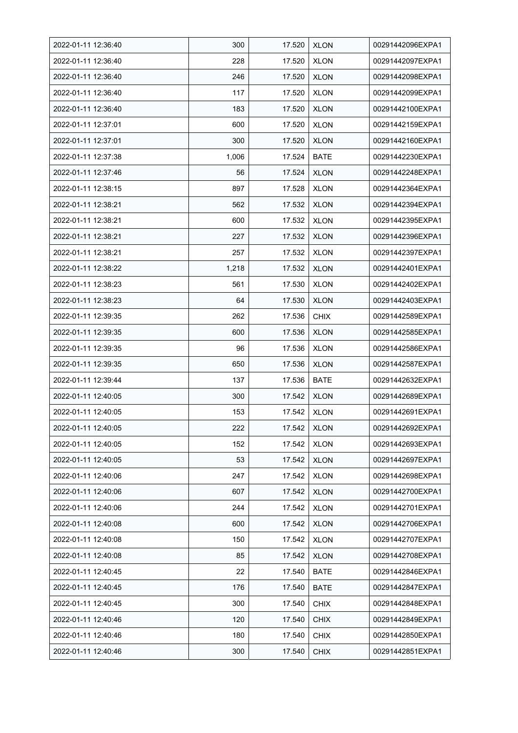| 2022-01-11 12:36:40 | 300   | 17.520 | <b>XLON</b> | 00291442096EXPA1 |
|---------------------|-------|--------|-------------|------------------|
| 2022-01-11 12:36:40 | 228   | 17.520 | <b>XLON</b> | 00291442097EXPA1 |
| 2022-01-11 12:36:40 | 246   | 17.520 | <b>XLON</b> | 00291442098EXPA1 |
| 2022-01-11 12:36:40 | 117   | 17.520 | <b>XLON</b> | 00291442099EXPA1 |
| 2022-01-11 12:36:40 | 183   | 17.520 | <b>XLON</b> | 00291442100EXPA1 |
| 2022-01-11 12:37:01 | 600   | 17.520 | <b>XLON</b> | 00291442159EXPA1 |
| 2022-01-11 12:37:01 | 300   | 17.520 | <b>XLON</b> | 00291442160EXPA1 |
| 2022-01-11 12:37:38 | 1,006 | 17.524 | <b>BATE</b> | 00291442230EXPA1 |
| 2022-01-11 12:37:46 | 56    | 17.524 | <b>XLON</b> | 00291442248EXPA1 |
| 2022-01-11 12:38:15 | 897   | 17.528 | <b>XLON</b> | 00291442364EXPA1 |
| 2022-01-11 12:38:21 | 562   | 17.532 | <b>XLON</b> | 00291442394EXPA1 |
| 2022-01-11 12:38:21 | 600   | 17.532 | <b>XLON</b> | 00291442395EXPA1 |
| 2022-01-11 12:38:21 | 227   | 17.532 | <b>XLON</b> | 00291442396EXPA1 |
| 2022-01-11 12:38:21 | 257   | 17.532 | XLON        | 00291442397EXPA1 |
| 2022-01-11 12:38:22 | 1,218 | 17.532 | <b>XLON</b> | 00291442401EXPA1 |
| 2022-01-11 12:38:23 | 561   | 17.530 | <b>XLON</b> | 00291442402EXPA1 |
| 2022-01-11 12:38:23 | 64    | 17.530 | <b>XLON</b> | 00291442403EXPA1 |
| 2022-01-11 12:39:35 | 262   | 17.536 | <b>CHIX</b> | 00291442589EXPA1 |
| 2022-01-11 12:39:35 | 600   | 17.536 | <b>XLON</b> | 00291442585EXPA1 |
| 2022-01-11 12:39:35 | 96    | 17.536 | <b>XLON</b> | 00291442586EXPA1 |
| 2022-01-11 12:39:35 | 650   | 17.536 | <b>XLON</b> | 00291442587EXPA1 |
| 2022-01-11 12:39:44 | 137   | 17.536 | <b>BATE</b> | 00291442632EXPA1 |
| 2022-01-11 12:40:05 | 300   | 17.542 | <b>XLON</b> | 00291442689EXPA1 |
| 2022-01-11 12:40:05 | 153   | 17.542 | <b>XLON</b> | 00291442691EXPA1 |
| 2022-01-11 12:40:05 | 222   | 17.542 | <b>XLON</b> | 00291442692EXPA1 |
| 2022-01-11 12:40:05 | 152   | 17.542 | <b>XLON</b> | 00291442693EXPA1 |
| 2022-01-11 12:40:05 | 53    | 17.542 | <b>XLON</b> | 00291442697EXPA1 |
| 2022-01-11 12:40:06 | 247   | 17.542 | <b>XLON</b> | 00291442698EXPA1 |
| 2022-01-11 12:40:06 | 607   | 17.542 | <b>XLON</b> | 00291442700EXPA1 |
| 2022-01-11 12:40:06 | 244   | 17.542 | <b>XLON</b> | 00291442701EXPA1 |
| 2022-01-11 12:40:08 | 600   | 17.542 | <b>XLON</b> | 00291442706EXPA1 |
| 2022-01-11 12:40:08 | 150   | 17.542 | XLON        | 00291442707EXPA1 |
| 2022-01-11 12:40:08 | 85    | 17.542 | <b>XLON</b> | 00291442708EXPA1 |
| 2022-01-11 12:40:45 | 22    | 17.540 | <b>BATE</b> | 00291442846EXPA1 |
| 2022-01-11 12:40:45 | 176   | 17.540 | <b>BATE</b> | 00291442847EXPA1 |
| 2022-01-11 12:40:45 | 300   | 17.540 | <b>CHIX</b> | 00291442848EXPA1 |
| 2022-01-11 12:40:46 | 120   | 17.540 | <b>CHIX</b> | 00291442849EXPA1 |
| 2022-01-11 12:40:46 | 180   | 17.540 | <b>CHIX</b> | 00291442850EXPA1 |
| 2022-01-11 12:40:46 | 300   | 17.540 | <b>CHIX</b> | 00291442851EXPA1 |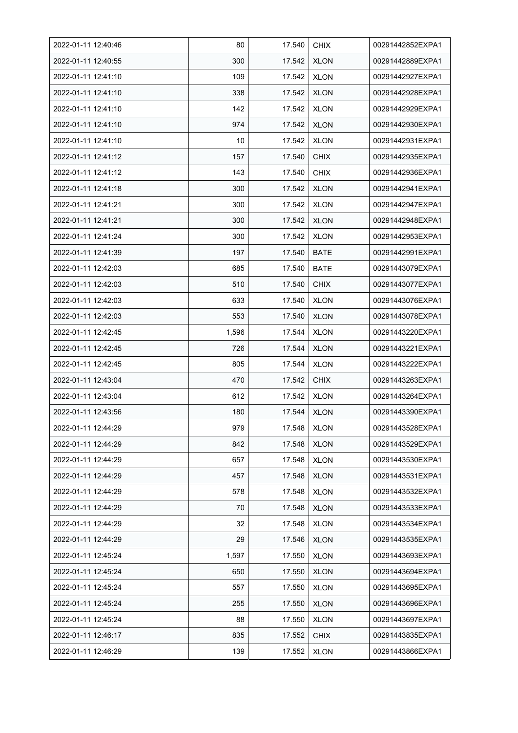| 2022-01-11 12:40:46 | 80    | 17.540 | <b>CHIX</b> | 00291442852EXPA1 |
|---------------------|-------|--------|-------------|------------------|
| 2022-01-11 12:40:55 | 300   | 17.542 | <b>XLON</b> | 00291442889EXPA1 |
| 2022-01-11 12:41:10 | 109   | 17.542 | <b>XLON</b> | 00291442927EXPA1 |
| 2022-01-11 12:41:10 | 338   | 17.542 | <b>XLON</b> | 00291442928EXPA1 |
| 2022-01-11 12:41:10 | 142   | 17.542 | <b>XLON</b> | 00291442929EXPA1 |
| 2022-01-11 12:41:10 | 974   | 17.542 | <b>XLON</b> | 00291442930EXPA1 |
| 2022-01-11 12:41:10 | 10    | 17.542 | <b>XLON</b> | 00291442931EXPA1 |
| 2022-01-11 12:41:12 | 157   | 17.540 | <b>CHIX</b> | 00291442935EXPA1 |
| 2022-01-11 12:41:12 | 143   | 17.540 | <b>CHIX</b> | 00291442936EXPA1 |
| 2022-01-11 12:41:18 | 300   | 17.542 | <b>XLON</b> | 00291442941EXPA1 |
| 2022-01-11 12:41:21 | 300   | 17.542 | <b>XLON</b> | 00291442947EXPA1 |
| 2022-01-11 12:41:21 | 300   | 17.542 | <b>XLON</b> | 00291442948EXPA1 |
| 2022-01-11 12:41:24 | 300   | 17.542 | <b>XLON</b> | 00291442953EXPA1 |
| 2022-01-11 12:41:39 | 197   | 17.540 | <b>BATE</b> | 00291442991EXPA1 |
| 2022-01-11 12:42:03 | 685   | 17.540 | <b>BATE</b> | 00291443079EXPA1 |
| 2022-01-11 12:42:03 | 510   | 17.540 | <b>CHIX</b> | 00291443077EXPA1 |
| 2022-01-11 12:42:03 | 633   | 17.540 | <b>XLON</b> | 00291443076EXPA1 |
| 2022-01-11 12:42:03 | 553   | 17.540 | <b>XLON</b> | 00291443078EXPA1 |
| 2022-01-11 12:42:45 | 1,596 | 17.544 | <b>XLON</b> | 00291443220EXPA1 |
| 2022-01-11 12:42:45 | 726   | 17.544 | <b>XLON</b> | 00291443221EXPA1 |
| 2022-01-11 12:42:45 | 805   | 17.544 | <b>XLON</b> | 00291443222EXPA1 |
| 2022-01-11 12:43:04 | 470   | 17.542 | <b>CHIX</b> | 00291443263EXPA1 |
| 2022-01-11 12:43:04 | 612   | 17.542 | <b>XLON</b> | 00291443264EXPA1 |
| 2022-01-11 12:43:56 | 180   | 17.544 | <b>XLON</b> | 00291443390EXPA1 |
| 2022-01-11 12:44:29 | 979   | 17.548 | <b>XLON</b> | 00291443528EXPA1 |
| 2022-01-11 12:44:29 | 842   | 17.548 | <b>XLON</b> | 00291443529EXPA1 |
| 2022-01-11 12:44:29 | 657   | 17.548 | <b>XLON</b> | 00291443530EXPA1 |
| 2022-01-11 12:44:29 | 457   | 17.548 | <b>XLON</b> | 00291443531EXPA1 |
| 2022-01-11 12:44:29 | 578   | 17.548 | <b>XLON</b> | 00291443532EXPA1 |
| 2022-01-11 12:44:29 | 70    | 17.548 | <b>XLON</b> | 00291443533EXPA1 |
| 2022-01-11 12:44:29 | 32    | 17.548 | XLON        | 00291443534EXPA1 |
| 2022-01-11 12:44:29 | 29    | 17.546 | <b>XLON</b> | 00291443535EXPA1 |
| 2022-01-11 12:45:24 | 1,597 | 17.550 | <b>XLON</b> | 00291443693EXPA1 |
| 2022-01-11 12:45:24 | 650   | 17.550 | <b>XLON</b> | 00291443694EXPA1 |
| 2022-01-11 12:45:24 | 557   | 17.550 | <b>XLON</b> | 00291443695EXPA1 |
| 2022-01-11 12:45:24 | 255   | 17.550 | <b>XLON</b> | 00291443696EXPA1 |
| 2022-01-11 12:45:24 | 88    | 17.550 | <b>XLON</b> | 00291443697EXPA1 |
| 2022-01-11 12:46:17 | 835   | 17.552 | <b>CHIX</b> | 00291443835EXPA1 |
| 2022-01-11 12:46:29 | 139   | 17.552 | <b>XLON</b> | 00291443866EXPA1 |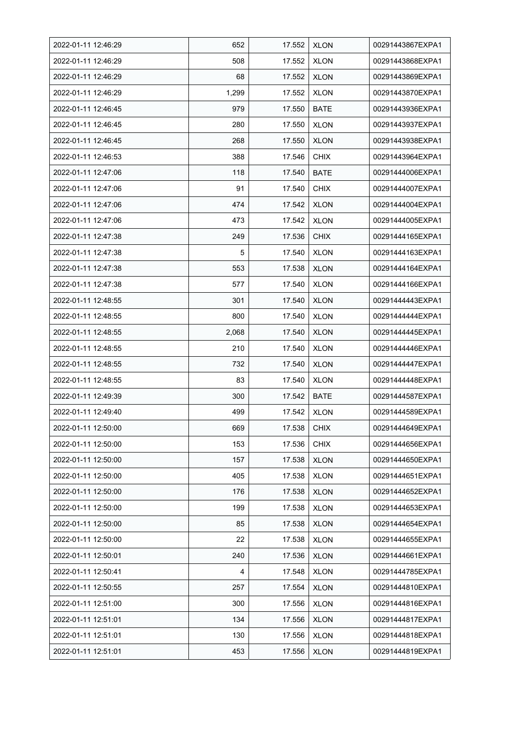| 2022-01-11 12:46:29 | 652   | 17.552 | <b>XLON</b> | 00291443867EXPA1 |
|---------------------|-------|--------|-------------|------------------|
| 2022-01-11 12:46:29 | 508   | 17.552 | <b>XLON</b> | 00291443868EXPA1 |
| 2022-01-11 12:46:29 | 68    | 17.552 | <b>XLON</b> | 00291443869EXPA1 |
| 2022-01-11 12:46:29 | 1,299 | 17.552 | <b>XLON</b> | 00291443870EXPA1 |
| 2022-01-11 12:46:45 | 979   | 17.550 | <b>BATE</b> | 00291443936EXPA1 |
| 2022-01-11 12:46:45 | 280   | 17.550 | <b>XLON</b> | 00291443937EXPA1 |
| 2022-01-11 12:46:45 | 268   | 17.550 | <b>XLON</b> | 00291443938EXPA1 |
| 2022-01-11 12:46:53 | 388   | 17.546 | <b>CHIX</b> | 00291443964EXPA1 |
| 2022-01-11 12:47:06 | 118   | 17.540 | <b>BATE</b> | 00291444006EXPA1 |
| 2022-01-11 12:47:06 | 91    | 17.540 | <b>CHIX</b> | 00291444007EXPA1 |
| 2022-01-11 12:47:06 | 474   | 17.542 | <b>XLON</b> | 00291444004EXPA1 |
| 2022-01-11 12:47:06 | 473   | 17.542 | <b>XLON</b> | 00291444005EXPA1 |
| 2022-01-11 12:47:38 | 249   | 17.536 | <b>CHIX</b> | 00291444165EXPA1 |
| 2022-01-11 12:47:38 | 5     | 17.540 | <b>XLON</b> | 00291444163EXPA1 |
| 2022-01-11 12:47:38 | 553   | 17.538 | <b>XLON</b> | 00291444164EXPA1 |
| 2022-01-11 12:47:38 | 577   | 17.540 | <b>XLON</b> | 00291444166EXPA1 |
| 2022-01-11 12:48:55 | 301   | 17.540 | <b>XLON</b> | 00291444443EXPA1 |
| 2022-01-11 12:48:55 | 800   | 17.540 | XLON        | 00291444444EXPA1 |
| 2022-01-11 12:48:55 | 2,068 | 17.540 | <b>XLON</b> | 00291444445EXPA1 |
| 2022-01-11 12:48:55 | 210   | 17.540 | <b>XLON</b> | 00291444446EXPA1 |
| 2022-01-11 12:48:55 | 732   | 17.540 | <b>XLON</b> | 00291444447EXPA1 |
| 2022-01-11 12:48:55 | 83    | 17.540 | <b>XLON</b> | 00291444448EXPA1 |
| 2022-01-11 12:49:39 | 300   | 17.542 | <b>BATE</b> | 00291444587EXPA1 |
| 2022-01-11 12:49:40 | 499   | 17.542 | <b>XLON</b> | 00291444589EXPA1 |
| 2022-01-11 12:50:00 | 669   | 17.538 | <b>CHIX</b> | 00291444649EXPA1 |
| 2022-01-11 12:50:00 | 153   | 17.536 | CHIX        | 00291444656EXPA1 |
| 2022-01-11 12:50:00 | 157   | 17.538 | <b>XLON</b> | 00291444650EXPA1 |
| 2022-01-11 12:50:00 | 405   | 17.538 | <b>XLON</b> | 00291444651EXPA1 |
| 2022-01-11 12:50:00 | 176   | 17.538 | <b>XLON</b> | 00291444652EXPA1 |
| 2022-01-11 12:50:00 | 199   | 17.538 | <b>XLON</b> | 00291444653EXPA1 |
| 2022-01-11 12:50:00 | 85    | 17.538 | <b>XLON</b> | 00291444654EXPA1 |
| 2022-01-11 12:50:00 | 22    | 17.538 | <b>XLON</b> | 00291444655EXPA1 |
| 2022-01-11 12:50:01 | 240   | 17.536 | <b>XLON</b> | 00291444661EXPA1 |
| 2022-01-11 12:50:41 | 4     | 17.548 | <b>XLON</b> | 00291444785EXPA1 |
| 2022-01-11 12:50:55 | 257   | 17.554 | <b>XLON</b> | 00291444810EXPA1 |
| 2022-01-11 12:51:00 | 300   | 17.556 | XLON        | 00291444816EXPA1 |
| 2022-01-11 12:51:01 | 134   | 17.556 | <b>XLON</b> | 00291444817EXPA1 |
| 2022-01-11 12:51:01 | 130   | 17.556 | <b>XLON</b> | 00291444818EXPA1 |
| 2022-01-11 12:51:01 | 453   | 17.556 | <b>XLON</b> | 00291444819EXPA1 |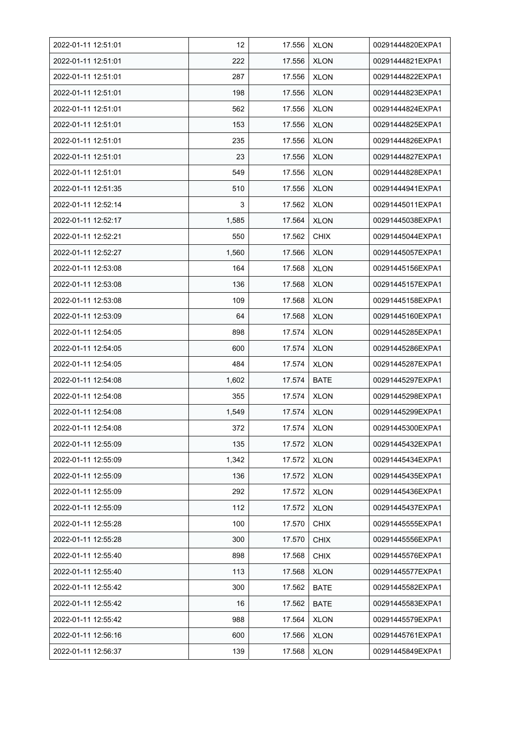| 2022-01-11 12:51:01 | 12    | 17.556 | <b>XLON</b> | 00291444820EXPA1 |
|---------------------|-------|--------|-------------|------------------|
| 2022-01-11 12:51:01 | 222   | 17.556 | <b>XLON</b> | 00291444821EXPA1 |
| 2022-01-11 12:51:01 | 287   | 17.556 | <b>XLON</b> | 00291444822EXPA1 |
| 2022-01-11 12:51:01 | 198   | 17.556 | <b>XLON</b> | 00291444823EXPA1 |
| 2022-01-11 12:51:01 | 562   | 17.556 | <b>XLON</b> | 00291444824EXPA1 |
| 2022-01-11 12:51:01 | 153   | 17.556 | <b>XLON</b> | 00291444825EXPA1 |
| 2022-01-11 12:51:01 | 235   | 17.556 | <b>XLON</b> | 00291444826EXPA1 |
| 2022-01-11 12:51:01 | 23    | 17.556 | <b>XLON</b> | 00291444827EXPA1 |
| 2022-01-11 12:51:01 | 549   | 17.556 | <b>XLON</b> | 00291444828EXPA1 |
| 2022-01-11 12:51:35 | 510   | 17.556 | <b>XLON</b> | 00291444941EXPA1 |
| 2022-01-11 12:52:14 | 3     | 17.562 | <b>XLON</b> | 00291445011EXPA1 |
| 2022-01-11 12:52:17 | 1,585 | 17.564 | <b>XLON</b> | 00291445038EXPA1 |
| 2022-01-11 12:52:21 | 550   | 17.562 | <b>CHIX</b> | 00291445044EXPA1 |
| 2022-01-11 12:52:27 | 1,560 | 17.566 | <b>XLON</b> | 00291445057EXPA1 |
| 2022-01-11 12:53:08 | 164   | 17.568 | <b>XLON</b> | 00291445156EXPA1 |
| 2022-01-11 12:53:08 | 136   | 17.568 | <b>XLON</b> | 00291445157EXPA1 |
| 2022-01-11 12:53:08 | 109   | 17.568 | <b>XLON</b> | 00291445158EXPA1 |
| 2022-01-11 12:53:09 | 64    | 17.568 | <b>XLON</b> | 00291445160EXPA1 |
| 2022-01-11 12:54:05 | 898   | 17.574 | <b>XLON</b> | 00291445285EXPA1 |
| 2022-01-11 12:54:05 | 600   | 17.574 | <b>XLON</b> | 00291445286EXPA1 |
| 2022-01-11 12:54:05 | 484   | 17.574 | <b>XLON</b> | 00291445287EXPA1 |
| 2022-01-11 12:54:08 | 1,602 | 17.574 | <b>BATE</b> | 00291445297EXPA1 |
| 2022-01-11 12:54:08 | 355   | 17.574 | <b>XLON</b> | 00291445298EXPA1 |
| 2022-01-11 12:54:08 | 1,549 | 17.574 | <b>XLON</b> | 00291445299EXPA1 |
| 2022-01-11 12:54:08 | 372   | 17.574 | <b>XLON</b> | 00291445300EXPA1 |
| 2022-01-11 12:55:09 | 135   | 17.572 | <b>XLON</b> | 00291445432EXPA1 |
| 2022-01-11 12:55:09 | 1,342 | 17.572 | <b>XLON</b> | 00291445434EXPA1 |
| 2022-01-11 12:55:09 | 136   | 17.572 | <b>XLON</b> | 00291445435EXPA1 |
| 2022-01-11 12:55:09 | 292   | 17.572 | <b>XLON</b> | 00291445436EXPA1 |
| 2022-01-11 12:55:09 | 112   | 17.572 | <b>XLON</b> | 00291445437EXPA1 |
| 2022-01-11 12:55:28 | 100   | 17.570 | <b>CHIX</b> | 00291445555EXPA1 |
| 2022-01-11 12:55:28 | 300   | 17.570 | <b>CHIX</b> | 00291445556EXPA1 |
| 2022-01-11 12:55:40 | 898   | 17.568 | <b>CHIX</b> | 00291445576EXPA1 |
| 2022-01-11 12:55:40 | 113   | 17.568 | <b>XLON</b> | 00291445577EXPA1 |
| 2022-01-11 12:55:42 | 300   | 17.562 | BATE        | 00291445582EXPA1 |
| 2022-01-11 12:55:42 | 16    | 17.562 | <b>BATE</b> | 00291445583EXPA1 |
| 2022-01-11 12:55:42 | 988   | 17.564 | <b>XLON</b> | 00291445579EXPA1 |
| 2022-01-11 12:56:16 | 600   | 17.566 | <b>XLON</b> | 00291445761EXPA1 |
| 2022-01-11 12:56:37 | 139   | 17.568 | <b>XLON</b> | 00291445849EXPA1 |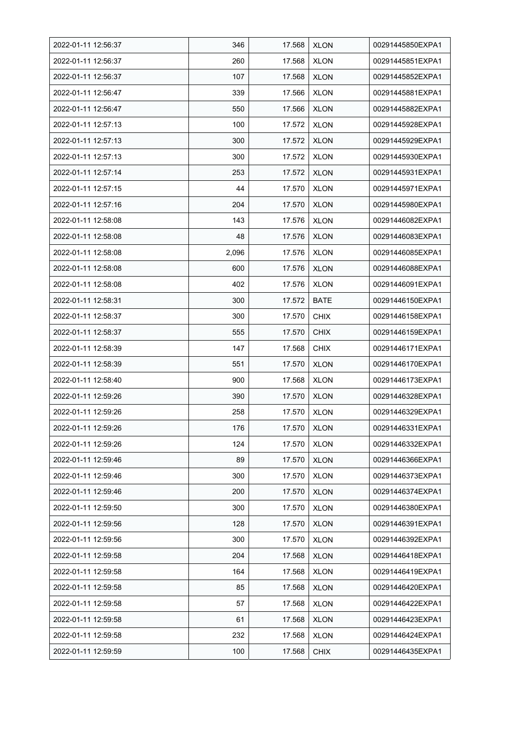| 2022-01-11 12:56:37 | 346   | 17.568 | <b>XLON</b> | 00291445850EXPA1 |
|---------------------|-------|--------|-------------|------------------|
| 2022-01-11 12:56:37 | 260   | 17.568 | <b>XLON</b> | 00291445851EXPA1 |
| 2022-01-11 12:56:37 | 107   | 17.568 | <b>XLON</b> | 00291445852EXPA1 |
| 2022-01-11 12:56:47 | 339   | 17.566 | <b>XLON</b> | 00291445881EXPA1 |
| 2022-01-11 12:56:47 | 550   | 17.566 | <b>XLON</b> | 00291445882EXPA1 |
| 2022-01-11 12:57:13 | 100   | 17.572 | <b>XLON</b> | 00291445928EXPA1 |
| 2022-01-11 12:57:13 | 300   | 17.572 | <b>XLON</b> | 00291445929EXPA1 |
| 2022-01-11 12:57:13 | 300   | 17.572 | <b>XLON</b> | 00291445930EXPA1 |
| 2022-01-11 12:57:14 | 253   | 17.572 | <b>XLON</b> | 00291445931EXPA1 |
| 2022-01-11 12:57:15 | 44    | 17.570 | <b>XLON</b> | 00291445971EXPA1 |
| 2022-01-11 12:57:16 | 204   | 17.570 | <b>XLON</b> | 00291445980EXPA1 |
| 2022-01-11 12:58:08 | 143   | 17.576 | <b>XLON</b> | 00291446082EXPA1 |
| 2022-01-11 12:58:08 | 48    | 17.576 | <b>XLON</b> | 00291446083EXPA1 |
| 2022-01-11 12:58:08 | 2,096 | 17.576 | <b>XLON</b> | 00291446085EXPA1 |
| 2022-01-11 12:58:08 | 600   | 17.576 | <b>XLON</b> | 00291446088EXPA1 |
| 2022-01-11 12:58:08 | 402   | 17.576 | <b>XLON</b> | 00291446091EXPA1 |
| 2022-01-11 12:58:31 | 300   | 17.572 | <b>BATE</b> | 00291446150EXPA1 |
| 2022-01-11 12:58:37 | 300   | 17.570 | <b>CHIX</b> | 00291446158EXPA1 |
| 2022-01-11 12:58:37 | 555   | 17.570 | <b>CHIX</b> | 00291446159EXPA1 |
| 2022-01-11 12:58:39 | 147   | 17.568 | <b>CHIX</b> | 00291446171EXPA1 |
| 2022-01-11 12:58:39 | 551   | 17.570 | <b>XLON</b> | 00291446170EXPA1 |
| 2022-01-11 12:58:40 | 900   | 17.568 | <b>XLON</b> | 00291446173EXPA1 |
| 2022-01-11 12:59:26 | 390   | 17.570 | <b>XLON</b> | 00291446328EXPA1 |
| 2022-01-11 12:59:26 | 258   | 17.570 | <b>XLON</b> | 00291446329EXPA1 |
| 2022-01-11 12:59:26 | 176   | 17.570 | <b>XLON</b> | 00291446331EXPA1 |
| 2022-01-11 12:59:26 | 124   | 17.570 | <b>XLON</b> | 00291446332EXPA1 |
| 2022-01-11 12:59:46 | 89    | 17.570 | <b>XLON</b> | 00291446366EXPA1 |
| 2022-01-11 12:59:46 | 300   | 17.570 | <b>XLON</b> | 00291446373EXPA1 |
| 2022-01-11 12:59:46 | 200   | 17.570 | <b>XLON</b> | 00291446374EXPA1 |
| 2022-01-11 12:59:50 | 300   | 17.570 | <b>XLON</b> | 00291446380EXPA1 |
| 2022-01-11 12:59:56 | 128   | 17.570 | <b>XLON</b> | 00291446391EXPA1 |
| 2022-01-11 12:59:56 | 300   | 17.570 | <b>XLON</b> | 00291446392EXPA1 |
| 2022-01-11 12:59:58 | 204   | 17.568 | <b>XLON</b> | 00291446418EXPA1 |
| 2022-01-11 12:59:58 | 164   | 17.568 | <b>XLON</b> | 00291446419EXPA1 |
| 2022-01-11 12:59:58 | 85    | 17.568 | <b>XLON</b> | 00291446420EXPA1 |
| 2022-01-11 12:59:58 | 57    | 17.568 | <b>XLON</b> | 00291446422EXPA1 |
| 2022-01-11 12:59:58 | 61    | 17.568 | <b>XLON</b> | 00291446423EXPA1 |
| 2022-01-11 12:59:58 | 232   | 17.568 | <b>XLON</b> | 00291446424EXPA1 |
| 2022-01-11 12:59:59 | 100   | 17.568 | <b>CHIX</b> | 00291446435EXPA1 |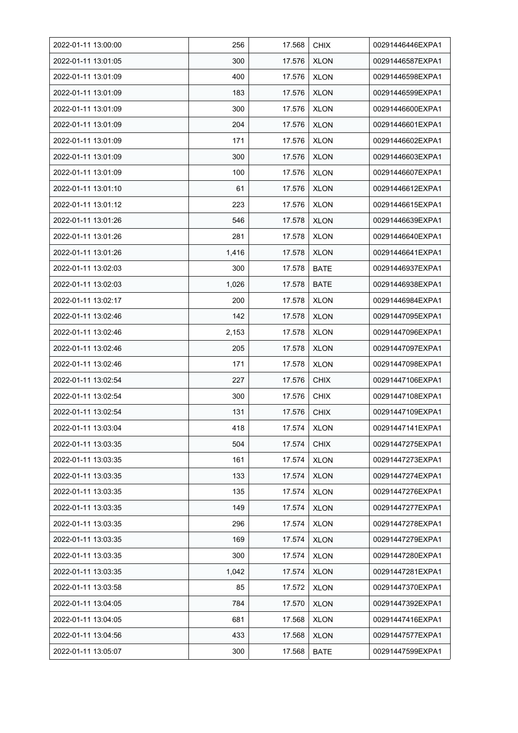| 2022-01-11 13:00:00 | 256   | 17.568 | <b>CHIX</b> | 00291446446EXPA1 |
|---------------------|-------|--------|-------------|------------------|
| 2022-01-11 13:01:05 | 300   | 17.576 | <b>XLON</b> | 00291446587EXPA1 |
| 2022-01-11 13:01:09 | 400   | 17.576 | <b>XLON</b> | 00291446598EXPA1 |
| 2022-01-11 13:01:09 | 183   | 17.576 | <b>XLON</b> | 00291446599EXPA1 |
| 2022-01-11 13:01:09 | 300   | 17.576 | <b>XLON</b> | 00291446600EXPA1 |
| 2022-01-11 13:01:09 | 204   | 17.576 | <b>XLON</b> | 00291446601EXPA1 |
| 2022-01-11 13:01:09 | 171   | 17.576 | <b>XLON</b> | 00291446602EXPA1 |
| 2022-01-11 13:01:09 | 300   | 17.576 | <b>XLON</b> | 00291446603EXPA1 |
| 2022-01-11 13:01:09 | 100   | 17.576 | <b>XLON</b> | 00291446607EXPA1 |
| 2022-01-11 13:01:10 | 61    | 17.576 | <b>XLON</b> | 00291446612EXPA1 |
| 2022-01-11 13:01:12 | 223   | 17.576 | <b>XLON</b> | 00291446615EXPA1 |
| 2022-01-11 13:01:26 | 546   | 17.578 | <b>XLON</b> | 00291446639EXPA1 |
| 2022-01-11 13:01:26 | 281   | 17.578 | <b>XLON</b> | 00291446640EXPA1 |
| 2022-01-11 13:01:26 | 1,416 | 17.578 | <b>XLON</b> | 00291446641EXPA1 |
| 2022-01-11 13:02:03 | 300   | 17.578 | <b>BATE</b> | 00291446937EXPA1 |
| 2022-01-11 13:02:03 | 1,026 | 17.578 | <b>BATE</b> | 00291446938EXPA1 |
| 2022-01-11 13:02:17 | 200   | 17.578 | <b>XLON</b> | 00291446984EXPA1 |
| 2022-01-11 13:02:46 | 142   | 17.578 | <b>XLON</b> | 00291447095EXPA1 |
| 2022-01-11 13:02:46 | 2,153 | 17.578 | <b>XLON</b> | 00291447096EXPA1 |
| 2022-01-11 13:02:46 | 205   | 17.578 | <b>XLON</b> | 00291447097EXPA1 |
| 2022-01-11 13:02:46 | 171   | 17.578 | <b>XLON</b> | 00291447098EXPA1 |
| 2022-01-11 13:02:54 | 227   | 17.576 | <b>CHIX</b> | 00291447106EXPA1 |
| 2022-01-11 13:02:54 | 300   | 17.576 | <b>CHIX</b> | 00291447108EXPA1 |
| 2022-01-11 13:02:54 | 131   | 17.576 | <b>CHIX</b> | 00291447109EXPA1 |
| 2022-01-11 13:03:04 | 418   | 17.574 | <b>XLON</b> | 00291447141EXPA1 |
| 2022-01-11 13:03:35 | 504   | 17.574 | <b>CHIX</b> | 00291447275EXPA1 |
| 2022-01-11 13:03:35 | 161   | 17.574 | <b>XLON</b> | 00291447273EXPA1 |
| 2022-01-11 13:03:35 | 133   | 17.574 | <b>XLON</b> | 00291447274EXPA1 |
| 2022-01-11 13:03:35 | 135   | 17.574 | <b>XLON</b> | 00291447276EXPA1 |
| 2022-01-11 13:03:35 | 149   | 17.574 | <b>XLON</b> | 00291447277EXPA1 |
| 2022-01-11 13:03:35 | 296   | 17.574 | <b>XLON</b> | 00291447278EXPA1 |
| 2022-01-11 13:03:35 | 169   | 17.574 | <b>XLON</b> | 00291447279EXPA1 |
| 2022-01-11 13:03:35 | 300   | 17.574 | <b>XLON</b> | 00291447280EXPA1 |
| 2022-01-11 13:03:35 | 1,042 | 17.574 | <b>XLON</b> | 00291447281EXPA1 |
| 2022-01-11 13:03:58 | 85    | 17.572 | <b>XLON</b> | 00291447370EXPA1 |
| 2022-01-11 13:04:05 | 784   | 17.570 | <b>XLON</b> | 00291447392EXPA1 |
| 2022-01-11 13:04:05 | 681   | 17.568 | <b>XLON</b> | 00291447416EXPA1 |
| 2022-01-11 13:04:56 | 433   | 17.568 | <b>XLON</b> | 00291447577EXPA1 |
| 2022-01-11 13:05:07 | 300   | 17.568 | <b>BATE</b> | 00291447599EXPA1 |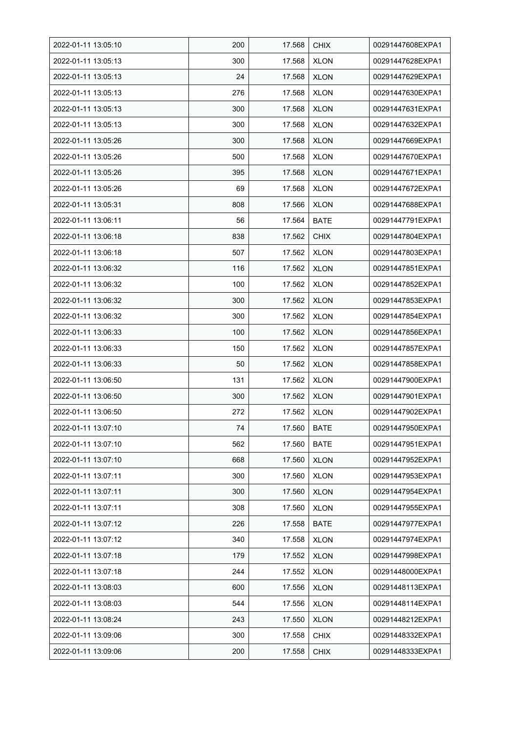| 2022-01-11 13:05:10 | 200 | 17.568 | <b>CHIX</b> | 00291447608EXPA1 |
|---------------------|-----|--------|-------------|------------------|
| 2022-01-11 13:05:13 | 300 | 17.568 | <b>XLON</b> | 00291447628EXPA1 |
| 2022-01-11 13:05:13 | 24  | 17.568 | <b>XLON</b> | 00291447629EXPA1 |
| 2022-01-11 13:05:13 | 276 | 17.568 | <b>XLON</b> | 00291447630EXPA1 |
| 2022-01-11 13:05:13 | 300 | 17.568 | <b>XLON</b> | 00291447631EXPA1 |
| 2022-01-11 13:05:13 | 300 | 17.568 | <b>XLON</b> | 00291447632EXPA1 |
| 2022-01-11 13:05:26 | 300 | 17.568 | <b>XLON</b> | 00291447669EXPA1 |
| 2022-01-11 13:05:26 | 500 | 17.568 | <b>XLON</b> | 00291447670EXPA1 |
| 2022-01-11 13:05:26 | 395 | 17.568 | <b>XLON</b> | 00291447671EXPA1 |
| 2022-01-11 13:05:26 | 69  | 17.568 | <b>XLON</b> | 00291447672EXPA1 |
| 2022-01-11 13:05:31 | 808 | 17.566 | <b>XLON</b> | 00291447688EXPA1 |
| 2022-01-11 13:06:11 | 56  | 17.564 | <b>BATE</b> | 00291447791EXPA1 |
| 2022-01-11 13:06:18 | 838 | 17.562 | <b>CHIX</b> | 00291447804EXPA1 |
| 2022-01-11 13:06:18 | 507 | 17.562 | <b>XLON</b> | 00291447803EXPA1 |
| 2022-01-11 13:06:32 | 116 | 17.562 | <b>XLON</b> | 00291447851EXPA1 |
| 2022-01-11 13:06:32 | 100 | 17.562 | <b>XLON</b> | 00291447852EXPA1 |
| 2022-01-11 13:06:32 | 300 | 17.562 | <b>XLON</b> | 00291447853EXPA1 |
| 2022-01-11 13:06:32 | 300 | 17.562 | XLON        | 00291447854EXPA1 |
| 2022-01-11 13:06:33 | 100 | 17.562 | <b>XLON</b> | 00291447856EXPA1 |
| 2022-01-11 13:06:33 | 150 | 17.562 | <b>XLON</b> | 00291447857EXPA1 |
| 2022-01-11 13:06:33 | 50  | 17.562 | <b>XLON</b> | 00291447858EXPA1 |
| 2022-01-11 13:06:50 | 131 | 17.562 | <b>XLON</b> | 00291447900EXPA1 |
| 2022-01-11 13:06:50 | 300 | 17.562 | <b>XLON</b> | 00291447901EXPA1 |
| 2022-01-11 13:06:50 | 272 | 17.562 | <b>XLON</b> | 00291447902EXPA1 |
| 2022-01-11 13:07:10 | 74  | 17.560 | <b>BATE</b> | 00291447950EXPA1 |
| 2022-01-11 13:07:10 | 562 | 17.560 | <b>BATE</b> | 00291447951EXPA1 |
| 2022-01-11 13:07:10 | 668 | 17.560 | <b>XLON</b> | 00291447952EXPA1 |
| 2022-01-11 13:07:11 | 300 | 17.560 | <b>XLON</b> | 00291447953EXPA1 |
| 2022-01-11 13:07:11 | 300 | 17.560 | <b>XLON</b> | 00291447954EXPA1 |
| 2022-01-11 13:07:11 | 308 | 17.560 | <b>XLON</b> | 00291447955EXPA1 |
| 2022-01-11 13:07:12 | 226 | 17.558 | <b>BATE</b> | 00291447977EXPA1 |
| 2022-01-11 13:07:12 | 340 | 17.558 | <b>XLON</b> | 00291447974EXPA1 |
| 2022-01-11 13:07:18 | 179 | 17.552 | <b>XLON</b> | 00291447998EXPA1 |
| 2022-01-11 13:07:18 | 244 | 17.552 | <b>XLON</b> | 00291448000EXPA1 |
| 2022-01-11 13:08:03 | 600 | 17.556 | <b>XLON</b> | 00291448113EXPA1 |
| 2022-01-11 13:08:03 | 544 | 17.556 | <b>XLON</b> | 00291448114EXPA1 |
| 2022-01-11 13:08:24 | 243 | 17.550 | <b>XLON</b> | 00291448212EXPA1 |
| 2022-01-11 13:09:06 | 300 | 17.558 | <b>CHIX</b> | 00291448332EXPA1 |
| 2022-01-11 13:09:06 | 200 | 17.558 | <b>CHIX</b> | 00291448333EXPA1 |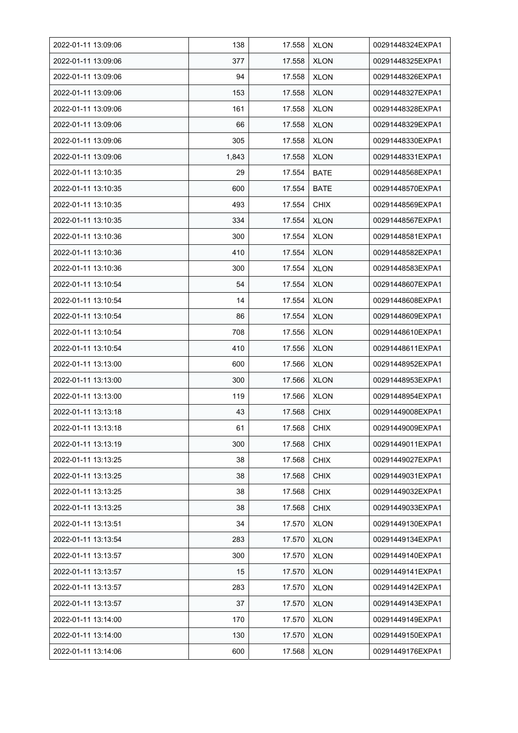| 2022-01-11 13:09:06 | 138   | 17.558 | <b>XLON</b> | 00291448324EXPA1 |
|---------------------|-------|--------|-------------|------------------|
| 2022-01-11 13:09:06 | 377   | 17.558 | <b>XLON</b> | 00291448325EXPA1 |
| 2022-01-11 13:09:06 | 94    | 17.558 | <b>XLON</b> | 00291448326EXPA1 |
| 2022-01-11 13:09:06 | 153   | 17.558 | <b>XLON</b> | 00291448327EXPA1 |
| 2022-01-11 13:09:06 | 161   | 17.558 | <b>XLON</b> | 00291448328EXPA1 |
| 2022-01-11 13:09:06 | 66    | 17.558 | <b>XLON</b> | 00291448329EXPA1 |
| 2022-01-11 13:09:06 | 305   | 17.558 | <b>XLON</b> | 00291448330EXPA1 |
| 2022-01-11 13:09:06 | 1,843 | 17.558 | <b>XLON</b> | 00291448331EXPA1 |
| 2022-01-11 13:10:35 | 29    | 17.554 | <b>BATE</b> | 00291448568EXPA1 |
| 2022-01-11 13:10:35 | 600   | 17.554 | <b>BATE</b> | 00291448570EXPA1 |
| 2022-01-11 13:10:35 | 493   | 17.554 | <b>CHIX</b> | 00291448569EXPA1 |
| 2022-01-11 13:10:35 | 334   | 17.554 | <b>XLON</b> | 00291448567EXPA1 |
| 2022-01-11 13:10:36 | 300   | 17.554 | <b>XLON</b> | 00291448581EXPA1 |
| 2022-01-11 13:10:36 | 410   | 17.554 | <b>XLON</b> | 00291448582EXPA1 |
| 2022-01-11 13:10:36 | 300   | 17.554 | <b>XLON</b> | 00291448583EXPA1 |
| 2022-01-11 13:10:54 | 54    | 17.554 | <b>XLON</b> | 00291448607EXPA1 |
| 2022-01-11 13:10:54 | 14    | 17.554 | XLON        | 00291448608EXPA1 |
| 2022-01-11 13:10:54 | 86    | 17.554 | <b>XLON</b> | 00291448609EXPA1 |
| 2022-01-11 13:10:54 | 708   | 17.556 | <b>XLON</b> | 00291448610EXPA1 |
| 2022-01-11 13:10:54 | 410   | 17.556 | <b>XLON</b> | 00291448611EXPA1 |
| 2022-01-11 13:13:00 | 600   | 17.566 | <b>XLON</b> | 00291448952EXPA1 |
| 2022-01-11 13:13:00 | 300   | 17.566 | <b>XLON</b> | 00291448953EXPA1 |
| 2022-01-11 13:13:00 | 119   | 17.566 | <b>XLON</b> | 00291448954EXPA1 |
| 2022-01-11 13:13:18 | 43    | 17.568 | <b>CHIX</b> | 00291449008EXPA1 |
| 2022-01-11 13:13:18 | 61    | 17.568 | <b>CHIX</b> | 00291449009EXPA1 |
| 2022-01-11 13:13:19 | 300   | 17.568 | <b>CHIX</b> | 00291449011EXPA1 |
| 2022-01-11 13:13:25 | 38    | 17.568 | <b>CHIX</b> | 00291449027EXPA1 |
| 2022-01-11 13:13:25 | 38    | 17.568 | <b>CHIX</b> | 00291449031EXPA1 |
| 2022-01-11 13:13:25 | 38    | 17.568 | <b>CHIX</b> | 00291449032EXPA1 |
| 2022-01-11 13:13:25 | 38    | 17.568 | <b>CHIX</b> | 00291449033EXPA1 |
| 2022-01-11 13:13:51 | 34    | 17.570 | <b>XLON</b> | 00291449130EXPA1 |
| 2022-01-11 13:13:54 | 283   | 17.570 | <b>XLON</b> | 00291449134EXPA1 |
| 2022-01-11 13:13:57 | 300   | 17.570 | <b>XLON</b> | 00291449140EXPA1 |
| 2022-01-11 13:13:57 | 15    | 17.570 | <b>XLON</b> | 00291449141EXPA1 |
| 2022-01-11 13:13:57 | 283   | 17.570 | <b>XLON</b> | 00291449142EXPA1 |
| 2022-01-11 13:13:57 | 37    | 17.570 | <b>XLON</b> | 00291449143EXPA1 |
| 2022-01-11 13:14:00 | 170   | 17.570 | <b>XLON</b> | 00291449149EXPA1 |
| 2022-01-11 13:14:00 | 130   | 17.570 | <b>XLON</b> | 00291449150EXPA1 |
| 2022-01-11 13:14:06 | 600   | 17.568 | <b>XLON</b> | 00291449176EXPA1 |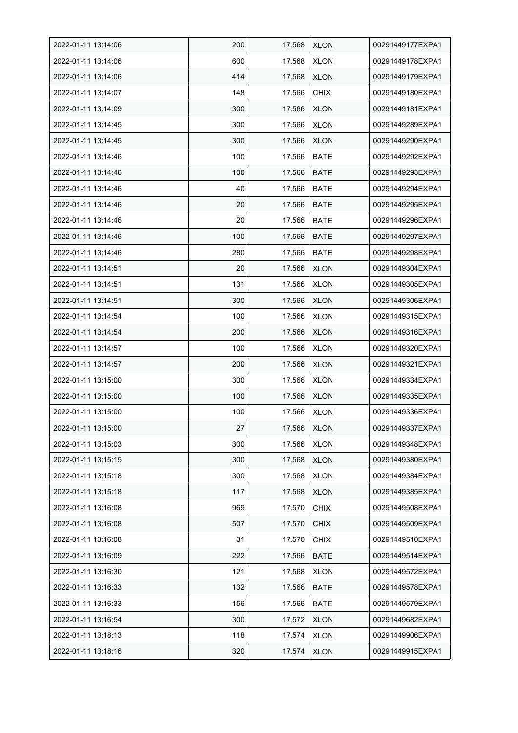| 2022-01-11 13:14:06 | 200 | 17.568 | <b>XLON</b> | 00291449177EXPA1 |
|---------------------|-----|--------|-------------|------------------|
| 2022-01-11 13:14:06 | 600 | 17.568 | <b>XLON</b> | 00291449178EXPA1 |
| 2022-01-11 13:14:06 | 414 | 17.568 | <b>XLON</b> | 00291449179EXPA1 |
| 2022-01-11 13:14:07 | 148 | 17.566 | <b>CHIX</b> | 00291449180EXPA1 |
| 2022-01-11 13:14:09 | 300 | 17.566 | <b>XLON</b> | 00291449181EXPA1 |
| 2022-01-11 13:14:45 | 300 | 17.566 | <b>XLON</b> | 00291449289EXPA1 |
| 2022-01-11 13:14:45 | 300 | 17.566 | <b>XLON</b> | 00291449290EXPA1 |
| 2022-01-11 13:14:46 | 100 | 17.566 | <b>BATE</b> | 00291449292EXPA1 |
| 2022-01-11 13:14:46 | 100 | 17.566 | <b>BATE</b> | 00291449293EXPA1 |
| 2022-01-11 13:14:46 | 40  | 17.566 | <b>BATE</b> | 00291449294EXPA1 |
| 2022-01-11 13:14:46 | 20  | 17.566 | <b>BATE</b> | 00291449295EXPA1 |
| 2022-01-11 13:14:46 | 20  | 17.566 | <b>BATE</b> | 00291449296EXPA1 |
| 2022-01-11 13:14:46 | 100 | 17.566 | <b>BATE</b> | 00291449297EXPA1 |
| 2022-01-11 13:14:46 | 280 | 17.566 | <b>BATE</b> | 00291449298EXPA1 |
| 2022-01-11 13:14:51 | 20  | 17.566 | <b>XLON</b> | 00291449304EXPA1 |
| 2022-01-11 13:14:51 | 131 | 17.566 | <b>XLON</b> | 00291449305EXPA1 |
| 2022-01-11 13:14:51 | 300 | 17.566 | <b>XLON</b> | 00291449306EXPA1 |
| 2022-01-11 13:14:54 | 100 | 17.566 | <b>XLON</b> | 00291449315EXPA1 |
| 2022-01-11 13:14:54 | 200 | 17.566 | <b>XLON</b> | 00291449316EXPA1 |
| 2022-01-11 13:14:57 | 100 | 17.566 | <b>XLON</b> | 00291449320EXPA1 |
| 2022-01-11 13:14:57 | 200 | 17.566 | <b>XLON</b> | 00291449321EXPA1 |
| 2022-01-11 13:15:00 | 300 | 17.566 | <b>XLON</b> | 00291449334EXPA1 |
| 2022-01-11 13:15:00 | 100 | 17.566 | <b>XLON</b> | 00291449335EXPA1 |
| 2022-01-11 13:15:00 | 100 | 17.566 | <b>XLON</b> | 00291449336EXPA1 |
| 2022-01-11 13:15:00 | 27  | 17.566 | <b>XLON</b> | 00291449337EXPA1 |
| 2022-01-11 13:15:03 | 300 | 17.566 | <b>XLON</b> | 00291449348EXPA1 |
| 2022-01-11 13:15:15 | 300 | 17.568 | <b>XLON</b> | 00291449380EXPA1 |
| 2022-01-11 13:15:18 | 300 | 17.568 | <b>XLON</b> | 00291449384EXPA1 |
| 2022-01-11 13:15:18 | 117 | 17.568 | <b>XLON</b> | 00291449385EXPA1 |
| 2022-01-11 13:16:08 | 969 | 17.570 | <b>CHIX</b> | 00291449508EXPA1 |
| 2022-01-11 13:16:08 | 507 | 17.570 | <b>CHIX</b> | 00291449509EXPA1 |
| 2022-01-11 13:16:08 | 31  | 17.570 | <b>CHIX</b> | 00291449510EXPA1 |
| 2022-01-11 13:16:09 | 222 | 17.566 | <b>BATE</b> | 00291449514EXPA1 |
| 2022-01-11 13:16:30 | 121 | 17.568 | <b>XLON</b> | 00291449572EXPA1 |
| 2022-01-11 13:16:33 | 132 | 17.566 | BATE        | 00291449578EXPA1 |
| 2022-01-11 13:16:33 | 156 | 17.566 | <b>BATE</b> | 00291449579EXPA1 |
| 2022-01-11 13:16:54 | 300 | 17.572 | <b>XLON</b> | 00291449682EXPA1 |
| 2022-01-11 13:18:13 | 118 | 17.574 | <b>XLON</b> | 00291449906EXPA1 |
| 2022-01-11 13:18:16 | 320 | 17.574 | <b>XLON</b> | 00291449915EXPA1 |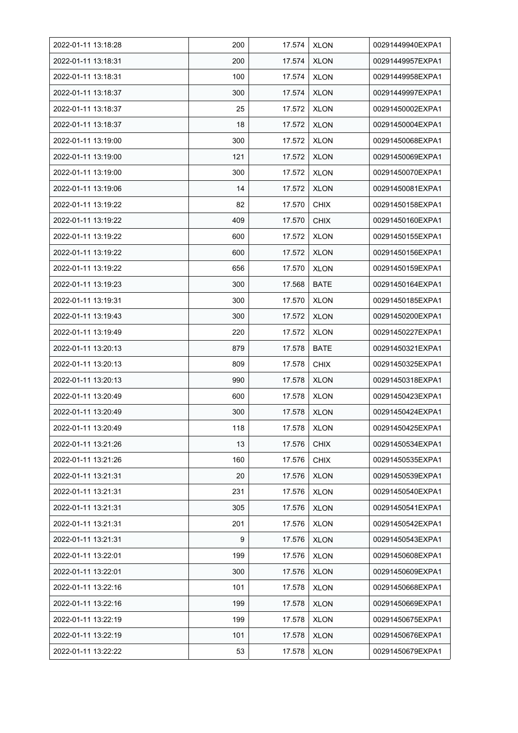| 2022-01-11 13:18:28 | 200 | 17.574 | <b>XLON</b> | 00291449940EXPA1 |
|---------------------|-----|--------|-------------|------------------|
| 2022-01-11 13:18:31 | 200 | 17.574 | <b>XLON</b> | 00291449957EXPA1 |
| 2022-01-11 13:18:31 | 100 | 17.574 | <b>XLON</b> | 00291449958EXPA1 |
| 2022-01-11 13:18:37 | 300 | 17.574 | <b>XLON</b> | 00291449997EXPA1 |
| 2022-01-11 13:18:37 | 25  | 17.572 | <b>XLON</b> | 00291450002EXPA1 |
| 2022-01-11 13:18:37 | 18  | 17.572 | <b>XLON</b> | 00291450004EXPA1 |
| 2022-01-11 13:19:00 | 300 | 17.572 | <b>XLON</b> | 00291450068EXPA1 |
| 2022-01-11 13:19:00 | 121 | 17.572 | <b>XLON</b> | 00291450069EXPA1 |
| 2022-01-11 13:19:00 | 300 | 17.572 | <b>XLON</b> | 00291450070EXPA1 |
| 2022-01-11 13:19:06 | 14  | 17.572 | <b>XLON</b> | 00291450081EXPA1 |
| 2022-01-11 13:19:22 | 82  | 17.570 | <b>CHIX</b> | 00291450158EXPA1 |
| 2022-01-11 13:19:22 | 409 | 17.570 | <b>CHIX</b> | 00291450160EXPA1 |
| 2022-01-11 13:19:22 | 600 | 17.572 | <b>XLON</b> | 00291450155EXPA1 |
| 2022-01-11 13:19:22 | 600 | 17.572 | <b>XLON</b> | 00291450156EXPA1 |
| 2022-01-11 13:19:22 | 656 | 17.570 | <b>XLON</b> | 00291450159EXPA1 |
| 2022-01-11 13:19:23 | 300 | 17.568 | <b>BATE</b> | 00291450164EXPA1 |
| 2022-01-11 13:19:31 | 300 | 17.570 | <b>XLON</b> | 00291450185EXPA1 |
| 2022-01-11 13:19:43 | 300 | 17.572 | <b>XLON</b> | 00291450200EXPA1 |
| 2022-01-11 13:19:49 | 220 | 17.572 | <b>XLON</b> | 00291450227EXPA1 |
| 2022-01-11 13:20:13 | 879 | 17.578 | <b>BATE</b> | 00291450321EXPA1 |
| 2022-01-11 13:20:13 | 809 | 17.578 | <b>CHIX</b> | 00291450325EXPA1 |
| 2022-01-11 13:20:13 | 990 | 17.578 | <b>XLON</b> | 00291450318EXPA1 |
| 2022-01-11 13:20:49 | 600 | 17.578 | <b>XLON</b> | 00291450423EXPA1 |
| 2022-01-11 13:20:49 | 300 | 17.578 | <b>XLON</b> | 00291450424EXPA1 |
| 2022-01-11 13:20:49 | 118 | 17.578 | <b>XLON</b> | 00291450425EXPA1 |
| 2022-01-11 13:21:26 | 13  | 17.576 | <b>CHIX</b> | 00291450534EXPA1 |
| 2022-01-11 13:21:26 | 160 | 17.576 | <b>CHIX</b> | 00291450535EXPA1 |
| 2022-01-11 13:21:31 | 20  | 17.576 | <b>XLON</b> | 00291450539EXPA1 |
| 2022-01-11 13:21:31 | 231 | 17.576 | <b>XLON</b> | 00291450540EXPA1 |
| 2022-01-11 13:21:31 | 305 | 17.576 | <b>XLON</b> | 00291450541EXPA1 |
| 2022-01-11 13:21:31 | 201 | 17.576 | <b>XLON</b> | 00291450542EXPA1 |
| 2022-01-11 13:21:31 | 9   | 17.576 | <b>XLON</b> | 00291450543EXPA1 |
| 2022-01-11 13:22:01 | 199 | 17.576 | <b>XLON</b> | 00291450608EXPA1 |
| 2022-01-11 13:22:01 | 300 | 17.576 | <b>XLON</b> | 00291450609EXPA1 |
| 2022-01-11 13:22:16 | 101 | 17.578 | <b>XLON</b> | 00291450668EXPA1 |
| 2022-01-11 13:22:16 | 199 | 17.578 | <b>XLON</b> | 00291450669EXPA1 |
| 2022-01-11 13:22:19 | 199 | 17.578 | <b>XLON</b> | 00291450675EXPA1 |
| 2022-01-11 13:22:19 | 101 | 17.578 | <b>XLON</b> | 00291450676EXPA1 |
| 2022-01-11 13:22:22 | 53  | 17.578 | <b>XLON</b> | 00291450679EXPA1 |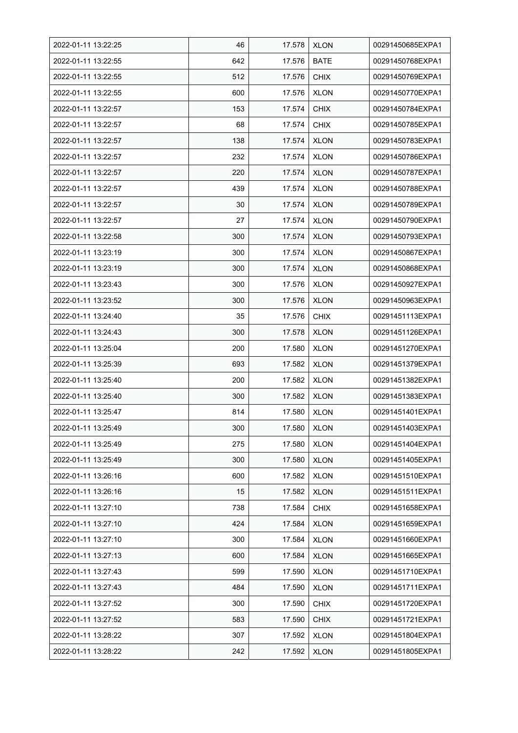| 2022-01-11 13:22:25 | 46  | 17.578 | <b>XLON</b> | 00291450685EXPA1 |
|---------------------|-----|--------|-------------|------------------|
| 2022-01-11 13:22:55 | 642 | 17.576 | <b>BATE</b> | 00291450768EXPA1 |
| 2022-01-11 13:22:55 | 512 | 17.576 | <b>CHIX</b> | 00291450769EXPA1 |
| 2022-01-11 13:22:55 | 600 | 17.576 | <b>XLON</b> | 00291450770EXPA1 |
| 2022-01-11 13:22:57 | 153 | 17.574 | <b>CHIX</b> | 00291450784EXPA1 |
| 2022-01-11 13:22:57 | 68  | 17.574 | <b>CHIX</b> | 00291450785EXPA1 |
| 2022-01-11 13:22:57 | 138 | 17.574 | <b>XLON</b> | 00291450783EXPA1 |
| 2022-01-11 13:22:57 | 232 | 17.574 | <b>XLON</b> | 00291450786EXPA1 |
| 2022-01-11 13:22:57 | 220 | 17.574 | <b>XLON</b> | 00291450787EXPA1 |
| 2022-01-11 13:22:57 | 439 | 17.574 | <b>XLON</b> | 00291450788EXPA1 |
| 2022-01-11 13:22:57 | 30  | 17.574 | <b>XLON</b> | 00291450789EXPA1 |
| 2022-01-11 13:22:57 | 27  | 17.574 | <b>XLON</b> | 00291450790EXPA1 |
| 2022-01-11 13:22:58 | 300 | 17.574 | <b>XLON</b> | 00291450793EXPA1 |
| 2022-01-11 13:23:19 | 300 | 17.574 | <b>XLON</b> | 00291450867EXPA1 |
| 2022-01-11 13:23:19 | 300 | 17.574 | <b>XLON</b> | 00291450868EXPA1 |
| 2022-01-11 13:23:43 | 300 | 17.576 | <b>XLON</b> | 00291450927EXPA1 |
| 2022-01-11 13:23:52 | 300 | 17.576 | <b>XLON</b> | 00291450963EXPA1 |
| 2022-01-11 13:24:40 | 35  | 17.576 | <b>CHIX</b> | 00291451113EXPA1 |
| 2022-01-11 13:24:43 | 300 | 17.578 | <b>XLON</b> | 00291451126EXPA1 |
| 2022-01-11 13:25:04 | 200 | 17.580 | <b>XLON</b> | 00291451270EXPA1 |
| 2022-01-11 13:25:39 | 693 | 17.582 | <b>XLON</b> | 00291451379EXPA1 |
| 2022-01-11 13:25:40 | 200 | 17.582 | <b>XLON</b> | 00291451382EXPA1 |
| 2022-01-11 13:25:40 | 300 | 17.582 | <b>XLON</b> | 00291451383EXPA1 |
| 2022-01-11 13:25:47 | 814 | 17.580 | <b>XLON</b> | 00291451401EXPA1 |
| 2022-01-11 13:25:49 | 300 | 17.580 | <b>XLON</b> | 00291451403EXPA1 |
| 2022-01-11 13:25:49 | 275 | 17.580 | <b>XLON</b> | 00291451404EXPA1 |
| 2022-01-11 13:25:49 | 300 | 17.580 | <b>XLON</b> | 00291451405EXPA1 |
| 2022-01-11 13:26:16 | 600 | 17.582 | <b>XLON</b> | 00291451510EXPA1 |
| 2022-01-11 13:26:16 | 15  | 17.582 | <b>XLON</b> | 00291451511EXPA1 |
| 2022-01-11 13:27:10 | 738 | 17.584 | <b>CHIX</b> | 00291451658EXPA1 |
| 2022-01-11 13:27:10 | 424 | 17.584 | <b>XLON</b> | 00291451659EXPA1 |
| 2022-01-11 13:27:10 | 300 | 17.584 | <b>XLON</b> | 00291451660EXPA1 |
| 2022-01-11 13:27:13 | 600 | 17.584 | <b>XLON</b> | 00291451665EXPA1 |
| 2022-01-11 13:27:43 | 599 | 17.590 | <b>XLON</b> | 00291451710EXPA1 |
| 2022-01-11 13:27:43 | 484 | 17.590 | <b>XLON</b> | 00291451711EXPA1 |
| 2022-01-11 13:27:52 | 300 | 17.590 | <b>CHIX</b> | 00291451720EXPA1 |
| 2022-01-11 13:27:52 | 583 | 17.590 | <b>CHIX</b> | 00291451721EXPA1 |
| 2022-01-11 13:28:22 | 307 | 17.592 | <b>XLON</b> | 00291451804EXPA1 |
| 2022-01-11 13:28:22 | 242 | 17.592 | <b>XLON</b> | 00291451805EXPA1 |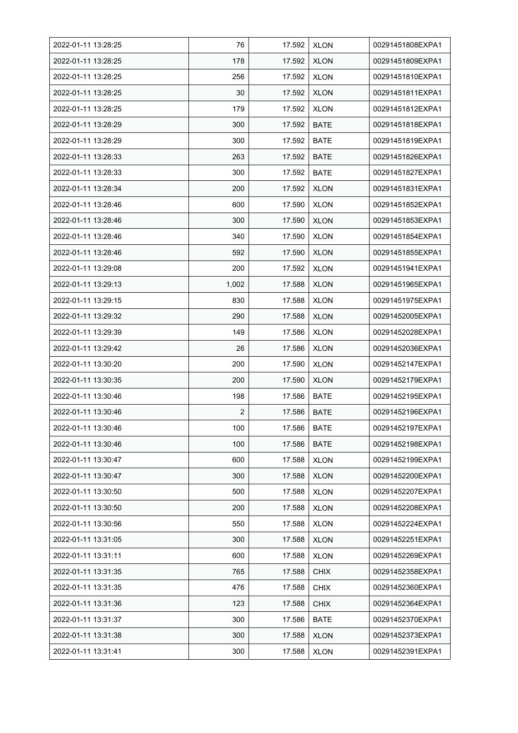| 2022-01-11 13:28:25 | 76             | 17.592 | <b>XLON</b> | 00291451808EXPA1 |
|---------------------|----------------|--------|-------------|------------------|
| 2022-01-11 13:28:25 | 178            | 17.592 | <b>XLON</b> | 00291451809EXPA1 |
| 2022-01-11 13:28:25 | 256            | 17.592 | <b>XLON</b> | 00291451810EXPA1 |
| 2022-01-11 13:28:25 | 30             | 17.592 | <b>XLON</b> | 00291451811EXPA1 |
| 2022-01-11 13:28:25 | 179            | 17.592 | <b>XLON</b> | 00291451812EXPA1 |
| 2022-01-11 13:28:29 | 300            | 17.592 | <b>BATE</b> | 00291451818EXPA1 |
| 2022-01-11 13:28:29 | 300            | 17.592 | <b>BATE</b> | 00291451819EXPA1 |
| 2022-01-11 13:28:33 | 263            | 17.592 | <b>BATE</b> | 00291451826EXPA1 |
| 2022-01-11 13:28:33 | 300            | 17.592 | <b>BATE</b> | 00291451827EXPA1 |
| 2022-01-11 13:28:34 | 200            | 17.592 | <b>XLON</b> | 00291451831EXPA1 |
| 2022-01-11 13:28:46 | 600            | 17.590 | <b>XLON</b> | 00291451852EXPA1 |
| 2022-01-11 13:28:46 | 300            | 17.590 | <b>XLON</b> | 00291451853EXPA1 |
| 2022-01-11 13:28:46 | 340            | 17.590 | <b>XLON</b> | 00291451854EXPA1 |
| 2022-01-11 13:28:46 | 592            | 17.590 | <b>XLON</b> | 00291451855EXPA1 |
| 2022-01-11 13:29:08 | 200            | 17.592 | <b>XLON</b> | 00291451941EXPA1 |
| 2022-01-11 13:29:13 | 1,002          | 17.588 | <b>XLON</b> | 00291451965EXPA1 |
| 2022-01-11 13:29:15 | 830            | 17.588 | <b>XLON</b> | 00291451975EXPA1 |
| 2022-01-11 13:29:32 | 290            | 17.588 | <b>XLON</b> | 00291452005EXPA1 |
| 2022-01-11 13:29:39 | 149            | 17.586 | <b>XLON</b> | 00291452028EXPA1 |
| 2022-01-11 13:29:42 | 26             | 17.586 | <b>XLON</b> | 00291452036EXPA1 |
| 2022-01-11 13:30:20 | 200            | 17.590 | <b>XLON</b> | 00291452147EXPA1 |
| 2022-01-11 13:30:35 | 200            | 17.590 | <b>XLON</b> | 00291452179EXPA1 |
| 2022-01-11 13:30:46 | 198            | 17.586 | <b>BATE</b> | 00291452195EXPA1 |
| 2022-01-11 13:30:46 | $\overline{2}$ | 17.586 | <b>BATE</b> | 00291452196EXPA1 |
| 2022-01-11 13:30:46 | 100            | 17.586 | <b>BATE</b> | 00291452197EXPA1 |
| 2022-01-11 13:30:46 | 100            | 17.586 | BATE        | 00291452198EXPA1 |
| 2022-01-11 13:30:47 | 600            | 17.588 | <b>XLON</b> | 00291452199EXPA1 |
| 2022-01-11 13:30:47 | 300            | 17.588 | <b>XLON</b> | 00291452200EXPA1 |
| 2022-01-11 13:30:50 | 500            | 17.588 | <b>XLON</b> | 00291452207EXPA1 |
| 2022-01-11 13:30:50 | 200            | 17.588 | <b>XLON</b> | 00291452208EXPA1 |
| 2022-01-11 13:30:56 | 550            | 17.588 | <b>XLON</b> | 00291452224EXPA1 |
| 2022-01-11 13:31:05 | 300            | 17.588 | <b>XLON</b> | 00291452251EXPA1 |
| 2022-01-11 13:31:11 | 600            | 17.588 | <b>XLON</b> | 00291452269EXPA1 |
| 2022-01-11 13:31:35 | 765            | 17.588 | <b>CHIX</b> | 00291452358EXPA1 |
| 2022-01-11 13:31:35 | 476            | 17.588 | <b>CHIX</b> | 00291452360EXPA1 |
| 2022-01-11 13:31:36 | 123            | 17.588 | <b>CHIX</b> | 00291452364EXPA1 |
| 2022-01-11 13:31:37 | 300            | 17.586 | <b>BATE</b> | 00291452370EXPA1 |
| 2022-01-11 13:31:38 | 300            | 17.588 | <b>XLON</b> | 00291452373EXPA1 |
| 2022-01-11 13:31:41 | 300            | 17.588 | <b>XLON</b> | 00291452391EXPA1 |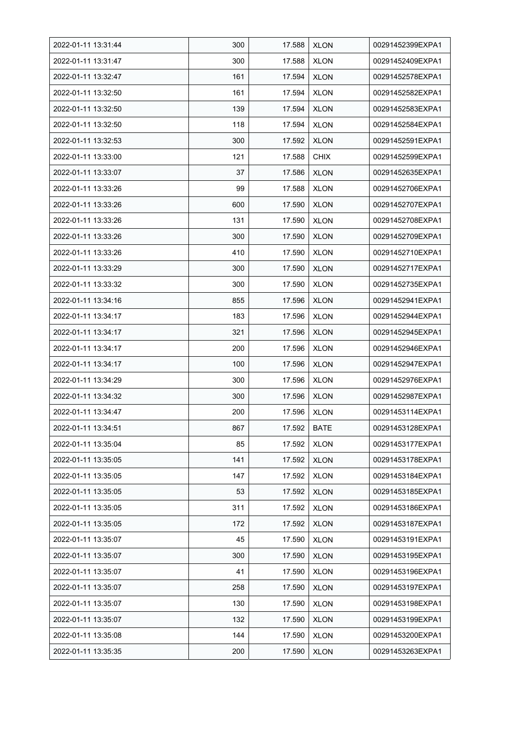| 2022-01-11 13:31:44 | 300 | 17.588 | <b>XLON</b> | 00291452399EXPA1 |
|---------------------|-----|--------|-------------|------------------|
| 2022-01-11 13:31:47 | 300 | 17.588 | <b>XLON</b> | 00291452409EXPA1 |
| 2022-01-11 13:32:47 | 161 | 17.594 | <b>XLON</b> | 00291452578EXPA1 |
| 2022-01-11 13:32:50 | 161 | 17.594 | <b>XLON</b> | 00291452582EXPA1 |
| 2022-01-11 13:32:50 | 139 | 17.594 | <b>XLON</b> | 00291452583EXPA1 |
| 2022-01-11 13:32:50 | 118 | 17.594 | <b>XLON</b> | 00291452584EXPA1 |
| 2022-01-11 13:32:53 | 300 | 17.592 | <b>XLON</b> | 00291452591EXPA1 |
| 2022-01-11 13:33:00 | 121 | 17.588 | <b>CHIX</b> | 00291452599EXPA1 |
| 2022-01-11 13:33:07 | 37  | 17.586 | <b>XLON</b> | 00291452635EXPA1 |
| 2022-01-11 13:33:26 | 99  | 17.588 | <b>XLON</b> | 00291452706EXPA1 |
| 2022-01-11 13:33:26 | 600 | 17.590 | <b>XLON</b> | 00291452707EXPA1 |
| 2022-01-11 13:33:26 | 131 | 17.590 | <b>XLON</b> | 00291452708EXPA1 |
| 2022-01-11 13:33:26 | 300 | 17.590 | <b>XLON</b> | 00291452709EXPA1 |
| 2022-01-11 13:33:26 | 410 | 17.590 | <b>XLON</b> | 00291452710EXPA1 |
| 2022-01-11 13:33:29 | 300 | 17.590 | <b>XLON</b> | 00291452717EXPA1 |
| 2022-01-11 13:33:32 | 300 | 17.590 | <b>XLON</b> | 00291452735EXPA1 |
| 2022-01-11 13:34:16 | 855 | 17.596 | <b>XLON</b> | 00291452941EXPA1 |
| 2022-01-11 13:34:17 | 183 | 17.596 | XLON        | 00291452944EXPA1 |
| 2022-01-11 13:34:17 | 321 | 17.596 | <b>XLON</b> | 00291452945EXPA1 |
| 2022-01-11 13:34:17 | 200 | 17.596 | <b>XLON</b> | 00291452946EXPA1 |
| 2022-01-11 13:34:17 | 100 | 17.596 | <b>XLON</b> | 00291452947EXPA1 |
| 2022-01-11 13:34:29 | 300 | 17.596 | <b>XLON</b> | 00291452976EXPA1 |
| 2022-01-11 13:34:32 | 300 | 17.596 | <b>XLON</b> | 00291452987EXPA1 |
| 2022-01-11 13:34:47 | 200 | 17.596 | <b>XLON</b> | 00291453114EXPA1 |
| 2022-01-11 13:34:51 | 867 | 17.592 | <b>BATE</b> | 00291453128EXPA1 |
| 2022-01-11 13:35:04 | 85  | 17.592 | <b>XLON</b> | 00291453177EXPA1 |
| 2022-01-11 13:35:05 | 141 | 17.592 | <b>XLON</b> | 00291453178EXPA1 |
| 2022-01-11 13:35:05 | 147 | 17.592 | <b>XLON</b> | 00291453184EXPA1 |
| 2022-01-11 13:35:05 | 53  | 17.592 | <b>XLON</b> | 00291453185EXPA1 |
| 2022-01-11 13:35:05 | 311 | 17.592 | <b>XLON</b> | 00291453186EXPA1 |
| 2022-01-11 13:35:05 | 172 | 17.592 | <b>XLON</b> | 00291453187EXPA1 |
| 2022-01-11 13:35:07 | 45  | 17.590 | <b>XLON</b> | 00291453191EXPA1 |
| 2022-01-11 13:35:07 | 300 | 17.590 | <b>XLON</b> | 00291453195EXPA1 |
| 2022-01-11 13:35:07 | 41  | 17.590 | <b>XLON</b> | 00291453196EXPA1 |
| 2022-01-11 13:35:07 | 258 | 17.590 | <b>XLON</b> | 00291453197EXPA1 |
| 2022-01-11 13:35:07 | 130 | 17.590 | <b>XLON</b> | 00291453198EXPA1 |
| 2022-01-11 13:35:07 | 132 | 17.590 | <b>XLON</b> | 00291453199EXPA1 |
| 2022-01-11 13:35:08 | 144 | 17.590 | <b>XLON</b> | 00291453200EXPA1 |
| 2022-01-11 13:35:35 | 200 | 17.590 | <b>XLON</b> | 00291453263EXPA1 |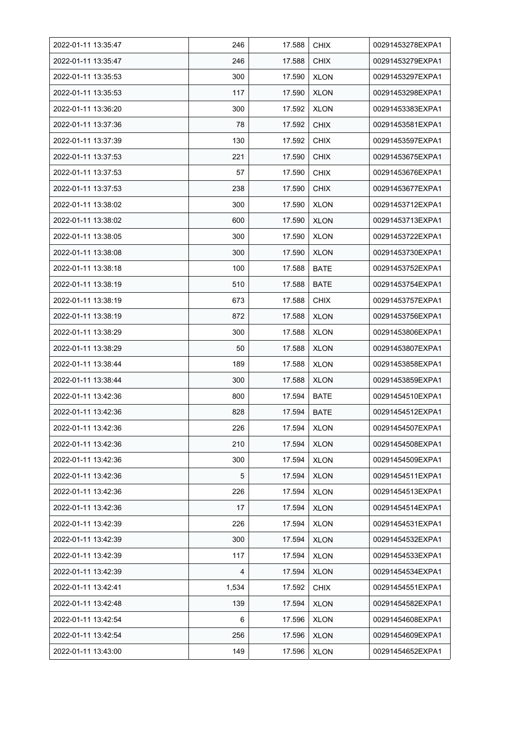| 2022-01-11 13:35:47 | 246   | 17.588 | <b>CHIX</b> | 00291453278EXPA1 |
|---------------------|-------|--------|-------------|------------------|
| 2022-01-11 13:35:47 | 246   | 17.588 | <b>CHIX</b> | 00291453279EXPA1 |
| 2022-01-11 13:35:53 | 300   | 17.590 | <b>XLON</b> | 00291453297EXPA1 |
| 2022-01-11 13:35:53 | 117   | 17.590 | <b>XLON</b> | 00291453298EXPA1 |
| 2022-01-11 13:36:20 | 300   | 17.592 | <b>XLON</b> | 00291453383EXPA1 |
| 2022-01-11 13:37:36 | 78    | 17.592 | <b>CHIX</b> | 00291453581EXPA1 |
| 2022-01-11 13:37:39 | 130   | 17.592 | <b>CHIX</b> | 00291453597EXPA1 |
| 2022-01-11 13:37:53 | 221   | 17.590 | <b>CHIX</b> | 00291453675EXPA1 |
| 2022-01-11 13:37:53 | 57    | 17.590 | <b>CHIX</b> | 00291453676EXPA1 |
| 2022-01-11 13:37:53 | 238   | 17.590 | <b>CHIX</b> | 00291453677EXPA1 |
| 2022-01-11 13:38:02 | 300   | 17.590 | <b>XLON</b> | 00291453712EXPA1 |
| 2022-01-11 13:38:02 | 600   | 17.590 | <b>XLON</b> | 00291453713EXPA1 |
| 2022-01-11 13:38:05 | 300   | 17.590 | <b>XLON</b> | 00291453722EXPA1 |
| 2022-01-11 13:38:08 | 300   | 17.590 | <b>XLON</b> | 00291453730EXPA1 |
| 2022-01-11 13:38:18 | 100   | 17.588 | <b>BATE</b> | 00291453752EXPA1 |
| 2022-01-11 13:38:19 | 510   | 17.588 | <b>BATE</b> | 00291453754EXPA1 |
| 2022-01-11 13:38:19 | 673   | 17.588 | <b>CHIX</b> | 00291453757EXPA1 |
| 2022-01-11 13:38:19 | 872   | 17.588 | <b>XLON</b> | 00291453756EXPA1 |
| 2022-01-11 13:38:29 | 300   | 17.588 | <b>XLON</b> | 00291453806EXPA1 |
| 2022-01-11 13:38:29 | 50    | 17.588 | <b>XLON</b> | 00291453807EXPA1 |
| 2022-01-11 13:38:44 | 189   | 17.588 | <b>XLON</b> | 00291453858EXPA1 |
| 2022-01-11 13:38:44 | 300   | 17.588 | <b>XLON</b> | 00291453859EXPA1 |
| 2022-01-11 13:42:36 | 800   | 17.594 | <b>BATE</b> | 00291454510EXPA1 |
| 2022-01-11 13:42:36 | 828   | 17.594 | <b>BATE</b> | 00291454512EXPA1 |
| 2022-01-11 13:42:36 | 226   | 17.594 | <b>XLON</b> | 00291454507EXPA1 |
| 2022-01-11 13:42:36 | 210   | 17.594 | <b>XLON</b> | 00291454508EXPA1 |
| 2022-01-11 13:42:36 | 300   | 17.594 | <b>XLON</b> | 00291454509EXPA1 |
| 2022-01-11 13:42:36 | 5     | 17.594 | <b>XLON</b> | 00291454511EXPA1 |
| 2022-01-11 13:42:36 | 226   | 17.594 | <b>XLON</b> | 00291454513EXPA1 |
| 2022-01-11 13:42:36 | 17    | 17.594 | <b>XLON</b> | 00291454514EXPA1 |
| 2022-01-11 13:42:39 | 226   | 17.594 | <b>XLON</b> | 00291454531EXPA1 |
| 2022-01-11 13:42:39 | 300   | 17.594 | <b>XLON</b> | 00291454532EXPA1 |
| 2022-01-11 13:42:39 | 117   | 17.594 | <b>XLON</b> | 00291454533EXPA1 |
| 2022-01-11 13:42:39 | 4     | 17.594 | <b>XLON</b> | 00291454534EXPA1 |
| 2022-01-11 13:42:41 | 1,534 | 17.592 | <b>CHIX</b> | 00291454551EXPA1 |
| 2022-01-11 13:42:48 | 139   | 17.594 | <b>XLON</b> | 00291454582EXPA1 |
| 2022-01-11 13:42:54 | 6     | 17.596 | <b>XLON</b> | 00291454608EXPA1 |
| 2022-01-11 13:42:54 | 256   | 17.596 | <b>XLON</b> | 00291454609EXPA1 |
| 2022-01-11 13:43:00 | 149   | 17.596 | <b>XLON</b> | 00291454652EXPA1 |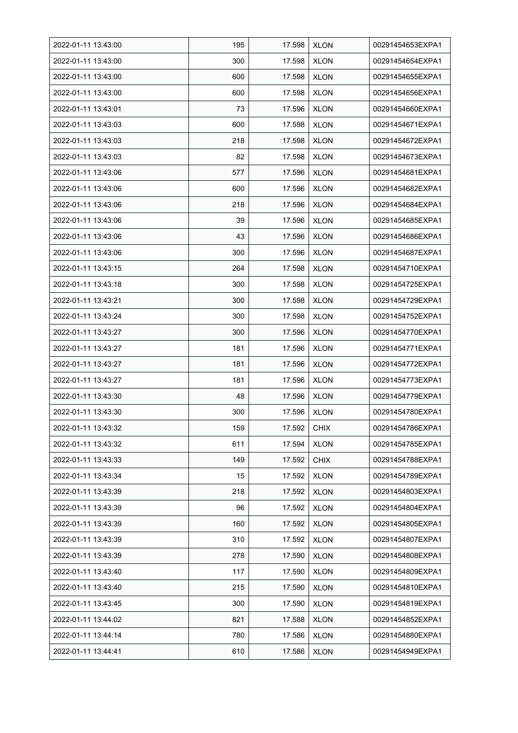| 2022-01-11 13:43:00 | 195 | 17.598 | <b>XLON</b> | 00291454653EXPA1 |
|---------------------|-----|--------|-------------|------------------|
| 2022-01-11 13:43:00 | 300 | 17.598 | <b>XLON</b> | 00291454654EXPA1 |
| 2022-01-11 13:43:00 | 600 | 17.598 | <b>XLON</b> | 00291454655EXPA1 |
| 2022-01-11 13:43:00 | 600 | 17.598 | <b>XLON</b> | 00291454656EXPA1 |
| 2022-01-11 13:43:01 | 73  | 17.596 | <b>XLON</b> | 00291454660EXPA1 |
| 2022-01-11 13:43:03 | 600 | 17.598 | <b>XLON</b> | 00291454671EXPA1 |
| 2022-01-11 13:43:03 | 218 | 17.598 | <b>XLON</b> | 00291454672EXPA1 |
| 2022-01-11 13:43:03 | 82  | 17.598 | <b>XLON</b> | 00291454673EXPA1 |
| 2022-01-11 13:43:06 | 577 | 17.596 | <b>XLON</b> | 00291454681EXPA1 |
| 2022-01-11 13:43:06 | 600 | 17.596 | <b>XLON</b> | 00291454682EXPA1 |
| 2022-01-11 13:43:06 | 218 | 17.596 | <b>XLON</b> | 00291454684EXPA1 |
| 2022-01-11 13:43:06 | 39  | 17.596 | <b>XLON</b> | 00291454685EXPA1 |
| 2022-01-11 13:43:06 | 43  | 17.596 | <b>XLON</b> | 00291454686EXPA1 |
| 2022-01-11 13:43:06 | 300 | 17.596 | <b>XLON</b> | 00291454687EXPA1 |
| 2022-01-11 13:43:15 | 264 | 17.598 | <b>XLON</b> | 00291454710EXPA1 |
| 2022-01-11 13:43:18 | 300 | 17.598 | <b>XLON</b> | 00291454725EXPA1 |
| 2022-01-11 13:43:21 | 300 | 17.598 | <b>XLON</b> | 00291454729EXPA1 |
| 2022-01-11 13:43:24 | 300 | 17.598 | <b>XLON</b> | 00291454752EXPA1 |
| 2022-01-11 13:43:27 | 300 | 17.596 | <b>XLON</b> | 00291454770EXPA1 |
| 2022-01-11 13:43:27 | 181 | 17.596 | <b>XLON</b> | 00291454771EXPA1 |
| 2022-01-11 13:43:27 | 181 | 17.596 | <b>XLON</b> | 00291454772EXPA1 |
| 2022-01-11 13:43:27 | 181 | 17.596 | <b>XLON</b> | 00291454773EXPA1 |
| 2022-01-11 13:43:30 | 48  | 17.596 | <b>XLON</b> | 00291454779EXPA1 |
| 2022-01-11 13:43:30 | 300 | 17.596 | <b>XLON</b> | 00291454780EXPA1 |
| 2022-01-11 13:43:32 | 159 | 17.592 | <b>CHIX</b> | 00291454786EXPA1 |
| 2022-01-11 13:43:32 | 611 | 17.594 | <b>XLON</b> | 00291454785EXPA1 |
| 2022-01-11 13:43:33 | 149 | 17.592 | <b>CHIX</b> | 00291454788EXPA1 |
| 2022-01-11 13:43:34 | 15  | 17.592 | <b>XLON</b> | 00291454789EXPA1 |
| 2022-01-11 13:43:39 | 218 | 17.592 | <b>XLON</b> | 00291454803EXPA1 |
| 2022-01-11 13:43:39 | 96  | 17.592 | <b>XLON</b> | 00291454804EXPA1 |
| 2022-01-11 13:43:39 | 160 | 17.592 | <b>XLON</b> | 00291454805EXPA1 |
| 2022-01-11 13:43:39 | 310 | 17.592 | <b>XLON</b> | 00291454807EXPA1 |
| 2022-01-11 13:43:39 | 278 | 17.590 | <b>XLON</b> | 00291454808EXPA1 |
| 2022-01-11 13:43:40 | 117 | 17.590 | <b>XLON</b> | 00291454809EXPA1 |
| 2022-01-11 13:43:40 | 215 | 17.590 | <b>XLON</b> | 00291454810EXPA1 |
| 2022-01-11 13:43:45 | 300 | 17.590 | <b>XLON</b> | 00291454819EXPA1 |
| 2022-01-11 13:44:02 | 821 | 17.588 | <b>XLON</b> | 00291454852EXPA1 |
| 2022-01-11 13:44:14 | 780 | 17.586 | <b>XLON</b> | 00291454880EXPA1 |
| 2022-01-11 13:44:41 | 610 | 17.586 | <b>XLON</b> | 00291454949EXPA1 |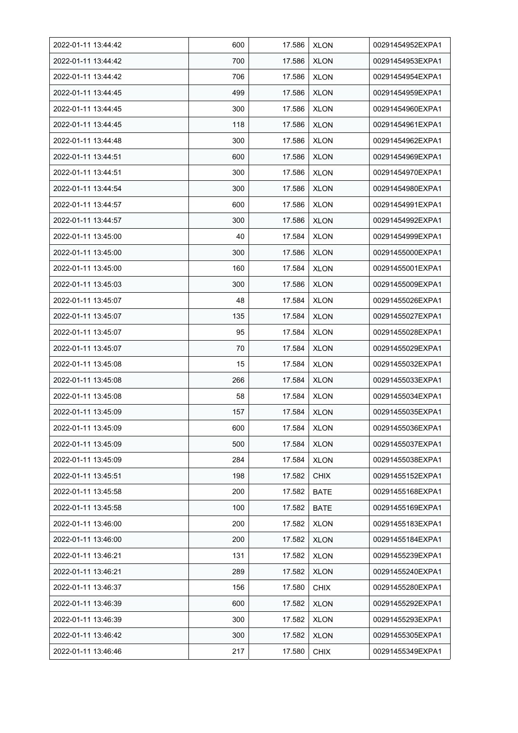| 2022-01-11 13:44:42 | 600 | 17.586 | <b>XLON</b> | 00291454952EXPA1 |
|---------------------|-----|--------|-------------|------------------|
| 2022-01-11 13:44:42 | 700 | 17.586 | <b>XLON</b> | 00291454953EXPA1 |
| 2022-01-11 13:44:42 | 706 | 17.586 | <b>XLON</b> | 00291454954EXPA1 |
| 2022-01-11 13:44:45 | 499 | 17.586 | <b>XLON</b> | 00291454959EXPA1 |
| 2022-01-11 13:44:45 | 300 | 17.586 | <b>XLON</b> | 00291454960EXPA1 |
| 2022-01-11 13:44:45 | 118 | 17.586 | <b>XLON</b> | 00291454961EXPA1 |
| 2022-01-11 13:44:48 | 300 | 17.586 | <b>XLON</b> | 00291454962EXPA1 |
| 2022-01-11 13:44:51 | 600 | 17.586 | <b>XLON</b> | 00291454969EXPA1 |
| 2022-01-11 13:44:51 | 300 | 17.586 | <b>XLON</b> | 00291454970EXPA1 |
| 2022-01-11 13:44:54 | 300 | 17.586 | <b>XLON</b> | 00291454980EXPA1 |
| 2022-01-11 13:44:57 | 600 | 17.586 | <b>XLON</b> | 00291454991EXPA1 |
| 2022-01-11 13:44:57 | 300 | 17.586 | <b>XLON</b> | 00291454992EXPA1 |
| 2022-01-11 13:45:00 | 40  | 17.584 | <b>XLON</b> | 00291454999EXPA1 |
| 2022-01-11 13:45:00 | 300 | 17.586 | <b>XLON</b> | 00291455000EXPA1 |
| 2022-01-11 13:45:00 | 160 | 17.584 | <b>XLON</b> | 00291455001EXPA1 |
| 2022-01-11 13:45:03 | 300 | 17.586 | <b>XLON</b> | 00291455009EXPA1 |
| 2022-01-11 13:45:07 | 48  | 17.584 | XLON        | 00291455026EXPA1 |
| 2022-01-11 13:45:07 | 135 | 17.584 | XLON        | 00291455027EXPA1 |
| 2022-01-11 13:45:07 | 95  | 17.584 | <b>XLON</b> | 00291455028EXPA1 |
| 2022-01-11 13:45:07 | 70  | 17.584 | <b>XLON</b> | 00291455029EXPA1 |
| 2022-01-11 13:45:08 | 15  | 17.584 | <b>XLON</b> | 00291455032EXPA1 |
| 2022-01-11 13:45:08 | 266 | 17.584 | <b>XLON</b> | 00291455033EXPA1 |
| 2022-01-11 13:45:08 | 58  | 17.584 | <b>XLON</b> | 00291455034EXPA1 |
| 2022-01-11 13:45:09 | 157 | 17.584 | <b>XLON</b> | 00291455035EXPA1 |
| 2022-01-11 13:45:09 | 600 | 17.584 | <b>XLON</b> | 00291455036EXPA1 |
| 2022-01-11 13:45:09 | 500 | 17.584 | <b>XLON</b> | 00291455037EXPA1 |
| 2022-01-11 13:45:09 | 284 | 17.584 | <b>XLON</b> | 00291455038EXPA1 |
| 2022-01-11 13:45:51 | 198 | 17.582 | <b>CHIX</b> | 00291455152EXPA1 |
| 2022-01-11 13:45:58 | 200 | 17.582 | <b>BATE</b> | 00291455168EXPA1 |
| 2022-01-11 13:45:58 | 100 | 17.582 | BATE        | 00291455169EXPA1 |
| 2022-01-11 13:46:00 | 200 | 17.582 | <b>XLON</b> | 00291455183EXPA1 |
| 2022-01-11 13:46:00 | 200 | 17.582 | <b>XLON</b> | 00291455184EXPA1 |
| 2022-01-11 13:46:21 | 131 | 17.582 | <b>XLON</b> | 00291455239EXPA1 |
| 2022-01-11 13:46:21 | 289 | 17.582 | <b>XLON</b> | 00291455240EXPA1 |
| 2022-01-11 13:46:37 | 156 | 17.580 | <b>CHIX</b> | 00291455280EXPA1 |
| 2022-01-11 13:46:39 | 600 | 17.582 | <b>XLON</b> | 00291455292EXPA1 |
| 2022-01-11 13:46:39 | 300 | 17.582 | <b>XLON</b> | 00291455293EXPA1 |
| 2022-01-11 13:46:42 | 300 | 17.582 | <b>XLON</b> | 00291455305EXPA1 |
| 2022-01-11 13:46:46 | 217 | 17.580 | <b>CHIX</b> | 00291455349EXPA1 |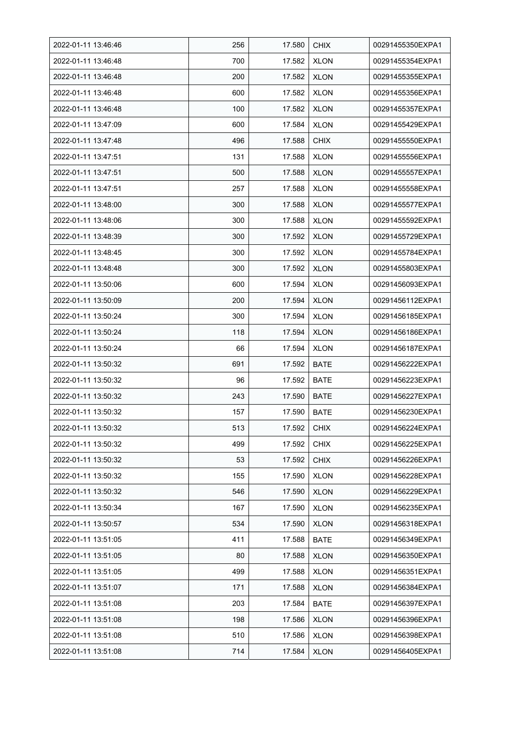| 2022-01-11 13:46:46 | 256 | 17.580 | <b>CHIX</b> | 00291455350EXPA1 |
|---------------------|-----|--------|-------------|------------------|
| 2022-01-11 13:46:48 | 700 | 17.582 | <b>XLON</b> | 00291455354EXPA1 |
| 2022-01-11 13:46:48 | 200 | 17.582 | <b>XLON</b> | 00291455355EXPA1 |
| 2022-01-11 13:46:48 | 600 | 17.582 | <b>XLON</b> | 00291455356EXPA1 |
| 2022-01-11 13:46:48 | 100 | 17.582 | <b>XLON</b> | 00291455357EXPA1 |
| 2022-01-11 13:47:09 | 600 | 17.584 | <b>XLON</b> | 00291455429EXPA1 |
| 2022-01-11 13:47:48 | 496 | 17.588 | <b>CHIX</b> | 00291455550EXPA1 |
| 2022-01-11 13:47:51 | 131 | 17.588 | <b>XLON</b> | 00291455556EXPA1 |
| 2022-01-11 13:47:51 | 500 | 17.588 | <b>XLON</b> | 00291455557EXPA1 |
| 2022-01-11 13:47:51 | 257 | 17.588 | <b>XLON</b> | 00291455558EXPA1 |
| 2022-01-11 13:48:00 | 300 | 17.588 | <b>XLON</b> | 00291455577EXPA1 |
| 2022-01-11 13:48:06 | 300 | 17.588 | <b>XLON</b> | 00291455592EXPA1 |
| 2022-01-11 13:48:39 | 300 | 17.592 | <b>XLON</b> | 00291455729EXPA1 |
| 2022-01-11 13:48:45 | 300 | 17.592 | <b>XLON</b> | 00291455784EXPA1 |
| 2022-01-11 13:48:48 | 300 | 17.592 | <b>XLON</b> | 00291455803EXPA1 |
| 2022-01-11 13:50:06 | 600 | 17.594 | <b>XLON</b> | 00291456093EXPA1 |
| 2022-01-11 13:50:09 | 200 | 17.594 | <b>XLON</b> | 00291456112EXPA1 |
| 2022-01-11 13:50:24 | 300 | 17.594 | <b>XLON</b> | 00291456185EXPA1 |
| 2022-01-11 13:50:24 | 118 | 17.594 | <b>XLON</b> | 00291456186EXPA1 |
| 2022-01-11 13:50:24 | 66  | 17.594 | <b>XLON</b> | 00291456187EXPA1 |
| 2022-01-11 13:50:32 | 691 | 17.592 | <b>BATE</b> | 00291456222EXPA1 |
| 2022-01-11 13:50:32 | 96  | 17.592 | <b>BATE</b> | 00291456223EXPA1 |
| 2022-01-11 13:50:32 | 243 | 17.590 | <b>BATE</b> | 00291456227EXPA1 |
| 2022-01-11 13:50:32 | 157 | 17.590 | <b>BATE</b> | 00291456230EXPA1 |
| 2022-01-11 13:50:32 | 513 | 17.592 | <b>CHIX</b> | 00291456224EXPA1 |
| 2022-01-11 13:50:32 | 499 | 17.592 | <b>CHIX</b> | 00291456225EXPA1 |
| 2022-01-11 13:50:32 | 53  | 17.592 | <b>CHIX</b> | 00291456226EXPA1 |
| 2022-01-11 13:50:32 | 155 | 17.590 | <b>XLON</b> | 00291456228EXPA1 |
| 2022-01-11 13:50:32 | 546 | 17.590 | <b>XLON</b> | 00291456229EXPA1 |
| 2022-01-11 13:50:34 | 167 | 17.590 | <b>XLON</b> | 00291456235EXPA1 |
| 2022-01-11 13:50:57 | 534 | 17.590 | <b>XLON</b> | 00291456318EXPA1 |
| 2022-01-11 13:51:05 | 411 | 17.588 | <b>BATE</b> | 00291456349EXPA1 |
| 2022-01-11 13:51:05 | 80  | 17.588 | <b>XLON</b> | 00291456350EXPA1 |
| 2022-01-11 13:51:05 | 499 | 17.588 | <b>XLON</b> | 00291456351EXPA1 |
| 2022-01-11 13:51:07 | 171 | 17.588 | <b>XLON</b> | 00291456384EXPA1 |
| 2022-01-11 13:51:08 | 203 | 17.584 | <b>BATE</b> | 00291456397EXPA1 |
| 2022-01-11 13:51:08 | 198 | 17.586 | <b>XLON</b> | 00291456396EXPA1 |
| 2022-01-11 13:51:08 | 510 | 17.586 | <b>XLON</b> | 00291456398EXPA1 |
| 2022-01-11 13:51:08 | 714 | 17.584 | <b>XLON</b> | 00291456405EXPA1 |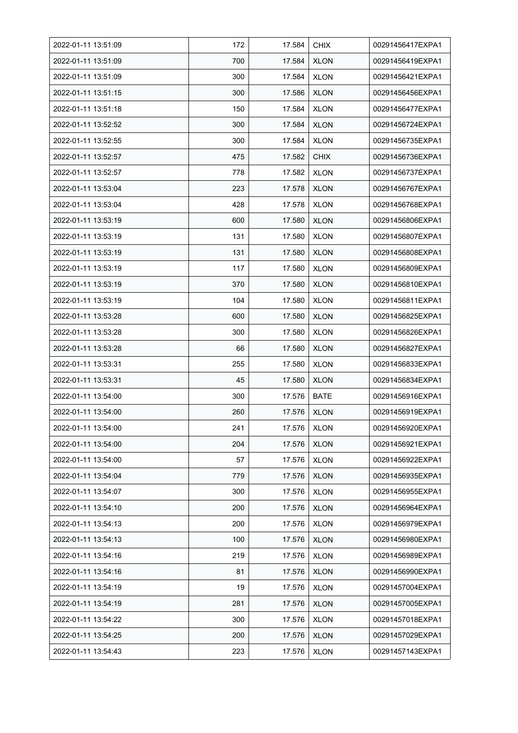| 2022-01-11 13:51:09 | 172 | 17.584 | <b>CHIX</b> | 00291456417EXPA1 |
|---------------------|-----|--------|-------------|------------------|
| 2022-01-11 13:51:09 | 700 | 17.584 | <b>XLON</b> | 00291456419EXPA1 |
| 2022-01-11 13:51:09 | 300 | 17.584 | <b>XLON</b> | 00291456421EXPA1 |
| 2022-01-11 13:51:15 | 300 | 17.586 | <b>XLON</b> | 00291456456EXPA1 |
| 2022-01-11 13:51:18 | 150 | 17.584 | <b>XLON</b> | 00291456477EXPA1 |
| 2022-01-11 13:52:52 | 300 | 17.584 | <b>XLON</b> | 00291456724EXPA1 |
| 2022-01-11 13:52:55 | 300 | 17.584 | <b>XLON</b> | 00291456735EXPA1 |
| 2022-01-11 13:52:57 | 475 | 17.582 | <b>CHIX</b> | 00291456736EXPA1 |
| 2022-01-11 13:52:57 | 778 | 17.582 | <b>XLON</b> | 00291456737EXPA1 |
| 2022-01-11 13:53:04 | 223 | 17.578 | <b>XLON</b> | 00291456767EXPA1 |
| 2022-01-11 13:53:04 | 428 | 17.578 | <b>XLON</b> | 00291456768EXPA1 |
| 2022-01-11 13:53:19 | 600 | 17.580 | <b>XLON</b> | 00291456806EXPA1 |
| 2022-01-11 13:53:19 | 131 | 17.580 | <b>XLON</b> | 00291456807EXPA1 |
| 2022-01-11 13:53:19 | 131 | 17.580 | <b>XLON</b> | 00291456808EXPA1 |
| 2022-01-11 13:53:19 | 117 | 17.580 | <b>XLON</b> | 00291456809EXPA1 |
| 2022-01-11 13:53:19 | 370 | 17.580 | <b>XLON</b> | 00291456810EXPA1 |
| 2022-01-11 13:53:19 | 104 | 17.580 | <b>XLON</b> | 00291456811EXPA1 |
| 2022-01-11 13:53:28 | 600 | 17.580 | <b>XLON</b> | 00291456825EXPA1 |
| 2022-01-11 13:53:28 | 300 | 17.580 | <b>XLON</b> | 00291456826EXPA1 |
| 2022-01-11 13:53:28 | 66  | 17.580 | <b>XLON</b> | 00291456827EXPA1 |
| 2022-01-11 13:53:31 | 255 | 17.580 | <b>XLON</b> | 00291456833EXPA1 |
| 2022-01-11 13:53:31 | 45  | 17.580 | <b>XLON</b> | 00291456834EXPA1 |
| 2022-01-11 13:54:00 | 300 | 17.576 | <b>BATE</b> | 00291456916EXPA1 |
| 2022-01-11 13:54:00 | 260 | 17.576 | <b>XLON</b> | 00291456919EXPA1 |
| 2022-01-11 13:54:00 | 241 | 17.576 | <b>XLON</b> | 00291456920EXPA1 |
| 2022-01-11 13:54:00 | 204 | 17.576 | <b>XLON</b> | 00291456921EXPA1 |
| 2022-01-11 13:54:00 | 57  | 17.576 | <b>XLON</b> | 00291456922EXPA1 |
| 2022-01-11 13:54:04 | 779 | 17.576 | <b>XLON</b> | 00291456935EXPA1 |
| 2022-01-11 13:54:07 | 300 | 17.576 | <b>XLON</b> | 00291456955EXPA1 |
| 2022-01-11 13:54:10 | 200 | 17.576 | <b>XLON</b> | 00291456964EXPA1 |
| 2022-01-11 13:54:13 | 200 | 17.576 | <b>XLON</b> | 00291456979EXPA1 |
| 2022-01-11 13:54:13 | 100 | 17.576 | <b>XLON</b> | 00291456980EXPA1 |
| 2022-01-11 13:54:16 | 219 | 17.576 | <b>XLON</b> | 00291456989EXPA1 |
| 2022-01-11 13:54:16 | 81  | 17.576 | <b>XLON</b> | 00291456990EXPA1 |
| 2022-01-11 13:54:19 | 19  | 17.576 | <b>XLON</b> | 00291457004EXPA1 |
| 2022-01-11 13:54:19 | 281 | 17.576 | XLON        | 00291457005EXPA1 |
| 2022-01-11 13:54:22 | 300 | 17.576 | <b>XLON</b> | 00291457018EXPA1 |
| 2022-01-11 13:54:25 | 200 | 17.576 | <b>XLON</b> | 00291457029EXPA1 |
| 2022-01-11 13:54:43 | 223 | 17.576 | <b>XLON</b> | 00291457143EXPA1 |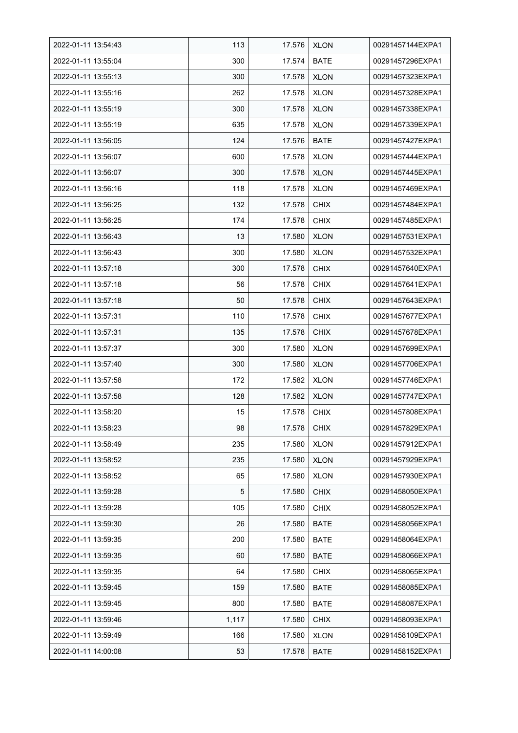| 2022-01-11 13:54:43 | 113   | 17.576 | <b>XLON</b> | 00291457144EXPA1 |
|---------------------|-------|--------|-------------|------------------|
| 2022-01-11 13:55:04 | 300   | 17.574 | <b>BATE</b> | 00291457296EXPA1 |
| 2022-01-11 13:55:13 | 300   | 17.578 | <b>XLON</b> | 00291457323EXPA1 |
| 2022-01-11 13:55:16 | 262   | 17.578 | <b>XLON</b> | 00291457328EXPA1 |
| 2022-01-11 13:55:19 | 300   | 17.578 | <b>XLON</b> | 00291457338EXPA1 |
| 2022-01-11 13:55:19 | 635   | 17.578 | <b>XLON</b> | 00291457339EXPA1 |
| 2022-01-11 13:56:05 | 124   | 17.576 | <b>BATE</b> | 00291457427EXPA1 |
| 2022-01-11 13:56:07 | 600   | 17.578 | <b>XLON</b> | 00291457444EXPA1 |
| 2022-01-11 13:56:07 | 300   | 17.578 | <b>XLON</b> | 00291457445EXPA1 |
| 2022-01-11 13:56:16 | 118   | 17.578 | <b>XLON</b> | 00291457469EXPA1 |
| 2022-01-11 13:56:25 | 132   | 17.578 | <b>CHIX</b> | 00291457484EXPA1 |
| 2022-01-11 13:56:25 | 174   | 17.578 | <b>CHIX</b> | 00291457485EXPA1 |
| 2022-01-11 13:56:43 | 13    | 17.580 | <b>XLON</b> | 00291457531EXPA1 |
| 2022-01-11 13:56:43 | 300   | 17.580 | <b>XLON</b> | 00291457532EXPA1 |
| 2022-01-11 13:57:18 | 300   | 17.578 | <b>CHIX</b> | 00291457640EXPA1 |
| 2022-01-11 13:57:18 | 56    | 17.578 | <b>CHIX</b> | 00291457641EXPA1 |
| 2022-01-11 13:57:18 | 50    | 17.578 | <b>CHIX</b> | 00291457643EXPA1 |
| 2022-01-11 13:57:31 | 110   | 17.578 | <b>CHIX</b> | 00291457677EXPA1 |
| 2022-01-11 13:57:31 | 135   | 17.578 | <b>CHIX</b> | 00291457678EXPA1 |
| 2022-01-11 13:57:37 | 300   | 17.580 | <b>XLON</b> | 00291457699EXPA1 |
| 2022-01-11 13:57:40 | 300   | 17.580 | <b>XLON</b> | 00291457706EXPA1 |
| 2022-01-11 13:57:58 | 172   | 17.582 | <b>XLON</b> | 00291457746EXPA1 |
| 2022-01-11 13:57:58 | 128   | 17.582 | <b>XLON</b> | 00291457747EXPA1 |
| 2022-01-11 13:58:20 | 15    | 17.578 | <b>CHIX</b> | 00291457808EXPA1 |
| 2022-01-11 13:58:23 | 98    | 17.578 | <b>CHIX</b> | 00291457829EXPA1 |
| 2022-01-11 13:58:49 | 235   | 17.580 | <b>XLON</b> | 00291457912EXPA1 |
| 2022-01-11 13:58:52 | 235   | 17.580 | <b>XLON</b> | 00291457929EXPA1 |
| 2022-01-11 13:58:52 | 65    | 17.580 | <b>XLON</b> | 00291457930EXPA1 |
| 2022-01-11 13:59:28 | 5     | 17.580 | <b>CHIX</b> | 00291458050EXPA1 |
| 2022-01-11 13:59:28 | 105   | 17.580 | <b>CHIX</b> | 00291458052EXPA1 |
| 2022-01-11 13:59:30 | 26    | 17.580 | <b>BATE</b> | 00291458056EXPA1 |
| 2022-01-11 13:59:35 | 200   | 17.580 | <b>BATE</b> | 00291458064EXPA1 |
| 2022-01-11 13:59:35 | 60    | 17.580 | <b>BATE</b> | 00291458066EXPA1 |
| 2022-01-11 13:59:35 | 64    | 17.580 | <b>CHIX</b> | 00291458065EXPA1 |
| 2022-01-11 13:59:45 | 159   | 17.580 | BATE        | 00291458085EXPA1 |
| 2022-01-11 13:59:45 | 800   | 17.580 | BATE        | 00291458087EXPA1 |
| 2022-01-11 13:59:46 | 1,117 | 17.580 | <b>CHIX</b> | 00291458093EXPA1 |
| 2022-01-11 13:59:49 | 166   | 17.580 | <b>XLON</b> | 00291458109EXPA1 |
| 2022-01-11 14:00:08 | 53    | 17.578 | <b>BATE</b> | 00291458152EXPA1 |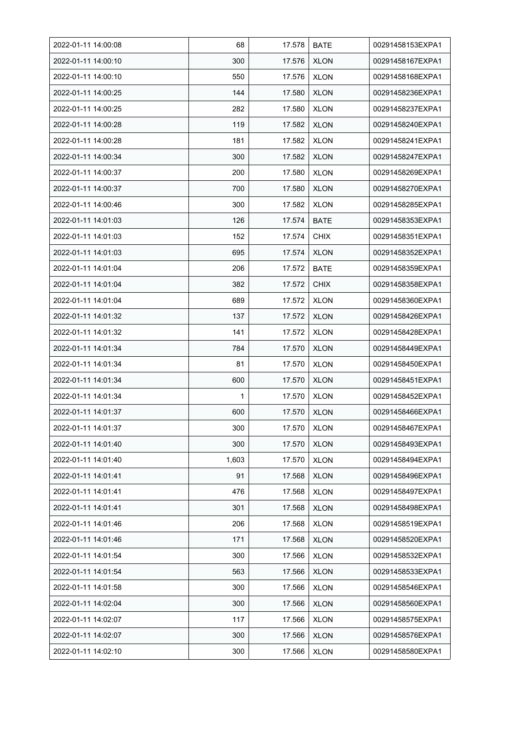| 2022-01-11 14:00:08 | 68    | 17.578 | <b>BATE</b> | 00291458153EXPA1 |
|---------------------|-------|--------|-------------|------------------|
| 2022-01-11 14:00:10 | 300   | 17.576 | <b>XLON</b> | 00291458167EXPA1 |
| 2022-01-11 14:00:10 | 550   | 17.576 | <b>XLON</b> | 00291458168EXPA1 |
| 2022-01-11 14:00:25 | 144   | 17.580 | <b>XLON</b> | 00291458236EXPA1 |
| 2022-01-11 14:00:25 | 282   | 17.580 | <b>XLON</b> | 00291458237EXPA1 |
| 2022-01-11 14:00:28 | 119   | 17.582 | <b>XLON</b> | 00291458240EXPA1 |
| 2022-01-11 14:00:28 | 181   | 17.582 | <b>XLON</b> | 00291458241EXPA1 |
| 2022-01-11 14:00:34 | 300   | 17.582 | <b>XLON</b> | 00291458247EXPA1 |
| 2022-01-11 14:00:37 | 200   | 17.580 | <b>XLON</b> | 00291458269EXPA1 |
| 2022-01-11 14:00:37 | 700   | 17.580 | <b>XLON</b> | 00291458270EXPA1 |
| 2022-01-11 14:00:46 | 300   | 17.582 | <b>XLON</b> | 00291458285EXPA1 |
| 2022-01-11 14:01:03 | 126   | 17.574 | <b>BATE</b> | 00291458353EXPA1 |
| 2022-01-11 14:01:03 | 152   | 17.574 | <b>CHIX</b> | 00291458351EXPA1 |
| 2022-01-11 14:01:03 | 695   | 17.574 | XLON        | 00291458352EXPA1 |
| 2022-01-11 14:01:04 | 206   | 17.572 | <b>BATE</b> | 00291458359EXPA1 |
| 2022-01-11 14:01:04 | 382   | 17.572 | <b>CHIX</b> | 00291458358EXPA1 |
| 2022-01-11 14:01:04 | 689   | 17.572 | <b>XLON</b> | 00291458360EXPA1 |
| 2022-01-11 14:01:32 | 137   | 17.572 | <b>XLON</b> | 00291458426EXPA1 |
| 2022-01-11 14:01:32 | 141   | 17.572 | <b>XLON</b> | 00291458428EXPA1 |
| 2022-01-11 14:01:34 | 784   | 17.570 | <b>XLON</b> | 00291458449EXPA1 |
| 2022-01-11 14:01:34 | 81    | 17.570 | <b>XLON</b> | 00291458450EXPA1 |
| 2022-01-11 14:01:34 | 600   | 17.570 | <b>XLON</b> | 00291458451EXPA1 |
| 2022-01-11 14:01:34 | 1     | 17.570 | <b>XLON</b> | 00291458452EXPA1 |
| 2022-01-11 14:01:37 | 600   | 17.570 | <b>XLON</b> | 00291458466EXPA1 |
| 2022-01-11 14:01:37 | 300   | 17.570 | <b>XLON</b> | 00291458467EXPA1 |
| 2022-01-11 14:01:40 | 300   | 17.570 | <b>XLON</b> | 00291458493EXPA1 |
| 2022-01-11 14:01:40 | 1,603 | 17.570 | <b>XLON</b> | 00291458494EXPA1 |
| 2022-01-11 14:01:41 | 91    | 17.568 | <b>XLON</b> | 00291458496EXPA1 |
| 2022-01-11 14:01:41 | 476   | 17.568 | <b>XLON</b> | 00291458497EXPA1 |
| 2022-01-11 14:01:41 | 301   | 17.568 | <b>XLON</b> | 00291458498EXPA1 |
| 2022-01-11 14:01:46 | 206   | 17.568 | <b>XLON</b> | 00291458519EXPA1 |
| 2022-01-11 14:01:46 | 171   | 17.568 | <b>XLON</b> | 00291458520EXPA1 |
| 2022-01-11 14:01:54 | 300   | 17.566 | <b>XLON</b> | 00291458532EXPA1 |
| 2022-01-11 14:01:54 | 563   | 17.566 | <b>XLON</b> | 00291458533EXPA1 |
| 2022-01-11 14:01:58 | 300   | 17.566 | <b>XLON</b> | 00291458546EXPA1 |
| 2022-01-11 14:02:04 | 300   | 17.566 | <b>XLON</b> | 00291458560EXPA1 |
| 2022-01-11 14:02:07 | 117   | 17.566 | <b>XLON</b> | 00291458575EXPA1 |
| 2022-01-11 14:02:07 | 300   | 17.566 | <b>XLON</b> | 00291458576EXPA1 |
| 2022-01-11 14:02:10 | 300   | 17.566 | <b>XLON</b> | 00291458580EXPA1 |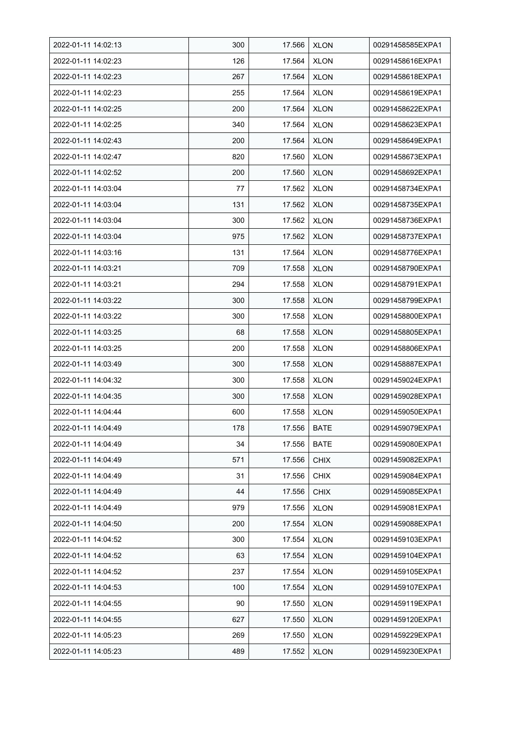| 2022-01-11 14:02:13 | 300 | 17.566 | <b>XLON</b> | 00291458585EXPA1 |
|---------------------|-----|--------|-------------|------------------|
| 2022-01-11 14:02:23 | 126 | 17.564 | <b>XLON</b> | 00291458616EXPA1 |
| 2022-01-11 14:02:23 | 267 | 17.564 | <b>XLON</b> | 00291458618EXPA1 |
| 2022-01-11 14:02:23 | 255 | 17.564 | <b>XLON</b> | 00291458619EXPA1 |
| 2022-01-11 14:02:25 | 200 | 17.564 | <b>XLON</b> | 00291458622EXPA1 |
| 2022-01-11 14:02:25 | 340 | 17.564 | <b>XLON</b> | 00291458623EXPA1 |
| 2022-01-11 14:02:43 | 200 | 17.564 | <b>XLON</b> | 00291458649EXPA1 |
| 2022-01-11 14:02:47 | 820 | 17.560 | <b>XLON</b> | 00291458673EXPA1 |
| 2022-01-11 14:02:52 | 200 | 17.560 | <b>XLON</b> | 00291458692EXPA1 |
| 2022-01-11 14:03:04 | 77  | 17.562 | <b>XLON</b> | 00291458734EXPA1 |
| 2022-01-11 14:03:04 | 131 | 17.562 | <b>XLON</b> | 00291458735EXPA1 |
| 2022-01-11 14:03:04 | 300 | 17.562 | <b>XLON</b> | 00291458736EXPA1 |
| 2022-01-11 14:03:04 | 975 | 17.562 | <b>XLON</b> | 00291458737EXPA1 |
| 2022-01-11 14:03:16 | 131 | 17.564 | <b>XLON</b> | 00291458776EXPA1 |
| 2022-01-11 14:03:21 | 709 | 17.558 | <b>XLON</b> | 00291458790EXPA1 |
| 2022-01-11 14:03:21 | 294 | 17.558 | <b>XLON</b> | 00291458791EXPA1 |
| 2022-01-11 14:03:22 | 300 | 17.558 | <b>XLON</b> | 00291458799EXPA1 |
| 2022-01-11 14:03:22 | 300 | 17.558 | XLON        | 00291458800EXPA1 |
| 2022-01-11 14:03:25 | 68  | 17.558 | <b>XLON</b> | 00291458805EXPA1 |
| 2022-01-11 14:03:25 | 200 | 17.558 | <b>XLON</b> | 00291458806EXPA1 |
| 2022-01-11 14:03:49 | 300 | 17.558 | <b>XLON</b> | 00291458887EXPA1 |
| 2022-01-11 14:04:32 | 300 | 17.558 | <b>XLON</b> | 00291459024EXPA1 |
| 2022-01-11 14:04:35 | 300 | 17.558 | <b>XLON</b> | 00291459028EXPA1 |
| 2022-01-11 14:04:44 | 600 | 17.558 | <b>XLON</b> | 00291459050EXPA1 |
| 2022-01-11 14:04:49 | 178 | 17.556 | <b>BATE</b> | 00291459079EXPA1 |
| 2022-01-11 14:04:49 | 34  | 17.556 | <b>BATE</b> | 00291459080EXPA1 |
| 2022-01-11 14:04:49 | 571 | 17.556 | <b>CHIX</b> | 00291459082EXPA1 |
| 2022-01-11 14:04:49 | 31  | 17.556 | <b>CHIX</b> | 00291459084EXPA1 |
| 2022-01-11 14:04:49 | 44  | 17.556 | <b>CHIX</b> | 00291459085EXPA1 |
| 2022-01-11 14:04:49 | 979 | 17.556 | <b>XLON</b> | 00291459081EXPA1 |
| 2022-01-11 14:04:50 | 200 | 17.554 | <b>XLON</b> | 00291459088EXPA1 |
| 2022-01-11 14:04:52 | 300 | 17.554 | <b>XLON</b> | 00291459103EXPA1 |
| 2022-01-11 14:04:52 | 63  | 17.554 | <b>XLON</b> | 00291459104EXPA1 |
| 2022-01-11 14:04:52 | 237 | 17.554 | <b>XLON</b> | 00291459105EXPA1 |
| 2022-01-11 14:04:53 | 100 | 17.554 | <b>XLON</b> | 00291459107EXPA1 |
| 2022-01-11 14:04:55 | 90  | 17.550 | <b>XLON</b> | 00291459119EXPA1 |
| 2022-01-11 14:04:55 | 627 | 17.550 | <b>XLON</b> | 00291459120EXPA1 |
| 2022-01-11 14:05:23 | 269 | 17.550 | <b>XLON</b> | 00291459229EXPA1 |
| 2022-01-11 14:05:23 | 489 | 17.552 | <b>XLON</b> | 00291459230EXPA1 |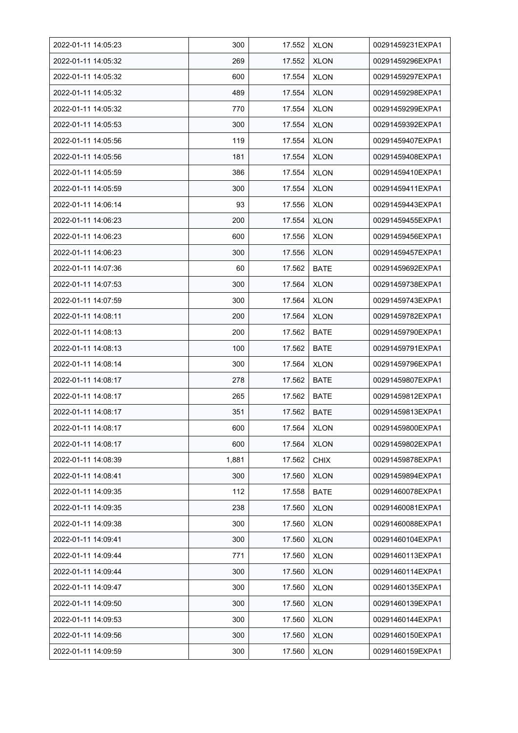| 2022-01-11 14:05:23 | 300   | 17.552 | <b>XLON</b> | 00291459231EXPA1 |
|---------------------|-------|--------|-------------|------------------|
| 2022-01-11 14:05:32 | 269   | 17.552 | <b>XLON</b> | 00291459296EXPA1 |
| 2022-01-11 14:05:32 | 600   | 17.554 | <b>XLON</b> | 00291459297EXPA1 |
| 2022-01-11 14:05:32 | 489   | 17.554 | <b>XLON</b> | 00291459298EXPA1 |
| 2022-01-11 14:05:32 | 770   | 17.554 | <b>XLON</b> | 00291459299EXPA1 |
| 2022-01-11 14:05:53 | 300   | 17.554 | <b>XLON</b> | 00291459392EXPA1 |
| 2022-01-11 14:05:56 | 119   | 17.554 | <b>XLON</b> | 00291459407EXPA1 |
| 2022-01-11 14:05:56 | 181   | 17.554 | <b>XLON</b> | 00291459408EXPA1 |
| 2022-01-11 14:05:59 | 386   | 17.554 | <b>XLON</b> | 00291459410EXPA1 |
| 2022-01-11 14:05:59 | 300   | 17.554 | <b>XLON</b> | 00291459411EXPA1 |
| 2022-01-11 14:06:14 | 93    | 17.556 | <b>XLON</b> | 00291459443EXPA1 |
| 2022-01-11 14:06:23 | 200   | 17.554 | <b>XLON</b> | 00291459455EXPA1 |
| 2022-01-11 14:06:23 | 600   | 17.556 | <b>XLON</b> | 00291459456EXPA1 |
| 2022-01-11 14:06:23 | 300   | 17.556 | <b>XLON</b> | 00291459457EXPA1 |
| 2022-01-11 14:07:36 | 60    | 17.562 | <b>BATE</b> | 00291459692EXPA1 |
| 2022-01-11 14:07:53 | 300   | 17.564 | <b>XLON</b> | 00291459738EXPA1 |
| 2022-01-11 14:07:59 | 300   | 17.564 | <b>XLON</b> | 00291459743EXPA1 |
| 2022-01-11 14:08:11 | 200   | 17.564 | <b>XLON</b> | 00291459782EXPA1 |
| 2022-01-11 14:08:13 | 200   | 17.562 | <b>BATE</b> | 00291459790EXPA1 |
| 2022-01-11 14:08:13 | 100   | 17.562 | <b>BATE</b> | 00291459791EXPA1 |
| 2022-01-11 14:08:14 | 300   | 17.564 | <b>XLON</b> | 00291459796EXPA1 |
| 2022-01-11 14:08:17 | 278   | 17.562 | <b>BATE</b> | 00291459807EXPA1 |
| 2022-01-11 14:08:17 | 265   | 17.562 | <b>BATE</b> | 00291459812EXPA1 |
| 2022-01-11 14:08:17 | 351   | 17.562 | <b>BATE</b> | 00291459813EXPA1 |
| 2022-01-11 14:08:17 | 600   | 17.564 | <b>XLON</b> | 00291459800EXPA1 |
| 2022-01-11 14:08:17 | 600   | 17.564 | <b>XLON</b> | 00291459802EXPA1 |
| 2022-01-11 14:08:39 | 1,881 | 17.562 | <b>CHIX</b> | 00291459878EXPA1 |
| 2022-01-11 14:08:41 | 300   | 17.560 | <b>XLON</b> | 00291459894EXPA1 |
| 2022-01-11 14:09:35 | 112   | 17.558 | <b>BATE</b> | 00291460078EXPA1 |
| 2022-01-11 14:09:35 | 238   | 17.560 | <b>XLON</b> | 00291460081EXPA1 |
| 2022-01-11 14:09:38 | 300   | 17.560 | <b>XLON</b> | 00291460088EXPA1 |
| 2022-01-11 14:09:41 | 300   | 17.560 | <b>XLON</b> | 00291460104EXPA1 |
| 2022-01-11 14:09:44 | 771   | 17.560 | <b>XLON</b> | 00291460113EXPA1 |
| 2022-01-11 14:09:44 | 300   | 17.560 | <b>XLON</b> | 00291460114EXPA1 |
| 2022-01-11 14:09:47 | 300   | 17.560 | <b>XLON</b> | 00291460135EXPA1 |
| 2022-01-11 14:09:50 | 300   | 17.560 | <b>XLON</b> | 00291460139EXPA1 |
| 2022-01-11 14:09:53 | 300   | 17.560 | <b>XLON</b> | 00291460144EXPA1 |
| 2022-01-11 14:09:56 | 300   | 17.560 | <b>XLON</b> | 00291460150EXPA1 |
| 2022-01-11 14:09:59 | 300   | 17.560 | <b>XLON</b> | 00291460159EXPA1 |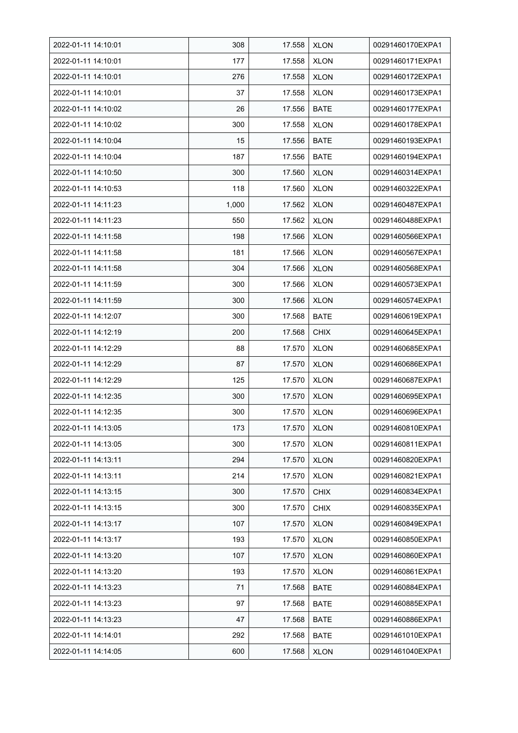| 2022-01-11 14:10:01 | 308   | 17.558 | <b>XLON</b> | 00291460170EXPA1 |
|---------------------|-------|--------|-------------|------------------|
| 2022-01-11 14:10:01 | 177   | 17.558 | <b>XLON</b> | 00291460171EXPA1 |
| 2022-01-11 14:10:01 | 276   | 17.558 | <b>XLON</b> | 00291460172EXPA1 |
| 2022-01-11 14:10:01 | 37    | 17.558 | <b>XLON</b> | 00291460173EXPA1 |
| 2022-01-11 14:10:02 | 26    | 17.556 | <b>BATE</b> | 00291460177EXPA1 |
| 2022-01-11 14:10:02 | 300   | 17.558 | <b>XLON</b> | 00291460178EXPA1 |
| 2022-01-11 14:10:04 | 15    | 17.556 | <b>BATE</b> | 00291460193EXPA1 |
| 2022-01-11 14:10:04 | 187   | 17.556 | <b>BATE</b> | 00291460194EXPA1 |
| 2022-01-11 14:10:50 | 300   | 17.560 | <b>XLON</b> | 00291460314EXPA1 |
| 2022-01-11 14:10:53 | 118   | 17.560 | <b>XLON</b> | 00291460322EXPA1 |
| 2022-01-11 14:11:23 | 1,000 | 17.562 | <b>XLON</b> | 00291460487EXPA1 |
| 2022-01-11 14:11:23 | 550   | 17.562 | <b>XLON</b> | 00291460488EXPA1 |
| 2022-01-11 14:11:58 | 198   | 17.566 | <b>XLON</b> | 00291460566EXPA1 |
| 2022-01-11 14:11:58 | 181   | 17.566 | <b>XLON</b> | 00291460567EXPA1 |
| 2022-01-11 14:11:58 | 304   | 17.566 | <b>XLON</b> | 00291460568EXPA1 |
| 2022-01-11 14:11:59 | 300   | 17.566 | <b>XLON</b> | 00291460573EXPA1 |
| 2022-01-11 14:11:59 | 300   | 17.566 | <b>XLON</b> | 00291460574EXPA1 |
| 2022-01-11 14:12:07 | 300   | 17.568 | <b>BATE</b> | 00291460619EXPA1 |
| 2022-01-11 14:12:19 | 200   | 17.568 | <b>CHIX</b> | 00291460645EXPA1 |
| 2022-01-11 14:12:29 | 88    | 17.570 | <b>XLON</b> | 00291460685EXPA1 |
| 2022-01-11 14:12:29 | 87    | 17.570 | <b>XLON</b> | 00291460686EXPA1 |
| 2022-01-11 14:12:29 | 125   | 17.570 | <b>XLON</b> | 00291460687EXPA1 |
| 2022-01-11 14:12:35 | 300   | 17.570 | <b>XLON</b> | 00291460695EXPA1 |
| 2022-01-11 14:12:35 | 300   | 17.570 | <b>XLON</b> | 00291460696EXPA1 |
| 2022-01-11 14:13:05 | 173   | 17.570 | <b>XLON</b> | 00291460810EXPA1 |
| 2022-01-11 14:13:05 | 300   | 17.570 | <b>XLON</b> | 00291460811EXPA1 |
| 2022-01-11 14:13:11 | 294   | 17.570 | <b>XLON</b> | 00291460820EXPA1 |
| 2022-01-11 14:13:11 | 214   | 17.570 | <b>XLON</b> | 00291460821EXPA1 |
| 2022-01-11 14:13:15 | 300   | 17.570 | <b>CHIX</b> | 00291460834EXPA1 |
| 2022-01-11 14:13:15 | 300   | 17.570 | <b>CHIX</b> | 00291460835EXPA1 |
| 2022-01-11 14:13:17 | 107   | 17.570 | <b>XLON</b> | 00291460849EXPA1 |
| 2022-01-11 14:13:17 | 193   | 17.570 | <b>XLON</b> | 00291460850EXPA1 |
| 2022-01-11 14:13:20 | 107   | 17.570 | <b>XLON</b> | 00291460860EXPA1 |
| 2022-01-11 14:13:20 | 193   | 17.570 | <b>XLON</b> | 00291460861EXPA1 |
| 2022-01-11 14:13:23 | 71    | 17.568 | BATE        | 00291460884EXPA1 |
| 2022-01-11 14:13:23 | 97    | 17.568 | BATE        | 00291460885EXPA1 |
| 2022-01-11 14:13:23 | 47    | 17.568 | <b>BATE</b> | 00291460886EXPA1 |
| 2022-01-11 14:14:01 | 292   | 17.568 | <b>BATE</b> | 00291461010EXPA1 |
| 2022-01-11 14:14:05 | 600   | 17.568 | <b>XLON</b> | 00291461040EXPA1 |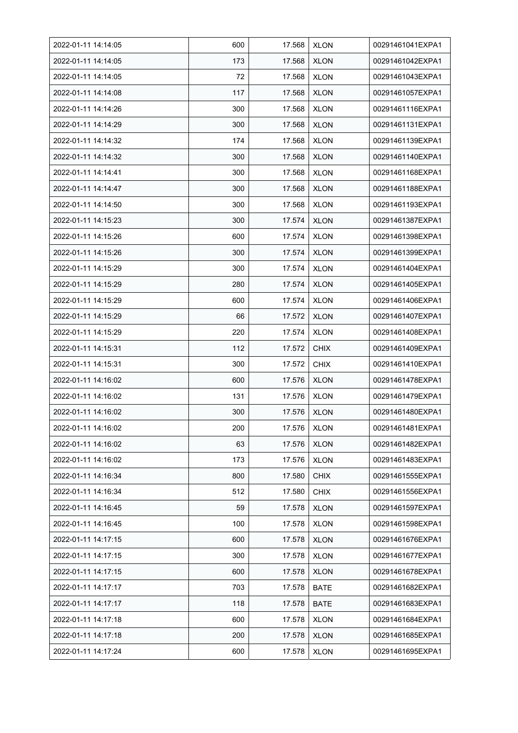| 2022-01-11 14:14:05 | 600 | 17.568 | <b>XLON</b> | 00291461041EXPA1 |
|---------------------|-----|--------|-------------|------------------|
| 2022-01-11 14:14:05 | 173 | 17.568 | <b>XLON</b> | 00291461042EXPA1 |
| 2022-01-11 14:14:05 | 72  | 17.568 | <b>XLON</b> | 00291461043EXPA1 |
| 2022-01-11 14:14:08 | 117 | 17.568 | <b>XLON</b> | 00291461057EXPA1 |
| 2022-01-11 14:14:26 | 300 | 17.568 | <b>XLON</b> | 00291461116EXPA1 |
| 2022-01-11 14:14:29 | 300 | 17.568 | <b>XLON</b> | 00291461131EXPA1 |
| 2022-01-11 14:14:32 | 174 | 17.568 | <b>XLON</b> | 00291461139EXPA1 |
| 2022-01-11 14:14:32 | 300 | 17.568 | <b>XLON</b> | 00291461140EXPA1 |
| 2022-01-11 14:14:41 | 300 | 17.568 | <b>XLON</b> | 00291461168EXPA1 |
| 2022-01-11 14:14:47 | 300 | 17.568 | <b>XLON</b> | 00291461188EXPA1 |
| 2022-01-11 14:14:50 | 300 | 17.568 | <b>XLON</b> | 00291461193EXPA1 |
| 2022-01-11 14:15:23 | 300 | 17.574 | <b>XLON</b> | 00291461387EXPA1 |
| 2022-01-11 14:15:26 | 600 | 17.574 | <b>XLON</b> | 00291461398EXPA1 |
| 2022-01-11 14:15:26 | 300 | 17.574 | <b>XLON</b> | 00291461399EXPA1 |
| 2022-01-11 14:15:29 | 300 | 17.574 | <b>XLON</b> | 00291461404EXPA1 |
| 2022-01-11 14:15:29 | 280 | 17.574 | <b>XLON</b> | 00291461405EXPA1 |
| 2022-01-11 14:15:29 | 600 | 17.574 | <b>XLON</b> | 00291461406EXPA1 |
| 2022-01-11 14:15:29 | 66  | 17.572 | <b>XLON</b> | 00291461407EXPA1 |
| 2022-01-11 14:15:29 | 220 | 17.574 | <b>XLON</b> | 00291461408EXPA1 |
| 2022-01-11 14:15:31 | 112 | 17.572 | <b>CHIX</b> | 00291461409EXPA1 |
| 2022-01-11 14:15:31 | 300 | 17.572 | <b>CHIX</b> | 00291461410EXPA1 |
| 2022-01-11 14:16:02 | 600 | 17.576 | <b>XLON</b> | 00291461478EXPA1 |
| 2022-01-11 14:16:02 | 131 | 17.576 | <b>XLON</b> | 00291461479EXPA1 |
| 2022-01-11 14:16:02 | 300 | 17.576 | <b>XLON</b> | 00291461480EXPA1 |
| 2022-01-11 14:16:02 | 200 | 17.576 | <b>XLON</b> | 00291461481EXPA1 |
| 2022-01-11 14:16:02 | 63  | 17.576 | <b>XLON</b> | 00291461482EXPA1 |
| 2022-01-11 14:16:02 | 173 | 17.576 | <b>XLON</b> | 00291461483EXPA1 |
| 2022-01-11 14:16:34 | 800 | 17.580 | <b>CHIX</b> | 00291461555EXPA1 |
| 2022-01-11 14:16:34 | 512 | 17.580 | <b>CHIX</b> | 00291461556EXPA1 |
| 2022-01-11 14:16:45 | 59  | 17.578 | <b>XLON</b> | 00291461597EXPA1 |
| 2022-01-11 14:16:45 | 100 | 17.578 | <b>XLON</b> | 00291461598EXPA1 |
| 2022-01-11 14:17:15 | 600 | 17.578 | <b>XLON</b> | 00291461676EXPA1 |
| 2022-01-11 14:17:15 | 300 | 17.578 | <b>XLON</b> | 00291461677EXPA1 |
| 2022-01-11 14:17:15 | 600 | 17.578 | <b>XLON</b> | 00291461678EXPA1 |
| 2022-01-11 14:17:17 | 703 | 17.578 | BATE        | 00291461682EXPA1 |
| 2022-01-11 14:17:17 | 118 | 17.578 | BATE        | 00291461683EXPA1 |
| 2022-01-11 14:17:18 | 600 | 17.578 | <b>XLON</b> | 00291461684EXPA1 |
| 2022-01-11 14:17:18 | 200 | 17.578 | <b>XLON</b> | 00291461685EXPA1 |
| 2022-01-11 14:17:24 | 600 | 17.578 | <b>XLON</b> | 00291461695EXPA1 |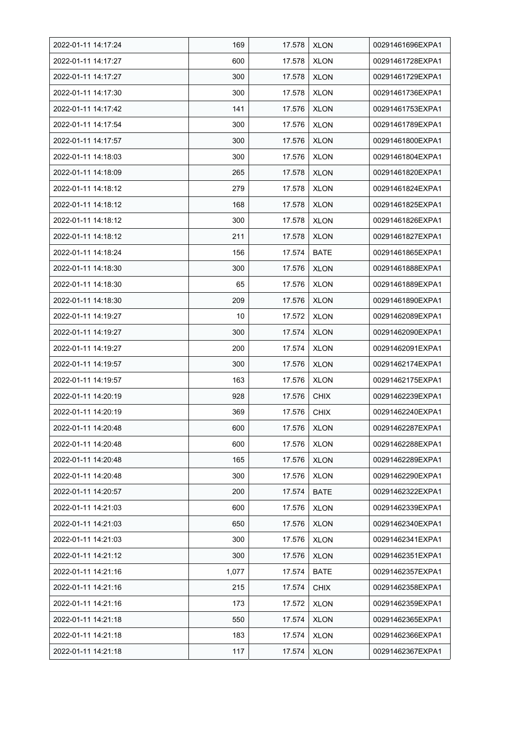| 2022-01-11 14:17:24 | 169   | 17.578 | <b>XLON</b> | 00291461696EXPA1 |
|---------------------|-------|--------|-------------|------------------|
| 2022-01-11 14:17:27 | 600   | 17.578 | <b>XLON</b> | 00291461728EXPA1 |
| 2022-01-11 14:17:27 | 300   | 17.578 | <b>XLON</b> | 00291461729EXPA1 |
| 2022-01-11 14:17:30 | 300   | 17.578 | <b>XLON</b> | 00291461736EXPA1 |
| 2022-01-11 14:17:42 | 141   | 17.576 | <b>XLON</b> | 00291461753EXPA1 |
| 2022-01-11 14:17:54 | 300   | 17.576 | <b>XLON</b> | 00291461789EXPA1 |
| 2022-01-11 14:17:57 | 300   | 17.576 | <b>XLON</b> | 00291461800EXPA1 |
| 2022-01-11 14:18:03 | 300   | 17.576 | <b>XLON</b> | 00291461804EXPA1 |
| 2022-01-11 14:18:09 | 265   | 17.578 | <b>XLON</b> | 00291461820EXPA1 |
| 2022-01-11 14:18:12 | 279   | 17.578 | <b>XLON</b> | 00291461824EXPA1 |
| 2022-01-11 14:18:12 | 168   | 17.578 | <b>XLON</b> | 00291461825EXPA1 |
| 2022-01-11 14:18:12 | 300   | 17.578 | <b>XLON</b> | 00291461826EXPA1 |
| 2022-01-11 14:18:12 | 211   | 17.578 | <b>XLON</b> | 00291461827EXPA1 |
| 2022-01-11 14:18:24 | 156   | 17.574 | <b>BATE</b> | 00291461865EXPA1 |
| 2022-01-11 14:18:30 | 300   | 17.576 | <b>XLON</b> | 00291461888EXPA1 |
| 2022-01-11 14:18:30 | 65    | 17.576 | <b>XLON</b> | 00291461889EXPA1 |
| 2022-01-11 14:18:30 | 209   | 17.576 | <b>XLON</b> | 00291461890EXPA1 |
| 2022-01-11 14:19:27 | 10    | 17.572 | <b>XLON</b> | 00291462089EXPA1 |
| 2022-01-11 14:19:27 | 300   | 17.574 | <b>XLON</b> | 00291462090EXPA1 |
| 2022-01-11 14:19:27 | 200   | 17.574 | <b>XLON</b> | 00291462091EXPA1 |
| 2022-01-11 14:19:57 | 300   | 17.576 | <b>XLON</b> | 00291462174EXPA1 |
| 2022-01-11 14:19:57 | 163   | 17.576 | <b>XLON</b> | 00291462175EXPA1 |
| 2022-01-11 14:20:19 | 928   | 17.576 | <b>CHIX</b> | 00291462239EXPA1 |
| 2022-01-11 14:20:19 | 369   | 17.576 | <b>CHIX</b> | 00291462240EXPA1 |
| 2022-01-11 14:20:48 | 600   | 17.576 | <b>XLON</b> | 00291462287EXPA1 |
| 2022-01-11 14:20:48 | 600   | 17.576 | <b>XLON</b> | 00291462288EXPA1 |
| 2022-01-11 14:20:48 | 165   | 17.576 | <b>XLON</b> | 00291462289EXPA1 |
| 2022-01-11 14:20:48 | 300   | 17.576 | <b>XLON</b> | 00291462290EXPA1 |
| 2022-01-11 14:20:57 | 200   | 17.574 | <b>BATE</b> | 00291462322EXPA1 |
| 2022-01-11 14:21:03 | 600   | 17.576 | <b>XLON</b> | 00291462339EXPA1 |
| 2022-01-11 14:21:03 | 650   | 17.576 | <b>XLON</b> | 00291462340EXPA1 |
| 2022-01-11 14:21:03 | 300   | 17.576 | <b>XLON</b> | 00291462341EXPA1 |
| 2022-01-11 14:21:12 | 300   | 17.576 | <b>XLON</b> | 00291462351EXPA1 |
| 2022-01-11 14:21:16 | 1,077 | 17.574 | <b>BATE</b> | 00291462357EXPA1 |
| 2022-01-11 14:21:16 | 215   | 17.574 | <b>CHIX</b> | 00291462358EXPA1 |
| 2022-01-11 14:21:16 | 173   | 17.572 | <b>XLON</b> | 00291462359EXPA1 |
| 2022-01-11 14:21:18 | 550   | 17.574 | <b>XLON</b> | 00291462365EXPA1 |
| 2022-01-11 14:21:18 | 183   | 17.574 | <b>XLON</b> | 00291462366EXPA1 |
| 2022-01-11 14:21:18 | 117   | 17.574 | <b>XLON</b> | 00291462367EXPA1 |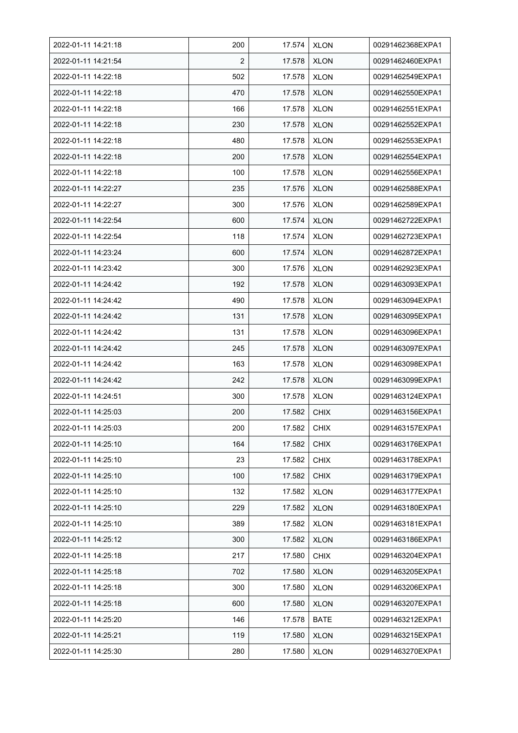| 2022-01-11 14:21:18 | 200 | 17.574 | <b>XLON</b> | 00291462368EXPA1 |
|---------------------|-----|--------|-------------|------------------|
| 2022-01-11 14:21:54 | 2   | 17.578 | <b>XLON</b> | 00291462460EXPA1 |
| 2022-01-11 14:22:18 | 502 | 17.578 | <b>XLON</b> | 00291462549EXPA1 |
| 2022-01-11 14:22:18 | 470 | 17.578 | <b>XLON</b> | 00291462550EXPA1 |
| 2022-01-11 14:22:18 | 166 | 17.578 | <b>XLON</b> | 00291462551EXPA1 |
| 2022-01-11 14:22:18 | 230 | 17.578 | <b>XLON</b> | 00291462552EXPA1 |
| 2022-01-11 14:22:18 | 480 | 17.578 | <b>XLON</b> | 00291462553EXPA1 |
| 2022-01-11 14:22:18 | 200 | 17.578 | XLON        | 00291462554EXPA1 |
| 2022-01-11 14:22:18 | 100 | 17.578 | <b>XLON</b> | 00291462556EXPA1 |
| 2022-01-11 14:22:27 | 235 | 17.576 | <b>XLON</b> | 00291462588EXPA1 |
| 2022-01-11 14:22:27 | 300 | 17.576 | <b>XLON</b> | 00291462589EXPA1 |
| 2022-01-11 14:22:54 | 600 | 17.574 | <b>XLON</b> | 00291462722EXPA1 |
| 2022-01-11 14:22:54 | 118 | 17.574 | <b>XLON</b> | 00291462723EXPA1 |
| 2022-01-11 14:23:24 | 600 | 17.574 | <b>XLON</b> | 00291462872EXPA1 |
| 2022-01-11 14:23:42 | 300 | 17.576 | <b>XLON</b> | 00291462923EXPA1 |
| 2022-01-11 14:24:42 | 192 | 17.578 | <b>XLON</b> | 00291463093EXPA1 |
| 2022-01-11 14:24:42 | 490 | 17.578 | <b>XLON</b> | 00291463094EXPA1 |
| 2022-01-11 14:24:42 | 131 | 17.578 | <b>XLON</b> | 00291463095EXPA1 |
| 2022-01-11 14:24:42 | 131 | 17.578 | <b>XLON</b> | 00291463096EXPA1 |
| 2022-01-11 14:24:42 | 245 | 17.578 | <b>XLON</b> | 00291463097EXPA1 |
| 2022-01-11 14:24:42 | 163 | 17.578 | <b>XLON</b> | 00291463098EXPA1 |
| 2022-01-11 14:24:42 | 242 | 17.578 | <b>XLON</b> | 00291463099EXPA1 |
| 2022-01-11 14:24:51 | 300 | 17.578 | <b>XLON</b> | 00291463124EXPA1 |
| 2022-01-11 14:25:03 | 200 | 17.582 | <b>CHIX</b> | 00291463156EXPA1 |
| 2022-01-11 14:25:03 | 200 | 17.582 | <b>CHIX</b> | 00291463157EXPA1 |
| 2022-01-11 14:25:10 | 164 | 17.582 | <b>CHIX</b> | 00291463176EXPA1 |
| 2022-01-11 14:25:10 | 23  | 17.582 | <b>CHIX</b> | 00291463178EXPA1 |
| 2022-01-11 14:25:10 | 100 | 17.582 | <b>CHIX</b> | 00291463179EXPA1 |
| 2022-01-11 14:25:10 | 132 | 17.582 | <b>XLON</b> | 00291463177EXPA1 |
| 2022-01-11 14:25:10 | 229 | 17.582 | <b>XLON</b> | 00291463180EXPA1 |
| 2022-01-11 14:25:10 | 389 | 17.582 | <b>XLON</b> | 00291463181EXPA1 |
| 2022-01-11 14:25:12 | 300 | 17.582 | <b>XLON</b> | 00291463186EXPA1 |
| 2022-01-11 14:25:18 | 217 | 17.580 | <b>CHIX</b> | 00291463204EXPA1 |
| 2022-01-11 14:25:18 | 702 | 17.580 | <b>XLON</b> | 00291463205EXPA1 |
| 2022-01-11 14:25:18 | 300 | 17.580 | <b>XLON</b> | 00291463206EXPA1 |
| 2022-01-11 14:25:18 | 600 | 17.580 | <b>XLON</b> | 00291463207EXPA1 |
| 2022-01-11 14:25:20 | 146 | 17.578 | <b>BATE</b> | 00291463212EXPA1 |
| 2022-01-11 14:25:21 | 119 | 17.580 | <b>XLON</b> | 00291463215EXPA1 |
| 2022-01-11 14:25:30 | 280 | 17.580 | <b>XLON</b> | 00291463270EXPA1 |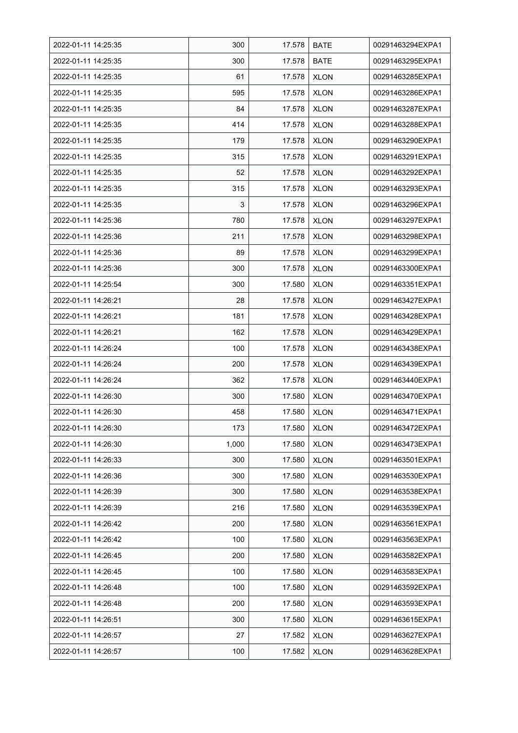| 2022-01-11 14:25:35 | 300   | 17.578 | <b>BATE</b> | 00291463294EXPA1 |
|---------------------|-------|--------|-------------|------------------|
| 2022-01-11 14:25:35 | 300   | 17.578 | <b>BATE</b> | 00291463295EXPA1 |
| 2022-01-11 14:25:35 | 61    | 17.578 | <b>XLON</b> | 00291463285EXPA1 |
| 2022-01-11 14:25:35 | 595   | 17.578 | <b>XLON</b> | 00291463286EXPA1 |
| 2022-01-11 14:25:35 | 84    | 17.578 | <b>XLON</b> | 00291463287EXPA1 |
| 2022-01-11 14:25:35 | 414   | 17.578 | <b>XLON</b> | 00291463288EXPA1 |
| 2022-01-11 14:25:35 | 179   | 17.578 | <b>XLON</b> | 00291463290EXPA1 |
| 2022-01-11 14:25:35 | 315   | 17.578 | XLON        | 00291463291EXPA1 |
| 2022-01-11 14:25:35 | 52    | 17.578 | <b>XLON</b> | 00291463292EXPA1 |
| 2022-01-11 14:25:35 | 315   | 17.578 | <b>XLON</b> | 00291463293EXPA1 |
| 2022-01-11 14:25:35 | 3     | 17.578 | <b>XLON</b> | 00291463296EXPA1 |
| 2022-01-11 14:25:36 | 780   | 17.578 | <b>XLON</b> | 00291463297EXPA1 |
| 2022-01-11 14:25:36 | 211   | 17.578 | <b>XLON</b> | 00291463298EXPA1 |
| 2022-01-11 14:25:36 | 89    | 17.578 | <b>XLON</b> | 00291463299EXPA1 |
| 2022-01-11 14:25:36 | 300   | 17.578 | <b>XLON</b> | 00291463300EXPA1 |
| 2022-01-11 14:25:54 | 300   | 17.580 | <b>XLON</b> | 00291463351EXPA1 |
| 2022-01-11 14:26:21 | 28    | 17.578 | <b>XLON</b> | 00291463427EXPA1 |
| 2022-01-11 14:26:21 | 181   | 17.578 | <b>XLON</b> | 00291463428EXPA1 |
| 2022-01-11 14:26:21 | 162   | 17.578 | <b>XLON</b> | 00291463429EXPA1 |
| 2022-01-11 14:26:24 | 100   | 17.578 | <b>XLON</b> | 00291463438EXPA1 |
| 2022-01-11 14:26:24 | 200   | 17.578 | <b>XLON</b> | 00291463439EXPA1 |
| 2022-01-11 14:26:24 | 362   | 17.578 | <b>XLON</b> | 00291463440EXPA1 |
| 2022-01-11 14:26:30 | 300   | 17.580 | <b>XLON</b> | 00291463470EXPA1 |
| 2022-01-11 14:26:30 | 458   | 17.580 | <b>XLON</b> | 00291463471EXPA1 |
| 2022-01-11 14:26:30 | 173   | 17.580 | <b>XLON</b> | 00291463472EXPA1 |
| 2022-01-11 14:26:30 | 1.000 | 17.580 | <b>XLON</b> | 00291463473EXPA1 |
| 2022-01-11 14:26:33 | 300   | 17.580 | <b>XLON</b> | 00291463501EXPA1 |
| 2022-01-11 14:26:36 | 300   | 17.580 | <b>XLON</b> | 00291463530EXPA1 |
| 2022-01-11 14:26:39 | 300   | 17.580 | <b>XLON</b> | 00291463538EXPA1 |
| 2022-01-11 14:26:39 | 216   | 17.580 | <b>XLON</b> | 00291463539EXPA1 |
| 2022-01-11 14:26:42 | 200   | 17.580 | <b>XLON</b> | 00291463561EXPA1 |
| 2022-01-11 14:26:42 | 100   | 17.580 | <b>XLON</b> | 00291463563EXPA1 |
| 2022-01-11 14:26:45 | 200   | 17.580 | <b>XLON</b> | 00291463582EXPA1 |
| 2022-01-11 14:26:45 | 100   | 17.580 | <b>XLON</b> | 00291463583EXPA1 |
| 2022-01-11 14:26:48 | 100   | 17.580 | <b>XLON</b> | 00291463592EXPA1 |
| 2022-01-11 14:26:48 | 200   | 17.580 | XLON        | 00291463593EXPA1 |
| 2022-01-11 14:26:51 | 300   | 17.580 | <b>XLON</b> | 00291463615EXPA1 |
| 2022-01-11 14:26:57 | 27    | 17.582 | <b>XLON</b> | 00291463627EXPA1 |
| 2022-01-11 14:26:57 | 100   | 17.582 | <b>XLON</b> | 00291463628EXPA1 |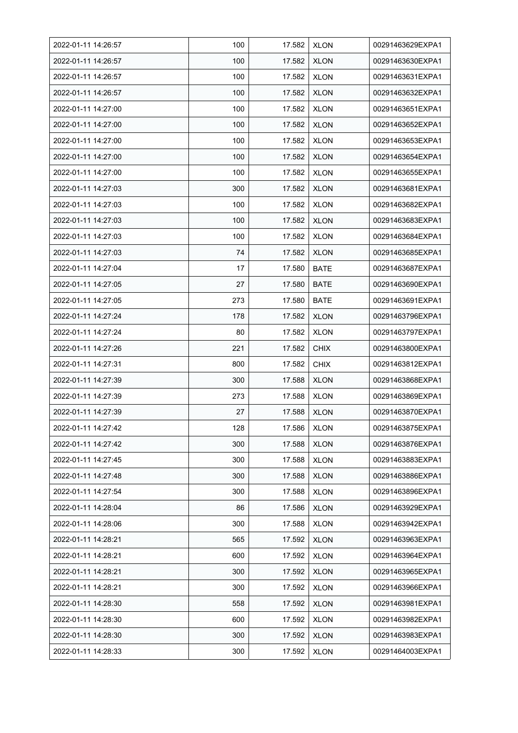| 2022-01-11 14:26:57 | 100 | 17.582 | <b>XLON</b> | 00291463629EXPA1 |
|---------------------|-----|--------|-------------|------------------|
| 2022-01-11 14:26:57 | 100 | 17.582 | <b>XLON</b> | 00291463630EXPA1 |
| 2022-01-11 14:26:57 | 100 | 17.582 | <b>XLON</b> | 00291463631EXPA1 |
| 2022-01-11 14:26:57 | 100 | 17.582 | <b>XLON</b> | 00291463632EXPA1 |
| 2022-01-11 14:27:00 | 100 | 17.582 | <b>XLON</b> | 00291463651EXPA1 |
| 2022-01-11 14:27:00 | 100 | 17.582 | <b>XLON</b> | 00291463652EXPA1 |
| 2022-01-11 14:27:00 | 100 | 17.582 | <b>XLON</b> | 00291463653EXPA1 |
| 2022-01-11 14:27:00 | 100 | 17.582 | XLON        | 00291463654EXPA1 |
| 2022-01-11 14:27:00 | 100 | 17.582 | <b>XLON</b> | 00291463655EXPA1 |
| 2022-01-11 14:27:03 | 300 | 17.582 | <b>XLON</b> | 00291463681EXPA1 |
| 2022-01-11 14:27:03 | 100 | 17.582 | <b>XLON</b> | 00291463682EXPA1 |
| 2022-01-11 14:27:03 | 100 | 17.582 | <b>XLON</b> | 00291463683EXPA1 |
| 2022-01-11 14:27:03 | 100 | 17.582 | <b>XLON</b> | 00291463684EXPA1 |
| 2022-01-11 14:27:03 | 74  | 17.582 | <b>XLON</b> | 00291463685EXPA1 |
| 2022-01-11 14:27:04 | 17  | 17.580 | <b>BATE</b> | 00291463687EXPA1 |
| 2022-01-11 14:27:05 | 27  | 17.580 | <b>BATE</b> | 00291463690EXPA1 |
| 2022-01-11 14:27:05 | 273 | 17.580 | <b>BATE</b> | 00291463691EXPA1 |
| 2022-01-11 14:27:24 | 178 | 17.582 | <b>XLON</b> | 00291463796EXPA1 |
| 2022-01-11 14:27:24 | 80  | 17.582 | <b>XLON</b> | 00291463797EXPA1 |
| 2022-01-11 14:27:26 | 221 | 17.582 | <b>CHIX</b> | 00291463800EXPA1 |
| 2022-01-11 14:27:31 | 800 | 17.582 | <b>CHIX</b> | 00291463812EXPA1 |
| 2022-01-11 14:27:39 | 300 | 17.588 | <b>XLON</b> | 00291463868EXPA1 |
| 2022-01-11 14:27:39 | 273 | 17.588 | <b>XLON</b> | 00291463869EXPA1 |
| 2022-01-11 14:27:39 | 27  | 17.588 | <b>XLON</b> | 00291463870EXPA1 |
| 2022-01-11 14:27:42 | 128 | 17.586 | <b>XLON</b> | 00291463875EXPA1 |
| 2022-01-11 14:27:42 | 300 | 17.588 | <b>XLON</b> | 00291463876EXPA1 |
| 2022-01-11 14:27:45 | 300 | 17.588 | <b>XLON</b> | 00291463883EXPA1 |
| 2022-01-11 14:27:48 | 300 | 17.588 | <b>XLON</b> | 00291463886EXPA1 |
| 2022-01-11 14:27:54 | 300 | 17.588 | <b>XLON</b> | 00291463896EXPA1 |
| 2022-01-11 14:28:04 | 86  | 17.586 | <b>XLON</b> | 00291463929EXPA1 |
| 2022-01-11 14:28:06 | 300 | 17.588 | <b>XLON</b> | 00291463942EXPA1 |
| 2022-01-11 14:28:21 | 565 | 17.592 | <b>XLON</b> | 00291463963EXPA1 |
| 2022-01-11 14:28:21 | 600 | 17.592 | <b>XLON</b> | 00291463964EXPA1 |
| 2022-01-11 14:28:21 | 300 | 17.592 | <b>XLON</b> | 00291463965EXPA1 |
| 2022-01-11 14:28:21 | 300 | 17.592 | <b>XLON</b> | 00291463966EXPA1 |
| 2022-01-11 14:28:30 | 558 | 17.592 | <b>XLON</b> | 00291463981EXPA1 |
| 2022-01-11 14:28:30 | 600 | 17.592 | <b>XLON</b> | 00291463982EXPA1 |
| 2022-01-11 14:28:30 | 300 | 17.592 | <b>XLON</b> | 00291463983EXPA1 |
| 2022-01-11 14:28:33 | 300 | 17.592 | <b>XLON</b> | 00291464003EXPA1 |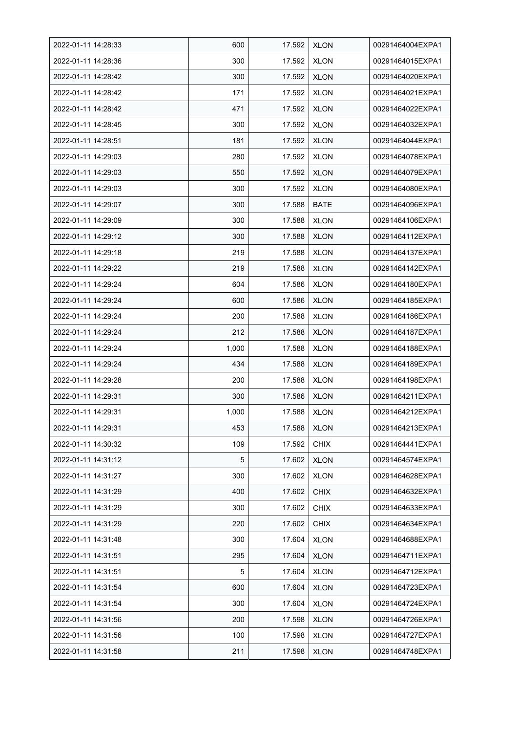| 2022-01-11 14:28:33 | 600   | 17.592 | <b>XLON</b> | 00291464004EXPA1 |
|---------------------|-------|--------|-------------|------------------|
| 2022-01-11 14:28:36 | 300   | 17.592 | <b>XLON</b> | 00291464015EXPA1 |
| 2022-01-11 14:28:42 | 300   | 17.592 | <b>XLON</b> | 00291464020EXPA1 |
| 2022-01-11 14:28:42 | 171   | 17.592 | <b>XLON</b> | 00291464021EXPA1 |
| 2022-01-11 14:28:42 | 471   | 17.592 | <b>XLON</b> | 00291464022EXPA1 |
| 2022-01-11 14:28:45 | 300   | 17.592 | <b>XLON</b> | 00291464032EXPA1 |
| 2022-01-11 14:28:51 | 181   | 17.592 | <b>XLON</b> | 00291464044EXPA1 |
| 2022-01-11 14:29:03 | 280   | 17.592 | XLON        | 00291464078EXPA1 |
| 2022-01-11 14:29:03 | 550   | 17.592 | <b>XLON</b> | 00291464079EXPA1 |
| 2022-01-11 14:29:03 | 300   | 17.592 | <b>XLON</b> | 00291464080EXPA1 |
| 2022-01-11 14:29:07 | 300   | 17.588 | <b>BATE</b> | 00291464096EXPA1 |
| 2022-01-11 14:29:09 | 300   | 17.588 | <b>XLON</b> | 00291464106EXPA1 |
| 2022-01-11 14:29:12 | 300   | 17.588 | <b>XLON</b> | 00291464112EXPA1 |
| 2022-01-11 14:29:18 | 219   | 17.588 | <b>XLON</b> | 00291464137EXPA1 |
| 2022-01-11 14:29:22 | 219   | 17.588 | <b>XLON</b> | 00291464142EXPA1 |
| 2022-01-11 14:29:24 | 604   | 17.586 | <b>XLON</b> | 00291464180EXPA1 |
| 2022-01-11 14:29:24 | 600   | 17.586 | <b>XLON</b> | 00291464185EXPA1 |
| 2022-01-11 14:29:24 | 200   | 17.588 | <b>XLON</b> | 00291464186EXPA1 |
| 2022-01-11 14:29:24 | 212   | 17.588 | <b>XLON</b> | 00291464187EXPA1 |
| 2022-01-11 14:29:24 | 1,000 | 17.588 | <b>XLON</b> | 00291464188EXPA1 |
| 2022-01-11 14:29:24 | 434   | 17.588 | <b>XLON</b> | 00291464189EXPA1 |
| 2022-01-11 14:29:28 | 200   | 17.588 | <b>XLON</b> | 00291464198EXPA1 |
| 2022-01-11 14:29:31 | 300   | 17.586 | <b>XLON</b> | 00291464211EXPA1 |
| 2022-01-11 14:29:31 | 1,000 | 17.588 | <b>XLON</b> | 00291464212EXPA1 |
| 2022-01-11 14:29:31 | 453   | 17.588 | <b>XLON</b> | 00291464213EXPA1 |
| 2022-01-11 14:30:32 | 109   | 17.592 | <b>CHIX</b> | 00291464441EXPA1 |
| 2022-01-11 14:31:12 | 5     | 17.602 | <b>XLON</b> | 00291464574EXPA1 |
| 2022-01-11 14:31:27 | 300   | 17.602 | <b>XLON</b> | 00291464628EXPA1 |
| 2022-01-11 14:31:29 | 400   | 17.602 | <b>CHIX</b> | 00291464632EXPA1 |
| 2022-01-11 14:31:29 | 300   | 17.602 | <b>CHIX</b> | 00291464633EXPA1 |
| 2022-01-11 14:31:29 | 220   | 17.602 | <b>CHIX</b> | 00291464634EXPA1 |
| 2022-01-11 14:31:48 | 300   | 17.604 | <b>XLON</b> | 00291464688EXPA1 |
| 2022-01-11 14:31:51 | 295   | 17.604 | <b>XLON</b> | 00291464711EXPA1 |
| 2022-01-11 14:31:51 | 5     | 17.604 | <b>XLON</b> | 00291464712EXPA1 |
| 2022-01-11 14:31:54 | 600   | 17.604 | <b>XLON</b> | 00291464723EXPA1 |
| 2022-01-11 14:31:54 | 300   | 17.604 | <b>XLON</b> | 00291464724EXPA1 |
| 2022-01-11 14:31:56 | 200   | 17.598 | <b>XLON</b> | 00291464726EXPA1 |
| 2022-01-11 14:31:56 | 100   | 17.598 | <b>XLON</b> | 00291464727EXPA1 |
| 2022-01-11 14:31:58 | 211   | 17.598 | <b>XLON</b> | 00291464748EXPA1 |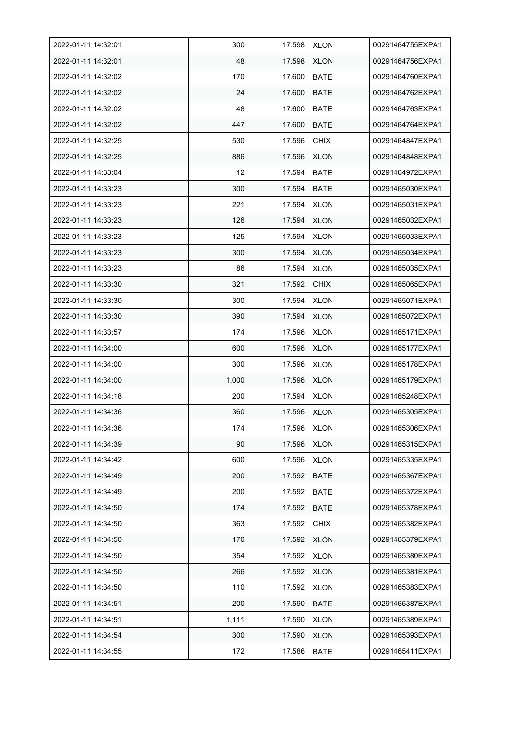| 2022-01-11 14:32:01 | 300   | 17.598 | <b>XLON</b> | 00291464755EXPA1 |
|---------------------|-------|--------|-------------|------------------|
| 2022-01-11 14:32:01 | 48    | 17.598 | <b>XLON</b> | 00291464756EXPA1 |
| 2022-01-11 14:32:02 | 170   | 17.600 | <b>BATE</b> | 00291464760EXPA1 |
| 2022-01-11 14:32:02 | 24    | 17.600 | <b>BATE</b> | 00291464762EXPA1 |
| 2022-01-11 14:32:02 | 48    | 17.600 | <b>BATE</b> | 00291464763EXPA1 |
| 2022-01-11 14:32:02 | 447   | 17.600 | <b>BATE</b> | 00291464764EXPA1 |
| 2022-01-11 14:32:25 | 530   | 17.596 | <b>CHIX</b> | 00291464847EXPA1 |
| 2022-01-11 14:32:25 | 886   | 17.596 | <b>XLON</b> | 00291464848EXPA1 |
| 2022-01-11 14:33:04 | 12    | 17.594 | <b>BATE</b> | 00291464972EXPA1 |
| 2022-01-11 14:33:23 | 300   | 17.594 | <b>BATE</b> | 00291465030EXPA1 |
| 2022-01-11 14:33:23 | 221   | 17.594 | <b>XLON</b> | 00291465031EXPA1 |
| 2022-01-11 14:33:23 | 126   | 17.594 | <b>XLON</b> | 00291465032EXPA1 |
| 2022-01-11 14:33:23 | 125   | 17.594 | <b>XLON</b> | 00291465033EXPA1 |
| 2022-01-11 14:33:23 | 300   | 17.594 | <b>XLON</b> | 00291465034EXPA1 |
| 2022-01-11 14:33:23 | 86    | 17.594 | <b>XLON</b> | 00291465035EXPA1 |
| 2022-01-11 14:33:30 | 321   | 17.592 | <b>CHIX</b> | 00291465065EXPA1 |
| 2022-01-11 14:33:30 | 300   | 17.594 | <b>XLON</b> | 00291465071EXPA1 |
| 2022-01-11 14:33:30 | 390   | 17.594 | <b>XLON</b> | 00291465072EXPA1 |
| 2022-01-11 14:33:57 | 174   | 17.596 | <b>XLON</b> | 00291465171EXPA1 |
| 2022-01-11 14:34:00 | 600   | 17.596 | <b>XLON</b> | 00291465177EXPA1 |
| 2022-01-11 14:34:00 | 300   | 17.596 | <b>XLON</b> | 00291465178EXPA1 |
| 2022-01-11 14:34:00 | 1,000 | 17.596 | <b>XLON</b> | 00291465179EXPA1 |
| 2022-01-11 14:34:18 | 200   | 17.594 | <b>XLON</b> | 00291465248EXPA1 |
| 2022-01-11 14:34:36 | 360   | 17.596 | <b>XLON</b> | 00291465305EXPA1 |
| 2022-01-11 14:34:36 | 174   | 17.596 | <b>XLON</b> | 00291465306EXPA1 |
| 2022-01-11 14:34:39 | 90    | 17.596 | <b>XLON</b> | 00291465315EXPA1 |
| 2022-01-11 14:34:42 | 600   | 17.596 | <b>XLON</b> | 00291465335EXPA1 |
| 2022-01-11 14:34:49 | 200   | 17.592 | BATE        | 00291465367EXPA1 |
| 2022-01-11 14:34:49 | 200   | 17.592 | <b>BATE</b> | 00291465372EXPA1 |
| 2022-01-11 14:34:50 | 174   | 17.592 | <b>BATE</b> | 00291465378EXPA1 |
| 2022-01-11 14:34:50 | 363   | 17.592 | <b>CHIX</b> | 00291465382EXPA1 |
| 2022-01-11 14:34:50 | 170   | 17.592 | <b>XLON</b> | 00291465379EXPA1 |
| 2022-01-11 14:34:50 | 354   | 17.592 | <b>XLON</b> | 00291465380EXPA1 |
| 2022-01-11 14:34:50 | 266   | 17.592 | <b>XLON</b> | 00291465381EXPA1 |
| 2022-01-11 14:34:50 | 110   | 17.592 | <b>XLON</b> | 00291465383EXPA1 |
| 2022-01-11 14:34:51 | 200   | 17.590 | BATE        | 00291465387EXPA1 |
| 2022-01-11 14:34:51 | 1,111 | 17.590 | <b>XLON</b> | 00291465389EXPA1 |
| 2022-01-11 14:34:54 | 300   | 17.590 | <b>XLON</b> | 00291465393EXPA1 |
| 2022-01-11 14:34:55 | 172   | 17.586 | <b>BATE</b> | 00291465411EXPA1 |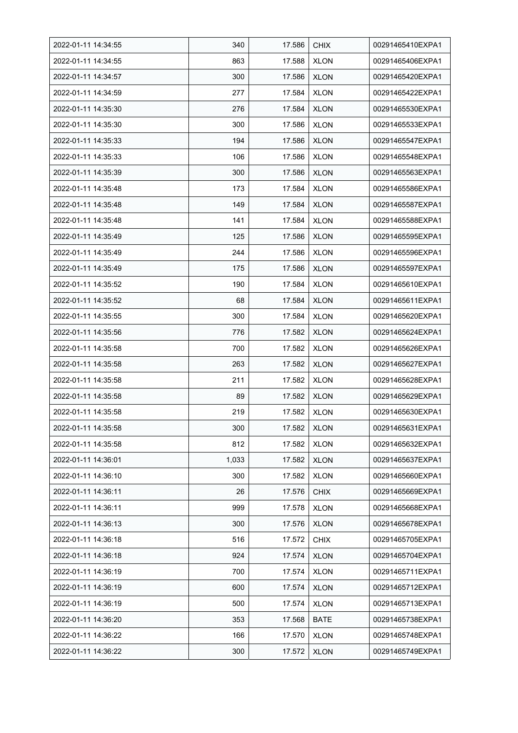| 2022-01-11 14:34:55 | 340   | 17.586 | <b>CHIX</b> | 00291465410EXPA1 |
|---------------------|-------|--------|-------------|------------------|
| 2022-01-11 14:34:55 | 863   | 17.588 | <b>XLON</b> | 00291465406EXPA1 |
| 2022-01-11 14:34:57 | 300   | 17.586 | <b>XLON</b> | 00291465420EXPA1 |
| 2022-01-11 14:34:59 | 277   | 17.584 | <b>XLON</b> | 00291465422EXPA1 |
| 2022-01-11 14:35:30 | 276   | 17.584 | <b>XLON</b> | 00291465530EXPA1 |
| 2022-01-11 14:35:30 | 300   | 17.586 | <b>XLON</b> | 00291465533EXPA1 |
| 2022-01-11 14:35:33 | 194   | 17.586 | <b>XLON</b> | 00291465547EXPA1 |
| 2022-01-11 14:35:33 | 106   | 17.586 | <b>XLON</b> | 00291465548EXPA1 |
| 2022-01-11 14:35:39 | 300   | 17.586 | <b>XLON</b> | 00291465563EXPA1 |
| 2022-01-11 14:35:48 | 173   | 17.584 | <b>XLON</b> | 00291465586EXPA1 |
| 2022-01-11 14:35:48 | 149   | 17.584 | <b>XLON</b> | 00291465587EXPA1 |
| 2022-01-11 14:35:48 | 141   | 17.584 | <b>XLON</b> | 00291465588EXPA1 |
| 2022-01-11 14:35:49 | 125   | 17.586 | <b>XLON</b> | 00291465595EXPA1 |
| 2022-01-11 14:35:49 | 244   | 17.586 | <b>XLON</b> | 00291465596EXPA1 |
| 2022-01-11 14:35:49 | 175   | 17.586 | <b>XLON</b> | 00291465597EXPA1 |
| 2022-01-11 14:35:52 | 190   | 17.584 | <b>XLON</b> | 00291465610EXPA1 |
| 2022-01-11 14:35:52 | 68    | 17.584 | <b>XLON</b> | 00291465611EXPA1 |
| 2022-01-11 14:35:55 | 300   | 17.584 | XLON        | 00291465620EXPA1 |
| 2022-01-11 14:35:56 | 776   | 17.582 | <b>XLON</b> | 00291465624EXPA1 |
| 2022-01-11 14:35:58 | 700   | 17.582 | <b>XLON</b> | 00291465626EXPA1 |
| 2022-01-11 14:35:58 | 263   | 17.582 | <b>XLON</b> | 00291465627EXPA1 |
| 2022-01-11 14:35:58 | 211   | 17.582 | <b>XLON</b> | 00291465628EXPA1 |
| 2022-01-11 14:35:58 | 89    | 17.582 | <b>XLON</b> | 00291465629EXPA1 |
| 2022-01-11 14:35:58 | 219   | 17.582 | <b>XLON</b> | 00291465630EXPA1 |
| 2022-01-11 14:35:58 | 300   | 17.582 | <b>XLON</b> | 00291465631EXPA1 |
| 2022-01-11 14:35:58 | 812   | 17.582 | <b>XLON</b> | 00291465632EXPA1 |
| 2022-01-11 14:36:01 | 1,033 | 17.582 | <b>XLON</b> | 00291465637EXPA1 |
| 2022-01-11 14:36:10 | 300   | 17.582 | <b>XLON</b> | 00291465660EXPA1 |
| 2022-01-11 14:36:11 | 26    | 17.576 | <b>CHIX</b> | 00291465669EXPA1 |
| 2022-01-11 14:36:11 | 999   | 17.578 | <b>XLON</b> | 00291465668EXPA1 |
| 2022-01-11 14:36:13 | 300   | 17.576 | <b>XLON</b> | 00291465678EXPA1 |
| 2022-01-11 14:36:18 | 516   | 17.572 | <b>CHIX</b> | 00291465705EXPA1 |
| 2022-01-11 14:36:18 | 924   | 17.574 | <b>XLON</b> | 00291465704EXPA1 |
| 2022-01-11 14:36:19 | 700   | 17.574 | <b>XLON</b> | 00291465711EXPA1 |
| 2022-01-11 14:36:19 | 600   | 17.574 | <b>XLON</b> | 00291465712EXPA1 |
| 2022-01-11 14:36:19 | 500   | 17.574 | <b>XLON</b> | 00291465713EXPA1 |
| 2022-01-11 14:36:20 | 353   | 17.568 | <b>BATE</b> | 00291465738EXPA1 |
| 2022-01-11 14:36:22 | 166   | 17.570 | <b>XLON</b> | 00291465748EXPA1 |
| 2022-01-11 14:36:22 | 300   | 17.572 | <b>XLON</b> | 00291465749EXPA1 |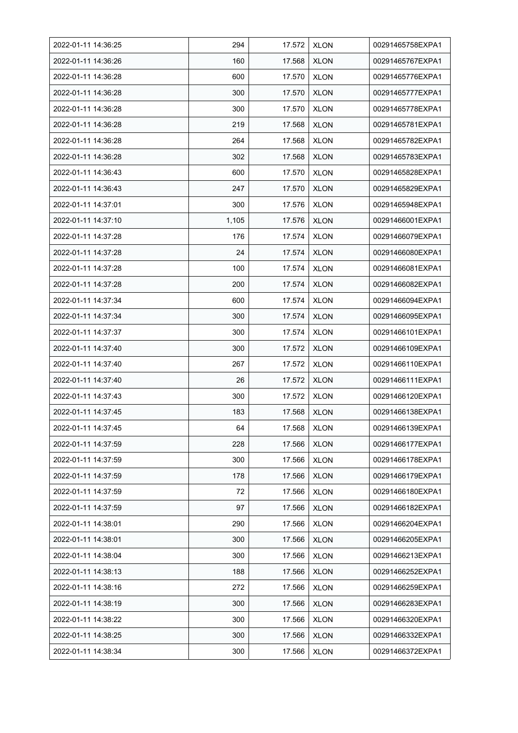| 2022-01-11 14:36:25 | 294   | 17.572 | <b>XLON</b> | 00291465758EXPA1 |
|---------------------|-------|--------|-------------|------------------|
| 2022-01-11 14:36:26 | 160   | 17.568 | <b>XLON</b> | 00291465767EXPA1 |
| 2022-01-11 14:36:28 | 600   | 17.570 | <b>XLON</b> | 00291465776EXPA1 |
| 2022-01-11 14:36:28 | 300   | 17.570 | <b>XLON</b> | 00291465777EXPA1 |
| 2022-01-11 14:36:28 | 300   | 17.570 | <b>XLON</b> | 00291465778EXPA1 |
| 2022-01-11 14:36:28 | 219   | 17.568 | <b>XLON</b> | 00291465781EXPA1 |
| 2022-01-11 14:36:28 | 264   | 17.568 | <b>XLON</b> | 00291465782EXPA1 |
| 2022-01-11 14:36:28 | 302   | 17.568 | <b>XLON</b> | 00291465783EXPA1 |
| 2022-01-11 14:36:43 | 600   | 17.570 | <b>XLON</b> | 00291465828EXPA1 |
| 2022-01-11 14:36:43 | 247   | 17.570 | <b>XLON</b> | 00291465829EXPA1 |
| 2022-01-11 14:37:01 | 300   | 17.576 | <b>XLON</b> | 00291465948EXPA1 |
| 2022-01-11 14:37:10 | 1,105 | 17.576 | <b>XLON</b> | 00291466001EXPA1 |
| 2022-01-11 14:37:28 | 176   | 17.574 | <b>XLON</b> | 00291466079EXPA1 |
| 2022-01-11 14:37:28 | 24    | 17.574 | <b>XLON</b> | 00291466080EXPA1 |
| 2022-01-11 14:37:28 | 100   | 17.574 | <b>XLON</b> | 00291466081EXPA1 |
| 2022-01-11 14:37:28 | 200   | 17.574 | <b>XLON</b> | 00291466082EXPA1 |
| 2022-01-11 14:37:34 | 600   | 17.574 | <b>XLON</b> | 00291466094EXPA1 |
| 2022-01-11 14:37:34 | 300   | 17.574 | <b>XLON</b> | 00291466095EXPA1 |
| 2022-01-11 14:37:37 | 300   | 17.574 | <b>XLON</b> | 00291466101EXPA1 |
| 2022-01-11 14:37:40 | 300   | 17.572 | <b>XLON</b> | 00291466109EXPA1 |
| 2022-01-11 14:37:40 | 267   | 17.572 | <b>XLON</b> | 00291466110EXPA1 |
| 2022-01-11 14:37:40 | 26    | 17.572 | <b>XLON</b> | 00291466111EXPA1 |
| 2022-01-11 14:37:43 | 300   | 17.572 | <b>XLON</b> | 00291466120EXPA1 |
| 2022-01-11 14:37:45 | 183   | 17.568 | <b>XLON</b> | 00291466138EXPA1 |
| 2022-01-11 14:37:45 | 64    | 17.568 | <b>XLON</b> | 00291466139EXPA1 |
| 2022-01-11 14:37:59 | 228   | 17.566 | <b>XLON</b> | 00291466177EXPA1 |
| 2022-01-11 14:37:59 | 300   | 17.566 | <b>XLON</b> | 00291466178EXPA1 |
| 2022-01-11 14:37:59 | 178   | 17.566 | <b>XLON</b> | 00291466179EXPA1 |
| 2022-01-11 14:37:59 | 72    | 17.566 | <b>XLON</b> | 00291466180EXPA1 |
| 2022-01-11 14:37:59 | 97    | 17.566 | <b>XLON</b> | 00291466182EXPA1 |
| 2022-01-11 14:38:01 | 290   | 17.566 | <b>XLON</b> | 00291466204EXPA1 |
| 2022-01-11 14:38:01 | 300   | 17.566 | <b>XLON</b> | 00291466205EXPA1 |
| 2022-01-11 14:38:04 | 300   | 17.566 | <b>XLON</b> | 00291466213EXPA1 |
| 2022-01-11 14:38:13 | 188   | 17.566 | <b>XLON</b> | 00291466252EXPA1 |
| 2022-01-11 14:38:16 | 272   | 17.566 | <b>XLON</b> | 00291466259EXPA1 |
| 2022-01-11 14:38:19 | 300   | 17.566 | <b>XLON</b> | 00291466283EXPA1 |
| 2022-01-11 14:38:22 | 300   | 17.566 | <b>XLON</b> | 00291466320EXPA1 |
| 2022-01-11 14:38:25 | 300   | 17.566 | <b>XLON</b> | 00291466332EXPA1 |
| 2022-01-11 14:38:34 | 300   | 17.566 | <b>XLON</b> | 00291466372EXPA1 |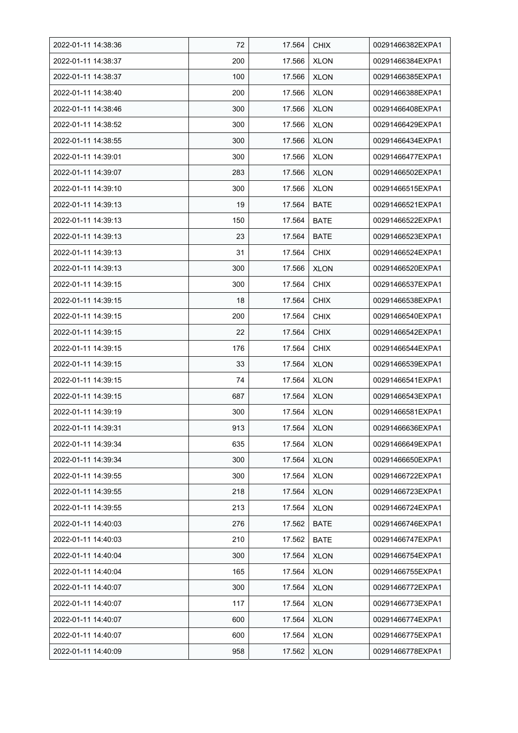| 2022-01-11 14:38:36 | 72  | 17.564 | <b>CHIX</b> | 00291466382EXPA1 |
|---------------------|-----|--------|-------------|------------------|
| 2022-01-11 14:38:37 | 200 | 17.566 | <b>XLON</b> | 00291466384EXPA1 |
| 2022-01-11 14:38:37 | 100 | 17.566 | <b>XLON</b> | 00291466385EXPA1 |
| 2022-01-11 14:38:40 | 200 | 17.566 | <b>XLON</b> | 00291466388EXPA1 |
| 2022-01-11 14:38:46 | 300 | 17.566 | <b>XLON</b> | 00291466408EXPA1 |
| 2022-01-11 14:38:52 | 300 | 17.566 | <b>XLON</b> | 00291466429EXPA1 |
| 2022-01-11 14:38:55 | 300 | 17.566 | <b>XLON</b> | 00291466434EXPA1 |
| 2022-01-11 14:39:01 | 300 | 17.566 | <b>XLON</b> | 00291466477EXPA1 |
| 2022-01-11 14:39:07 | 283 | 17.566 | <b>XLON</b> | 00291466502EXPA1 |
| 2022-01-11 14:39:10 | 300 | 17.566 | <b>XLON</b> | 00291466515EXPA1 |
| 2022-01-11 14:39:13 | 19  | 17.564 | <b>BATE</b> | 00291466521EXPA1 |
| 2022-01-11 14:39:13 | 150 | 17.564 | <b>BATE</b> | 00291466522EXPA1 |
| 2022-01-11 14:39:13 | 23  | 17.564 | <b>BATE</b> | 00291466523EXPA1 |
| 2022-01-11 14:39:13 | 31  | 17.564 | <b>CHIX</b> | 00291466524EXPA1 |
| 2022-01-11 14:39:13 | 300 | 17.566 | <b>XLON</b> | 00291466520EXPA1 |
| 2022-01-11 14:39:15 | 300 | 17.564 | <b>CHIX</b> | 00291466537EXPA1 |
| 2022-01-11 14:39:15 | 18  | 17.564 | <b>CHIX</b> | 00291466538EXPA1 |
| 2022-01-11 14:39:15 | 200 | 17.564 | <b>CHIX</b> | 00291466540EXPA1 |
| 2022-01-11 14:39:15 | 22  | 17.564 | <b>CHIX</b> | 00291466542EXPA1 |
| 2022-01-11 14:39:15 | 176 | 17.564 | <b>CHIX</b> | 00291466544EXPA1 |
| 2022-01-11 14:39:15 | 33  | 17.564 | <b>XLON</b> | 00291466539EXPA1 |
| 2022-01-11 14:39:15 | 74  | 17.564 | <b>XLON</b> | 00291466541EXPA1 |
| 2022-01-11 14:39:15 | 687 | 17.564 | <b>XLON</b> | 00291466543EXPA1 |
| 2022-01-11 14:39:19 | 300 | 17.564 | <b>XLON</b> | 00291466581EXPA1 |
| 2022-01-11 14:39:31 | 913 | 17.564 | <b>XLON</b> | 00291466636EXPA1 |
| 2022-01-11 14:39:34 | 635 | 17.564 | <b>XLON</b> | 00291466649EXPA1 |
| 2022-01-11 14:39:34 | 300 | 17.564 | <b>XLON</b> | 00291466650EXPA1 |
| 2022-01-11 14:39:55 | 300 | 17.564 | <b>XLON</b> | 00291466722EXPA1 |
| 2022-01-11 14:39:55 | 218 | 17.564 | <b>XLON</b> | 00291466723EXPA1 |
| 2022-01-11 14:39:55 | 213 | 17.564 | <b>XLON</b> | 00291466724EXPA1 |
| 2022-01-11 14:40:03 | 276 | 17.562 | <b>BATE</b> | 00291466746EXPA1 |
| 2022-01-11 14:40:03 | 210 | 17.562 | <b>BATE</b> | 00291466747EXPA1 |
| 2022-01-11 14:40:04 | 300 | 17.564 | <b>XLON</b> | 00291466754EXPA1 |
| 2022-01-11 14:40:04 | 165 | 17.564 | <b>XLON</b> | 00291466755EXPA1 |
| 2022-01-11 14:40:07 | 300 | 17.564 | <b>XLON</b> | 00291466772EXPA1 |
| 2022-01-11 14:40:07 | 117 | 17.564 | <b>XLON</b> | 00291466773EXPA1 |
| 2022-01-11 14:40:07 | 600 | 17.564 | <b>XLON</b> | 00291466774EXPA1 |
| 2022-01-11 14:40:07 | 600 | 17.564 | <b>XLON</b> | 00291466775EXPA1 |
| 2022-01-11 14:40:09 | 958 | 17.562 | <b>XLON</b> | 00291466778EXPA1 |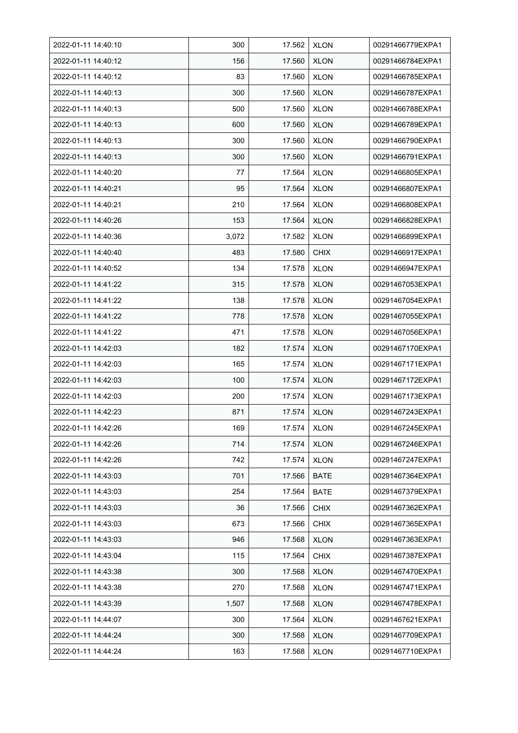| 2022-01-11 14:40:10 | 300   | 17.562 | <b>XLON</b> | 00291466779EXPA1 |
|---------------------|-------|--------|-------------|------------------|
| 2022-01-11 14:40:12 | 156   | 17.560 | <b>XLON</b> | 00291466784EXPA1 |
| 2022-01-11 14:40:12 | 83    | 17.560 | <b>XLON</b> | 00291466785EXPA1 |
| 2022-01-11 14:40:13 | 300   | 17.560 | <b>XLON</b> | 00291466787EXPA1 |
| 2022-01-11 14:40:13 | 500   | 17.560 | <b>XLON</b> | 00291466788EXPA1 |
| 2022-01-11 14:40:13 | 600   | 17.560 | <b>XLON</b> | 00291466789EXPA1 |
| 2022-01-11 14:40:13 | 300   | 17.560 | <b>XLON</b> | 00291466790EXPA1 |
| 2022-01-11 14:40:13 | 300   | 17.560 | <b>XLON</b> | 00291466791EXPA1 |
| 2022-01-11 14:40:20 | 77    | 17.564 | <b>XLON</b> | 00291466805EXPA1 |
| 2022-01-11 14:40.21 | 95    | 17.564 | <b>XLON</b> | 00291466807EXPA1 |
| 2022-01-11 14:40.21 | 210   | 17.564 | <b>XLON</b> | 00291466808EXPA1 |
| 2022-01-11 14:40:26 | 153   | 17.564 | <b>XLON</b> | 00291466828EXPA1 |
| 2022-01-11 14:40:36 | 3,072 | 17.582 | <b>XLON</b> | 00291466899EXPA1 |
| 2022-01-11 14:40:40 | 483   | 17.580 | <b>CHIX</b> | 00291466917EXPA1 |
| 2022-01-11 14:40:52 | 134   | 17.578 | <b>XLON</b> | 00291466947EXPA1 |
| 2022-01-11 14:41:22 | 315   | 17.578 | <b>XLON</b> | 00291467053EXPA1 |
| 2022-01-11 14:41:22 | 138   | 17.578 | <b>XLON</b> | 00291467054EXPA1 |
| 2022-01-11 14:41:22 | 778   | 17.578 | <b>XLON</b> | 00291467055EXPA1 |
| 2022-01-11 14:41:22 | 471   | 17.578 | <b>XLON</b> | 00291467056EXPA1 |
| 2022-01-11 14:42:03 | 182   | 17.574 | <b>XLON</b> | 00291467170EXPA1 |
| 2022-01-11 14:42:03 | 165   | 17.574 | <b>XLON</b> | 00291467171EXPA1 |
| 2022-01-11 14:42:03 | 100   | 17.574 | <b>XLON</b> | 00291467172EXPA1 |
| 2022-01-11 14:42:03 | 200   | 17.574 | <b>XLON</b> | 00291467173EXPA1 |
| 2022-01-11 14:42:23 | 871   | 17.574 | <b>XLON</b> | 00291467243EXPA1 |
| 2022-01-11 14:42:26 | 169   | 17.574 | <b>XLON</b> | 00291467245EXPA1 |
| 2022-01-11 14:42:26 | 714   | 17.574 | <b>XLON</b> | 00291467246EXPA1 |
| 2022-01-11 14:42:26 | 742   | 17.574 | XLON        | 00291467247EXPA1 |
| 2022-01-11 14:43:03 | 701   | 17.566 | <b>BATE</b> | 00291467364EXPA1 |
| 2022-01-11 14:43:03 | 254   | 17.564 | <b>BATE</b> | 00291467379EXPA1 |
| 2022-01-11 14:43:03 | 36    | 17.566 | <b>CHIX</b> | 00291467362EXPA1 |
| 2022-01-11 14:43:03 | 673   | 17.566 | <b>CHIX</b> | 00291467365EXPA1 |
| 2022-01-11 14:43:03 | 946   | 17.568 | <b>XLON</b> | 00291467363EXPA1 |
| 2022-01-11 14:43:04 | 115   | 17.564 | <b>CHIX</b> | 00291467387EXPA1 |
| 2022-01-11 14:43:38 | 300   | 17.568 | <b>XLON</b> | 00291467470EXPA1 |
| 2022-01-11 14:43:38 | 270   | 17.568 | <b>XLON</b> | 00291467471EXPA1 |
| 2022-01-11 14:43:39 | 1,507 | 17.568 | <b>XLON</b> | 00291467478EXPA1 |
| 2022-01-11 14:44:07 | 300   | 17.564 | <b>XLON</b> | 00291467621EXPA1 |
| 2022-01-11 14:44:24 | 300   | 17.568 | <b>XLON</b> | 00291467709EXPA1 |
| 2022-01-11 14:44:24 | 163   | 17.568 | <b>XLON</b> | 00291467710EXPA1 |
|                     |       |        |             |                  |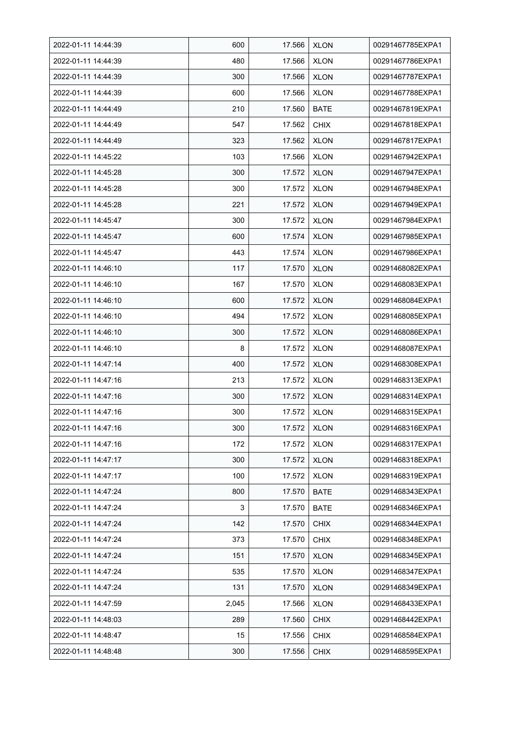| 2022-01-11 14:44:39 | 600   | 17.566 | <b>XLON</b> | 00291467785EXPA1 |
|---------------------|-------|--------|-------------|------------------|
| 2022-01-11 14:44:39 | 480   | 17.566 | <b>XLON</b> | 00291467786EXPA1 |
| 2022-01-11 14:44:39 | 300   | 17.566 | <b>XLON</b> | 00291467787EXPA1 |
| 2022-01-11 14:44:39 | 600   | 17.566 | <b>XLON</b> | 00291467788EXPA1 |
| 2022-01-11 14:44:49 | 210   | 17.560 | <b>BATE</b> | 00291467819EXPA1 |
| 2022-01-11 14:44:49 | 547   | 17.562 | <b>CHIX</b> | 00291467818EXPA1 |
| 2022-01-11 14:44:49 | 323   | 17.562 | <b>XLON</b> | 00291467817EXPA1 |
| 2022-01-11 14:45:22 | 103   | 17.566 | <b>XLON</b> | 00291467942EXPA1 |
| 2022-01-11 14:45:28 | 300   | 17.572 | <b>XLON</b> | 00291467947EXPA1 |
| 2022-01-11 14:45:28 | 300   | 17.572 | <b>XLON</b> | 00291467948EXPA1 |
| 2022-01-11 14:45:28 | 221   | 17.572 | <b>XLON</b> | 00291467949EXPA1 |
| 2022-01-11 14:45:47 | 300   | 17.572 | <b>XLON</b> | 00291467984EXPA1 |
| 2022-01-11 14:45:47 | 600   | 17.574 | <b>XLON</b> | 00291467985EXPA1 |
| 2022-01-11 14:45:47 | 443   | 17.574 | <b>XLON</b> | 00291467986EXPA1 |
| 2022-01-11 14:46:10 | 117   | 17.570 | <b>XLON</b> | 00291468082EXPA1 |
| 2022-01-11 14:46:10 | 167   | 17.570 | <b>XLON</b> | 00291468083EXPA1 |
| 2022-01-11 14:46:10 | 600   | 17.572 | <b>XLON</b> | 00291468084EXPA1 |
| 2022-01-11 14:46:10 | 494   | 17.572 | XLON        | 00291468085EXPA1 |
| 2022-01-11 14:46:10 | 300   | 17.572 | <b>XLON</b> | 00291468086EXPA1 |
| 2022-01-11 14:46:10 | 8     | 17.572 | <b>XLON</b> | 00291468087EXPA1 |
| 2022-01-11 14:47:14 | 400   | 17.572 | <b>XLON</b> | 00291468308EXPA1 |
| 2022-01-11 14:47:16 | 213   | 17.572 | <b>XLON</b> | 00291468313EXPA1 |
| 2022-01-11 14:47:16 | 300   | 17.572 | <b>XLON</b> | 00291468314EXPA1 |
| 2022-01-11 14:47:16 | 300   | 17.572 | <b>XLON</b> | 00291468315EXPA1 |
| 2022-01-11 14:47:16 | 300   | 17.572 | <b>XLON</b> | 00291468316EXPA1 |
| 2022-01-11 14:47:16 | 172   | 17.572 | <b>XLON</b> | 00291468317EXPA1 |
| 2022-01-11 14:47:17 | 300   | 17.572 | <b>XLON</b> | 00291468318EXPA1 |
| 2022-01-11 14:47:17 | 100   | 17.572 | <b>XLON</b> | 00291468319EXPA1 |
| 2022-01-11 14:47:24 | 800   | 17.570 | <b>BATE</b> | 00291468343EXPA1 |
| 2022-01-11 14:47:24 | 3     | 17.570 | <b>BATE</b> | 00291468346EXPA1 |
| 2022-01-11 14:47:24 | 142   | 17.570 | <b>CHIX</b> | 00291468344EXPA1 |
| 2022-01-11 14:47:24 | 373   | 17.570 | <b>CHIX</b> | 00291468348EXPA1 |
| 2022-01-11 14:47:24 | 151   | 17.570 | <b>XLON</b> | 00291468345EXPA1 |
| 2022-01-11 14:47:24 | 535   | 17.570 | <b>XLON</b> | 00291468347EXPA1 |
| 2022-01-11 14:47:24 | 131   | 17.570 | <b>XLON</b> | 00291468349EXPA1 |
| 2022-01-11 14:47:59 | 2,045 | 17.566 | <b>XLON</b> | 00291468433EXPA1 |
| 2022-01-11 14:48:03 | 289   | 17.560 | <b>CHIX</b> | 00291468442EXPA1 |
| 2022-01-11 14:48:47 | 15    | 17.556 | <b>CHIX</b> | 00291468584EXPA1 |
| 2022-01-11 14:48:48 | 300   | 17.556 | <b>CHIX</b> | 00291468595EXPA1 |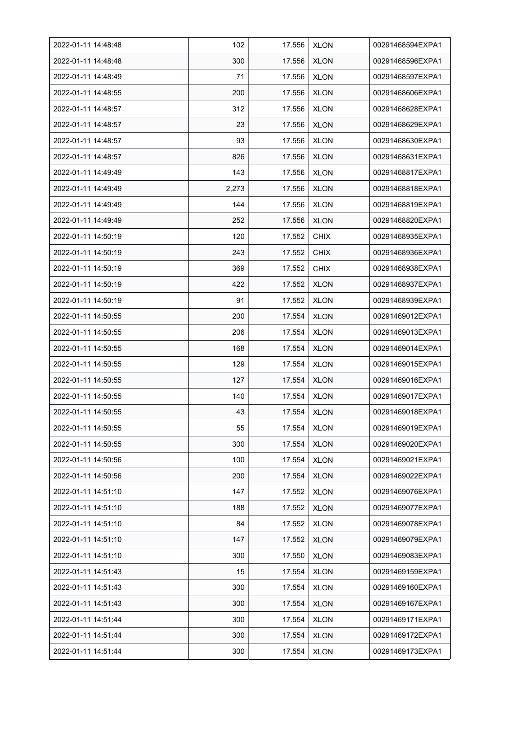| 2022-01-11 14:48:48 | 102   | 17.556 | <b>XLON</b> | 00291468594EXPA1 |
|---------------------|-------|--------|-------------|------------------|
| 2022-01-11 14:48:48 | 300   | 17.556 | <b>XLON</b> | 00291468596EXPA1 |
| 2022-01-11 14:48:49 | 71    | 17.556 | <b>XLON</b> | 00291468597EXPA1 |
| 2022-01-11 14:48:55 | 200   | 17.556 | <b>XLON</b> | 00291468606EXPA1 |
| 2022-01-11 14:48:57 | 312   | 17.556 | <b>XLON</b> | 00291468628EXPA1 |
| 2022-01-11 14:48:57 | 23    | 17.556 | <b>XLON</b> | 00291468629EXPA1 |
| 2022-01-11 14:48:57 | 93    | 17.556 | <b>XLON</b> | 00291468630EXPA1 |
| 2022-01-11 14:48:57 | 826   | 17.556 | <b>XLON</b> | 00291468631EXPA1 |
| 2022-01-11 14:49:49 | 143   | 17.556 | <b>XLON</b> | 00291468817EXPA1 |
| 2022-01-11 14:49:49 | 2,273 | 17.556 | <b>XLON</b> | 00291468818EXPA1 |
| 2022-01-11 14:49:49 | 144   | 17.556 | <b>XLON</b> | 00291468819EXPA1 |
| 2022-01-11 14:49:49 | 252   | 17.556 | <b>XLON</b> | 00291468820EXPA1 |
| 2022-01-11 14:50:19 | 120   | 17.552 | <b>CHIX</b> | 00291468935EXPA1 |
| 2022-01-11 14:50:19 | 243   | 17.552 | <b>CHIX</b> | 00291468936EXPA1 |
| 2022-01-11 14:50:19 | 369   | 17.552 | <b>CHIX</b> | 00291468938EXPA1 |
| 2022-01-11 14:50:19 | 422   | 17.552 | <b>XLON</b> | 00291468937EXPA1 |
| 2022-01-11 14:50:19 | 91    | 17.552 | <b>XLON</b> | 00291468939EXPA1 |
| 2022-01-11 14:50:55 | 200   | 17.554 | XLON        | 00291469012EXPA1 |
| 2022-01-11 14:50:55 | 206   | 17.554 | <b>XLON</b> | 00291469013EXPA1 |
| 2022-01-11 14:50:55 | 168   | 17.554 | <b>XLON</b> | 00291469014EXPA1 |
| 2022-01-11 14:50:55 | 129   | 17.554 | <b>XLON</b> | 00291469015EXPA1 |
| 2022-01-11 14:50:55 | 127   | 17.554 | <b>XLON</b> | 00291469016EXPA1 |
| 2022-01-11 14:50:55 | 140   | 17.554 | <b>XLON</b> | 00291469017EXPA1 |
| 2022-01-11 14:50:55 | 43    | 17.554 | <b>XLON</b> | 00291469018EXPA1 |
| 2022-01-11 14:50:55 | 55    | 17.554 | <b>XLON</b> | 00291469019EXPA1 |
| 2022-01-11 14:50:55 | 300   | 17.554 | <b>XLON</b> | 00291469020EXPA1 |
| 2022-01-11 14:50:56 | 100   | 17.554 | <b>XLON</b> | 00291469021EXPA1 |
| 2022-01-11 14:50:56 | 200   | 17.554 | <b>XLON</b> | 00291469022EXPA1 |
| 2022-01-11 14:51:10 | 147   | 17.552 | <b>XLON</b> | 00291469076EXPA1 |
| 2022-01-11 14:51:10 | 188   | 17.552 | <b>XLON</b> | 00291469077EXPA1 |
| 2022-01-11 14:51:10 | 84    | 17.552 | <b>XLON</b> | 00291469078EXPA1 |
| 2022-01-11 14:51:10 | 147   | 17.552 | <b>XLON</b> | 00291469079EXPA1 |
| 2022-01-11 14:51:10 | 300   | 17.550 | <b>XLON</b> | 00291469083EXPA1 |
| 2022-01-11 14:51:43 | 15    | 17.554 | <b>XLON</b> | 00291469159EXPA1 |
| 2022-01-11 14:51:43 | 300   | 17.554 | <b>XLON</b> | 00291469160EXPA1 |
| 2022-01-11 14:51:43 | 300   | 17.554 | <b>XLON</b> | 00291469167EXPA1 |
| 2022-01-11 14:51:44 | 300   | 17.554 | <b>XLON</b> | 00291469171EXPA1 |
| 2022-01-11 14:51:44 | 300   | 17.554 | <b>XLON</b> | 00291469172EXPA1 |
| 2022-01-11 14:51:44 | 300   | 17.554 | <b>XLON</b> | 00291469173EXPA1 |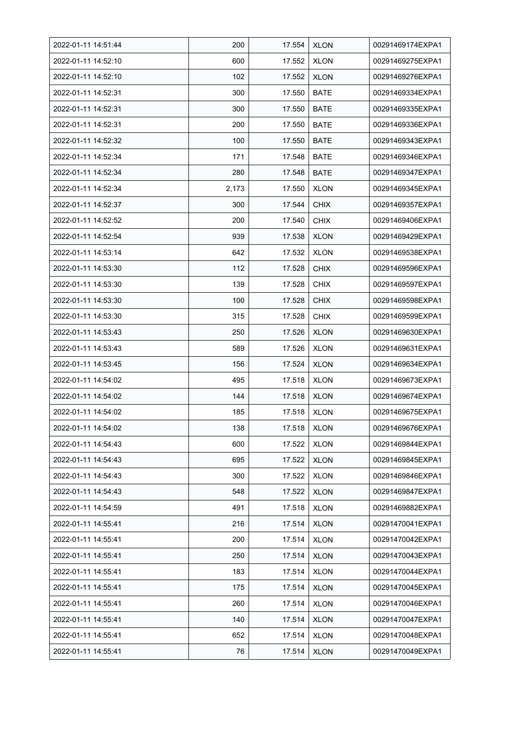| 2022-01-11 14:51:44 | 200   | 17.554 | <b>XLON</b> | 00291469174EXPA1 |
|---------------------|-------|--------|-------------|------------------|
| 2022-01-11 14:52:10 | 600   | 17.552 | <b>XLON</b> | 00291469275EXPA1 |
| 2022-01-11 14:52:10 | 102   | 17.552 | <b>XLON</b> | 00291469276EXPA1 |
| 2022-01-11 14:52:31 | 300   | 17.550 | <b>BATE</b> | 00291469334EXPA1 |
| 2022-01-11 14:52:31 | 300   | 17.550 | <b>BATE</b> | 00291469335EXPA1 |
| 2022-01-11 14:52:31 | 200   | 17.550 | <b>BATE</b> | 00291469336EXPA1 |
| 2022-01-11 14:52:32 | 100   | 17.550 | <b>BATE</b> | 00291469343EXPA1 |
| 2022-01-11 14:52:34 | 171   | 17.548 | <b>BATE</b> | 00291469346EXPA1 |
| 2022-01-11 14:52:34 | 280   | 17.548 | <b>BATE</b> | 00291469347EXPA1 |
| 2022-01-11 14:52:34 | 2,173 | 17.550 | <b>XLON</b> | 00291469345EXPA1 |
| 2022-01-11 14:52:37 | 300   | 17.544 | <b>CHIX</b> | 00291469357EXPA1 |
| 2022-01-11 14:52:52 | 200   | 17.540 | <b>CHIX</b> | 00291469406EXPA1 |
| 2022-01-11 14:52:54 | 939   | 17.538 | <b>XLON</b> | 00291469429EXPA1 |
| 2022-01-11 14:53:14 | 642   | 17.532 | <b>XLON</b> | 00291469538EXPA1 |
| 2022-01-11 14:53:30 | 112   | 17.528 | <b>CHIX</b> | 00291469596EXPA1 |
| 2022-01-11 14:53:30 | 139   | 17.528 | <b>CHIX</b> | 00291469597EXPA1 |
| 2022-01-11 14:53:30 | 100   | 17.528 | <b>CHIX</b> | 00291469598EXPA1 |
| 2022-01-11 14:53:30 | 315   | 17.528 | <b>CHIX</b> | 00291469599EXPA1 |
| 2022-01-11 14:53:43 | 250   | 17.526 | <b>XLON</b> | 00291469630EXPA1 |
| 2022-01-11 14:53:43 | 589   | 17.526 | <b>XLON</b> | 00291469631EXPA1 |
| 2022-01-11 14:53:45 | 156   | 17.524 | <b>XLON</b> | 00291469634EXPA1 |
| 2022-01-11 14:54:02 | 495   | 17.518 | <b>XLON</b> | 00291469673EXPA1 |
| 2022-01-11 14:54:02 | 144   | 17.518 | <b>XLON</b> | 00291469674EXPA1 |
| 2022-01-11 14:54:02 | 185   | 17.518 | <b>XLON</b> | 00291469675EXPA1 |
| 2022-01-11 14:54:02 | 138   | 17.518 | <b>XLON</b> | 00291469676EXPA1 |
| 2022-01-11 14:54:43 | 600   | 17.522 | <b>XLON</b> | 00291469844EXPA1 |
| 2022-01-11 14:54:43 | 695   | 17.522 | XLON        | 00291469845EXPA1 |
| 2022-01-11 14:54:43 | 300   | 17.522 | <b>XLON</b> | 00291469846EXPA1 |
| 2022-01-11 14:54:43 | 548   | 17.522 | <b>XLON</b> | 00291469847EXPA1 |
| 2022-01-11 14:54:59 | 491   | 17.518 | <b>XLON</b> | 00291469882EXPA1 |
| 2022-01-11 14:55:41 | 216   | 17.514 | <b>XLON</b> | 00291470041EXPA1 |
| 2022-01-11 14:55:41 | 200   | 17.514 | <b>XLON</b> | 00291470042EXPA1 |
| 2022-01-11 14:55:41 | 250   | 17.514 | <b>XLON</b> | 00291470043EXPA1 |
| 2022-01-11 14:55:41 | 183   | 17.514 | <b>XLON</b> | 00291470044EXPA1 |
| 2022-01-11 14:55:41 | 175   | 17.514 | XLON        | 00291470045EXPA1 |
| 2022-01-11 14:55:41 | 260   | 17.514 | <b>XLON</b> | 00291470046EXPA1 |
| 2022-01-11 14:55:41 | 140   | 17.514 | <b>XLON</b> | 00291470047EXPA1 |
| 2022-01-11 14:55:41 | 652   | 17.514 | <b>XLON</b> | 00291470048EXPA1 |
| 2022-01-11 14:55:41 | 76    | 17.514 | <b>XLON</b> | 00291470049EXPA1 |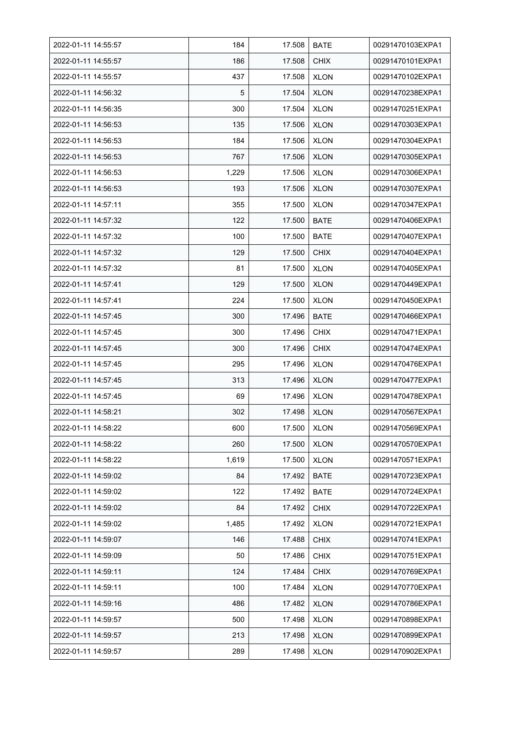| 2022-01-11 14:55:57 | 184   | 17.508 | <b>BATE</b> | 00291470103EXPA1 |
|---------------------|-------|--------|-------------|------------------|
| 2022-01-11 14:55:57 | 186   | 17.508 | <b>CHIX</b> | 00291470101EXPA1 |
| 2022-01-11 14:55:57 | 437   | 17.508 | <b>XLON</b> | 00291470102EXPA1 |
| 2022-01-11 14:56:32 | 5     | 17.504 | <b>XLON</b> | 00291470238EXPA1 |
| 2022-01-11 14:56:35 | 300   | 17.504 | <b>XLON</b> | 00291470251EXPA1 |
| 2022-01-11 14:56:53 | 135   | 17.506 | <b>XLON</b> | 00291470303EXPA1 |
| 2022-01-11 14:56:53 | 184   | 17.506 | <b>XLON</b> | 00291470304EXPA1 |
| 2022-01-11 14:56:53 | 767   | 17.506 | <b>XLON</b> | 00291470305EXPA1 |
| 2022-01-11 14:56:53 | 1,229 | 17.506 | <b>XLON</b> | 00291470306EXPA1 |
| 2022-01-11 14:56:53 | 193   | 17.506 | <b>XLON</b> | 00291470307EXPA1 |
| 2022-01-11 14:57:11 | 355   | 17.500 | <b>XLON</b> | 00291470347EXPA1 |
| 2022-01-11 14:57:32 | 122   | 17.500 | <b>BATE</b> | 00291470406EXPA1 |
| 2022-01-11 14:57:32 | 100   | 17.500 | <b>BATE</b> | 00291470407EXPA1 |
| 2022-01-11 14:57:32 | 129   | 17.500 | <b>CHIX</b> | 00291470404EXPA1 |
| 2022-01-11 14:57:32 | 81    | 17.500 | <b>XLON</b> | 00291470405EXPA1 |
| 2022-01-11 14:57:41 | 129   | 17.500 | <b>XLON</b> | 00291470449EXPA1 |
| 2022-01-11 14:57:41 | 224   | 17.500 | <b>XLON</b> | 00291470450EXPA1 |
| 2022-01-11 14:57:45 | 300   | 17.496 | <b>BATE</b> | 00291470466EXPA1 |
| 2022-01-11 14:57:45 | 300   | 17.496 | <b>CHIX</b> | 00291470471EXPA1 |
| 2022-01-11 14:57:45 | 300   | 17.496 | <b>CHIX</b> | 00291470474EXPA1 |
| 2022-01-11 14:57:45 | 295   | 17.496 | <b>XLON</b> | 00291470476EXPA1 |
| 2022-01-11 14:57:45 | 313   | 17.496 | <b>XLON</b> | 00291470477EXPA1 |
| 2022-01-11 14:57:45 | 69    | 17.496 | <b>XLON</b> | 00291470478EXPA1 |
| 2022-01-11 14:58:21 | 302   | 17.498 | <b>XLON</b> | 00291470567EXPA1 |
| 2022-01-11 14:58:22 | 600   | 17.500 | <b>XLON</b> | 00291470569EXPA1 |
| 2022-01-11 14:58:22 | 260   | 17.500 | <b>XLON</b> | 00291470570EXPA1 |
| 2022-01-11 14:58:22 | 1,619 | 17.500 | <b>XLON</b> | 00291470571EXPA1 |
| 2022-01-11 14:59:02 | 84    | 17.492 | <b>BATE</b> | 00291470723EXPA1 |
| 2022-01-11 14:59:02 | 122   | 17.492 | <b>BATE</b> | 00291470724EXPA1 |
| 2022-01-11 14:59:02 | 84    | 17.492 | <b>CHIX</b> | 00291470722EXPA1 |
| 2022-01-11 14:59:02 | 1,485 | 17.492 | <b>XLON</b> | 00291470721EXPA1 |
| 2022-01-11 14:59:07 | 146   | 17.488 | <b>CHIX</b> | 00291470741EXPA1 |
| 2022-01-11 14:59:09 | 50    | 17.486 | <b>CHIX</b> | 00291470751EXPA1 |
| 2022-01-11 14:59:11 | 124   | 17.484 | <b>CHIX</b> | 00291470769EXPA1 |
| 2022-01-11 14:59:11 | 100   | 17.484 | <b>XLON</b> | 00291470770EXPA1 |
| 2022-01-11 14:59:16 | 486   | 17.482 | <b>XLON</b> | 00291470786EXPA1 |
| 2022-01-11 14:59:57 | 500   | 17.498 | <b>XLON</b> | 00291470898EXPA1 |
| 2022-01-11 14:59:57 | 213   | 17.498 | <b>XLON</b> | 00291470899EXPA1 |
| 2022-01-11 14:59:57 | 289   | 17.498 | <b>XLON</b> | 00291470902EXPA1 |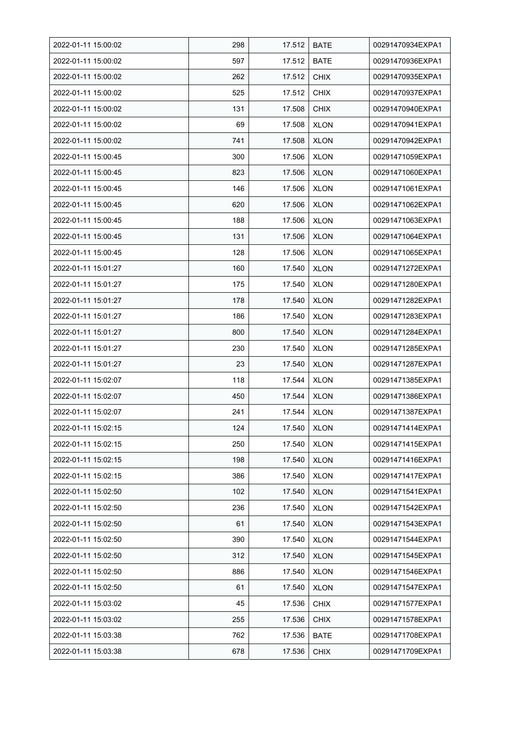| 2022-01-11 15:00:02 | 298 | 17.512 | <b>BATE</b> | 00291470934EXPA1 |
|---------------------|-----|--------|-------------|------------------|
| 2022-01-11 15:00:02 | 597 | 17.512 | <b>BATE</b> | 00291470936EXPA1 |
| 2022-01-11 15:00:02 | 262 | 17.512 | <b>CHIX</b> | 00291470935EXPA1 |
| 2022-01-11 15:00:02 | 525 | 17.512 | <b>CHIX</b> | 00291470937EXPA1 |
| 2022-01-11 15:00:02 | 131 | 17.508 | <b>CHIX</b> | 00291470940EXPA1 |
| 2022-01-11 15:00:02 | 69  | 17.508 | <b>XLON</b> | 00291470941EXPA1 |
| 2022-01-11 15:00:02 | 741 | 17.508 | <b>XLON</b> | 00291470942EXPA1 |
| 2022-01-11 15:00:45 | 300 | 17.506 | <b>XLON</b> | 00291471059EXPA1 |
| 2022-01-11 15:00:45 | 823 | 17.506 | <b>XLON</b> | 00291471060EXPA1 |
| 2022-01-11 15:00:45 | 146 | 17.506 | <b>XLON</b> | 00291471061EXPA1 |
| 2022-01-11 15:00:45 | 620 | 17.506 | <b>XLON</b> | 00291471062EXPA1 |
| 2022-01-11 15:00:45 | 188 | 17.506 | <b>XLON</b> | 00291471063EXPA1 |
| 2022-01-11 15:00:45 | 131 | 17.506 | <b>XLON</b> | 00291471064EXPA1 |
| 2022-01-11 15:00:45 | 128 | 17.506 | <b>XLON</b> | 00291471065EXPA1 |
| 2022-01-11 15:01:27 | 160 | 17.540 | <b>XLON</b> | 00291471272EXPA1 |
| 2022-01-11 15:01:27 | 175 | 17.540 | <b>XLON</b> | 00291471280EXPA1 |
| 2022-01-11 15:01:27 | 178 | 17.540 | <b>XLON</b> | 00291471282EXPA1 |
| 2022-01-11 15:01:27 | 186 | 17.540 | <b>XLON</b> | 00291471283EXPA1 |
| 2022-01-11 15:01:27 | 800 | 17.540 | <b>XLON</b> | 00291471284EXPA1 |
| 2022-01-11 15:01:27 | 230 | 17.540 | <b>XLON</b> | 00291471285EXPA1 |
| 2022-01-11 15:01:27 | 23  | 17.540 | <b>XLON</b> | 00291471287EXPA1 |
| 2022-01-11 15:02:07 | 118 | 17.544 | <b>XLON</b> | 00291471385EXPA1 |
| 2022-01-11 15:02:07 | 450 | 17.544 | <b>XLON</b> | 00291471386EXPA1 |
| 2022-01-11 15:02:07 | 241 | 17.544 | <b>XLON</b> | 00291471387EXPA1 |
| 2022-01-11 15:02:15 | 124 | 17.540 | <b>XLON</b> | 00291471414EXPA1 |
| 2022-01-11 15:02:15 | 250 | 17.540 | <b>XLON</b> | 00291471415EXPA1 |
| 2022-01-11 15:02:15 | 198 | 17.540 | <b>XLON</b> | 00291471416EXPA1 |
| 2022-01-11 15:02:15 | 386 | 17.540 | <b>XLON</b> | 00291471417EXPA1 |
| 2022-01-11 15:02:50 | 102 | 17.540 | <b>XLON</b> | 00291471541EXPA1 |
| 2022-01-11 15:02:50 | 236 | 17.540 | <b>XLON</b> | 00291471542EXPA1 |
| 2022-01-11 15:02:50 | 61  | 17.540 | <b>XLON</b> | 00291471543EXPA1 |
| 2022-01-11 15:02:50 | 390 | 17.540 | <b>XLON</b> | 00291471544EXPA1 |
| 2022-01-11 15:02:50 | 312 | 17.540 | <b>XLON</b> | 00291471545EXPA1 |
| 2022-01-11 15:02:50 | 886 | 17.540 | <b>XLON</b> | 00291471546EXPA1 |
| 2022-01-11 15:02:50 | 61  | 17.540 | <b>XLON</b> | 00291471547EXPA1 |
| 2022-01-11 15:03:02 | 45  | 17.536 | <b>CHIX</b> | 00291471577EXPA1 |
| 2022-01-11 15:03:02 | 255 | 17.536 | <b>CHIX</b> | 00291471578EXPA1 |
| 2022-01-11 15:03:38 | 762 | 17.536 | <b>BATE</b> | 00291471708EXPA1 |
| 2022-01-11 15:03:38 | 678 | 17.536 | <b>CHIX</b> | 00291471709EXPA1 |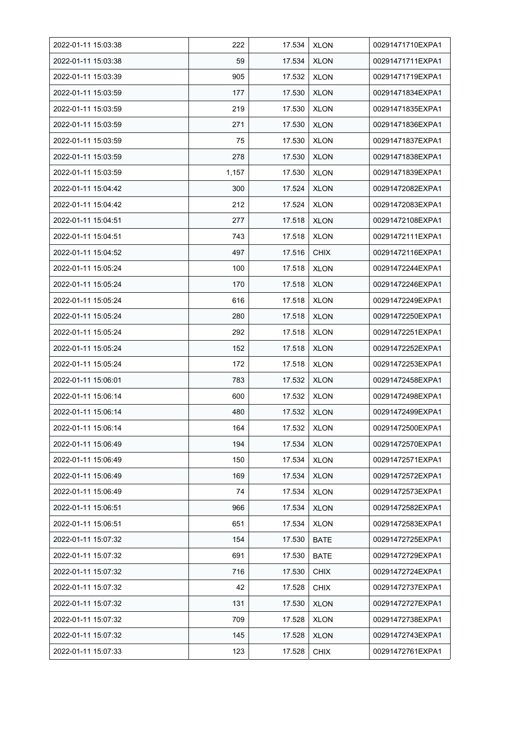| 2022-01-11 15:03:38 | 222   | 17.534 | <b>XLON</b> | 00291471710EXPA1 |
|---------------------|-------|--------|-------------|------------------|
| 2022-01-11 15:03:38 | 59    | 17.534 | <b>XLON</b> | 00291471711EXPA1 |
| 2022-01-11 15:03:39 | 905   | 17.532 | <b>XLON</b> | 00291471719EXPA1 |
| 2022-01-11 15:03:59 | 177   | 17.530 | <b>XLON</b> | 00291471834EXPA1 |
| 2022-01-11 15:03:59 | 219   | 17.530 | <b>XLON</b> | 00291471835EXPA1 |
| 2022-01-11 15:03:59 | 271   | 17.530 | <b>XLON</b> | 00291471836EXPA1 |
| 2022-01-11 15:03:59 | 75    | 17.530 | <b>XLON</b> | 00291471837EXPA1 |
| 2022-01-11 15:03:59 | 278   | 17.530 | <b>XLON</b> | 00291471838EXPA1 |
| 2022-01-11 15:03:59 | 1,157 | 17.530 | <b>XLON</b> | 00291471839EXPA1 |
| 2022-01-11 15:04:42 | 300   | 17.524 | <b>XLON</b> | 00291472082EXPA1 |
| 2022-01-11 15:04:42 | 212   | 17.524 | <b>XLON</b> | 00291472083EXPA1 |
| 2022-01-11 15:04:51 | 277   | 17.518 | <b>XLON</b> | 00291472108EXPA1 |
| 2022-01-11 15:04:51 | 743   | 17.518 | <b>XLON</b> | 00291472111EXPA1 |
| 2022-01-11 15:04:52 | 497   | 17.516 | <b>CHIX</b> | 00291472116EXPA1 |
| 2022-01-11 15:05:24 | 100   | 17.518 | <b>XLON</b> | 00291472244EXPA1 |
| 2022-01-11 15:05:24 | 170   | 17.518 | <b>XLON</b> | 00291472246EXPA1 |
| 2022-01-11 15:05:24 | 616   | 17.518 | <b>XLON</b> | 00291472249EXPA1 |
| 2022-01-11 15:05:24 | 280   | 17.518 | <b>XLON</b> | 00291472250EXPA1 |
| 2022-01-11 15:05:24 | 292   | 17.518 | <b>XLON</b> | 00291472251EXPA1 |
| 2022-01-11 15:05:24 | 152   | 17.518 | <b>XLON</b> | 00291472252EXPA1 |
| 2022-01-11 15:05:24 | 172   | 17.518 | <b>XLON</b> | 00291472253EXPA1 |
| 2022-01-11 15:06:01 | 783   | 17.532 | <b>XLON</b> | 00291472458EXPA1 |
| 2022-01-11 15:06:14 | 600   | 17.532 | <b>XLON</b> | 00291472498EXPA1 |
| 2022-01-11 15:06:14 | 480   | 17.532 | <b>XLON</b> | 00291472499EXPA1 |
| 2022-01-11 15:06:14 | 164   | 17.532 | <b>XLON</b> | 00291472500EXPA1 |
| 2022-01-11 15:06:49 | 194   | 17.534 | <b>XLON</b> | 00291472570EXPA1 |
| 2022-01-11 15:06:49 | 150   | 17.534 | <b>XLON</b> | 00291472571EXPA1 |
| 2022-01-11 15:06:49 | 169   | 17.534 | <b>XLON</b> | 00291472572EXPA1 |
| 2022-01-11 15:06:49 | 74    | 17.534 | <b>XLON</b> | 00291472573EXPA1 |
| 2022-01-11 15:06:51 | 966   | 17.534 | <b>XLON</b> | 00291472582EXPA1 |
| 2022-01-11 15:06:51 | 651   | 17.534 | <b>XLON</b> | 00291472583EXPA1 |
| 2022-01-11 15:07:32 | 154   | 17.530 | <b>BATE</b> | 00291472725EXPA1 |
| 2022-01-11 15:07:32 | 691   | 17.530 | <b>BATE</b> | 00291472729EXPA1 |
| 2022-01-11 15:07:32 | 716   | 17.530 | <b>CHIX</b> | 00291472724EXPA1 |
| 2022-01-11 15:07:32 | 42    | 17.528 | <b>CHIX</b> | 00291472737EXPA1 |
| 2022-01-11 15:07:32 | 131   | 17.530 | <b>XLON</b> | 00291472727EXPA1 |
| 2022-01-11 15:07:32 | 709   | 17.528 | <b>XLON</b> | 00291472738EXPA1 |
| 2022-01-11 15:07:32 | 145   | 17.528 | <b>XLON</b> | 00291472743EXPA1 |
| 2022-01-11 15:07:33 | 123   | 17.528 | <b>CHIX</b> | 00291472761EXPA1 |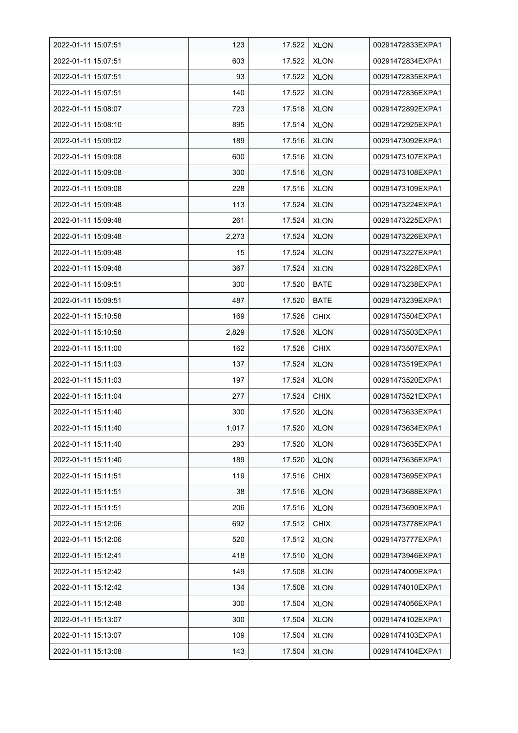| 2022-01-11 15:07:51 | 123   | 17.522 | <b>XLON</b> | 00291472833EXPA1 |
|---------------------|-------|--------|-------------|------------------|
| 2022-01-11 15:07:51 | 603   | 17.522 | <b>XLON</b> | 00291472834EXPA1 |
| 2022-01-11 15:07:51 | 93    | 17.522 | <b>XLON</b> | 00291472835EXPA1 |
| 2022-01-11 15:07:51 | 140   | 17.522 | <b>XLON</b> | 00291472836EXPA1 |
| 2022-01-11 15:08:07 | 723   | 17.518 | <b>XLON</b> | 00291472892EXPA1 |
| 2022-01-11 15:08:10 | 895   | 17.514 | <b>XLON</b> | 00291472925EXPA1 |
| 2022-01-11 15:09:02 | 189   | 17.516 | <b>XLON</b> | 00291473092EXPA1 |
| 2022-01-11 15:09:08 | 600   | 17.516 | <b>XLON</b> | 00291473107EXPA1 |
| 2022-01-11 15:09:08 | 300   | 17.516 | <b>XLON</b> | 00291473108EXPA1 |
| 2022-01-11 15:09:08 | 228   | 17.516 | <b>XLON</b> | 00291473109EXPA1 |
| 2022-01-11 15:09:48 | 113   | 17.524 | <b>XLON</b> | 00291473224EXPA1 |
| 2022-01-11 15:09:48 | 261   | 17.524 | <b>XLON</b> | 00291473225EXPA1 |
| 2022-01-11 15:09:48 | 2,273 | 17.524 | <b>XLON</b> | 00291473226EXPA1 |
| 2022-01-11 15:09:48 | 15    | 17.524 | <b>XLON</b> | 00291473227EXPA1 |
| 2022-01-11 15:09:48 | 367   | 17.524 | <b>XLON</b> | 00291473228EXPA1 |
| 2022-01-11 15:09:51 | 300   | 17.520 | <b>BATE</b> | 00291473238EXPA1 |
| 2022-01-11 15:09:51 | 487   | 17.520 | <b>BATE</b> | 00291473239EXPA1 |
| 2022-01-11 15:10:58 | 169   | 17.526 | <b>CHIX</b> | 00291473504EXPA1 |
| 2022-01-11 15:10:58 | 2,829 | 17.528 | <b>XLON</b> | 00291473503EXPA1 |
| 2022-01-11 15:11:00 | 162   | 17.526 | <b>CHIX</b> | 00291473507EXPA1 |
| 2022-01-11 15:11:03 | 137   | 17.524 | <b>XLON</b> | 00291473519EXPA1 |
| 2022-01-11 15:11:03 | 197   | 17.524 | <b>XLON</b> | 00291473520EXPA1 |
| 2022-01-11 15:11:04 | 277   | 17.524 | <b>CHIX</b> | 00291473521EXPA1 |
| 2022-01-11 15:11:40 | 300   | 17.520 | <b>XLON</b> | 00291473633EXPA1 |
| 2022-01-11 15:11:40 | 1,017 | 17.520 | <b>XLON</b> | 00291473634EXPA1 |
| 2022-01-11 15:11:40 | 293   | 17.520 | <b>XLON</b> | 00291473635EXPA1 |
| 2022-01-11 15:11:40 | 189   | 17.520 | <b>XLON</b> | 00291473636EXPA1 |
| 2022-01-11 15:11:51 | 119   | 17.516 | <b>CHIX</b> | 00291473695EXPA1 |
| 2022-01-11 15:11:51 | 38    | 17.516 | <b>XLON</b> | 00291473688EXPA1 |
| 2022-01-11 15:11:51 | 206   | 17.516 | <b>XLON</b> | 00291473690EXPA1 |
| 2022-01-11 15:12:06 | 692   | 17.512 | <b>CHIX</b> | 00291473778EXPA1 |
| 2022-01-11 15:12:06 | 520   | 17.512 | <b>XLON</b> | 00291473777EXPA1 |
| 2022-01-11 15:12:41 | 418   | 17.510 | <b>XLON</b> | 00291473946EXPA1 |
| 2022-01-11 15:12:42 | 149   | 17.508 | <b>XLON</b> | 00291474009EXPA1 |
| 2022-01-11 15:12:42 | 134   | 17.508 | <b>XLON</b> | 00291474010EXPA1 |
| 2022-01-11 15:12:48 | 300   | 17.504 | <b>XLON</b> | 00291474056EXPA1 |
| 2022-01-11 15:13:07 | 300   | 17.504 | <b>XLON</b> | 00291474102EXPA1 |
| 2022-01-11 15:13:07 | 109   | 17.504 | <b>XLON</b> | 00291474103EXPA1 |
| 2022-01-11 15:13:08 | 143   | 17.504 | <b>XLON</b> | 00291474104EXPA1 |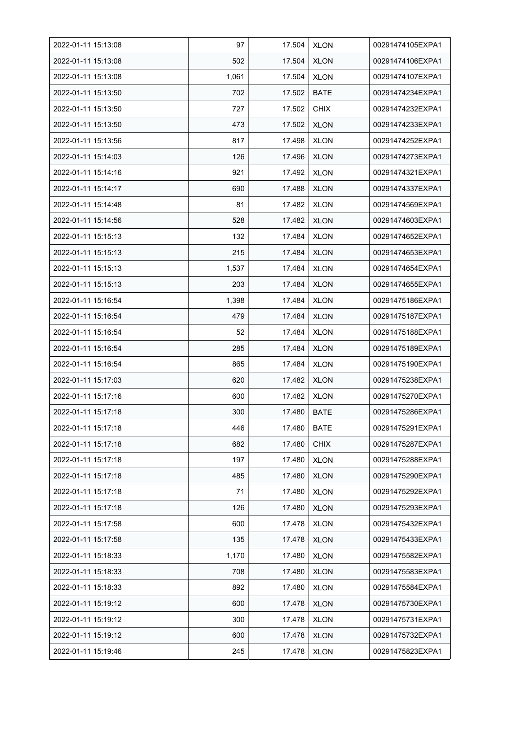| 2022-01-11 15:13:08 | 97    | 17.504 | <b>XLON</b> | 00291474105EXPA1 |
|---------------------|-------|--------|-------------|------------------|
| 2022-01-11 15:13:08 | 502   | 17.504 | <b>XLON</b> | 00291474106EXPA1 |
| 2022-01-11 15:13:08 | 1,061 | 17.504 | <b>XLON</b> | 00291474107EXPA1 |
| 2022-01-11 15:13:50 | 702   | 17.502 | <b>BATE</b> | 00291474234EXPA1 |
| 2022-01-11 15:13:50 | 727   | 17.502 | <b>CHIX</b> | 00291474232EXPA1 |
| 2022-01-11 15:13:50 | 473   | 17.502 | <b>XLON</b> | 00291474233EXPA1 |
| 2022-01-11 15:13:56 | 817   | 17.498 | <b>XLON</b> | 00291474252EXPA1 |
| 2022-01-11 15:14:03 | 126   | 17.496 | <b>XLON</b> | 00291474273EXPA1 |
| 2022-01-11 15:14:16 | 921   | 17.492 | <b>XLON</b> | 00291474321EXPA1 |
| 2022-01-11 15:14:17 | 690   | 17.488 | <b>XLON</b> | 00291474337EXPA1 |
| 2022-01-11 15:14:48 | 81    | 17.482 | <b>XLON</b> | 00291474569EXPA1 |
| 2022-01-11 15:14:56 | 528   | 17.482 | <b>XLON</b> | 00291474603EXPA1 |
| 2022-01-11 15:15:13 | 132   | 17.484 | <b>XLON</b> | 00291474652EXPA1 |
| 2022-01-11 15:15:13 | 215   | 17.484 | <b>XLON</b> | 00291474653EXPA1 |
| 2022-01-11 15:15:13 | 1,537 | 17.484 | <b>XLON</b> | 00291474654EXPA1 |
| 2022-01-11 15:15:13 | 203   | 17.484 | <b>XLON</b> | 00291474655EXPA1 |
| 2022-01-11 15:16:54 | 1,398 | 17.484 | <b>XLON</b> | 00291475186EXPA1 |
| 2022-01-11 15:16:54 | 479   | 17.484 | <b>XLON</b> | 00291475187EXPA1 |
| 2022-01-11 15:16:54 | 52    | 17.484 | <b>XLON</b> | 00291475188EXPA1 |
| 2022-01-11 15:16:54 | 285   | 17.484 | <b>XLON</b> | 00291475189EXPA1 |
| 2022-01-11 15:16:54 | 865   | 17.484 | <b>XLON</b> | 00291475190EXPA1 |
| 2022-01-11 15:17:03 | 620   | 17.482 | <b>XLON</b> | 00291475238EXPA1 |
| 2022-01-11 15:17:16 | 600   | 17.482 | <b>XLON</b> | 00291475270EXPA1 |
| 2022-01-11 15:17:18 | 300   | 17.480 | <b>BATE</b> | 00291475286EXPA1 |
| 2022-01-11 15:17:18 | 446   | 17.480 | <b>BATE</b> | 00291475291EXPA1 |
| 2022-01-11 15:17:18 | 682   | 17.480 | <b>CHIX</b> | 00291475287EXPA1 |
| 2022-01-11 15:17:18 | 197   | 17.480 | <b>XLON</b> | 00291475288EXPA1 |
| 2022-01-11 15:17:18 | 485   | 17.480 | <b>XLON</b> | 00291475290EXPA1 |
| 2022-01-11 15:17:18 | 71    | 17.480 | <b>XLON</b> | 00291475292EXPA1 |
| 2022-01-11 15:17:18 | 126   | 17.480 | <b>XLON</b> | 00291475293EXPA1 |
| 2022-01-11 15:17:58 | 600   | 17.478 | <b>XLON</b> | 00291475432EXPA1 |
| 2022-01-11 15:17:58 | 135   | 17.478 | <b>XLON</b> | 00291475433EXPA1 |
| 2022-01-11 15:18:33 | 1,170 | 17.480 | <b>XLON</b> | 00291475582EXPA1 |
| 2022-01-11 15:18:33 | 708   | 17.480 | <b>XLON</b> | 00291475583EXPA1 |
| 2022-01-11 15:18:33 | 892   | 17.480 | <b>XLON</b> | 00291475584EXPA1 |
| 2022-01-11 15:19:12 | 600   | 17.478 | <b>XLON</b> | 00291475730EXPA1 |
| 2022-01-11 15:19:12 | 300   | 17.478 | <b>XLON</b> | 00291475731EXPA1 |
| 2022-01-11 15:19:12 | 600   | 17.478 | <b>XLON</b> | 00291475732EXPA1 |
| 2022-01-11 15:19:46 | 245   | 17.478 | <b>XLON</b> | 00291475823EXPA1 |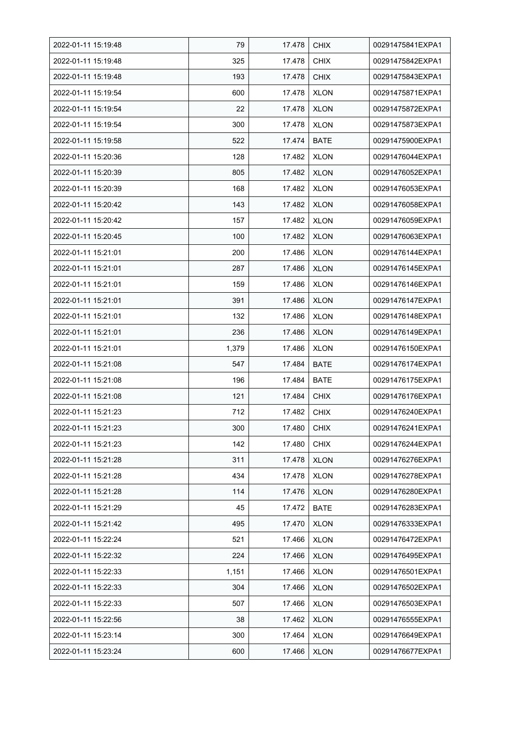| 2022-01-11 15:19:48 | 79    | 17.478 | <b>CHIX</b> | 00291475841EXPA1 |
|---------------------|-------|--------|-------------|------------------|
| 2022-01-11 15:19:48 | 325   | 17.478 | <b>CHIX</b> | 00291475842EXPA1 |
| 2022-01-11 15:19:48 | 193   | 17.478 | <b>CHIX</b> | 00291475843EXPA1 |
| 2022-01-11 15:19:54 | 600   | 17.478 | <b>XLON</b> | 00291475871EXPA1 |
| 2022-01-11 15:19:54 | 22    | 17.478 | <b>XLON</b> | 00291475872EXPA1 |
| 2022-01-11 15:19:54 | 300   | 17.478 | <b>XLON</b> | 00291475873EXPA1 |
| 2022-01-11 15:19:58 | 522   | 17.474 | <b>BATE</b> | 00291475900EXPA1 |
| 2022-01-11 15:20:36 | 128   | 17.482 | <b>XLON</b> | 00291476044EXPA1 |
| 2022-01-11 15:20:39 | 805   | 17.482 | <b>XLON</b> | 00291476052EXPA1 |
| 2022-01-11 15:20:39 | 168   | 17.482 | <b>XLON</b> | 00291476053EXPA1 |
| 2022-01-11 15:20:42 | 143   | 17.482 | <b>XLON</b> | 00291476058EXPA1 |
| 2022-01-11 15:20:42 | 157   | 17.482 | <b>XLON</b> | 00291476059EXPA1 |
| 2022-01-11 15:20:45 | 100   | 17.482 | <b>XLON</b> | 00291476063EXPA1 |
| 2022-01-11 15:21:01 | 200   | 17.486 | <b>XLON</b> | 00291476144EXPA1 |
| 2022-01-11 15:21:01 | 287   | 17.486 | <b>XLON</b> | 00291476145EXPA1 |
| 2022-01-11 15:21:01 | 159   | 17.486 | <b>XLON</b> | 00291476146EXPA1 |
| 2022-01-11 15:21:01 | 391   | 17.486 | <b>XLON</b> | 00291476147EXPA1 |
| 2022-01-11 15:21:01 | 132   | 17.486 | <b>XLON</b> | 00291476148EXPA1 |
| 2022-01-11 15:21:01 | 236   | 17.486 | <b>XLON</b> | 00291476149EXPA1 |
| 2022-01-11 15:21:01 | 1,379 | 17.486 | <b>XLON</b> | 00291476150EXPA1 |
| 2022-01-11 15:21:08 | 547   | 17.484 | <b>BATE</b> | 00291476174EXPA1 |
| 2022-01-11 15:21:08 | 196   | 17.484 | <b>BATE</b> | 00291476175EXPA1 |
| 2022-01-11 15:21:08 | 121   | 17.484 | <b>CHIX</b> | 00291476176EXPA1 |
| 2022-01-11 15:21:23 | 712   | 17.482 | <b>CHIX</b> | 00291476240EXPA1 |
| 2022-01-11 15:21:23 | 300   | 17.480 | <b>CHIX</b> | 00291476241EXPA1 |
| 2022-01-11 15:21:23 | 142   | 17.480 | CHIX        | 00291476244EXPA1 |
| 2022-01-11 15:21:28 | 311   | 17.478 | <b>XLON</b> | 00291476276EXPA1 |
| 2022-01-11 15:21:28 | 434   | 17.478 | <b>XLON</b> | 00291476278EXPA1 |
| 2022-01-11 15:21:28 | 114   | 17.476 | <b>XLON</b> | 00291476280EXPA1 |
| 2022-01-11 15:21:29 | 45    | 17.472 | <b>BATE</b> | 00291476283EXPA1 |
| 2022-01-11 15:21:42 | 495   | 17.470 | <b>XLON</b> | 00291476333EXPA1 |
| 2022-01-11 15:22:24 | 521   | 17.466 | <b>XLON</b> | 00291476472EXPA1 |
| 2022-01-11 15:22:32 | 224   | 17.466 | <b>XLON</b> | 00291476495EXPA1 |
| 2022-01-11 15:22:33 | 1,151 | 17.466 | <b>XLON</b> | 00291476501EXPA1 |
| 2022-01-11 15:22:33 | 304   | 17.466 | <b>XLON</b> | 00291476502EXPA1 |
| 2022-01-11 15:22:33 | 507   | 17.466 | XLON        | 00291476503EXPA1 |
| 2022-01-11 15:22:56 | 38    | 17.462 | <b>XLON</b> | 00291476555EXPA1 |
| 2022-01-11 15:23:14 | 300   | 17.464 | <b>XLON</b> | 00291476649EXPA1 |
| 2022-01-11 15:23:24 | 600   | 17.466 | <b>XLON</b> | 00291476677EXPA1 |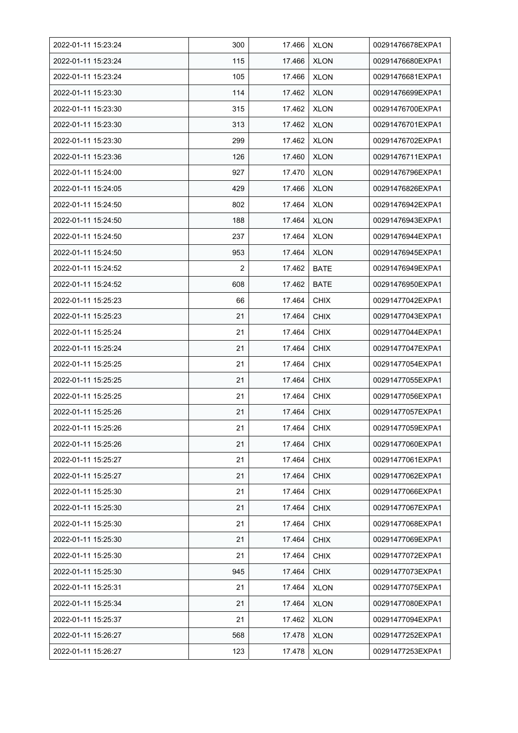| 2022-01-11 15:23:24 | 300 | 17.466 | <b>XLON</b> | 00291476678EXPA1 |
|---------------------|-----|--------|-------------|------------------|
| 2022-01-11 15:23:24 | 115 | 17.466 | <b>XLON</b> | 00291476680EXPA1 |
| 2022-01-11 15:23:24 | 105 | 17.466 | <b>XLON</b> | 00291476681EXPA1 |
| 2022-01-11 15:23:30 | 114 | 17.462 | <b>XLON</b> | 00291476699EXPA1 |
| 2022-01-11 15:23:30 | 315 | 17.462 | <b>XLON</b> | 00291476700EXPA1 |
| 2022-01-11 15:23:30 | 313 | 17.462 | <b>XLON</b> | 00291476701EXPA1 |
| 2022-01-11 15:23:30 | 299 | 17.462 | <b>XLON</b> | 00291476702EXPA1 |
| 2022-01-11 15:23:36 | 126 | 17.460 | <b>XLON</b> | 00291476711EXPA1 |
| 2022-01-11 15:24:00 | 927 | 17.470 | <b>XLON</b> | 00291476796EXPA1 |
| 2022-01-11 15:24:05 | 429 | 17.466 | <b>XLON</b> | 00291476826EXPA1 |
| 2022-01-11 15:24:50 | 802 | 17.464 | <b>XLON</b> | 00291476942EXPA1 |
| 2022-01-11 15:24:50 | 188 | 17.464 | <b>XLON</b> | 00291476943EXPA1 |
| 2022-01-11 15:24:50 | 237 | 17.464 | <b>XLON</b> | 00291476944EXPA1 |
| 2022-01-11 15:24:50 | 953 | 17.464 | <b>XLON</b> | 00291476945EXPA1 |
| 2022-01-11 15:24:52 | 2   | 17.462 | <b>BATE</b> | 00291476949EXPA1 |
| 2022-01-11 15:24:52 | 608 | 17.462 | <b>BATE</b> | 00291476950EXPA1 |
| 2022-01-11 15:25:23 | 66  | 17.464 | <b>CHIX</b> | 00291477042EXPA1 |
| 2022-01-11 15:25:23 | 21  | 17.464 | <b>CHIX</b> | 00291477043EXPA1 |
| 2022-01-11 15:25:24 | 21  | 17.464 | <b>CHIX</b> | 00291477044EXPA1 |
| 2022-01-11 15:25:24 | 21  | 17.464 | <b>CHIX</b> | 00291477047EXPA1 |
| 2022-01-11 15:25:25 | 21  | 17.464 | <b>CHIX</b> | 00291477054EXPA1 |
| 2022-01-11 15:25:25 | 21  | 17.464 | <b>CHIX</b> | 00291477055EXPA1 |
| 2022-01-11 15:25:25 | 21  | 17.464 | <b>CHIX</b> | 00291477056EXPA1 |
| 2022-01-11 15:25:26 | 21  | 17.464 | <b>CHIX</b> | 00291477057EXPA1 |
| 2022-01-11 15:25:26 | 21  | 17.464 | <b>CHIX</b> | 00291477059EXPA1 |
| 2022-01-11 15:25:26 | 21  | 17.464 | <b>CHIX</b> | 00291477060EXPA1 |
| 2022-01-11 15:25:27 | 21  | 17.464 | <b>CHIX</b> | 00291477061EXPA1 |
| 2022-01-11 15:25:27 | 21  | 17.464 | <b>CHIX</b> | 00291477062EXPA1 |
| 2022-01-11 15:25:30 | 21  | 17.464 | <b>CHIX</b> | 00291477066EXPA1 |
| 2022-01-11 15:25:30 | 21  | 17.464 | <b>CHIX</b> | 00291477067EXPA1 |
| 2022-01-11 15:25:30 | 21  | 17.464 | <b>CHIX</b> | 00291477068EXPA1 |
| 2022-01-11 15:25:30 | 21  | 17.464 | <b>CHIX</b> | 00291477069EXPA1 |
| 2022-01-11 15:25:30 | 21  | 17.464 | <b>CHIX</b> | 00291477072EXPA1 |
| 2022-01-11 15:25:30 | 945 | 17.464 | <b>CHIX</b> | 00291477073EXPA1 |
| 2022-01-11 15:25:31 | 21  | 17.464 | <b>XLON</b> | 00291477075EXPA1 |
| 2022-01-11 15:25:34 | 21  | 17.464 | <b>XLON</b> | 00291477080EXPA1 |
| 2022-01-11 15:25:37 | 21  | 17.462 | <b>XLON</b> | 00291477094EXPA1 |
| 2022-01-11 15:26:27 | 568 | 17.478 | <b>XLON</b> | 00291477252EXPA1 |
| 2022-01-11 15:26:27 | 123 | 17.478 | <b>XLON</b> | 00291477253EXPA1 |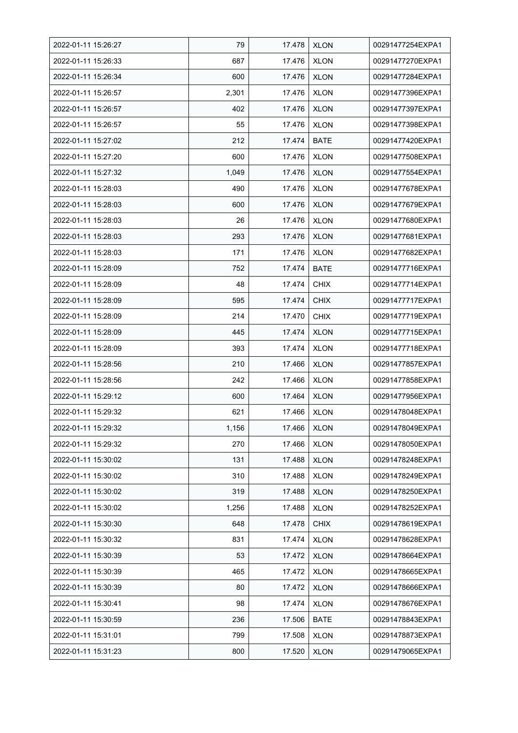| 2022-01-11 15:26:27 | 79    | 17.478 | <b>XLON</b> | 00291477254EXPA1 |
|---------------------|-------|--------|-------------|------------------|
| 2022-01-11 15:26:33 | 687   | 17.476 | <b>XLON</b> | 00291477270EXPA1 |
| 2022-01-11 15:26:34 | 600   | 17.476 | <b>XLON</b> | 00291477284EXPA1 |
| 2022-01-11 15:26:57 | 2,301 | 17.476 | <b>XLON</b> | 00291477396EXPA1 |
| 2022-01-11 15:26:57 | 402   | 17.476 | <b>XLON</b> | 00291477397EXPA1 |
| 2022-01-11 15:26:57 | 55    | 17.476 | <b>XLON</b> | 00291477398EXPA1 |
| 2022-01-11 15:27:02 | 212   | 17.474 | <b>BATE</b> | 00291477420EXPA1 |
| 2022-01-11 15:27:20 | 600   | 17.476 | <b>XLON</b> | 00291477508EXPA1 |
| 2022-01-11 15:27:32 | 1,049 | 17.476 | <b>XLON</b> | 00291477554EXPA1 |
| 2022-01-11 15:28:03 | 490   | 17.476 | <b>XLON</b> | 00291477678EXPA1 |
| 2022-01-11 15:28:03 | 600   | 17.476 | <b>XLON</b> | 00291477679EXPA1 |
| 2022-01-11 15:28:03 | 26    | 17.476 | <b>XLON</b> | 00291477680EXPA1 |
| 2022-01-11 15:28:03 | 293   | 17.476 | <b>XLON</b> | 00291477681EXPA1 |
| 2022-01-11 15:28:03 | 171   | 17.476 | <b>XLON</b> | 00291477682EXPA1 |
| 2022-01-11 15:28:09 | 752   | 17.474 | <b>BATE</b> | 00291477716EXPA1 |
| 2022-01-11 15:28:09 | 48    | 17.474 | <b>CHIX</b> | 00291477714EXPA1 |
| 2022-01-11 15:28:09 | 595   | 17.474 | <b>CHIX</b> | 00291477717EXPA1 |
| 2022-01-11 15:28:09 | 214   | 17.470 | <b>CHIX</b> | 00291477719EXPA1 |
| 2022-01-11 15:28:09 | 445   | 17.474 | <b>XLON</b> | 00291477715EXPA1 |
| 2022-01-11 15:28:09 | 393   | 17.474 | <b>XLON</b> | 00291477718EXPA1 |
| 2022-01-11 15:28:56 | 210   | 17.466 | <b>XLON</b> | 00291477857EXPA1 |
| 2022-01-11 15:28:56 | 242   | 17.466 | <b>XLON</b> | 00291477858EXPA1 |
| 2022-01-11 15:29:12 | 600   | 17.464 | <b>XLON</b> | 00291477956EXPA1 |
| 2022-01-11 15:29:32 | 621   | 17.466 | <b>XLON</b> | 00291478048EXPA1 |
| 2022-01-11 15:29:32 | 1,156 | 17.466 | <b>XLON</b> | 00291478049EXPA1 |
| 2022-01-11 15:29:32 | 270   | 17.466 | <b>XLON</b> | 00291478050EXPA1 |
| 2022-01-11 15:30:02 | 131   | 17.488 | <b>XLON</b> | 00291478248EXPA1 |
| 2022-01-11 15:30:02 | 310   | 17.488 | <b>XLON</b> | 00291478249EXPA1 |
| 2022-01-11 15:30:02 | 319   | 17.488 | <b>XLON</b> | 00291478250EXPA1 |
| 2022-01-11 15:30:02 | 1,256 | 17.488 | <b>XLON</b> | 00291478252EXPA1 |
| 2022-01-11 15:30:30 | 648   | 17.478 | <b>CHIX</b> | 00291478619EXPA1 |
| 2022-01-11 15:30:32 | 831   | 17.474 | <b>XLON</b> | 00291478628EXPA1 |
| 2022-01-11 15:30:39 | 53    | 17.472 | <b>XLON</b> | 00291478664EXPA1 |
| 2022-01-11 15:30:39 | 465   | 17.472 | <b>XLON</b> | 00291478665EXPA1 |
| 2022-01-11 15:30:39 | 80    | 17.472 | <b>XLON</b> | 00291478666EXPA1 |
| 2022-01-11 15:30:41 | 98    | 17.474 | <b>XLON</b> | 00291478676EXPA1 |
| 2022-01-11 15:30:59 | 236   | 17.506 | <b>BATE</b> | 00291478843EXPA1 |
| 2022-01-11 15:31:01 | 799   | 17.508 | <b>XLON</b> | 00291478873EXPA1 |
| 2022-01-11 15:31:23 | 800   | 17.520 | <b>XLON</b> | 00291479065EXPA1 |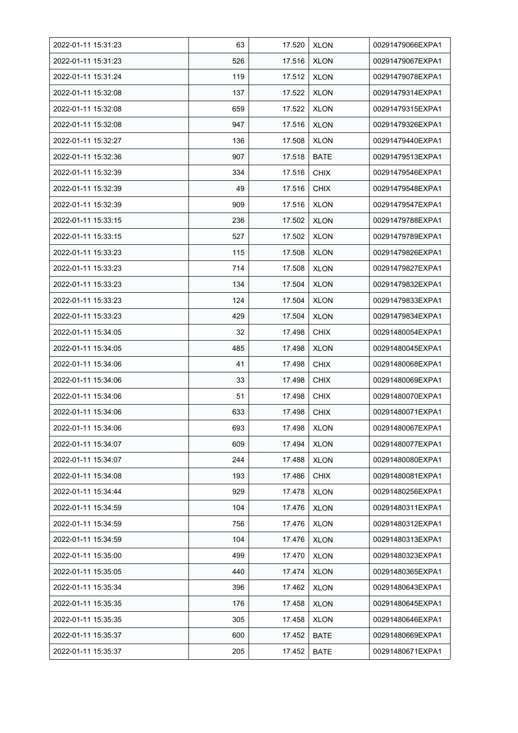| 2022-01-11 15:31:23 | 63  | 17.520 | <b>XLON</b> | 00291479066EXPA1 |
|---------------------|-----|--------|-------------|------------------|
| 2022-01-11 15:31:23 | 526 | 17.516 | <b>XLON</b> | 00291479067EXPA1 |
| 2022-01-11 15:31:24 | 119 | 17.512 | <b>XLON</b> | 00291479078EXPA1 |
| 2022-01-11 15:32:08 | 137 | 17.522 | <b>XLON</b> | 00291479314EXPA1 |
| 2022-01-11 15:32:08 | 659 | 17.522 | <b>XLON</b> | 00291479315EXPA1 |
| 2022-01-11 15:32:08 | 947 | 17.516 | <b>XLON</b> | 00291479326EXPA1 |
| 2022-01-11 15:32:27 | 136 | 17.508 | <b>XLON</b> | 00291479440EXPA1 |
| 2022-01-11 15:32:36 | 907 | 17.518 | <b>BATE</b> | 00291479513EXPA1 |
| 2022-01-11 15:32:39 | 334 | 17.516 | <b>CHIX</b> | 00291479546EXPA1 |
| 2022-01-11 15:32:39 | 49  | 17.516 | <b>CHIX</b> | 00291479548EXPA1 |
| 2022-01-11 15:32:39 | 909 | 17.516 | <b>XLON</b> | 00291479547EXPA1 |
| 2022-01-11 15:33:15 | 236 | 17.502 | <b>XLON</b> | 00291479788EXPA1 |
| 2022-01-11 15:33:15 | 527 | 17.502 | <b>XLON</b> | 00291479789EXPA1 |
| 2022-01-11 15:33:23 | 115 | 17.508 | <b>XLON</b> | 00291479826EXPA1 |
| 2022-01-11 15:33:23 | 714 | 17.508 | <b>XLON</b> | 00291479827EXPA1 |
| 2022-01-11 15:33:23 | 134 | 17.504 | <b>XLON</b> | 00291479832EXPA1 |
| 2022-01-11 15:33:23 | 124 | 17.504 | <b>XLON</b> | 00291479833EXPA1 |
| 2022-01-11 15:33:23 | 429 | 17.504 | <b>XLON</b> | 00291479834EXPA1 |
| 2022-01-11 15:34:05 | 32  | 17.498 | <b>CHIX</b> | 00291480054EXPA1 |
| 2022-01-11 15:34:05 | 485 | 17.498 | <b>XLON</b> | 00291480045EXPA1 |
| 2022-01-11 15:34:06 | 41  | 17.498 | <b>CHIX</b> | 00291480068EXPA1 |
| 2022-01-11 15:34:06 | 33  | 17.498 | <b>CHIX</b> | 00291480069EXPA1 |
| 2022-01-11 15:34:06 | 51  | 17.498 | <b>CHIX</b> | 00291480070EXPA1 |
| 2022-01-11 15:34:06 | 633 | 17.498 | <b>CHIX</b> | 00291480071EXPA1 |
| 2022-01-11 15:34:06 | 693 | 17.498 | <b>XLON</b> | 00291480067EXPA1 |
| 2022-01-11 15:34:07 | 609 | 17.494 | <b>XLON</b> | 00291480077EXPA1 |
| 2022-01-11 15:34:07 | 244 | 17.488 | <b>XLON</b> | 00291480080EXPA1 |
| 2022-01-11 15:34:08 | 193 | 17.486 | <b>CHIX</b> | 00291480081EXPA1 |
| 2022-01-11 15:34:44 | 929 | 17.478 | <b>XLON</b> | 00291480256EXPA1 |
| 2022-01-11 15:34:59 | 104 | 17.476 | <b>XLON</b> | 00291480311EXPA1 |
| 2022-01-11 15:34:59 | 756 | 17.476 | <b>XLON</b> | 00291480312EXPA1 |
| 2022-01-11 15:34:59 | 104 | 17.476 | <b>XLON</b> | 00291480313EXPA1 |
| 2022-01-11 15:35:00 | 499 | 17.470 | <b>XLON</b> | 00291480323EXPA1 |
| 2022-01-11 15:35:05 | 440 | 17.474 | <b>XLON</b> | 00291480365EXPA1 |
| 2022-01-11 15:35:34 | 396 | 17.462 | <b>XLON</b> | 00291480643EXPA1 |
| 2022-01-11 15:35:35 | 176 | 17.458 | <b>XLON</b> | 00291480645EXPA1 |
| 2022-01-11 15:35:35 | 305 | 17.458 | <b>XLON</b> | 00291480646EXPA1 |
| 2022-01-11 15:35:37 | 600 | 17.452 | <b>BATE</b> | 00291480669EXPA1 |
| 2022-01-11 15:35:37 | 205 | 17.452 | <b>BATE</b> | 00291480671EXPA1 |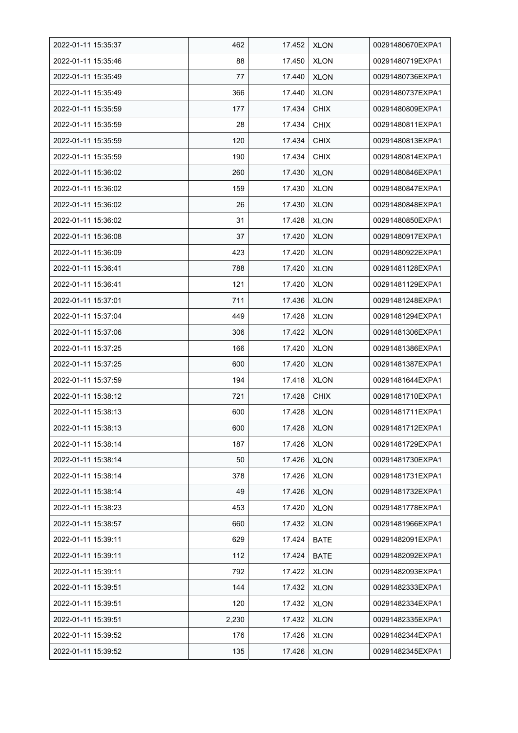| 2022-01-11 15:35:37 | 462   | 17.452 | <b>XLON</b> | 00291480670EXPA1 |
|---------------------|-------|--------|-------------|------------------|
| 2022-01-11 15:35:46 | 88    | 17.450 | <b>XLON</b> | 00291480719EXPA1 |
| 2022-01-11 15:35:49 | 77    | 17.440 | <b>XLON</b> | 00291480736EXPA1 |
| 2022-01-11 15:35:49 | 366   | 17.440 | <b>XLON</b> | 00291480737EXPA1 |
| 2022-01-11 15:35:59 | 177   | 17.434 | <b>CHIX</b> | 00291480809EXPA1 |
| 2022-01-11 15:35:59 | 28    | 17.434 | <b>CHIX</b> | 00291480811EXPA1 |
| 2022-01-11 15:35:59 | 120   | 17.434 | <b>CHIX</b> | 00291480813EXPA1 |
| 2022-01-11 15:35:59 | 190   | 17.434 | <b>CHIX</b> | 00291480814EXPA1 |
| 2022-01-11 15:36:02 | 260   | 17.430 | <b>XLON</b> | 00291480846EXPA1 |
| 2022-01-11 15:36:02 | 159   | 17.430 | <b>XLON</b> | 00291480847EXPA1 |
| 2022-01-11 15:36:02 | 26    | 17.430 | <b>XLON</b> | 00291480848EXPA1 |
| 2022-01-11 15:36:02 | 31    | 17.428 | <b>XLON</b> | 00291480850EXPA1 |
| 2022-01-11 15:36:08 | 37    | 17.420 | <b>XLON</b> | 00291480917EXPA1 |
| 2022-01-11 15:36:09 | 423   | 17.420 | <b>XLON</b> | 00291480922EXPA1 |
| 2022-01-11 15:36:41 | 788   | 17.420 | <b>XLON</b> | 00291481128EXPA1 |
| 2022-01-11 15:36:41 | 121   | 17.420 | <b>XLON</b> | 00291481129EXPA1 |
| 2022-01-11 15:37:01 | 711   | 17.436 | <b>XLON</b> | 00291481248EXPA1 |
| 2022-01-11 15:37:04 | 449   | 17.428 | <b>XLON</b> | 00291481294EXPA1 |
| 2022-01-11 15:37:06 | 306   | 17.422 | <b>XLON</b> | 00291481306EXPA1 |
| 2022-01-11 15:37:25 | 166   | 17.420 | <b>XLON</b> | 00291481386EXPA1 |
| 2022-01-11 15:37:25 | 600   | 17.420 | <b>XLON</b> | 00291481387EXPA1 |
| 2022-01-11 15:37:59 | 194   | 17.418 | <b>XLON</b> | 00291481644EXPA1 |
| 2022-01-11 15:38:12 | 721   | 17.428 | <b>CHIX</b> | 00291481710EXPA1 |
| 2022-01-11 15:38:13 | 600   | 17.428 | <b>XLON</b> | 00291481711EXPA1 |
| 2022-01-11 15:38:13 | 600   | 17.428 | <b>XLON</b> | 00291481712EXPA1 |
| 2022-01-11 15:38:14 | 187   | 17.426 | <b>XLON</b> | 00291481729EXPA1 |
| 2022-01-11 15:38:14 | 50    | 17.426 | <b>XLON</b> | 00291481730EXPA1 |
| 2022-01-11 15:38:14 | 378   | 17.426 | <b>XLON</b> | 00291481731EXPA1 |
| 2022-01-11 15:38:14 | 49    | 17.426 | <b>XLON</b> | 00291481732EXPA1 |
| 2022-01-11 15:38:23 | 453   | 17.420 | <b>XLON</b> | 00291481778EXPA1 |
| 2022-01-11 15:38:57 | 660   | 17.432 | <b>XLON</b> | 00291481966EXPA1 |
| 2022-01-11 15:39:11 | 629   | 17.424 | <b>BATE</b> | 00291482091EXPA1 |
| 2022-01-11 15:39:11 | 112   | 17.424 | <b>BATE</b> | 00291482092EXPA1 |
| 2022-01-11 15:39:11 | 792   | 17.422 | <b>XLON</b> | 00291482093EXPA1 |
| 2022-01-11 15:39:51 | 144   | 17.432 | <b>XLON</b> | 00291482333EXPA1 |
| 2022-01-11 15:39:51 | 120   | 17.432 | XLON        | 00291482334EXPA1 |
| 2022-01-11 15:39:51 | 2,230 | 17.432 | <b>XLON</b> | 00291482335EXPA1 |
| 2022-01-11 15:39:52 | 176   | 17.426 | <b>XLON</b> | 00291482344EXPA1 |
| 2022-01-11 15:39:52 | 135   | 17.426 | <b>XLON</b> | 00291482345EXPA1 |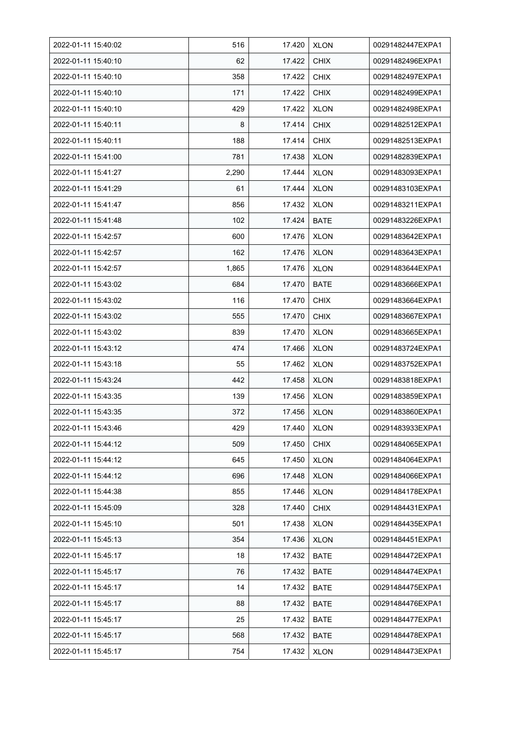| 2022-01-11 15:40:02 | 516   | 17.420 | <b>XLON</b> | 00291482447EXPA1 |
|---------------------|-------|--------|-------------|------------------|
| 2022-01-11 15:40:10 | 62    | 17.422 | <b>CHIX</b> | 00291482496EXPA1 |
| 2022-01-11 15:40:10 | 358   | 17.422 | <b>CHIX</b> | 00291482497EXPA1 |
| 2022-01-11 15:40:10 | 171   | 17.422 | <b>CHIX</b> | 00291482499EXPA1 |
| 2022-01-11 15:40:10 | 429   | 17.422 | <b>XLON</b> | 00291482498EXPA1 |
| 2022-01-11 15:40:11 | 8     | 17.414 | <b>CHIX</b> | 00291482512EXPA1 |
| 2022-01-11 15:40:11 | 188   | 17.414 | <b>CHIX</b> | 00291482513EXPA1 |
| 2022-01-11 15:41:00 | 781   | 17.438 | <b>XLON</b> | 00291482839EXPA1 |
| 2022-01-11 15:41:27 | 2,290 | 17.444 | <b>XLON</b> | 00291483093EXPA1 |
| 2022-01-11 15:41:29 | 61    | 17.444 | <b>XLON</b> | 00291483103EXPA1 |
| 2022-01-11 15:41:47 | 856   | 17.432 | <b>XLON</b> | 00291483211EXPA1 |
| 2022-01-11 15:41:48 | 102   | 17.424 | <b>BATE</b> | 00291483226EXPA1 |
| 2022-01-11 15:42:57 | 600   | 17.476 | <b>XLON</b> | 00291483642EXPA1 |
| 2022-01-11 15:42:57 | 162   | 17.476 | <b>XLON</b> | 00291483643EXPA1 |
| 2022-01-11 15:42:57 | 1,865 | 17.476 | <b>XLON</b> | 00291483644EXPA1 |
| 2022-01-11 15:43:02 | 684   | 17.470 | <b>BATE</b> | 00291483666EXPA1 |
| 2022-01-11 15:43:02 | 116   | 17.470 | <b>CHIX</b> | 00291483664EXPA1 |
| 2022-01-11 15:43:02 | 555   | 17.470 | <b>CHIX</b> | 00291483667EXPA1 |
| 2022-01-11 15:43:02 | 839   | 17.470 | <b>XLON</b> | 00291483665EXPA1 |
| 2022-01-11 15:43:12 | 474   | 17.466 | <b>XLON</b> | 00291483724EXPA1 |
| 2022-01-11 15:43:18 | 55    | 17.462 | <b>XLON</b> | 00291483752EXPA1 |
| 2022-01-11 15:43:24 | 442   | 17.458 | <b>XLON</b> | 00291483818EXPA1 |
| 2022-01-11 15:43:35 | 139   | 17.456 | <b>XLON</b> | 00291483859EXPA1 |
| 2022-01-11 15:43:35 | 372   | 17.456 | <b>XLON</b> | 00291483860EXPA1 |
| 2022-01-11 15:43:46 | 429   | 17.440 | <b>XLON</b> | 00291483933EXPA1 |
| 2022-01-11 15:44:12 | 509   | 17.450 | <b>CHIX</b> | 00291484065EXPA1 |
| 2022-01-11 15:44:12 | 645   | 17.450 | <b>XLON</b> | 00291484064EXPA1 |
| 2022-01-11 15:44:12 | 696   | 17.448 | <b>XLON</b> | 00291484066EXPA1 |
| 2022-01-11 15:44:38 | 855   | 17.446 | <b>XLON</b> | 00291484178EXPA1 |
| 2022-01-11 15:45:09 | 328   | 17.440 | <b>CHIX</b> | 00291484431EXPA1 |
| 2022-01-11 15:45:10 | 501   | 17.438 | <b>XLON</b> | 00291484435EXPA1 |
| 2022-01-11 15:45:13 | 354   | 17.436 | <b>XLON</b> | 00291484451EXPA1 |
| 2022-01-11 15:45:17 | 18    | 17.432 | <b>BATE</b> | 00291484472EXPA1 |
| 2022-01-11 15:45:17 | 76    | 17.432 | BATE        | 00291484474EXPA1 |
| 2022-01-11 15:45:17 | 14    | 17.432 | BATE        | 00291484475EXPA1 |
| 2022-01-11 15:45:17 | 88    | 17.432 | BATE        | 00291484476EXPA1 |
| 2022-01-11 15:45:17 | 25    | 17.432 | BATE        | 00291484477EXPA1 |
| 2022-01-11 15:45:17 | 568   | 17.432 | BATE        | 00291484478EXPA1 |
| 2022-01-11 15:45:17 | 754   | 17.432 | <b>XLON</b> | 00291484473EXPA1 |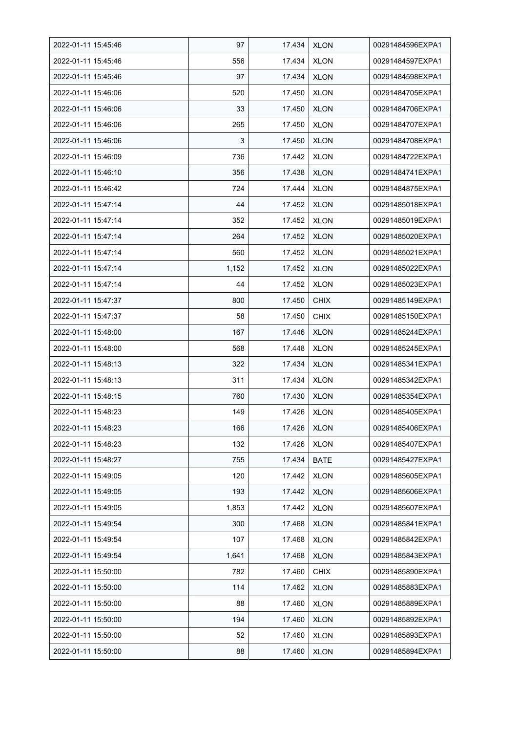| 2022-01-11 15:45:46 | 97    | 17.434 | <b>XLON</b> | 00291484596EXPA1 |
|---------------------|-------|--------|-------------|------------------|
| 2022-01-11 15:45:46 | 556   | 17.434 | <b>XLON</b> | 00291484597EXPA1 |
| 2022-01-11 15:45:46 | 97    | 17.434 | <b>XLON</b> | 00291484598EXPA1 |
| 2022-01-11 15:46:06 | 520   | 17.450 | <b>XLON</b> | 00291484705EXPA1 |
| 2022-01-11 15:46:06 | 33    | 17.450 | <b>XLON</b> | 00291484706EXPA1 |
| 2022-01-11 15:46:06 | 265   | 17.450 | <b>XLON</b> | 00291484707EXPA1 |
| 2022-01-11 15:46:06 | 3     | 17.450 | <b>XLON</b> | 00291484708EXPA1 |
| 2022-01-11 15:46:09 | 736   | 17.442 | XLON        | 00291484722EXPA1 |
| 2022-01-11 15:46:10 | 356   | 17.438 | <b>XLON</b> | 00291484741EXPA1 |
| 2022-01-11 15:46:42 | 724   | 17.444 | <b>XLON</b> | 00291484875EXPA1 |
| 2022-01-11 15:47:14 | 44    | 17.452 | <b>XLON</b> | 00291485018EXPA1 |
| 2022-01-11 15:47:14 | 352   | 17.452 | XLON        | 00291485019EXPA1 |
| 2022-01-11 15:47:14 | 264   | 17.452 | <b>XLON</b> | 00291485020EXPA1 |
| 2022-01-11 15:47:14 | 560   | 17.452 | <b>XLON</b> | 00291485021EXPA1 |
| 2022-01-11 15:47:14 | 1,152 | 17.452 | <b>XLON</b> | 00291485022EXPA1 |
| 2022-01-11 15:47:14 | 44    | 17.452 | <b>XLON</b> | 00291485023EXPA1 |
| 2022-01-11 15:47:37 | 800   | 17.450 | <b>CHIX</b> | 00291485149EXPA1 |
| 2022-01-11 15:47:37 | 58    | 17.450 | <b>CHIX</b> | 00291485150EXPA1 |
| 2022-01-11 15:48:00 | 167   | 17.446 | <b>XLON</b> | 00291485244EXPA1 |
| 2022-01-11 15:48:00 | 568   | 17.448 | <b>XLON</b> | 00291485245EXPA1 |
| 2022-01-11 15:48:13 | 322   | 17.434 | <b>XLON</b> | 00291485341EXPA1 |
| 2022-01-11 15:48:13 | 311   | 17.434 | <b>XLON</b> | 00291485342EXPA1 |
| 2022-01-11 15:48:15 | 760   | 17.430 | <b>XLON</b> | 00291485354EXPA1 |
| 2022-01-11 15:48:23 | 149   | 17.426 | <b>XLON</b> | 00291485405EXPA1 |
| 2022-01-11 15:48:23 | 166   | 17.426 | <b>XLON</b> | 00291485406EXPA1 |
| 2022-01-11 15:48:23 | 132   | 17.426 | <b>XLON</b> | 00291485407EXPA1 |
| 2022-01-11 15:48:27 | 755   | 17.434 | <b>BATE</b> | 00291485427EXPA1 |
| 2022-01-11 15:49:05 | 120   | 17.442 | <b>XLON</b> | 00291485605EXPA1 |
| 2022-01-11 15:49:05 | 193   | 17.442 | <b>XLON</b> | 00291485606EXPA1 |
| 2022-01-11 15:49:05 | 1,853 | 17.442 | <b>XLON</b> | 00291485607EXPA1 |
| 2022-01-11 15:49:54 | 300   | 17.468 | <b>XLON</b> | 00291485841EXPA1 |
| 2022-01-11 15:49:54 | 107   | 17.468 | <b>XLON</b> | 00291485842EXPA1 |
| 2022-01-11 15:49:54 | 1,641 | 17.468 | <b>XLON</b> | 00291485843EXPA1 |
| 2022-01-11 15:50:00 | 782   | 17.460 | <b>CHIX</b> | 00291485890EXPA1 |
| 2022-01-11 15:50:00 | 114   | 17.462 | <b>XLON</b> | 00291485883EXPA1 |
| 2022-01-11 15:50:00 | 88    | 17.460 | XLON        | 00291485889EXPA1 |
| 2022-01-11 15:50:00 | 194   | 17.460 | <b>XLON</b> | 00291485892EXPA1 |
| 2022-01-11 15:50:00 | 52    | 17.460 | <b>XLON</b> | 00291485893EXPA1 |
| 2022-01-11 15:50:00 | 88    | 17.460 | <b>XLON</b> | 00291485894EXPA1 |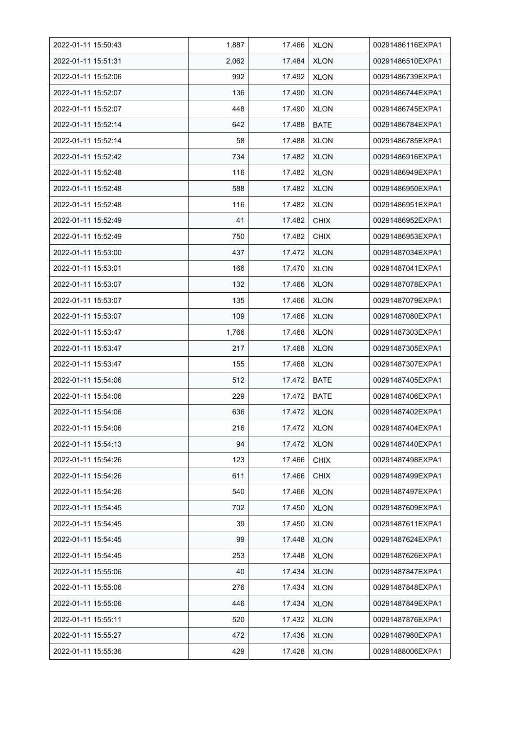| 2022-01-11 15:50:43 | 1,887 | 17.466 | <b>XLON</b> | 00291486116EXPA1 |
|---------------------|-------|--------|-------------|------------------|
| 2022-01-11 15:51:31 | 2,062 | 17.484 | <b>XLON</b> | 00291486510EXPA1 |
| 2022-01-11 15:52:06 | 992   | 17.492 | <b>XLON</b> | 00291486739EXPA1 |
| 2022-01-11 15:52:07 | 136   | 17.490 | <b>XLON</b> | 00291486744EXPA1 |
| 2022-01-11 15:52:07 | 448   | 17.490 | <b>XLON</b> | 00291486745EXPA1 |
| 2022-01-11 15:52:14 | 642   | 17.488 | <b>BATE</b> | 00291486784EXPA1 |
| 2022-01-11 15:52:14 | 58    | 17.488 | <b>XLON</b> | 00291486785EXPA1 |
| 2022-01-11 15:52:42 | 734   | 17.482 | <b>XLON</b> | 00291486916EXPA1 |
| 2022-01-11 15:52:48 | 116   | 17.482 | <b>XLON</b> | 00291486949EXPA1 |
| 2022-01-11 15:52:48 | 588   | 17.482 | <b>XLON</b> | 00291486950EXPA1 |
| 2022-01-11 15:52:48 | 116   | 17.482 | <b>XLON</b> | 00291486951EXPA1 |
| 2022-01-11 15:52:49 | 41    | 17.482 | <b>CHIX</b> | 00291486952EXPA1 |
| 2022-01-11 15:52:49 | 750   | 17.482 | <b>CHIX</b> | 00291486953EXPA1 |
| 2022-01-11 15:53:00 | 437   | 17.472 | <b>XLON</b> | 00291487034EXPA1 |
| 2022-01-11 15:53:01 | 166   | 17.470 | <b>XLON</b> | 00291487041EXPA1 |
| 2022-01-11 15:53:07 | 132   | 17.466 | <b>XLON</b> | 00291487078EXPA1 |
| 2022-01-11 15:53:07 | 135   | 17.466 | <b>XLON</b> | 00291487079EXPA1 |
| 2022-01-11 15:53:07 | 109   | 17.466 | <b>XLON</b> | 00291487080EXPA1 |
| 2022-01-11 15:53:47 | 1,766 | 17.468 | <b>XLON</b> | 00291487303EXPA1 |
| 2022-01-11 15:53:47 | 217   | 17.468 | <b>XLON</b> | 00291487305EXPA1 |
| 2022-01-11 15:53:47 | 155   | 17.468 | <b>XLON</b> | 00291487307EXPA1 |
| 2022-01-11 15:54:06 | 512   | 17.472 | <b>BATE</b> | 00291487405EXPA1 |
| 2022-01-11 15:54:06 | 229   | 17.472 | <b>BATE</b> | 00291487406EXPA1 |
| 2022-01-11 15:54:06 | 636   | 17.472 | <b>XLON</b> | 00291487402EXPA1 |
| 2022-01-11 15:54:06 | 216   | 17.472 | <b>XLON</b> | 00291487404EXPA1 |
| 2022-01-11 15:54:13 | 94    | 17.472 | <b>XLON</b> | 00291487440EXPA1 |
| 2022-01-11 15:54:26 | 123   | 17.466 | <b>CHIX</b> | 00291487498EXPA1 |
| 2022-01-11 15:54:26 | 611   | 17.466 | <b>CHIX</b> | 00291487499EXPA1 |
| 2022-01-11 15:54:26 | 540   | 17.466 | <b>XLON</b> | 00291487497EXPA1 |
| 2022-01-11 15:54:45 | 702   | 17.450 | <b>XLON</b> | 00291487609EXPA1 |
| 2022-01-11 15:54:45 | 39    | 17.450 | XLON        | 00291487611EXPA1 |
| 2022-01-11 15:54:45 | 99    | 17.448 | <b>XLON</b> | 00291487624EXPA1 |
| 2022-01-11 15:54:45 | 253   | 17.448 | <b>XLON</b> | 00291487626EXPA1 |
| 2022-01-11 15:55:06 | 40    | 17.434 | <b>XLON</b> | 00291487847EXPA1 |
| 2022-01-11 15:55:06 | 276   | 17.434 | <b>XLON</b> | 00291487848EXPA1 |
| 2022-01-11 15:55:06 | 446   | 17.434 | <b>XLON</b> | 00291487849EXPA1 |
| 2022-01-11 15:55:11 | 520   | 17.432 | <b>XLON</b> | 00291487876EXPA1 |
| 2022-01-11 15:55:27 | 472   | 17.436 | <b>XLON</b> | 00291487980EXPA1 |
| 2022-01-11 15:55:36 | 429   | 17.428 | <b>XLON</b> | 00291488006EXPA1 |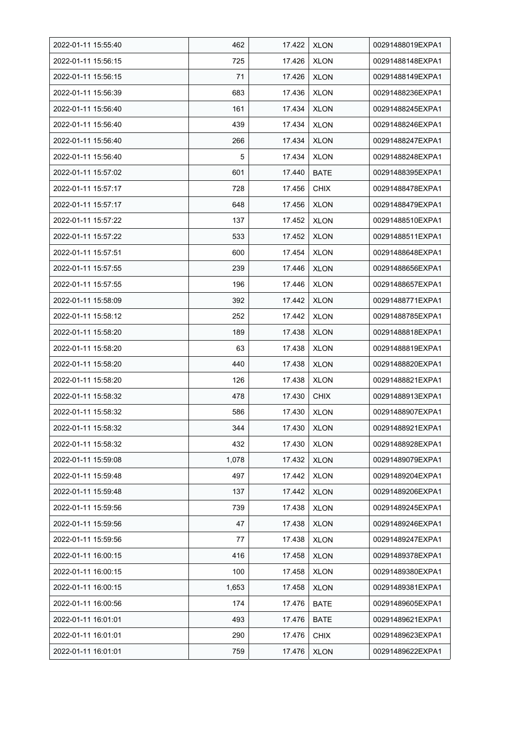| 2022-01-11 15:55:40 | 462   | 17.422 | <b>XLON</b> | 00291488019EXPA1 |
|---------------------|-------|--------|-------------|------------------|
| 2022-01-11 15:56:15 | 725   | 17.426 | <b>XLON</b> | 00291488148EXPA1 |
| 2022-01-11 15:56:15 | 71    | 17.426 | <b>XLON</b> | 00291488149EXPA1 |
| 2022-01-11 15:56:39 | 683   | 17.436 | <b>XLON</b> | 00291488236EXPA1 |
| 2022-01-11 15:56:40 | 161   | 17.434 | <b>XLON</b> | 00291488245EXPA1 |
| 2022-01-11 15:56:40 | 439   | 17.434 | <b>XLON</b> | 00291488246EXPA1 |
| 2022-01-11 15:56:40 | 266   | 17.434 | <b>XLON</b> | 00291488247EXPA1 |
| 2022-01-11 15:56:40 | 5     | 17.434 | <b>XLON</b> | 00291488248EXPA1 |
| 2022-01-11 15:57:02 | 601   | 17.440 | <b>BATE</b> | 00291488395EXPA1 |
| 2022-01-11 15:57:17 | 728   | 17.456 | <b>CHIX</b> | 00291488478EXPA1 |
| 2022-01-11 15:57:17 | 648   | 17.456 | <b>XLON</b> | 00291488479EXPA1 |
| 2022-01-11 15:57:22 | 137   | 17.452 | <b>XLON</b> | 00291488510EXPA1 |
| 2022-01-11 15:57:22 | 533   | 17.452 | <b>XLON</b> | 00291488511EXPA1 |
| 2022-01-11 15:57:51 | 600   | 17.454 | <b>XLON</b> | 00291488648EXPA1 |
| 2022-01-11 15:57:55 | 239   | 17.446 | XLON        | 00291488656EXPA1 |
| 2022-01-11 15:57:55 | 196   | 17.446 | <b>XLON</b> | 00291488657EXPA1 |
| 2022-01-11 15:58:09 | 392   | 17.442 | <b>XLON</b> | 00291488771EXPA1 |
| 2022-01-11 15:58:12 | 252   | 17.442 | <b>XLON</b> | 00291488785EXPA1 |
| 2022-01-11 15:58:20 | 189   | 17.438 | <b>XLON</b> | 00291488818EXPA1 |
| 2022-01-11 15:58:20 | 63    | 17.438 | XLON        | 00291488819EXPA1 |
| 2022-01-11 15:58:20 | 440   | 17.438 | <b>XLON</b> | 00291488820EXPA1 |
| 2022-01-11 15:58:20 | 126   | 17.438 | <b>XLON</b> | 00291488821EXPA1 |
| 2022-01-11 15:58:32 | 478   | 17.430 | <b>CHIX</b> | 00291488913EXPA1 |
| 2022-01-11 15:58:32 | 586   | 17.430 | <b>XLON</b> | 00291488907EXPA1 |
| 2022-01-11 15:58:32 | 344   | 17.430 | <b>XLON</b> | 00291488921EXPA1 |
| 2022-01-11 15:58:32 | 432   | 17.430 | <b>XLON</b> | 00291488928EXPA1 |
| 2022-01-11 15:59:08 | 1,078 | 17.432 | <b>XLON</b> | 00291489079EXPA1 |
| 2022-01-11 15:59:48 | 497   | 17.442 | <b>XLON</b> | 00291489204EXPA1 |
| 2022-01-11 15:59:48 | 137   | 17.442 | <b>XLON</b> | 00291489206EXPA1 |
| 2022-01-11 15:59:56 | 739   | 17.438 | <b>XLON</b> | 00291489245EXPA1 |
| 2022-01-11 15:59:56 | 47    | 17.438 | <b>XLON</b> | 00291489246EXPA1 |
| 2022-01-11 15:59:56 | 77    | 17.438 | <b>XLON</b> | 00291489247EXPA1 |
| 2022-01-11 16:00:15 | 416   | 17.458 | <b>XLON</b> | 00291489378EXPA1 |
| 2022-01-11 16:00:15 | 100   | 17.458 | <b>XLON</b> | 00291489380EXPA1 |
| 2022-01-11 16:00:15 | 1,653 | 17.458 | <b>XLON</b> | 00291489381EXPA1 |
| 2022-01-11 16:00:56 | 174   | 17.476 | <b>BATE</b> | 00291489605EXPA1 |
| 2022-01-11 16:01:01 | 493   | 17.476 | BATE        | 00291489621EXPA1 |
| 2022-01-11 16:01:01 | 290   | 17.476 | <b>CHIX</b> | 00291489623EXPA1 |
| 2022-01-11 16:01:01 | 759   | 17.476 | <b>XLON</b> | 00291489622EXPA1 |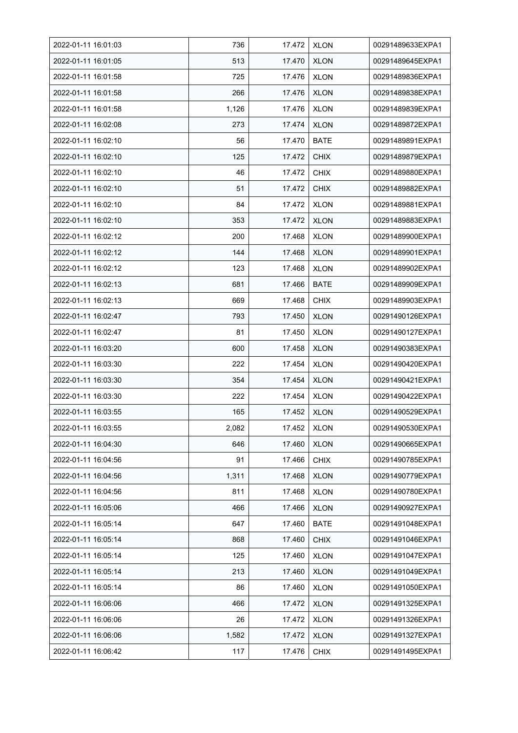| 2022-01-11 16:01:03 | 736   | 17.472 | <b>XLON</b> | 00291489633EXPA1 |
|---------------------|-------|--------|-------------|------------------|
| 2022-01-11 16:01:05 | 513   | 17.470 | <b>XLON</b> | 00291489645EXPA1 |
| 2022-01-11 16:01:58 | 725   | 17.476 | <b>XLON</b> | 00291489836EXPA1 |
| 2022-01-11 16:01:58 | 266   | 17.476 | <b>XLON</b> | 00291489838EXPA1 |
| 2022-01-11 16:01:58 | 1,126 | 17.476 | <b>XLON</b> | 00291489839EXPA1 |
| 2022-01-11 16:02:08 | 273   | 17.474 | <b>XLON</b> | 00291489872EXPA1 |
| 2022-01-11 16:02:10 | 56    | 17.470 | <b>BATE</b> | 00291489891EXPA1 |
| 2022-01-11 16:02:10 | 125   | 17.472 | <b>CHIX</b> | 00291489879EXPA1 |
| 2022-01-11 16:02:10 | 46    | 17.472 | <b>CHIX</b> | 00291489880EXPA1 |
| 2022-01-11 16:02:10 | 51    | 17.472 | <b>CHIX</b> | 00291489882EXPA1 |
| 2022-01-11 16:02:10 | 84    | 17.472 | <b>XLON</b> | 00291489881EXPA1 |
| 2022-01-11 16:02:10 | 353   | 17.472 | <b>XLON</b> | 00291489883EXPA1 |
| 2022-01-11 16:02:12 | 200   | 17.468 | <b>XLON</b> | 00291489900EXPA1 |
| 2022-01-11 16:02:12 | 144   | 17.468 | <b>XLON</b> | 00291489901EXPA1 |
| 2022-01-11 16:02:12 | 123   | 17.468 | <b>XLON</b> | 00291489902EXPA1 |
| 2022-01-11 16:02:13 | 681   | 17.466 | <b>BATE</b> | 00291489909EXPA1 |
| 2022-01-11 16:02:13 | 669   | 17.468 | <b>CHIX</b> | 00291489903EXPA1 |
| 2022-01-11 16:02:47 | 793   | 17.450 | <b>XLON</b> | 00291490126EXPA1 |
| 2022-01-11 16:02:47 | 81    | 17.450 | <b>XLON</b> | 00291490127EXPA1 |
| 2022-01-11 16:03:20 | 600   | 17.458 | <b>XLON</b> | 00291490383EXPA1 |
| 2022-01-11 16:03:30 | 222   | 17.454 | <b>XLON</b> | 00291490420EXPA1 |
| 2022-01-11 16:03:30 | 354   | 17.454 | <b>XLON</b> | 00291490421EXPA1 |
| 2022-01-11 16:03:30 | 222   | 17.454 | <b>XLON</b> | 00291490422EXPA1 |
| 2022-01-11 16:03:55 | 165   | 17.452 | <b>XLON</b> | 00291490529EXPA1 |
| 2022-01-11 16:03:55 | 2,082 | 17.452 | <b>XLON</b> | 00291490530EXPA1 |
| 2022-01-11 16:04:30 | 646   | 17.460 | <b>XLON</b> | 00291490665EXPA1 |
| 2022-01-11 16:04:56 | 91    | 17.466 | <b>CHIX</b> | 00291490785EXPA1 |
| 2022-01-11 16:04:56 | 1,311 | 17.468 | <b>XLON</b> | 00291490779EXPA1 |
| 2022-01-11 16:04:56 | 811   | 17.468 | <b>XLON</b> | 00291490780EXPA1 |
| 2022-01-11 16:05:06 | 466   | 17.466 | <b>XLON</b> | 00291490927EXPA1 |
| 2022-01-11 16:05:14 | 647   | 17.460 | <b>BATE</b> | 00291491048EXPA1 |
| 2022-01-11 16:05:14 | 868   | 17.460 | <b>CHIX</b> | 00291491046EXPA1 |
| 2022-01-11 16:05:14 | 125   | 17.460 | <b>XLON</b> | 00291491047EXPA1 |
| 2022-01-11 16:05:14 | 213   | 17.460 | <b>XLON</b> | 00291491049EXPA1 |
| 2022-01-11 16:05:14 | 86    | 17.460 | <b>XLON</b> | 00291491050EXPA1 |
| 2022-01-11 16:06:06 | 466   | 17.472 | <b>XLON</b> | 00291491325EXPA1 |
| 2022-01-11 16:06:06 | 26    | 17.472 | <b>XLON</b> | 00291491326EXPA1 |
| 2022-01-11 16:06:06 | 1,582 | 17.472 | <b>XLON</b> | 00291491327EXPA1 |
| 2022-01-11 16:06:42 | 117   | 17.476 | <b>CHIX</b> | 00291491495EXPA1 |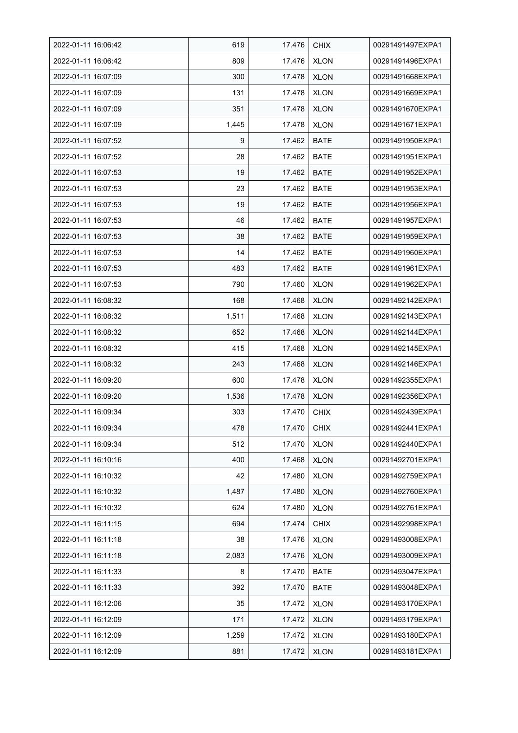| 2022-01-11 16:06:42 | 619   | 17.476 | <b>CHIX</b> | 00291491497EXPA1 |
|---------------------|-------|--------|-------------|------------------|
| 2022-01-11 16:06:42 | 809   | 17.476 | <b>XLON</b> | 00291491496EXPA1 |
| 2022-01-11 16:07:09 | 300   | 17.478 | <b>XLON</b> | 00291491668EXPA1 |
| 2022-01-11 16:07:09 | 131   | 17.478 | <b>XLON</b> | 00291491669EXPA1 |
| 2022-01-11 16:07:09 | 351   | 17.478 | <b>XLON</b> | 00291491670EXPA1 |
| 2022-01-11 16:07:09 | 1,445 | 17.478 | <b>XLON</b> | 00291491671EXPA1 |
| 2022-01-11 16:07:52 | 9     | 17.462 | <b>BATE</b> | 00291491950EXPA1 |
| 2022-01-11 16:07:52 | 28    | 17.462 | <b>BATE</b> | 00291491951EXPA1 |
| 2022-01-11 16:07:53 | 19    | 17.462 | <b>BATE</b> | 00291491952EXPA1 |
| 2022-01-11 16:07:53 | 23    | 17.462 | <b>BATE</b> | 00291491953EXPA1 |
| 2022-01-11 16:07:53 | 19    | 17.462 | <b>BATE</b> | 00291491956EXPA1 |
| 2022-01-11 16:07:53 | 46    | 17.462 | <b>BATE</b> | 00291491957EXPA1 |
| 2022-01-11 16:07:53 | 38    | 17.462 | <b>BATE</b> | 00291491959EXPA1 |
| 2022-01-11 16:07:53 | 14    | 17.462 | <b>BATE</b> | 00291491960EXPA1 |
| 2022-01-11 16:07:53 | 483   | 17.462 | <b>BATE</b> | 00291491961EXPA1 |
| 2022-01-11 16:07:53 | 790   | 17.460 | <b>XLON</b> | 00291491962EXPA1 |
| 2022-01-11 16:08:32 | 168   | 17.468 | <b>XLON</b> | 00291492142EXPA1 |
| 2022-01-11 16:08:32 | 1,511 | 17.468 | <b>XLON</b> | 00291492143EXPA1 |
| 2022-01-11 16:08:32 | 652   | 17.468 | <b>XLON</b> | 00291492144EXPA1 |
| 2022-01-11 16:08:32 | 415   | 17.468 | <b>XLON</b> | 00291492145EXPA1 |
| 2022-01-11 16:08:32 | 243   | 17.468 | <b>XLON</b> | 00291492146EXPA1 |
| 2022-01-11 16:09:20 | 600   | 17.478 | <b>XLON</b> | 00291492355EXPA1 |
| 2022-01-11 16:09:20 | 1,536 | 17.478 | <b>XLON</b> | 00291492356EXPA1 |
| 2022-01-11 16:09:34 | 303   | 17.470 | <b>CHIX</b> | 00291492439EXPA1 |
| 2022-01-11 16:09:34 | 478   | 17.470 | <b>CHIX</b> | 00291492441EXPA1 |
| 2022-01-11 16:09:34 | 512   | 17.470 | <b>XLON</b> | 00291492440EXPA1 |
| 2022-01-11 16:10:16 | 400   | 17.468 | <b>XLON</b> | 00291492701EXPA1 |
| 2022-01-11 16:10:32 | 42    | 17.480 | <b>XLON</b> | 00291492759EXPA1 |
| 2022-01-11 16:10:32 | 1,487 | 17.480 | <b>XLON</b> | 00291492760EXPA1 |
| 2022-01-11 16:10:32 | 624   | 17.480 | <b>XLON</b> | 00291492761EXPA1 |
| 2022-01-11 16:11:15 | 694   | 17.474 | <b>CHIX</b> | 00291492998EXPA1 |
| 2022-01-11 16:11:18 | 38    | 17.476 | <b>XLON</b> | 00291493008EXPA1 |
| 2022-01-11 16:11:18 | 2,083 | 17.476 | <b>XLON</b> | 00291493009EXPA1 |
| 2022-01-11 16:11:33 | 8     | 17.470 | <b>BATE</b> | 00291493047EXPA1 |
| 2022-01-11 16:11:33 | 392   | 17.470 | BATE        | 00291493048EXPA1 |
| 2022-01-11 16:12:06 | 35    | 17.472 | <b>XLON</b> | 00291493170EXPA1 |
| 2022-01-11 16:12:09 | 171   | 17.472 | <b>XLON</b> | 00291493179EXPA1 |
| 2022-01-11 16:12:09 | 1,259 | 17.472 | <b>XLON</b> | 00291493180EXPA1 |
| 2022-01-11 16:12:09 | 881   | 17.472 | <b>XLON</b> | 00291493181EXPA1 |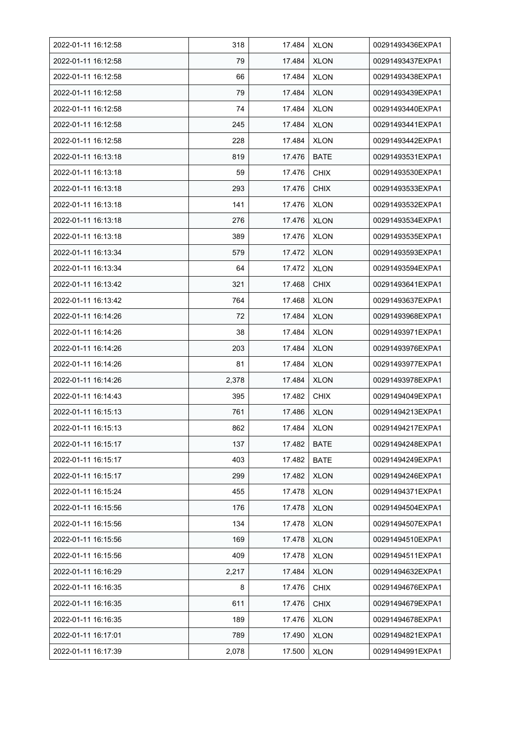| 2022-01-11 16:12:58 | 318   | 17.484 | <b>XLON</b> | 00291493436EXPA1 |
|---------------------|-------|--------|-------------|------------------|
| 2022-01-11 16:12:58 | 79    | 17.484 | <b>XLON</b> | 00291493437EXPA1 |
| 2022-01-11 16:12:58 | 66    | 17.484 | <b>XLON</b> | 00291493438EXPA1 |
| 2022-01-11 16:12:58 | 79    | 17.484 | <b>XLON</b> | 00291493439EXPA1 |
| 2022-01-11 16:12:58 | 74    | 17.484 | <b>XLON</b> | 00291493440EXPA1 |
| 2022-01-11 16:12:58 | 245   | 17.484 | <b>XLON</b> | 00291493441EXPA1 |
| 2022-01-11 16:12:58 | 228   | 17.484 | <b>XLON</b> | 00291493442EXPA1 |
| 2022-01-11 16:13:18 | 819   | 17.476 | <b>BATE</b> | 00291493531EXPA1 |
| 2022-01-11 16:13:18 | 59    | 17.476 | <b>CHIX</b> | 00291493530EXPA1 |
| 2022-01-11 16:13:18 | 293   | 17.476 | <b>CHIX</b> | 00291493533EXPA1 |
| 2022-01-11 16:13:18 | 141   | 17.476 | <b>XLON</b> | 00291493532EXPA1 |
| 2022-01-11 16:13:18 | 276   | 17.476 | <b>XLON</b> | 00291493534EXPA1 |
| 2022-01-11 16:13:18 | 389   | 17.476 | <b>XLON</b> | 00291493535EXPA1 |
| 2022-01-11 16:13:34 | 579   | 17.472 | <b>XLON</b> | 00291493593EXPA1 |
| 2022-01-11 16:13:34 | 64    | 17.472 | <b>XLON</b> | 00291493594EXPA1 |
| 2022-01-11 16:13:42 | 321   | 17.468 | <b>CHIX</b> | 00291493641EXPA1 |
| 2022-01-11 16:13:42 | 764   | 17.468 | <b>XLON</b> | 00291493637EXPA1 |
| 2022-01-11 16:14:26 | 72    | 17.484 | <b>XLON</b> | 00291493968EXPA1 |
| 2022-01-11 16:14:26 | 38    | 17.484 | <b>XLON</b> | 00291493971EXPA1 |
| 2022-01-11 16:14:26 | 203   | 17.484 | <b>XLON</b> | 00291493976EXPA1 |
| 2022-01-11 16:14:26 | 81    | 17.484 | <b>XLON</b> | 00291493977EXPA1 |
| 2022-01-11 16:14:26 | 2,378 | 17.484 | <b>XLON</b> | 00291493978EXPA1 |
| 2022-01-11 16:14:43 | 395   | 17.482 | <b>CHIX</b> | 00291494049EXPA1 |
| 2022-01-11 16:15:13 | 761   | 17.486 | <b>XLON</b> | 00291494213EXPA1 |
| 2022-01-11 16:15:13 | 862   | 17.484 | <b>XLON</b> | 00291494217EXPA1 |
| 2022-01-11 16:15:17 | 137   | 17.482 | BATE        | 00291494248EXPA1 |
| 2022-01-11 16:15:17 | 403   | 17.482 | <b>BATE</b> | 00291494249EXPA1 |
| 2022-01-11 16:15:17 | 299   | 17.482 | <b>XLON</b> | 00291494246EXPA1 |
| 2022-01-11 16:15:24 | 455   | 17.478 | <b>XLON</b> | 00291494371EXPA1 |
| 2022-01-11 16:15:56 | 176   | 17.478 | <b>XLON</b> | 00291494504EXPA1 |
| 2022-01-11 16:15:56 | 134   | 17.478 | <b>XLON</b> | 00291494507EXPA1 |
| 2022-01-11 16:15:56 | 169   | 17.478 | <b>XLON</b> | 00291494510EXPA1 |
| 2022-01-11 16:15:56 | 409   | 17.478 | <b>XLON</b> | 00291494511EXPA1 |
| 2022-01-11 16:16:29 | 2,217 | 17.484 | <b>XLON</b> | 00291494632EXPA1 |
| 2022-01-11 16:16:35 | 8     | 17.476 | <b>CHIX</b> | 00291494676EXPA1 |
| 2022-01-11 16:16:35 | 611   | 17.476 | <b>CHIX</b> | 00291494679EXPA1 |
| 2022-01-11 16:16:35 | 189   | 17.476 | <b>XLON</b> | 00291494678EXPA1 |
| 2022-01-11 16:17:01 | 789   | 17.490 | <b>XLON</b> | 00291494821EXPA1 |
| 2022-01-11 16:17:39 | 2,078 | 17.500 | <b>XLON</b> | 00291494991EXPA1 |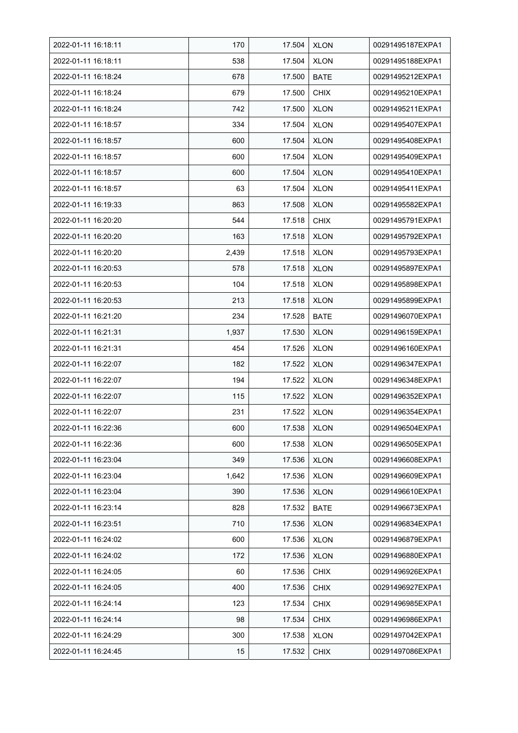| 2022-01-11 16:18:11 | 170   | 17.504 | <b>XLON</b> | 00291495187EXPA1 |
|---------------------|-------|--------|-------------|------------------|
| 2022-01-11 16:18:11 | 538   | 17.504 | <b>XLON</b> | 00291495188EXPA1 |
| 2022-01-11 16:18:24 | 678   | 17.500 | <b>BATE</b> | 00291495212EXPA1 |
| 2022-01-11 16:18:24 | 679   | 17.500 | <b>CHIX</b> | 00291495210EXPA1 |
| 2022-01-11 16:18:24 | 742   | 17.500 | <b>XLON</b> | 00291495211EXPA1 |
| 2022-01-11 16:18:57 | 334   | 17.504 | <b>XLON</b> | 00291495407EXPA1 |
| 2022-01-11 16:18:57 | 600   | 17.504 | <b>XLON</b> | 00291495408EXPA1 |
| 2022-01-11 16:18:57 | 600   | 17.504 | <b>XLON</b> | 00291495409EXPA1 |
| 2022-01-11 16:18:57 | 600   | 17.504 | <b>XLON</b> | 00291495410EXPA1 |
| 2022-01-11 16:18:57 | 63    | 17.504 | <b>XLON</b> | 00291495411EXPA1 |
| 2022-01-11 16:19:33 | 863   | 17.508 | <b>XLON</b> | 00291495582EXPA1 |
| 2022-01-11 16:20:20 | 544   | 17.518 | <b>CHIX</b> | 00291495791EXPA1 |
| 2022-01-11 16:20:20 | 163   | 17.518 | <b>XLON</b> | 00291495792EXPA1 |
| 2022-01-11 16:20:20 | 2,439 | 17.518 | <b>XLON</b> | 00291495793EXPA1 |
| 2022-01-11 16:20:53 | 578   | 17.518 | <b>XLON</b> | 00291495897EXPA1 |
| 2022-01-11 16:20:53 | 104   | 17.518 | <b>XLON</b> | 00291495898EXPA1 |
| 2022-01-11 16:20:53 | 213   | 17.518 | <b>XLON</b> | 00291495899EXPA1 |
| 2022-01-11 16:21:20 | 234   | 17.528 | <b>BATE</b> | 00291496070EXPA1 |
| 2022-01-11 16:21:31 | 1,937 | 17.530 | <b>XLON</b> | 00291496159EXPA1 |
| 2022-01-11 16:21:31 | 454   | 17.526 | <b>XLON</b> | 00291496160EXPA1 |
| 2022-01-11 16:22:07 | 182   | 17.522 | <b>XLON</b> | 00291496347EXPA1 |
| 2022-01-11 16:22:07 | 194   | 17.522 | <b>XLON</b> | 00291496348EXPA1 |
| 2022-01-11 16:22:07 | 115   | 17.522 | <b>XLON</b> | 00291496352EXPA1 |
| 2022-01-11 16:22:07 | 231   | 17.522 | <b>XLON</b> | 00291496354EXPA1 |
| 2022-01-11 16:22:36 | 600   | 17.538 | <b>XLON</b> | 00291496504EXPA1 |
| 2022-01-11 16:22:36 | 600   | 17.538 | <b>XLON</b> | 00291496505EXPA1 |
| 2022-01-11 16:23:04 | 349   | 17.536 | <b>XLON</b> | 00291496608EXPA1 |
| 2022-01-11 16:23:04 | 1,642 | 17.536 | <b>XLON</b> | 00291496609EXPA1 |
| 2022-01-11 16:23:04 | 390   | 17.536 | <b>XLON</b> | 00291496610EXPA1 |
| 2022-01-11 16:23:14 | 828   | 17.532 | <b>BATE</b> | 00291496673EXPA1 |
| 2022-01-11 16:23:51 | 710   | 17.536 | <b>XLON</b> | 00291496834EXPA1 |
| 2022-01-11 16:24:02 | 600   | 17.536 | <b>XLON</b> | 00291496879EXPA1 |
| 2022-01-11 16:24:02 | 172   | 17.536 | <b>XLON</b> | 00291496880EXPA1 |
| 2022-01-11 16:24:05 | 60    | 17.536 | <b>CHIX</b> | 00291496926EXPA1 |
| 2022-01-11 16:24:05 | 400   | 17.536 | <b>CHIX</b> | 00291496927EXPA1 |
| 2022-01-11 16:24:14 | 123   | 17.534 | <b>CHIX</b> | 00291496985EXPA1 |
| 2022-01-11 16:24:14 | 98    | 17.534 | <b>CHIX</b> | 00291496986EXPA1 |
| 2022-01-11 16:24:29 | 300   | 17.538 | <b>XLON</b> | 00291497042EXPA1 |
| 2022-01-11 16:24:45 | 15    | 17.532 | <b>CHIX</b> | 00291497086EXPA1 |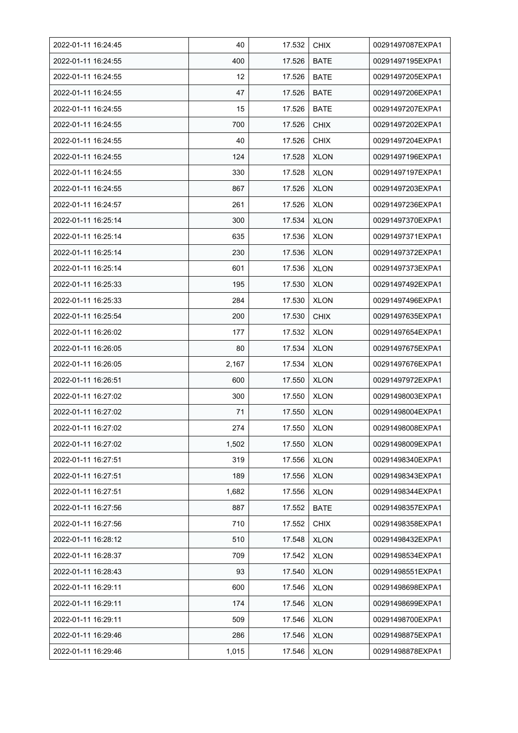| 2022-01-11 16:24:45 | 40    | 17.532 | <b>CHIX</b> | 00291497087EXPA1 |
|---------------------|-------|--------|-------------|------------------|
| 2022-01-11 16:24:55 | 400   | 17.526 | <b>BATE</b> | 00291497195EXPA1 |
| 2022-01-11 16:24:55 | 12    | 17.526 | <b>BATE</b> | 00291497205EXPA1 |
| 2022-01-11 16:24:55 | 47    | 17.526 | <b>BATE</b> | 00291497206EXPA1 |
| 2022-01-11 16:24:55 | 15    | 17.526 | <b>BATE</b> | 00291497207EXPA1 |
| 2022-01-11 16:24:55 | 700   | 17.526 | <b>CHIX</b> | 00291497202EXPA1 |
| 2022-01-11 16:24:55 | 40    | 17.526 | <b>CHIX</b> | 00291497204EXPA1 |
| 2022-01-11 16:24:55 | 124   | 17.528 | <b>XLON</b> | 00291497196EXPA1 |
| 2022-01-11 16:24:55 | 330   | 17.528 | <b>XLON</b> | 00291497197EXPA1 |
| 2022-01-11 16:24:55 | 867   | 17.526 | <b>XLON</b> | 00291497203EXPA1 |
| 2022-01-11 16:24:57 | 261   | 17.526 | <b>XLON</b> | 00291497236EXPA1 |
| 2022-01-11 16:25:14 | 300   | 17.534 | <b>XLON</b> | 00291497370EXPA1 |
| 2022-01-11 16:25:14 | 635   | 17.536 | <b>XLON</b> | 00291497371EXPA1 |
| 2022-01-11 16:25:14 | 230   | 17.536 | <b>XLON</b> | 00291497372EXPA1 |
| 2022-01-11 16:25:14 | 601   | 17.536 | <b>XLON</b> | 00291497373EXPA1 |
| 2022-01-11 16:25:33 | 195   | 17.530 | <b>XLON</b> | 00291497492EXPA1 |
| 2022-01-11 16:25:33 | 284   | 17.530 | <b>XLON</b> | 00291497496EXPA1 |
| 2022-01-11 16:25:54 | 200   | 17.530 | <b>CHIX</b> | 00291497635EXPA1 |
| 2022-01-11 16:26:02 | 177   | 17.532 | <b>XLON</b> | 00291497654EXPA1 |
| 2022-01-11 16:26:05 | 80    | 17.534 | <b>XLON</b> | 00291497675EXPA1 |
| 2022-01-11 16:26:05 | 2,167 | 17.534 | <b>XLON</b> | 00291497676EXPA1 |
| 2022-01-11 16:26:51 | 600   | 17.550 | <b>XLON</b> | 00291497972EXPA1 |
| 2022-01-11 16:27:02 | 300   | 17.550 | <b>XLON</b> | 00291498003EXPA1 |
| 2022-01-11 16:27:02 | 71    | 17.550 | <b>XLON</b> | 00291498004EXPA1 |
| 2022-01-11 16:27:02 | 274   | 17.550 | <b>XLON</b> | 00291498008EXPA1 |
| 2022-01-11 16:27:02 | 1,502 | 17.550 | <b>XLON</b> | 00291498009EXPA1 |
| 2022-01-11 16:27:51 | 319   | 17.556 | <b>XLON</b> | 00291498340EXPA1 |
| 2022-01-11 16:27:51 | 189   | 17.556 | <b>XLON</b> | 00291498343EXPA1 |
| 2022-01-11 16:27:51 | 1,682 | 17.556 | <b>XLON</b> | 00291498344EXPA1 |
| 2022-01-11 16:27:56 | 887   | 17.552 | BATE        | 00291498357EXPA1 |
| 2022-01-11 16:27:56 | 710   | 17.552 | <b>CHIX</b> | 00291498358EXPA1 |
| 2022-01-11 16:28:12 | 510   | 17.548 | <b>XLON</b> | 00291498432EXPA1 |
| 2022-01-11 16:28:37 | 709   | 17.542 | <b>XLON</b> | 00291498534EXPA1 |
| 2022-01-11 16:28:43 | 93    | 17.540 | <b>XLON</b> | 00291498551EXPA1 |
| 2022-01-11 16:29:11 | 600   | 17.546 | <b>XLON</b> | 00291498698EXPA1 |
| 2022-01-11 16:29:11 | 174   | 17.546 | <b>XLON</b> | 00291498699EXPA1 |
| 2022-01-11 16:29:11 | 509   | 17.546 | <b>XLON</b> | 00291498700EXPA1 |
| 2022-01-11 16:29:46 | 286   | 17.546 | <b>XLON</b> | 00291498875EXPA1 |
| 2022-01-11 16:29:46 | 1,015 | 17.546 | <b>XLON</b> | 00291498878EXPA1 |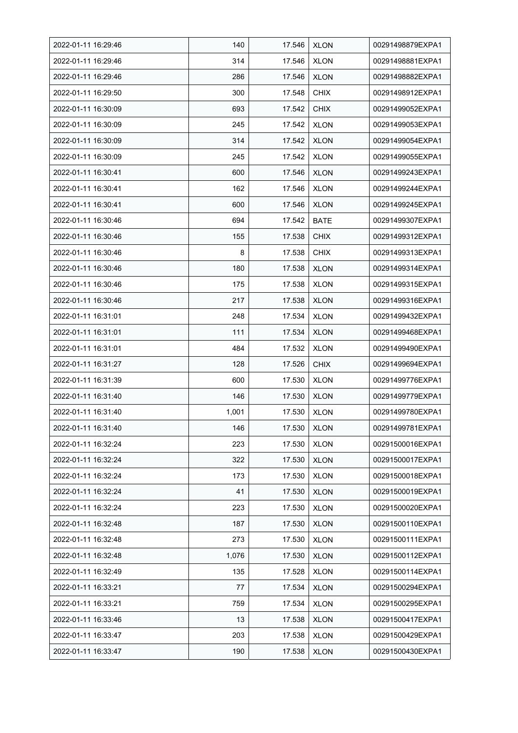| 2022-01-11 16:29:46 | 140   | 17.546 | <b>XLON</b> | 00291498879EXPA1 |
|---------------------|-------|--------|-------------|------------------|
| 2022-01-11 16:29:46 | 314   | 17.546 | <b>XLON</b> | 00291498881EXPA1 |
| 2022-01-11 16:29:46 | 286   | 17.546 | <b>XLON</b> | 00291498882EXPA1 |
| 2022-01-11 16:29:50 | 300   | 17.548 | <b>CHIX</b> | 00291498912EXPA1 |
| 2022-01-11 16:30:09 | 693   | 17.542 | <b>CHIX</b> | 00291499052EXPA1 |
| 2022-01-11 16:30:09 | 245   | 17.542 | <b>XLON</b> | 00291499053EXPA1 |
| 2022-01-11 16:30:09 | 314   | 17.542 | <b>XLON</b> | 00291499054EXPA1 |
| 2022-01-11 16:30:09 | 245   | 17.542 | <b>XLON</b> | 00291499055EXPA1 |
| 2022-01-11 16:30:41 | 600   | 17.546 | <b>XLON</b> | 00291499243EXPA1 |
| 2022-01-11 16:30:41 | 162   | 17.546 | <b>XLON</b> | 00291499244EXPA1 |
| 2022-01-11 16:30:41 | 600   | 17.546 | <b>XLON</b> | 00291499245EXPA1 |
| 2022-01-11 16:30:46 | 694   | 17.542 | <b>BATE</b> | 00291499307EXPA1 |
| 2022-01-11 16:30:46 | 155   | 17.538 | <b>CHIX</b> | 00291499312EXPA1 |
| 2022-01-11 16:30:46 | 8     | 17.538 | <b>CHIX</b> | 00291499313EXPA1 |
| 2022-01-11 16:30:46 | 180   | 17.538 | <b>XLON</b> | 00291499314EXPA1 |
| 2022-01-11 16:30:46 | 175   | 17.538 | <b>XLON</b> | 00291499315EXPA1 |
| 2022-01-11 16:30:46 | 217   | 17.538 | <b>XLON</b> | 00291499316EXPA1 |
| 2022-01-11 16:31:01 | 248   | 17.534 | <b>XLON</b> | 00291499432EXPA1 |
| 2022-01-11 16:31:01 | 111   | 17.534 | <b>XLON</b> | 00291499468EXPA1 |
| 2022-01-11 16:31:01 | 484   | 17.532 | <b>XLON</b> | 00291499490EXPA1 |
| 2022-01-11 16:31:27 | 128   | 17.526 | <b>CHIX</b> | 00291499694EXPA1 |
| 2022-01-11 16:31:39 | 600   | 17.530 | <b>XLON</b> | 00291499776EXPA1 |
| 2022-01-11 16:31:40 | 146   | 17.530 | <b>XLON</b> | 00291499779EXPA1 |
| 2022-01-11 16:31:40 | 1,001 | 17.530 | <b>XLON</b> | 00291499780EXPA1 |
| 2022-01-11 16:31:40 | 146   | 17.530 | <b>XLON</b> | 00291499781EXPA1 |
| 2022-01-11 16:32:24 | 223   | 17.530 | <b>XLON</b> | 00291500016EXPA1 |
| 2022-01-11 16:32:24 | 322   | 17.530 | <b>XLON</b> | 00291500017EXPA1 |
| 2022-01-11 16:32:24 | 173   | 17.530 | <b>XLON</b> | 00291500018EXPA1 |
| 2022-01-11 16:32:24 | 41    | 17.530 | <b>XLON</b> | 00291500019EXPA1 |
| 2022-01-11 16:32:24 | 223   | 17.530 | <b>XLON</b> | 00291500020EXPA1 |
| 2022-01-11 16:32:48 | 187   | 17.530 | <b>XLON</b> | 00291500110EXPA1 |
| 2022-01-11 16:32:48 | 273   | 17.530 | <b>XLON</b> | 00291500111EXPA1 |
| 2022-01-11 16:32:48 | 1,076 | 17.530 | <b>XLON</b> | 00291500112EXPA1 |
| 2022-01-11 16:32:49 | 135   | 17.528 | <b>XLON</b> | 00291500114EXPA1 |
| 2022-01-11 16:33:21 | 77    | 17.534 | <b>XLON</b> | 00291500294EXPA1 |
| 2022-01-11 16:33:21 | 759   | 17.534 | <b>XLON</b> | 00291500295EXPA1 |
| 2022-01-11 16:33:46 | 13    | 17.538 | <b>XLON</b> | 00291500417EXPA1 |
| 2022-01-11 16:33:47 | 203   | 17.538 | <b>XLON</b> | 00291500429EXPA1 |
| 2022-01-11 16:33:47 | 190   | 17.538 | <b>XLON</b> | 00291500430EXPA1 |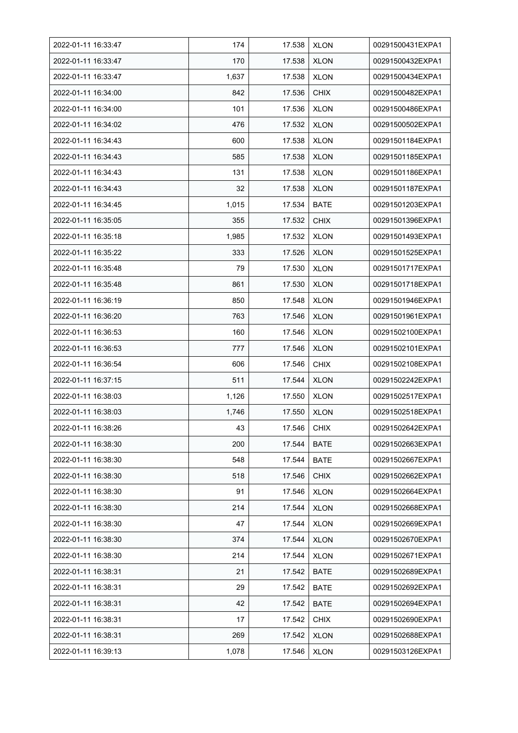| 2022-01-11 16:33:47 | 174   | 17.538 | <b>XLON</b> | 00291500431EXPA1 |
|---------------------|-------|--------|-------------|------------------|
| 2022-01-11 16:33:47 | 170   | 17.538 | <b>XLON</b> | 00291500432EXPA1 |
| 2022-01-11 16:33:47 | 1,637 | 17.538 | <b>XLON</b> | 00291500434EXPA1 |
| 2022-01-11 16:34:00 | 842   | 17.536 | <b>CHIX</b> | 00291500482EXPA1 |
| 2022-01-11 16:34:00 | 101   | 17.536 | <b>XLON</b> | 00291500486EXPA1 |
| 2022-01-11 16:34:02 | 476   | 17.532 | <b>XLON</b> | 00291500502EXPA1 |
| 2022-01-11 16:34:43 | 600   | 17.538 | <b>XLON</b> | 00291501184EXPA1 |
| 2022-01-11 16:34:43 | 585   | 17.538 | <b>XLON</b> | 00291501185EXPA1 |
| 2022-01-11 16:34:43 | 131   | 17.538 | <b>XLON</b> | 00291501186EXPA1 |
| 2022-01-11 16:34:43 | 32    | 17.538 | <b>XLON</b> | 00291501187EXPA1 |
| 2022-01-11 16:34:45 | 1,015 | 17.534 | <b>BATE</b> | 00291501203EXPA1 |
| 2022-01-11 16:35:05 | 355   | 17.532 | <b>CHIX</b> | 00291501396EXPA1 |
| 2022-01-11 16:35:18 | 1,985 | 17.532 | <b>XLON</b> | 00291501493EXPA1 |
| 2022-01-11 16:35:22 | 333   | 17.526 | <b>XLON</b> | 00291501525EXPA1 |
| 2022-01-11 16:35:48 | 79    | 17.530 | <b>XLON</b> | 00291501717EXPA1 |
| 2022-01-11 16:35:48 | 861   | 17.530 | <b>XLON</b> | 00291501718EXPA1 |
| 2022-01-11 16:36:19 | 850   | 17.548 | <b>XLON</b> | 00291501946EXPA1 |
| 2022-01-11 16:36:20 | 763   | 17.546 | <b>XLON</b> | 00291501961EXPA1 |
| 2022-01-11 16:36:53 | 160   | 17.546 | <b>XLON</b> | 00291502100EXPA1 |
| 2022-01-11 16:36:53 | 777   | 17.546 | <b>XLON</b> | 00291502101EXPA1 |
| 2022-01-11 16:36:54 | 606   | 17.546 | <b>CHIX</b> | 00291502108EXPA1 |
| 2022-01-11 16:37:15 | 511   | 17.544 | <b>XLON</b> | 00291502242EXPA1 |
| 2022-01-11 16:38:03 | 1,126 | 17.550 | <b>XLON</b> | 00291502517EXPA1 |
| 2022-01-11 16:38:03 | 1,746 | 17.550 | <b>XLON</b> | 00291502518EXPA1 |
| 2022-01-11 16:38:26 | 43    | 17.546 | <b>CHIX</b> | 00291502642EXPA1 |
| 2022-01-11 16:38:30 | 200   | 17.544 | <b>BATE</b> | 00291502663EXPA1 |
| 2022-01-11 16:38:30 | 548   | 17.544 | <b>BATE</b> | 00291502667EXPA1 |
| 2022-01-11 16:38:30 | 518   | 17.546 | <b>CHIX</b> | 00291502662EXPA1 |
| 2022-01-11 16:38:30 | 91    | 17.546 | <b>XLON</b> | 00291502664EXPA1 |
| 2022-01-11 16:38:30 | 214   | 17.544 | <b>XLON</b> | 00291502668EXPA1 |
| 2022-01-11 16:38:30 | 47    | 17.544 | <b>XLON</b> | 00291502669EXPA1 |
| 2022-01-11 16:38:30 | 374   | 17.544 | <b>XLON</b> | 00291502670EXPA1 |
| 2022-01-11 16:38:30 | 214   | 17.544 | <b>XLON</b> | 00291502671EXPA1 |
| 2022-01-11 16:38:31 | 21    | 17.542 | <b>BATE</b> | 00291502689EXPA1 |
| 2022-01-11 16:38:31 | 29    | 17.542 | <b>BATE</b> | 00291502692EXPA1 |
| 2022-01-11 16:38:31 | 42    | 17.542 | <b>BATE</b> | 00291502694EXPA1 |
| 2022-01-11 16:38:31 | 17    | 17.542 | CHIX        | 00291502690EXPA1 |
| 2022-01-11 16:38:31 | 269   | 17.542 | <b>XLON</b> | 00291502688EXPA1 |
| 2022-01-11 16:39:13 | 1,078 | 17.546 | <b>XLON</b> | 00291503126EXPA1 |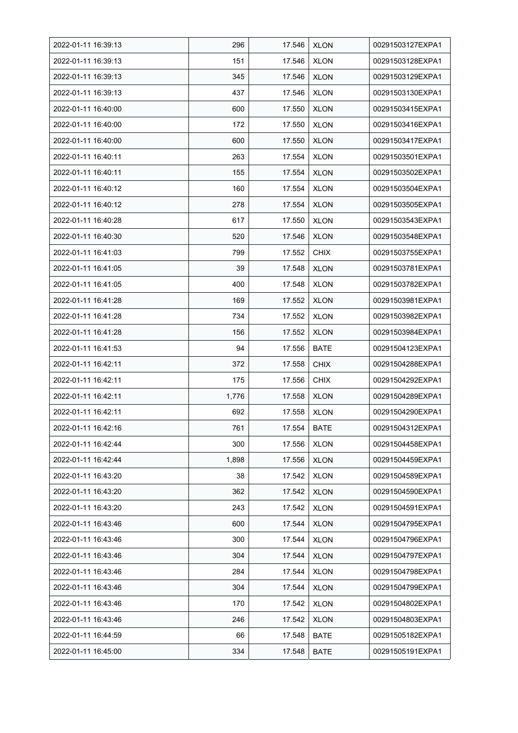| 2022-01-11 16:39:13 | 296   | 17.546 | <b>XLON</b> | 00291503127EXPA1 |
|---------------------|-------|--------|-------------|------------------|
| 2022-01-11 16:39:13 | 151   | 17.546 | <b>XLON</b> | 00291503128EXPA1 |
| 2022-01-11 16:39:13 | 345   | 17.546 | <b>XLON</b> | 00291503129EXPA1 |
| 2022-01-11 16:39:13 | 437   | 17.546 | <b>XLON</b> | 00291503130EXPA1 |
| 2022-01-11 16:40:00 | 600   | 17.550 | <b>XLON</b> | 00291503415EXPA1 |
| 2022-01-11 16:40:00 | 172   | 17.550 | <b>XLON</b> | 00291503416EXPA1 |
| 2022-01-11 16:40:00 | 600   | 17.550 | <b>XLON</b> | 00291503417EXPA1 |
| 2022-01-11 16:40:11 | 263   | 17.554 | <b>XLON</b> | 00291503501EXPA1 |
| 2022-01-11 16:40:11 | 155   | 17.554 | <b>XLON</b> | 00291503502EXPA1 |
| 2022-01-11 16:40:12 | 160   | 17.554 | <b>XLON</b> | 00291503504EXPA1 |
| 2022-01-11 16:40:12 | 278   | 17.554 | <b>XLON</b> | 00291503505EXPA1 |
| 2022-01-11 16:40:28 | 617   | 17.550 | <b>XLON</b> | 00291503543EXPA1 |
| 2022-01-11 16:40:30 | 520   | 17.546 | <b>XLON</b> | 00291503548EXPA1 |
| 2022-01-11 16:41:03 | 799   | 17.552 | <b>CHIX</b> | 00291503755EXPA1 |
| 2022-01-11 16:41:05 | 39    | 17.548 | <b>XLON</b> | 00291503781EXPA1 |
| 2022-01-11 16:41:05 | 400   | 17.548 | <b>XLON</b> | 00291503782EXPA1 |
| 2022-01-11 16:41:28 | 169   | 17.552 | <b>XLON</b> | 00291503981EXPA1 |
| 2022-01-11 16:41:28 | 734   | 17.552 | <b>XLON</b> | 00291503982EXPA1 |
| 2022-01-11 16:41:28 | 156   | 17.552 | <b>XLON</b> | 00291503984EXPA1 |
| 2022-01-11 16:41:53 | 94    | 17.556 | <b>BATE</b> | 00291504123EXPA1 |
| 2022-01-11 16:42:11 | 372   | 17.558 | <b>CHIX</b> | 00291504288EXPA1 |
| 2022-01-11 16:42:11 | 175   | 17.556 | <b>CHIX</b> | 00291504292EXPA1 |
| 2022-01-11 16:42:11 | 1,776 | 17.558 | <b>XLON</b> | 00291504289EXPA1 |
| 2022-01-11 16:42:11 | 692   | 17.558 | <b>XLON</b> | 00291504290EXPA1 |
| 2022-01-11 16:42:16 | 761   | 17.554 | <b>BATE</b> | 00291504312EXPA1 |
| 2022-01-11 16:42:44 | 300   | 17.556 | <b>XLON</b> | 00291504458EXPA1 |
| 2022-01-11 16:42:44 | 1,898 | 17.556 | <b>XLON</b> | 00291504459EXPA1 |
| 2022-01-11 16:43:20 | 38    | 17.542 | <b>XLON</b> | 00291504589EXPA1 |
| 2022-01-11 16:43:20 | 362   | 17.542 | <b>XLON</b> | 00291504590EXPA1 |
| 2022-01-11 16:43:20 | 243   | 17.542 | <b>XLON</b> | 00291504591EXPA1 |
| 2022-01-11 16:43:46 | 600   | 17.544 | <b>XLON</b> | 00291504795EXPA1 |
| 2022-01-11 16:43:46 | 300   | 17.544 | <b>XLON</b> | 00291504796EXPA1 |
| 2022-01-11 16:43:46 | 304   | 17.544 | <b>XLON</b> | 00291504797EXPA1 |
| 2022-01-11 16:43:46 | 284   | 17.544 | <b>XLON</b> | 00291504798EXPA1 |
| 2022-01-11 16:43:46 | 304   | 17.544 | <b>XLON</b> | 00291504799EXPA1 |
| 2022-01-11 16:43:46 | 170   | 17.542 | <b>XLON</b> | 00291504802EXPA1 |
| 2022-01-11 16:43:46 | 246   | 17.542 | <b>XLON</b> | 00291504803EXPA1 |
| 2022-01-11 16:44:59 | 66    | 17.548 | <b>BATE</b> | 00291505182EXPA1 |
| 2022-01-11 16:45:00 | 334   | 17.548 | <b>BATE</b> | 00291505191EXPA1 |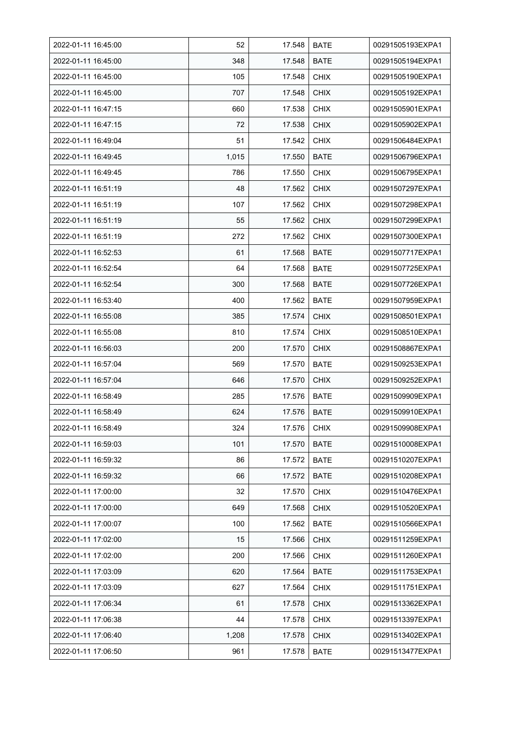| 2022-01-11 16:45:00 | 52    | 17.548 | <b>BATE</b> | 00291505193EXPA1 |
|---------------------|-------|--------|-------------|------------------|
| 2022-01-11 16:45:00 | 348   | 17.548 | <b>BATE</b> | 00291505194EXPA1 |
| 2022-01-11 16:45:00 | 105   | 17.548 | <b>CHIX</b> | 00291505190EXPA1 |
| 2022-01-11 16:45:00 | 707   | 17.548 | <b>CHIX</b> | 00291505192EXPA1 |
| 2022-01-11 16:47:15 | 660   | 17.538 | <b>CHIX</b> | 00291505901EXPA1 |
| 2022-01-11 16:47:15 | 72    | 17.538 | <b>CHIX</b> | 00291505902EXPA1 |
| 2022-01-11 16:49:04 | 51    | 17.542 | <b>CHIX</b> | 00291506484EXPA1 |
| 2022-01-11 16:49:45 | 1,015 | 17.550 | <b>BATE</b> | 00291506796EXPA1 |
| 2022-01-11 16:49:45 | 786   | 17.550 | <b>CHIX</b> | 00291506795EXPA1 |
| 2022-01-11 16:51:19 | 48    | 17.562 | <b>CHIX</b> | 00291507297EXPA1 |
| 2022-01-11 16:51:19 | 107   | 17.562 | <b>CHIX</b> | 00291507298EXPA1 |
| 2022-01-11 16:51:19 | 55    | 17.562 | <b>CHIX</b> | 00291507299EXPA1 |
| 2022-01-11 16:51:19 | 272   | 17.562 | <b>CHIX</b> | 00291507300EXPA1 |
| 2022-01-11 16:52:53 | 61    | 17.568 | <b>BATE</b> | 00291507717EXPA1 |
| 2022-01-11 16:52:54 | 64    | 17.568 | <b>BATE</b> | 00291507725EXPA1 |
| 2022-01-11 16:52:54 | 300   | 17.568 | <b>BATE</b> | 00291507726EXPA1 |
| 2022-01-11 16:53:40 | 400   | 17.562 | <b>BATE</b> | 00291507959EXPA1 |
| 2022-01-11 16:55:08 | 385   | 17.574 | <b>CHIX</b> | 00291508501EXPA1 |
| 2022-01-11 16:55:08 | 810   | 17.574 | <b>CHIX</b> | 00291508510EXPA1 |
| 2022-01-11 16:56:03 | 200   | 17.570 | <b>CHIX</b> | 00291508867EXPA1 |
| 2022-01-11 16:57:04 | 569   | 17.570 | <b>BATE</b> | 00291509253EXPA1 |
| 2022-01-11 16:57:04 | 646   | 17.570 | <b>CHIX</b> | 00291509252EXPA1 |
| 2022-01-11 16:58:49 | 285   | 17.576 | <b>BATE</b> | 00291509909EXPA1 |
| 2022-01-11 16:58:49 | 624   | 17.576 | <b>BATE</b> | 00291509910EXPA1 |
| 2022-01-11 16:58:49 | 324   | 17.576 | <b>CHIX</b> | 00291509908EXPA1 |
| 2022-01-11 16:59:03 | 101   | 17.570 | <b>BATE</b> | 00291510008EXPA1 |
| 2022-01-11 16:59:32 | 86    | 17.572 | <b>BATE</b> | 00291510207EXPA1 |
| 2022-01-11 16:59:32 | 66    | 17.572 | <b>BATE</b> | 00291510208EXPA1 |
| 2022-01-11 17:00:00 | 32    | 17.570 | <b>CHIX</b> | 00291510476EXPA1 |
| 2022-01-11 17:00:00 | 649   | 17.568 | <b>CHIX</b> | 00291510520EXPA1 |
| 2022-01-11 17:00:07 | 100   | 17.562 | <b>BATE</b> | 00291510566EXPA1 |
| 2022-01-11 17:02:00 | 15    | 17.566 | <b>CHIX</b> | 00291511259EXPA1 |
| 2022-01-11 17:02:00 | 200   | 17.566 | <b>CHIX</b> | 00291511260EXPA1 |
| 2022-01-11 17:03:09 | 620   | 17.564 | <b>BATE</b> | 00291511753EXPA1 |
| 2022-01-11 17:03:09 | 627   | 17.564 | <b>CHIX</b> | 00291511751EXPA1 |
| 2022-01-11 17:06:34 | 61    | 17.578 | <b>CHIX</b> | 00291513362EXPA1 |
| 2022-01-11 17:06:38 | 44    | 17.578 | <b>CHIX</b> | 00291513397EXPA1 |
| 2022-01-11 17:06:40 | 1,208 | 17.578 | <b>CHIX</b> | 00291513402EXPA1 |
| 2022-01-11 17:06:50 | 961   | 17.578 | <b>BATE</b> | 00291513477EXPA1 |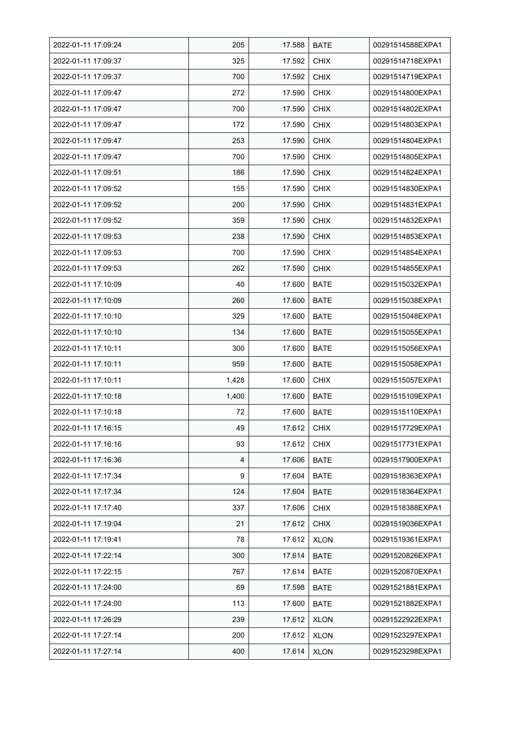| 2022-01-11 17:09:24 | 205   | 17.588 | <b>BATE</b> | 00291514588EXPA1 |
|---------------------|-------|--------|-------------|------------------|
| 2022-01-11 17:09:37 | 325   | 17.592 | <b>CHIX</b> | 00291514718EXPA1 |
| 2022-01-11 17:09:37 | 700   | 17.592 | <b>CHIX</b> | 00291514719EXPA1 |
| 2022-01-11 17:09:47 | 272   | 17.590 | <b>CHIX</b> | 00291514800EXPA1 |
| 2022-01-11 17:09:47 | 700   | 17.590 | <b>CHIX</b> | 00291514802EXPA1 |
| 2022-01-11 17:09:47 | 172   | 17.590 | <b>CHIX</b> | 00291514803EXPA1 |
| 2022-01-11 17:09:47 | 253   | 17.590 | <b>CHIX</b> | 00291514804EXPA1 |
| 2022-01-11 17:09:47 | 700   | 17.590 | <b>CHIX</b> | 00291514805EXPA1 |
| 2022-01-11 17:09:51 | 186   | 17.590 | <b>CHIX</b> | 00291514824EXPA1 |
| 2022-01-11 17:09:52 | 155   | 17.590 | <b>CHIX</b> | 00291514830EXPA1 |
| 2022-01-11 17:09:52 | 200   | 17.590 | <b>CHIX</b> | 00291514831EXPA1 |
| 2022-01-11 17:09:52 | 359   | 17.590 | <b>CHIX</b> | 00291514832EXPA1 |
| 2022-01-11 17:09:53 | 238   | 17.590 | <b>CHIX</b> | 00291514853EXPA1 |
| 2022-01-11 17:09:53 | 700   | 17.590 | <b>CHIX</b> | 00291514854EXPA1 |
| 2022-01-11 17:09:53 | 262   | 17.590 | <b>CHIX</b> | 00291514855EXPA1 |
| 2022-01-11 17:10:09 | 40    | 17.600 | <b>BATE</b> | 00291515032EXPA1 |
| 2022-01-11 17:10:09 | 260   | 17.600 | <b>BATE</b> | 00291515038EXPA1 |
| 2022-01-11 17:10:10 | 329   | 17.600 | <b>BATE</b> | 00291515048EXPA1 |
| 2022-01-11 17:10:10 | 134   | 17.600 | <b>BATE</b> | 00291515055EXPA1 |
| 2022-01-11 17:10:11 | 300   | 17.600 | <b>BATE</b> | 00291515056EXPA1 |
| 2022-01-11 17:10:11 | 959   | 17.600 | <b>BATE</b> | 00291515058EXPA1 |
| 2022-01-11 17:10:11 | 1,428 | 17.600 | <b>CHIX</b> | 00291515057EXPA1 |
| 2022-01-11 17:10:18 | 1,400 | 17.600 | <b>BATE</b> | 00291515109EXPA1 |
| 2022-01-11 17:10:18 | 72    | 17.600 | <b>BATE</b> | 00291515110EXPA1 |
| 2022-01-11 17:16:15 | 49    | 17.612 | <b>CHIX</b> | 00291517729EXPA1 |
| 2022-01-11 17:16:16 | 93    | 17.612 | <b>CHIX</b> | 00291517731EXPA1 |
| 2022-01-11 17:16:36 | 4     | 17.606 | <b>BATE</b> | 00291517900EXPA1 |
| 2022-01-11 17:17:34 | 9     | 17.604 | <b>BATE</b> | 00291518363EXPA1 |
| 2022-01-11 17:17:34 | 124   | 17.604 | <b>BATE</b> | 00291518364EXPA1 |
| 2022-01-11 17:17:40 | 337   | 17.606 | <b>CHIX</b> | 00291518388EXPA1 |
| 2022-01-11 17:19:04 | 21    | 17.612 | <b>CHIX</b> | 00291519036EXPA1 |
| 2022-01-11 17:19:41 | 78    | 17.612 | <b>XLON</b> | 00291519361EXPA1 |
| 2022-01-11 17:22:14 | 300   | 17.614 | <b>BATE</b> | 00291520826EXPA1 |
| 2022-01-11 17:22:15 | 767   | 17.614 | <b>BATE</b> | 00291520870EXPA1 |
| 2022-01-11 17:24:00 | 69    | 17.598 | BATE        | 00291521881EXPA1 |
| 2022-01-11 17:24:00 | 113   | 17.600 | BATE        | 00291521882EXPA1 |
| 2022-01-11 17:26:29 | 239   | 17.612 | <b>XLON</b> | 00291522922EXPA1 |
| 2022-01-11 17:27:14 | 200   | 17.612 | <b>XLON</b> | 00291523297EXPA1 |
| 2022-01-11 17:27:14 | 400   | 17.614 | <b>XLON</b> | 00291523298EXPA1 |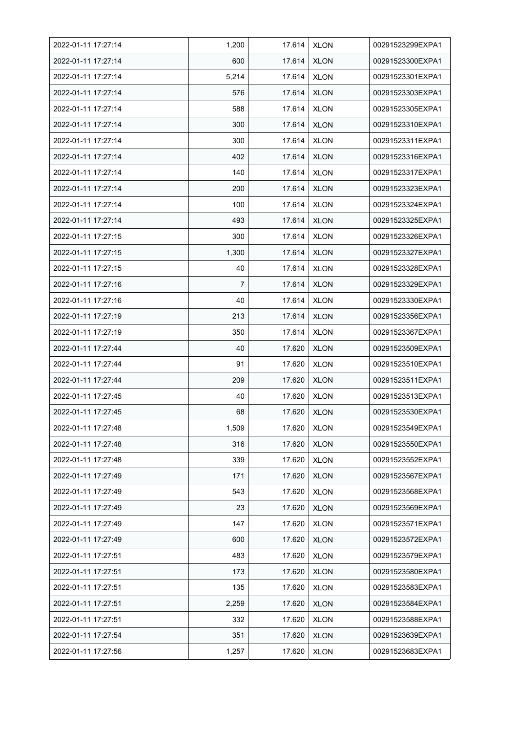| 2022-01-11 17:27:14 | 1,200 | 17.614 | <b>XLON</b> | 00291523299EXPA1 |
|---------------------|-------|--------|-------------|------------------|
| 2022-01-11 17:27:14 | 600   | 17.614 | <b>XLON</b> | 00291523300EXPA1 |
| 2022-01-11 17:27:14 | 5,214 | 17.614 | <b>XLON</b> | 00291523301EXPA1 |
| 2022-01-11 17:27:14 | 576   | 17.614 | <b>XLON</b> | 00291523303EXPA1 |
| 2022-01-11 17:27:14 | 588   | 17.614 | <b>XLON</b> | 00291523305EXPA1 |
| 2022-01-11 17:27:14 | 300   | 17.614 | <b>XLON</b> | 00291523310EXPA1 |
| 2022-01-11 17:27:14 | 300   | 17.614 | <b>XLON</b> | 00291523311EXPA1 |
| 2022-01-11 17:27:14 | 402   | 17.614 | <b>XLON</b> | 00291523316EXPA1 |
| 2022-01-11 17:27:14 | 140   | 17.614 | <b>XLON</b> | 00291523317EXPA1 |
| 2022-01-11 17:27:14 | 200   | 17.614 | <b>XLON</b> | 00291523323EXPA1 |
| 2022-01-11 17:27:14 | 100   | 17.614 | <b>XLON</b> | 00291523324EXPA1 |
| 2022-01-11 17:27:14 | 493   | 17.614 | <b>XLON</b> | 00291523325EXPA1 |
| 2022-01-11 17:27:15 | 300   | 17.614 | <b>XLON</b> | 00291523326EXPA1 |
| 2022-01-11 17:27:15 | 1,300 | 17.614 | <b>XLON</b> | 00291523327EXPA1 |
| 2022-01-11 17:27:15 | 40    | 17.614 | <b>XLON</b> | 00291523328EXPA1 |
| 2022-01-11 17:27:16 | 7     | 17.614 | <b>XLON</b> | 00291523329EXPA1 |
| 2022-01-11 17:27:16 | 40    | 17.614 | <b>XLON</b> | 00291523330EXPA1 |
| 2022-01-11 17:27:19 | 213   | 17.614 | <b>XLON</b> | 00291523356EXPA1 |
| 2022-01-11 17:27:19 | 350   | 17.614 | <b>XLON</b> | 00291523367EXPA1 |
| 2022-01-11 17:27:44 | 40    | 17.620 | <b>XLON</b> | 00291523509EXPA1 |
| 2022-01-11 17:27:44 | 91    | 17.620 | <b>XLON</b> | 00291523510EXPA1 |
| 2022-01-11 17:27:44 | 209   | 17.620 | <b>XLON</b> | 00291523511EXPA1 |
| 2022-01-11 17:27:45 | 40    | 17.620 | <b>XLON</b> | 00291523513EXPA1 |
| 2022-01-11 17:27:45 | 68    | 17.620 | <b>XLON</b> | 00291523530EXPA1 |
| 2022-01-11 17:27:48 | 1,509 | 17.620 | <b>XLON</b> | 00291523549EXPA1 |
| 2022-01-11 17:27:48 | 316   | 17.620 | <b>XLON</b> | 00291523550EXPA1 |
| 2022-01-11 17:27:48 | 339   | 17.620 | <b>XLON</b> | 00291523552EXPA1 |
| 2022-01-11 17:27:49 | 171   | 17.620 | <b>XLON</b> | 00291523567EXPA1 |
| 2022-01-11 17:27:49 | 543   | 17.620 | <b>XLON</b> | 00291523568EXPA1 |
| 2022-01-11 17:27:49 | 23    | 17.620 | <b>XLON</b> | 00291523569EXPA1 |
| 2022-01-11 17:27:49 | 147   | 17.620 | <b>XLON</b> | 00291523571EXPA1 |
| 2022-01-11 17:27:49 | 600   | 17.620 | <b>XLON</b> | 00291523572EXPA1 |
| 2022-01-11 17:27:51 | 483   | 17.620 | <b>XLON</b> | 00291523579EXPA1 |
| 2022-01-11 17:27:51 | 173   | 17.620 | <b>XLON</b> | 00291523580EXPA1 |
| 2022-01-11 17:27:51 | 135   | 17.620 | <b>XLON</b> | 00291523583EXPA1 |
| 2022-01-11 17:27:51 | 2,259 | 17.620 | XLON        | 00291523584EXPA1 |
| 2022-01-11 17:27:51 | 332   | 17.620 | <b>XLON</b> | 00291523588EXPA1 |
| 2022-01-11 17:27:54 | 351   | 17.620 | <b>XLON</b> | 00291523639EXPA1 |
| 2022-01-11 17:27:56 | 1,257 | 17.620 | <b>XLON</b> | 00291523683EXPA1 |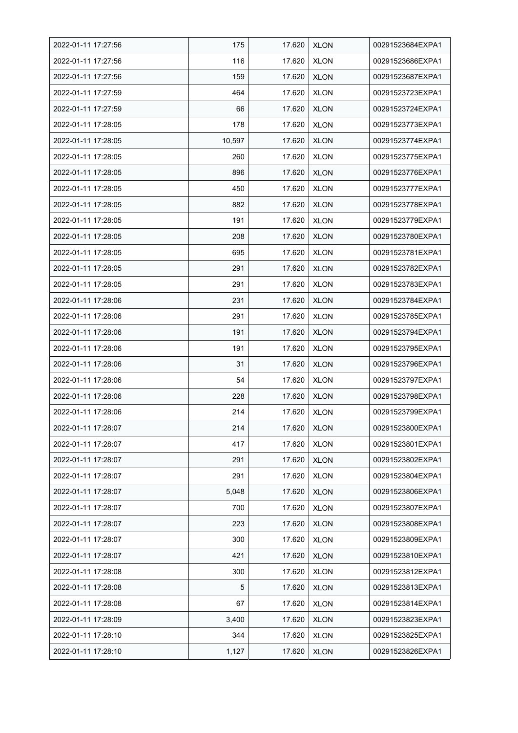| 2022-01-11 17:27:56 | 175    | 17.620 | <b>XLON</b> | 00291523684EXPA1 |
|---------------------|--------|--------|-------------|------------------|
| 2022-01-11 17:27:56 | 116    | 17.620 | <b>XLON</b> | 00291523686EXPA1 |
| 2022-01-11 17:27:56 | 159    | 17.620 | <b>XLON</b> | 00291523687EXPA1 |
| 2022-01-11 17:27:59 | 464    | 17.620 | <b>XLON</b> | 00291523723EXPA1 |
| 2022-01-11 17:27:59 | 66     | 17.620 | <b>XLON</b> | 00291523724EXPA1 |
| 2022-01-11 17:28:05 | 178    | 17.620 | <b>XLON</b> | 00291523773EXPA1 |
| 2022-01-11 17:28:05 | 10,597 | 17.620 | <b>XLON</b> | 00291523774EXPA1 |
| 2022-01-11 17:28:05 | 260    | 17.620 | <b>XLON</b> | 00291523775EXPA1 |
| 2022-01-11 17:28:05 | 896    | 17.620 | <b>XLON</b> | 00291523776EXPA1 |
| 2022-01-11 17:28:05 | 450    | 17.620 | <b>XLON</b> | 00291523777EXPA1 |
| 2022-01-11 17:28:05 | 882    | 17.620 | <b>XLON</b> | 00291523778EXPA1 |
| 2022-01-11 17:28:05 | 191    | 17.620 | <b>XLON</b> | 00291523779EXPA1 |
| 2022-01-11 17:28:05 | 208    | 17.620 | <b>XLON</b> | 00291523780EXPA1 |
| 2022-01-11 17:28:05 | 695    | 17.620 | <b>XLON</b> | 00291523781EXPA1 |
| 2022-01-11 17:28:05 | 291    | 17.620 | <b>XLON</b> | 00291523782EXPA1 |
| 2022-01-11 17:28:05 | 291    | 17.620 | <b>XLON</b> | 00291523783EXPA1 |
| 2022-01-11 17:28:06 | 231    | 17.620 | <b>XLON</b> | 00291523784EXPA1 |
| 2022-01-11 17:28:06 | 291    | 17.620 | <b>XLON</b> | 00291523785EXPA1 |
| 2022-01-11 17:28:06 | 191    | 17.620 | <b>XLON</b> | 00291523794EXPA1 |
| 2022-01-11 17:28:06 | 191    | 17.620 | <b>XLON</b> | 00291523795EXPA1 |
| 2022-01-11 17:28:06 | 31     | 17.620 | <b>XLON</b> | 00291523796EXPA1 |
| 2022-01-11 17:28:06 | 54     | 17.620 | <b>XLON</b> | 00291523797EXPA1 |
| 2022-01-11 17:28:06 | 228    | 17.620 | <b>XLON</b> | 00291523798EXPA1 |
| 2022-01-11 17:28:06 | 214    | 17.620 | <b>XLON</b> | 00291523799EXPA1 |
| 2022-01-11 17:28:07 | 214    | 17.620 | <b>XLON</b> | 00291523800EXPA1 |
| 2022-01-11 17:28:07 | 417    | 17.620 | <b>XLON</b> | 00291523801EXPA1 |
| 2022-01-11 17:28:07 | 291    | 17.620 | <b>XLON</b> | 00291523802EXPA1 |
| 2022-01-11 17:28:07 | 291    | 17.620 | <b>XLON</b> | 00291523804EXPA1 |
| 2022-01-11 17:28:07 | 5,048  | 17.620 | <b>XLON</b> | 00291523806EXPA1 |
| 2022-01-11 17:28:07 | 700    | 17.620 | <b>XLON</b> | 00291523807EXPA1 |
| 2022-01-11 17:28:07 | 223    | 17.620 | <b>XLON</b> | 00291523808EXPA1 |
| 2022-01-11 17:28:07 | 300    | 17.620 | <b>XLON</b> | 00291523809EXPA1 |
| 2022-01-11 17:28:07 | 421    | 17.620 | <b>XLON</b> | 00291523810EXPA1 |
| 2022-01-11 17:28:08 | 300    | 17.620 | <b>XLON</b> | 00291523812EXPA1 |
| 2022-01-11 17:28:08 | 5      | 17.620 | <b>XLON</b> | 00291523813EXPA1 |
| 2022-01-11 17:28:08 | 67     | 17.620 | XLON        | 00291523814EXPA1 |
| 2022-01-11 17:28:09 | 3,400  | 17.620 | <b>XLON</b> | 00291523823EXPA1 |
| 2022-01-11 17:28:10 | 344    | 17.620 | <b>XLON</b> | 00291523825EXPA1 |
| 2022-01-11 17:28:10 | 1,127  | 17.620 | <b>XLON</b> | 00291523826EXPA1 |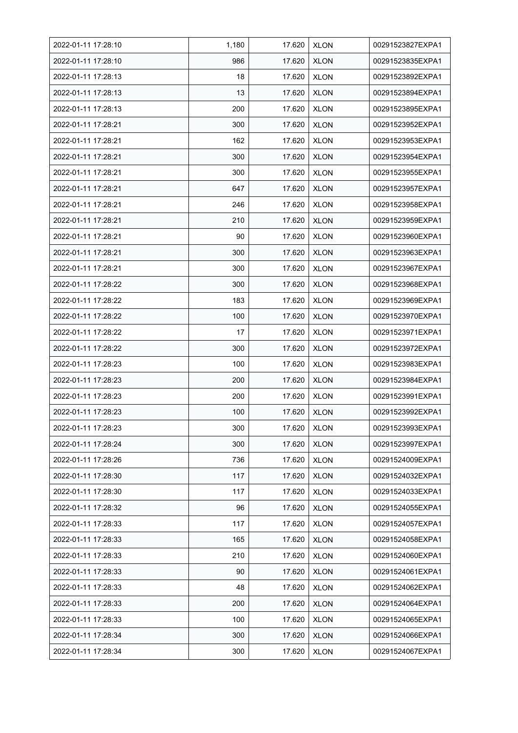| 2022-01-11 17:28:10 | 1,180 | 17.620 | <b>XLON</b> | 00291523827EXPA1 |
|---------------------|-------|--------|-------------|------------------|
| 2022-01-11 17:28:10 | 986   | 17.620 | <b>XLON</b> | 00291523835EXPA1 |
| 2022-01-11 17:28:13 | 18    | 17.620 | <b>XLON</b> | 00291523892EXPA1 |
| 2022-01-11 17:28:13 | 13    | 17.620 | <b>XLON</b> | 00291523894EXPA1 |
| 2022-01-11 17:28:13 | 200   | 17.620 | <b>XLON</b> | 00291523895EXPA1 |
| 2022-01-11 17:28:21 | 300   | 17.620 | <b>XLON</b> | 00291523952EXPA1 |
| 2022-01-11 17:28:21 | 162   | 17.620 | <b>XLON</b> | 00291523953EXPA1 |
| 2022-01-11 17:28:21 | 300   | 17.620 | <b>XLON</b> | 00291523954EXPA1 |
| 2022-01-11 17:28:21 | 300   | 17.620 | <b>XLON</b> | 00291523955EXPA1 |
| 2022-01-11 17:28:21 | 647   | 17.620 | <b>XLON</b> | 00291523957EXPA1 |
| 2022-01-11 17:28:21 | 246   | 17.620 | <b>XLON</b> | 00291523958EXPA1 |
| 2022-01-11 17:28:21 | 210   | 17.620 | <b>XLON</b> | 00291523959EXPA1 |
| 2022-01-11 17:28:21 | 90    | 17.620 | <b>XLON</b> | 00291523960EXPA1 |
| 2022-01-11 17:28:21 | 300   | 17.620 | <b>XLON</b> | 00291523963EXPA1 |
| 2022-01-11 17:28:21 | 300   | 17.620 | <b>XLON</b> | 00291523967EXPA1 |
| 2022-01-11 17:28:22 | 300   | 17.620 | <b>XLON</b> | 00291523968EXPA1 |
| 2022-01-11 17:28:22 | 183   | 17.620 | <b>XLON</b> | 00291523969EXPA1 |
| 2022-01-11 17:28:22 | 100   | 17.620 | <b>XLON</b> | 00291523970EXPA1 |
| 2022-01-11 17:28:22 | 17    | 17.620 | <b>XLON</b> | 00291523971EXPA1 |
| 2022-01-11 17:28:22 | 300   | 17.620 | <b>XLON</b> | 00291523972EXPA1 |
| 2022-01-11 17:28:23 | 100   | 17.620 | <b>XLON</b> | 00291523983EXPA1 |
| 2022-01-11 17:28:23 | 200   | 17.620 | <b>XLON</b> | 00291523984EXPA1 |
| 2022-01-11 17:28:23 | 200   | 17.620 | <b>XLON</b> | 00291523991EXPA1 |
| 2022-01-11 17:28:23 | 100   | 17.620 | <b>XLON</b> | 00291523992EXPA1 |
| 2022-01-11 17:28:23 | 300   | 17.620 | <b>XLON</b> | 00291523993EXPA1 |
| 2022-01-11 17:28:24 | 300   | 17.620 | <b>XLON</b> | 00291523997EXPA1 |
| 2022-01-11 17:28:26 | 736   | 17.620 | <b>XLON</b> | 00291524009EXPA1 |
| 2022-01-11 17:28:30 | 117   | 17.620 | <b>XLON</b> | 00291524032EXPA1 |
| 2022-01-11 17:28:30 | 117   | 17.620 | <b>XLON</b> | 00291524033EXPA1 |
| 2022-01-11 17:28:32 | 96    | 17.620 | <b>XLON</b> | 00291524055EXPA1 |
| 2022-01-11 17:28:33 | 117   | 17.620 | <b>XLON</b> | 00291524057EXPA1 |
| 2022-01-11 17:28:33 | 165   | 17.620 | <b>XLON</b> | 00291524058EXPA1 |
| 2022-01-11 17:28:33 | 210   | 17.620 | <b>XLON</b> | 00291524060EXPA1 |
| 2022-01-11 17:28:33 | 90    | 17.620 | <b>XLON</b> | 00291524061EXPA1 |
| 2022-01-11 17:28:33 | 48    | 17.620 | <b>XLON</b> | 00291524062EXPA1 |
| 2022-01-11 17:28:33 | 200   | 17.620 | <b>XLON</b> | 00291524064EXPA1 |
| 2022-01-11 17:28:33 | 100   | 17.620 | <b>XLON</b> | 00291524065EXPA1 |
| 2022-01-11 17:28:34 | 300   | 17.620 | <b>XLON</b> | 00291524066EXPA1 |
| 2022-01-11 17:28:34 | 300   | 17.620 | <b>XLON</b> | 00291524067EXPA1 |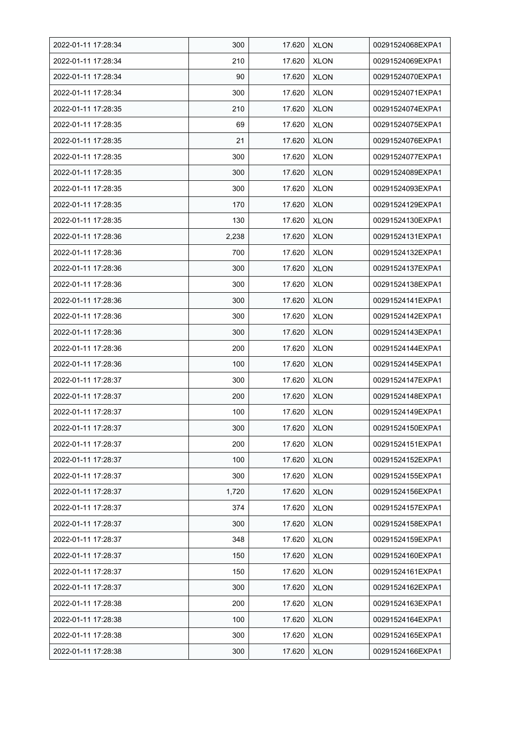| 2022-01-11 17:28:34 | 300   | 17.620 | <b>XLON</b> | 00291524068EXPA1 |
|---------------------|-------|--------|-------------|------------------|
| 2022-01-11 17:28:34 | 210   | 17.620 | <b>XLON</b> | 00291524069EXPA1 |
| 2022-01-11 17:28:34 | 90    | 17.620 | <b>XLON</b> | 00291524070EXPA1 |
| 2022-01-11 17:28:34 | 300   | 17.620 | <b>XLON</b> | 00291524071EXPA1 |
| 2022-01-11 17:28:35 | 210   | 17.620 | <b>XLON</b> | 00291524074EXPA1 |
| 2022-01-11 17:28:35 | 69    | 17.620 | <b>XLON</b> | 00291524075EXPA1 |
| 2022-01-11 17:28:35 | 21    | 17.620 | <b>XLON</b> | 00291524076EXPA1 |
| 2022-01-11 17:28:35 | 300   | 17.620 | <b>XLON</b> | 00291524077EXPA1 |
| 2022-01-11 17:28:35 | 300   | 17.620 | <b>XLON</b> | 00291524089EXPA1 |
| 2022-01-11 17:28:35 | 300   | 17.620 | <b>XLON</b> | 00291524093EXPA1 |
| 2022-01-11 17:28:35 | 170   | 17.620 | <b>XLON</b> | 00291524129EXPA1 |
| 2022-01-11 17:28:35 | 130   | 17.620 | <b>XLON</b> | 00291524130EXPA1 |
| 2022-01-11 17:28:36 | 2,238 | 17.620 | <b>XLON</b> | 00291524131EXPA1 |
| 2022-01-11 17:28:36 | 700   | 17.620 | <b>XLON</b> | 00291524132EXPA1 |
| 2022-01-11 17:28:36 | 300   | 17.620 | <b>XLON</b> | 00291524137EXPA1 |
| 2022-01-11 17:28:36 | 300   | 17.620 | <b>XLON</b> | 00291524138EXPA1 |
| 2022-01-11 17:28:36 | 300   | 17.620 | <b>XLON</b> | 00291524141EXPA1 |
| 2022-01-11 17:28:36 | 300   | 17.620 | <b>XLON</b> | 00291524142EXPA1 |
| 2022-01-11 17:28:36 | 300   | 17.620 | <b>XLON</b> | 00291524143EXPA1 |
| 2022-01-11 17:28:36 | 200   | 17.620 | <b>XLON</b> | 00291524144EXPA1 |
| 2022-01-11 17:28:36 | 100   | 17.620 | <b>XLON</b> | 00291524145EXPA1 |
| 2022-01-11 17:28:37 | 300   | 17.620 | <b>XLON</b> | 00291524147EXPA1 |
| 2022-01-11 17:28:37 | 200   | 17.620 | <b>XLON</b> | 00291524148EXPA1 |
| 2022-01-11 17:28:37 | 100   | 17.620 | <b>XLON</b> | 00291524149EXPA1 |
| 2022-01-11 17:28:37 | 300   | 17.620 | <b>XLON</b> | 00291524150EXPA1 |
| 2022-01-11 17:28:37 | 200   | 17.620 | <b>XLON</b> | 00291524151EXPA1 |
| 2022-01-11 17:28:37 | 100   | 17.620 | <b>XLON</b> | 00291524152EXPA1 |
| 2022-01-11 17:28:37 | 300   | 17.620 | <b>XLON</b> | 00291524155EXPA1 |
| 2022-01-11 17:28:37 | 1,720 | 17.620 | <b>XLON</b> | 00291524156EXPA1 |
| 2022-01-11 17:28:37 | 374   | 17.620 | <b>XLON</b> | 00291524157EXPA1 |
| 2022-01-11 17:28:37 | 300   | 17.620 | <b>XLON</b> | 00291524158EXPA1 |
| 2022-01-11 17:28:37 | 348   | 17.620 | <b>XLON</b> | 00291524159EXPA1 |
| 2022-01-11 17:28:37 | 150   | 17.620 | <b>XLON</b> | 00291524160EXPA1 |
| 2022-01-11 17:28:37 | 150   | 17.620 | <b>XLON</b> | 00291524161EXPA1 |
| 2022-01-11 17:28:37 | 300   | 17.620 | <b>XLON</b> | 00291524162EXPA1 |
| 2022-01-11 17:28:38 | 200   | 17.620 | XLON        | 00291524163EXPA1 |
| 2022-01-11 17:28:38 | 100   | 17.620 | <b>XLON</b> | 00291524164EXPA1 |
| 2022-01-11 17:28:38 | 300   | 17.620 | <b>XLON</b> | 00291524165EXPA1 |
| 2022-01-11 17:28:38 | 300   | 17.620 | <b>XLON</b> | 00291524166EXPA1 |